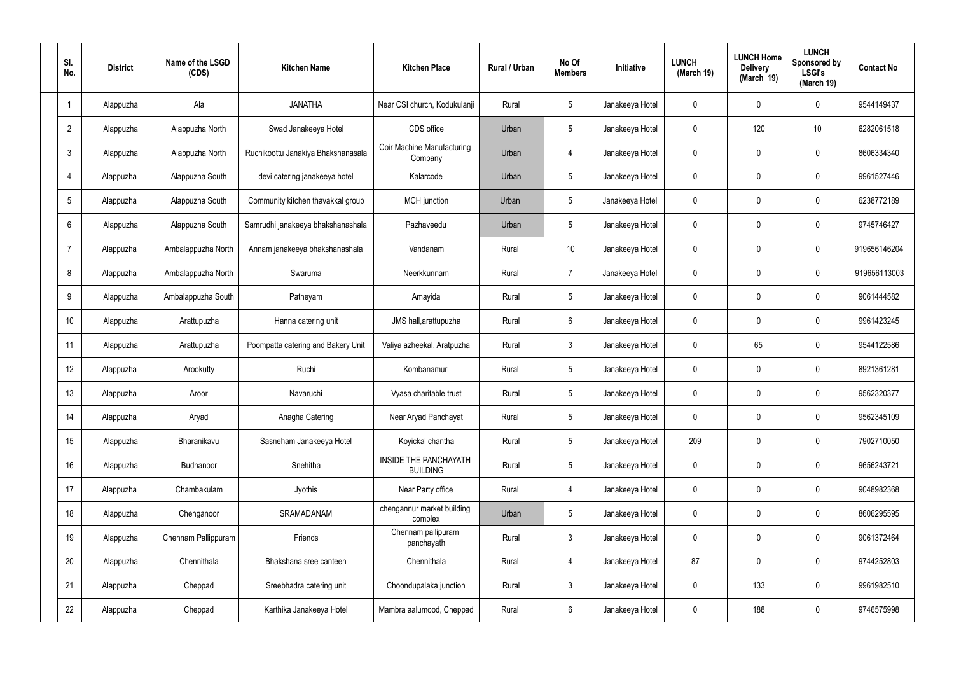| SI.<br>No.      | <b>District</b> | Name of the LSGD<br>(CDS) | <b>Kitchen Name</b>                | <b>Kitchen Place</b>                            | Rural / Urban | No Of<br><b>Members</b> | <b>Initiative</b> | <b>LUNCH</b><br>(March 19) | <b>LUNCH Home</b><br><b>Delivery</b><br>(March 19) | <b>LUNCH</b><br>Sponsored by<br><b>LSGI's</b><br>(March 19) | <b>Contact No</b> |
|-----------------|-----------------|---------------------------|------------------------------------|-------------------------------------------------|---------------|-------------------------|-------------------|----------------------------|----------------------------------------------------|-------------------------------------------------------------|-------------------|
|                 | Alappuzha       | Ala                       | <b>JANATHA</b>                     | Near CSI church, Kodukulanji                    | Rural         | $5\phantom{.0}$         | Janakeeya Hotel   | $\mathbf 0$                | 0                                                  | $\mathbf 0$                                                 | 9544149437        |
| $\overline{2}$  | Alappuzha       | Alappuzha North           | Swad Janakeeya Hotel               | CDS office                                      | Urban         | $5\phantom{.0}$         | Janakeeya Hotel   | $\mathbf 0$                | 120                                                | 10                                                          | 6282061518        |
| $\mathbf{3}$    | Alappuzha       | Alappuzha North           | Ruchikoottu Janakiya Bhakshanasala | <b>Coir Machine Manufacturing</b><br>Company    | Urban         | $\overline{4}$          | Janakeeya Hotel   | $\mathbf 0$                | 0                                                  | $\mathbf 0$                                                 | 8606334340        |
| $\overline{4}$  | Alappuzha       | Alappuzha South           | devi catering janakeeya hotel      | Kalarcode                                       | Urban         | $5\phantom{.0}$         | Janakeeya Hotel   | $\mathbf 0$                | 0                                                  | $\mathbf 0$                                                 | 9961527446        |
| $5\overline{)}$ | Alappuzha       | Alappuzha South           | Community kitchen thavakkal group  | MCH junction                                    | Urban         | $5\phantom{.0}$         | Janakeeya Hotel   | $\mathbf 0$                | 0                                                  | $\mathbf 0$                                                 | 6238772189        |
| 6               | Alappuzha       | Alappuzha South           | Samrudhi janakeeya bhakshanashala  | Pazhaveedu                                      | Urban         | $5\phantom{.0}$         | Janakeeya Hotel   | $\mathbf 0$                | 0                                                  | $\mathbf 0$                                                 | 9745746427        |
| $\overline{7}$  | Alappuzha       | Ambalappuzha North        | Annam janakeeya bhakshanashala     | Vandanam                                        | Rural         | 10 <sup>°</sup>         | Janakeeya Hotel   | $\mathbf 0$                | 0                                                  | $\mathbf 0$                                                 | 919656146204      |
| 8               | Alappuzha       | Ambalappuzha North        | Swaruma                            | Neerkkunnam                                     | Rural         | $\overline{7}$          | Janakeeya Hotel   | $\mathbf 0$                | 0                                                  | $\mathbf 0$                                                 | 919656113003      |
| 9               | Alappuzha       | Ambalappuzha South        | Patheyam                           | Amayida                                         | Rural         | $5\phantom{.0}$         | Janakeeya Hotel   | $\mathbf 0$                | 0                                                  | $\mathbf 0$                                                 | 9061444582        |
| 10              | Alappuzha       | Arattupuzha               | Hanna catering unit                | JMS hall, arattupuzha                           | Rural         | $6\phantom{.}6$         | Janakeeya Hotel   | $\mathbf 0$                | 0                                                  | $\mathbf 0$                                                 | 9961423245        |
| 11              | Alappuzha       | Arattupuzha               | Poompatta catering and Bakery Unit | Valiya azheekal, Aratpuzha                      | Rural         | $\mathbf{3}$            | Janakeeya Hotel   | $\mathbf 0$                | 65                                                 | $\mathbf 0$                                                 | 9544122586        |
| 12              | Alappuzha       | Arookutty                 | Ruchi                              | Kombanamuri                                     | Rural         | $5\phantom{.0}$         | Janakeeya Hotel   | $\mathbf 0$                | 0                                                  | $\mathbf 0$                                                 | 8921361281        |
| 13              | Alappuzha       | Aroor                     | Navaruchi                          | Vyasa charitable trust                          | Rural         | $5\phantom{.0}$         | Janakeeya Hotel   | $\mathbf 0$                | 0                                                  | 0                                                           | 9562320377        |
| 14              | Alappuzha       | Aryad                     | Anagha Catering                    | Near Aryad Panchayat                            | Rural         | $5\phantom{.0}$         | Janakeeya Hotel   | $\mathbf 0$                | $\mathbf 0$                                        | $\mathbf 0$                                                 | 9562345109        |
| 15              | Alappuzha       | Bharanikavu               | Sasneham Janakeeya Hotel           | Koyickal chantha                                | Rural         | $5\phantom{.0}$         | Janakeeya Hotel   | 209                        | $\mathbf 0$                                        | $\mathbf 0$                                                 | 7902710050        |
| 16              | Alappuzha       | Budhanoor                 | Snehitha                           | <b>INSIDE THE PANCHAYATH</b><br><b>BUILDING</b> | Rural         | $5\phantom{.0}$         | Janakeeya Hotel   | $\mathbf 0$                | $\mathbf 0$                                        | $\mathbf 0$                                                 | 9656243721        |
| 17              | Alappuzha       | Chambakulam               | Jyothis                            | Near Party office                               | Rural         | 4                       | Janakeeya Hotel   | $\mathbf 0$                | $\mathbf 0$                                        | $\mathbf 0$                                                 | 9048982368        |
| 18              | Alappuzha       | Chenganoor                | SRAMADANAM                         | chengannur market building<br>complex           | Urban         | $5\phantom{.0}$         | Janakeeya Hotel   | $\mathbf 0$                | 0                                                  | $\mathbf 0$                                                 | 8606295595        |
| 19              | Alappuzha       | Chennam Pallippuram       | Friends                            | Chennam pallipuram<br>panchayath                | Rural         | $\mathbf{3}$            | Janakeeya Hotel   | $\mathbf 0$                | 0                                                  | $\mathbf 0$                                                 | 9061372464        |
| 20              | Alappuzha       | Chennithala               | Bhakshana sree canteen             | Chennithala                                     | Rural         | $\overline{4}$          | Janakeeya Hotel   | 87                         | 0                                                  | $\mathbf 0$                                                 | 9744252803        |
| 21              | Alappuzha       | Cheppad                   | Sreebhadra catering unit           | Choondupalaka junction                          | Rural         | $\mathbf{3}$            | Janakeeya Hotel   | $\mathbf 0$                | 133                                                | $\mathbf 0$                                                 | 9961982510        |
| 22              | Alappuzha       | Cheppad                   | Karthika Janakeeya Hotel           | Mambra aalumood, Cheppad                        | Rural         | $6\overline{6}$         | Janakeeya Hotel   | 0                          | 188                                                | $\mathbf 0$                                                 | 9746575998        |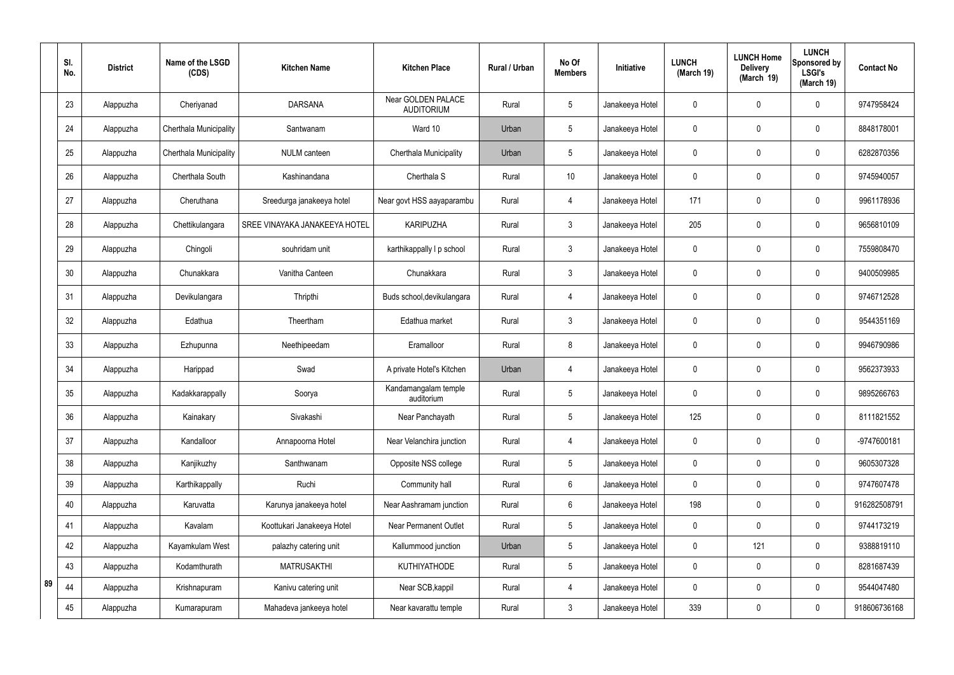|    | SI.<br>No. | <b>District</b> | Name of the LSGD<br>(CDS) | <b>Kitchen Name</b>           | <b>Kitchen Place</b>                    | <b>Rural / Urban</b> | No Of<br><b>Members</b> | Initiative      | <b>LUNCH</b><br>(March 19) | <b>LUNCH Home</b><br><b>Delivery</b><br>(March 19) | <b>LUNCH</b><br>Sponsored by<br><b>LSGI's</b><br>(March 19) | <b>Contact No</b> |
|----|------------|-----------------|---------------------------|-------------------------------|-----------------------------------------|----------------------|-------------------------|-----------------|----------------------------|----------------------------------------------------|-------------------------------------------------------------|-------------------|
|    | 23         | Alappuzha       | Cheriyanad                | <b>DARSANA</b>                | Near GOLDEN PALACE<br><b>AUDITORIUM</b> | Rural                | 5                       | Janakeeya Hotel | 0                          | $\mathbf 0$                                        | $\mathbf 0$                                                 | 9747958424        |
|    | 24         | Alappuzha       | Cherthala Municipality    | Santwanam                     | Ward 10                                 | Urban                | 5                       | Janakeeya Hotel | $\mathbf 0$                | $\mathbf 0$                                        | $\mathbf 0$                                                 | 8848178001        |
|    | 25         | Alappuzha       | Cherthala Municipality    | NULM canteen                  | Cherthala Municipality                  | Urban                | 5                       | Janakeeya Hotel | 0                          | $\mathbf 0$                                        | $\mathbf 0$                                                 | 6282870356        |
|    | 26         | Alappuzha       | Cherthala South           | Kashinandana                  | Cherthala S                             | Rural                | 10                      | Janakeeya Hotel | 0                          | $\mathbf 0$                                        | $\mathbf 0$                                                 | 9745940057        |
|    | 27         | Alappuzha       | Cheruthana                | Sreedurga janakeeya hotel     | Near govt HSS aayaparambu               | Rural                | $\overline{4}$          | Janakeeya Hotel | 171                        | $\mathbf 0$                                        | $\mathbf 0$                                                 | 9961178936        |
|    | 28         | Alappuzha       | Chettikulangara           | SREE VINAYAKA JANAKEEYA HOTEL | <b>KARIPUZHA</b>                        | Rural                | $\mathfrak{Z}$          | Janakeeya Hotel | 205                        | $\mathbf 0$                                        | $\pmb{0}$                                                   | 9656810109        |
|    | 29         | Alappuzha       | Chingoli                  | souhridam unit                | karthikappally I p school               | Rural                | $\mathbf{3}$            | Janakeeya Hotel | 0                          | $\mathbf 0$                                        | $\mathbf 0$                                                 | 7559808470        |
|    | 30         | Alappuzha       | Chunakkara                | Vanitha Canteen               | Chunakkara                              | Rural                | $\mathfrak{Z}$          | Janakeeya Hotel | $\mathbf 0$                | $\mathbf 0$                                        | $\mathbf 0$                                                 | 9400509985        |
|    | 31         | Alappuzha       | Devikulangara             | Thripthi                      | Buds school, devikulangara              | Rural                | $\overline{4}$          | Janakeeya Hotel | 0                          | $\mathbf 0$                                        | $\mathbf 0$                                                 | 9746712528        |
|    | 32         | Alappuzha       | Edathua                   | Theertham                     | Edathua market                          | Rural                | 3                       | Janakeeya Hotel | 0                          | $\mathbf 0$                                        | $\mathbf 0$                                                 | 9544351169        |
|    | 33         | Alappuzha       | Ezhupunna                 | Neethipeedam                  | Eramalloor                              | Rural                | 8                       | Janakeeya Hotel | 0                          | $\mathbf 0$                                        | $\mathbf 0$                                                 | 9946790986        |
|    | 34         | Alappuzha       | Harippad                  | Swad                          | A private Hotel's Kitchen               | Urban                | $\overline{4}$          | Janakeeya Hotel | 0                          | 0                                                  | $\mathbf 0$                                                 | 9562373933        |
|    | 35         | Alappuzha       | Kadakkarappally           | Soorya                        | Kandamangalam temple<br>auditorium      | Rural                | 5                       | Janakeeya Hotel | 0                          | $\mathbf 0$                                        | $\mathbf 0$                                                 | 9895266763        |
|    | 36         | Alappuzha       | Kainakary                 | Sivakashi                     | Near Panchayath                         | Rural                | 5                       | Janakeeya Hotel | 125                        | $\mathbf 0$                                        | $\mathbf 0$                                                 | 8111821552        |
|    | 37         | Alappuzha       | Kandalloor                | Annapoorna Hotel              | Near Velanchira junction                | Rural                | $\overline{4}$          | Janakeeya Hotel | 0                          | $\mathbf 0$                                        | $\pmb{0}$                                                   | -9747600181       |
|    | 38         | Alappuzha       | Kanjikuzhy                | Santhwanam                    | Opposite NSS college                    | Rural                | 5                       | Janakeeya Hotel | $\mathbf 0$                | $\mathbf 0$                                        | $\mathbf 0$                                                 | 9605307328        |
|    | 39         | Alappuzha       | Karthikappally            | Ruchi                         | Community hall                          | Rural                | 6                       | Janakeeya Hotel | $\mathbf 0$                | $\mathbf 0$                                        | $\pmb{0}$                                                   | 9747607478        |
|    | 40         | Alappuzha       | Karuvatta                 | Karunya janakeeya hotel       | Near Aashramam junction                 | Rural                | 6 <sup>1</sup>          | Janakeeya Hotel | 198                        | $\mathbf 0$                                        | $\mathbf 0$                                                 | 916282508791      |
|    | 41         | Alappuzha       | Kavalam                   | Koottukari Janakeeya Hotel    | Near Permanent Outlet                   | Rural                | 5                       | Janakeeya Hotel | $\mathbf 0$                | $\mathbf 0$                                        | $\mathbf 0$                                                 | 9744173219        |
|    | 42         | Alappuzha       | Kayamkulam West           | palazhy catering unit         | Kallummood junction                     | Urban                | 5                       | Janakeeya Hotel | $\mathbf 0$                | 121                                                | $\pmb{0}$                                                   | 9388819110        |
|    | 43         | Alappuzha       | Kodamthurath              | <b>MATRUSAKTHI</b>            | <b>KUTHIYATHODE</b>                     | Rural                | 5                       | Janakeeya Hotel | 0                          | $\mathbf 0$                                        | $\pmb{0}$                                                   | 8281687439        |
| 89 | 44         | Alappuzha       | Krishnapuram              | Kanivu catering unit          | Near SCB, kappil                        | Rural                | 4                       | Janakeeya Hotel | $\mathbf 0$                | $\pmb{0}$                                          | $\boldsymbol{0}$                                            | 9544047480        |
|    | 45         | Alappuzha       | Kumarapuram               | Mahadeva jankeeya hotel       | Near kavarattu temple                   | Rural                | $\mathbf{3}$            | Janakeeya Hotel | 339                        | $\pmb{0}$                                          | $\pmb{0}$                                                   | 918606736168      |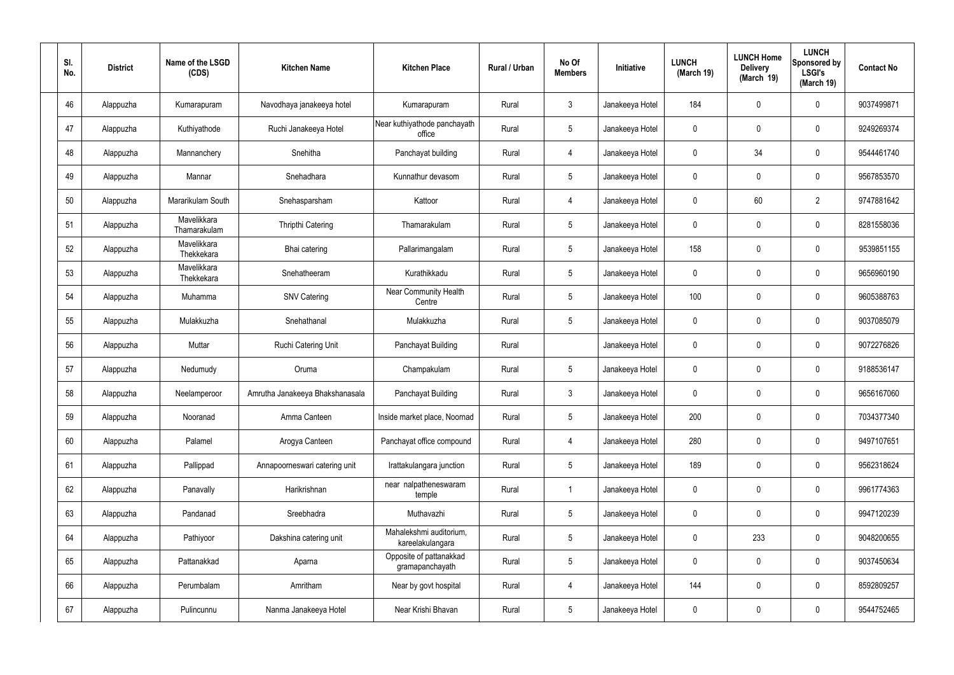| SI.<br>No. | <b>District</b> | Name of the LSGD<br>(CDS)   | <b>Kitchen Name</b>             | <b>Kitchen Place</b>                        | Rural / Urban | No Of<br><b>Members</b> | Initiative      | <b>LUNCH</b><br>(March 19) | <b>LUNCH Home</b><br><b>Delivery</b><br>(March 19) | <b>LUNCH</b><br>Sponsored by<br><b>LSGI's</b><br>(March 19) | <b>Contact No</b> |
|------------|-----------------|-----------------------------|---------------------------------|---------------------------------------------|---------------|-------------------------|-----------------|----------------------------|----------------------------------------------------|-------------------------------------------------------------|-------------------|
| 46         | Alappuzha       | Kumarapuram                 | Navodhaya janakeeya hotel       | Kumarapuram                                 | Rural         | $\mathbf{3}$            | Janakeeya Hotel | 184                        | 0                                                  | $\mathbf 0$                                                 | 9037499871        |
| 47         | Alappuzha       | Kuthiyathode                | Ruchi Janakeeya Hotel           | Near kuthiyathode panchayath<br>office      | Rural         | $5\phantom{.0}$         | Janakeeya Hotel | $\mathbf 0$                | 0                                                  | $\mathbf 0$                                                 | 9249269374        |
| 48         | Alappuzha       | Mannanchery                 | Snehitha                        | Panchayat building                          | Rural         | $\overline{4}$          | Janakeeya Hotel | 0                          | 34                                                 | $\mathbf 0$                                                 | 9544461740        |
| 49         | Alappuzha       | Mannar                      | Snehadhara                      | Kunnathur devasom                           | Rural         | $5\phantom{.0}$         | Janakeeya Hotel | $\mathbf 0$                | 0                                                  | $\mathbf 0$                                                 | 9567853570        |
| 50         | Alappuzha       | Mararikulam South           | Snehasparsham                   | Kattoor                                     | Rural         | 4                       | Janakeeya Hotel | 0                          | 60                                                 | $\overline{2}$                                              | 9747881642        |
| 51         | Alappuzha       | Mavelikkara<br>Thamarakulam | Thripthi Catering               | Thamarakulam                                | Rural         | $5\phantom{.0}$         | Janakeeya Hotel | $\mathbf 0$                | 0                                                  | $\mathbf 0$                                                 | 8281558036        |
| 52         | Alappuzha       | Mavelikkara<br>Thekkekara   | Bhai catering                   | Pallarimangalam                             | Rural         | $5\phantom{.0}$         | Janakeeya Hotel | 158                        | 0                                                  | $\mathbf 0$                                                 | 9539851155        |
| 53         | Alappuzha       | Mavelikkara<br>Thekkekara   | Snehatheeram                    | Kurathikkadu                                | Rural         | $\sqrt{5}$              | Janakeeya Hotel | $\mathbf 0$                | 0                                                  | $\mathbf 0$                                                 | 9656960190        |
| 54         | Alappuzha       | Muhamma                     | <b>SNV Catering</b>             | Near Community Health<br>Centre             | Rural         | $\sqrt{5}$              | Janakeeya Hotel | 100                        | 0                                                  | $\mathbf 0$                                                 | 9605388763        |
| 55         | Alappuzha       | Mulakkuzha                  | Snehathanal                     | Mulakkuzha                                  | Rural         | $5\phantom{.0}$         | Janakeeya Hotel | 0                          | 0                                                  | $\boldsymbol{0}$                                            | 9037085079        |
| 56         | Alappuzha       | Muttar                      | Ruchi Catering Unit             | Panchayat Building                          | Rural         |                         | Janakeeya Hotel | 0                          | 0                                                  | $\boldsymbol{0}$                                            | 9072276826        |
| 57         | Alappuzha       | Nedumudy                    | Oruma                           | Champakulam                                 | Rural         | $\sqrt{5}$              | Janakeeya Hotel | 0                          | 0                                                  | $\boldsymbol{0}$                                            | 9188536147        |
| 58         | Alappuzha       | Neelamperoor                | Amrutha Janakeeya Bhakshanasala | Panchayat Building                          | Rural         | $\mathbf{3}$            | Janakeeya Hotel | 0                          | 0                                                  | 0                                                           | 9656167060        |
| 59         | Alappuzha       | Nooranad                    | Amma Canteen                    | Inside market place, Noornad                | Rural         | $5\phantom{.0}$         | Janakeeya Hotel | 200                        | $\mathbf 0$                                        | $\mathbf 0$                                                 | 7034377340        |
| 60         | Alappuzha       | Palamel                     | Arogya Canteen                  | Panchayat office compound                   | Rural         | 4                       | Janakeeya Hotel | 280                        | $\mathbf 0$                                        | $\mathbf 0$                                                 | 9497107651        |
| 61         | Alappuzha       | Pallippad                   | Annapoorneswari catering unit   | Irattakulangara junction                    | Rural         | $\sqrt{5}$              | Janakeeya Hotel | 189                        | $\mathbf 0$                                        | $\mathbf 0$                                                 | 9562318624        |
| 62         | Alappuzha       | Panavally                   | Harikrishnan                    | near nalpatheneswaram<br>temple             | Rural         | $\overline{1}$          | Janakeeya Hotel | $\mathbf 0$                | $\mathbf 0$                                        | $\mathbf 0$                                                 | 9961774363        |
| 63         | Alappuzha       | Pandanad                    | Sreebhadra                      | Muthavazhi                                  | Rural         | $\sqrt{5}$              | Janakeeya Hotel | $\mathbf 0$                | $\mathbf 0$                                        | $\mathbf 0$                                                 | 9947120239        |
| 64         | Alappuzha       | Pathiyoor                   | Dakshina catering unit          | Mahalekshmi auditorium,<br>kareelakulangara | Rural         | $5\phantom{.0}$         | Janakeeya Hotel | $\mathbf 0$                | 233                                                | $\mathbf 0$                                                 | 9048200655        |
| 65         | Alappuzha       | Pattanakkad                 | Aparna                          | Opposite of pattanakkad<br>gramapanchayath  | Rural         | $\sqrt{5}$              | Janakeeya Hotel | $\mathbf 0$                | $\mathbf 0$                                        | $\mathbf 0$                                                 | 9037450634        |
| 66         | Alappuzha       | Perumbalam                  | Amritham                        | Near by govt hospital                       | Rural         | 4                       | Janakeeya Hotel | 144                        | 0                                                  | $\mathbf 0$                                                 | 8592809257        |
| 67         | Alappuzha       | Pulincunnu                  | Nanma Janakeeya Hotel           | Near Krishi Bhavan                          | Rural         | $5\phantom{.0}$         | Janakeeya Hotel | 0                          | $\pmb{0}$                                          | $\boldsymbol{0}$                                            | 9544752465        |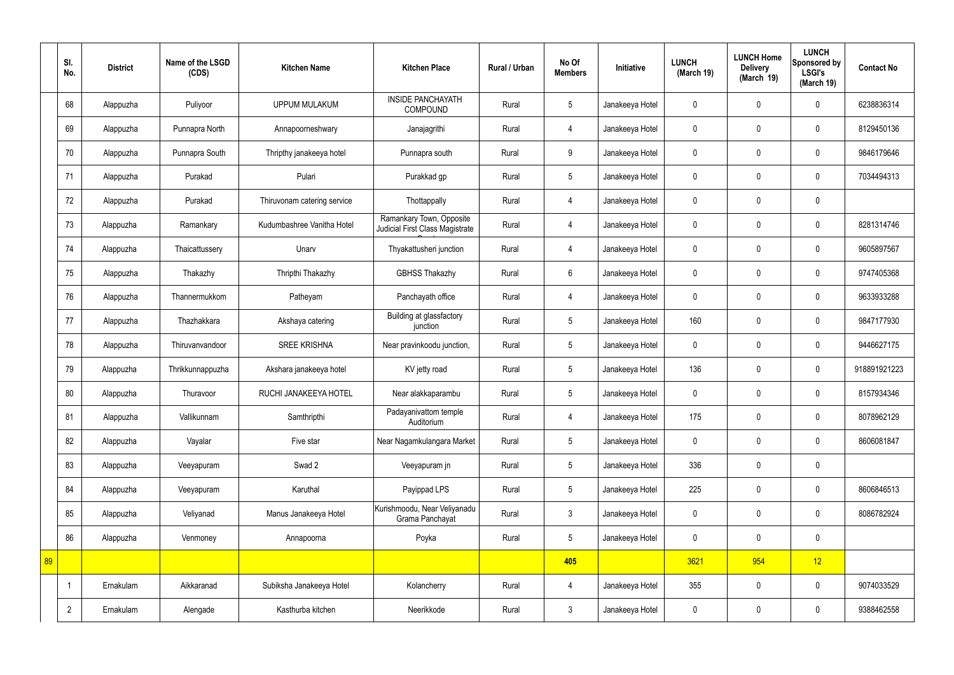|    | SI.<br>No.     | <b>District</b> | Name of the LSGD<br>(CDS) | <b>Kitchen Name</b>         | <b>Kitchen Place</b>                                        | Rural / Urban | No Of<br><b>Members</b> | <b>Initiative</b> | <b>LUNCH</b><br>(March 19) | <b>LUNCH Home</b><br><b>Delivery</b><br>(March 19) | <b>LUNCH</b><br>Sponsored by<br><b>LSGI's</b><br>(March 19) | <b>Contact No</b> |
|----|----------------|-----------------|---------------------------|-----------------------------|-------------------------------------------------------------|---------------|-------------------------|-------------------|----------------------------|----------------------------------------------------|-------------------------------------------------------------|-------------------|
|    | 68             | Alappuzha       | Puliyoor                  | <b>UPPUM MULAKUM</b>        | <b>INSIDE PANCHAYATH</b><br><b>COMPOUND</b>                 | Rural         | $5\phantom{.0}$         | Janakeeya Hotel   | $\mathbf 0$                | $\mathbf 0$                                        | $\mathbf 0$                                                 | 6238836314        |
|    | 69             | Alappuzha       | Punnapra North            | Annapoorneshwary            | Janajagrithi                                                | Rural         | $\overline{4}$          | Janakeeya Hotel   | $\mathbf 0$                | $\mathbf 0$                                        | $\mathbf 0$                                                 | 8129450136        |
|    | 70             | Alappuzha       | Punnapra South            | Thripthy janakeeya hotel    | Punnapra south                                              | Rural         | 9                       | Janakeeya Hotel   | $\mathbf 0$                | $\mathbf 0$                                        | $\mathbf 0$                                                 | 9846179646        |
|    | 71             | Alappuzha       | Purakad                   | Pulari                      | Purakkad gp                                                 | Rural         | $5\overline{)}$         | Janakeeya Hotel   | $\mathbf 0$                | $\mathbf 0$                                        | $\mathbf 0$                                                 | 7034494313        |
|    | 72             | Alappuzha       | Purakad                   | Thiruvonam catering service | Thottappally                                                | Rural         | $\overline{4}$          | Janakeeya Hotel   | $\mathbf 0$                | $\mathbf 0$                                        | $\mathbf 0$                                                 |                   |
|    | 73             | Alappuzha       | Ramankary                 | Kudumbashree Vanitha Hotel  | Ramankary Town, Opposite<br>Judicial First Class Magistrate | Rural         | $\overline{4}$          | Janakeeya Hotel   | $\mathbf 0$                | $\mathbf 0$                                        | $\mathbf 0$                                                 | 8281314746        |
|    | 74             | Alappuzha       | Thaicattussery            | Unarv                       | Thyakattusheri junction                                     | Rural         | $\overline{4}$          | Janakeeya Hotel   | $\mathbf 0$                | $\mathbf 0$                                        | $\mathbf 0$                                                 | 9605897567        |
|    | 75             | Alappuzha       | Thakazhy                  | Thripthi Thakazhy           | <b>GBHSS Thakazhy</b>                                       | Rural         | $6\overline{6}$         | Janakeeya Hotel   | $\mathbf 0$                | $\mathbf 0$                                        | $\mathbf 0$                                                 | 9747405368        |
|    | 76             | Alappuzha       | Thannermukkom             | Patheyam                    | Panchayath office                                           | Rural         | $\overline{4}$          | Janakeeya Hotel   | $\mathbf 0$                | $\mathbf 0$                                        | $\mathbf 0$                                                 | 9633933288        |
|    | 77             | Alappuzha       | Thazhakkara               | Akshaya catering            | Building at glassfactory<br>junction                        | Rural         | $5\phantom{.0}$         | Janakeeya Hotel   | 160                        | $\mathbf 0$                                        | $\mathbf 0$                                                 | 9847177930        |
|    | 78             | Alappuzha       | Thiruvanvandoor           | <b>SREE KRISHNA</b>         | Near pravinkoodu junction,                                  | Rural         | $5\phantom{.0}$         | Janakeeya Hotel   | $\mathbf 0$                | $\boldsymbol{0}$                                   | $\mathbf 0$                                                 | 9446627175        |
|    | 79             | Alappuzha       | Thrikkunnappuzha          | Akshara janakeeya hotel     | KV jetty road                                               | Rural         | 5 <sub>5</sub>          | Janakeeya Hotel   | 136                        | $\mathbf 0$                                        | $\mathbf 0$                                                 | 918891921223      |
|    | 80             | Alappuzha       | Thuravoor                 | RUCHI JANAKEEYA HOTEL       | Near alakkaparambu                                          | Rural         | 5 <sup>5</sup>          | Janakeeya Hotel   | $\mathbf 0$                | $\mathbf 0$                                        | $\mathbf 0$                                                 | 8157934346        |
|    | 81             | Alappuzha       | Vallikunnam               | Samthripthi                 | Padayanivattom temple<br>Auditorium                         | Rural         | 4                       | Janakeeya Hotel   | 175                        | $\pmb{0}$                                          | $\mathbf 0$                                                 | 8078962129        |
|    | 82             | Alappuzha       | Vayalar                   | Five star                   | Near Nagamkulangara Market                                  | Rural         | $5\overline{)}$         | Janakeeya Hotel   | $\pmb{0}$                  | $\pmb{0}$                                          | $\pmb{0}$                                                   | 8606081847        |
|    | 83             | Alappuzha       | Veeyapuram                | Swad 2                      | Veeyapuram jn                                               | Rural         | $5\phantom{.0}$         | Janakeeya Hotel   | 336                        | $\pmb{0}$                                          | $\pmb{0}$                                                   |                   |
|    | 84             | Alappuzha       | Veeyapuram                | Karuthal                    | Payippad LPS                                                | Rural         | $5\phantom{.0}$         | Janakeeya Hotel   | 225                        | $\pmb{0}$                                          | $\pmb{0}$                                                   | 8606846513        |
|    | 85             | Alappuzha       | Veliyanad                 | Manus Janakeeya Hotel       | Kurishmoodu, Near Veliyanadu<br>Grama Panchayat             | Rural         | $\mathbf{3}$            | Janakeeya Hotel   | $\pmb{0}$                  | $\pmb{0}$                                          | $\mathbf 0$                                                 | 8086782924        |
|    | 86             | Alappuzha       | Venmoney                  | Annapoorna                  | Poyka                                                       | Rural         | $5\overline{)}$         | Janakeeya Hotel   | $\mathbf 0$                | $\mathbf 0$                                        | $\pmb{0}$                                                   |                   |
| 89 |                |                 |                           |                             |                                                             |               | 405                     |                   | 3621                       | 954                                                | 12                                                          |                   |
|    |                | Ernakulam       | Aikkaranad                | Subiksha Janakeeya Hotel    | Kolancherry                                                 | Rural         | $\overline{4}$          | Janakeeya Hotel   | 355                        | $\pmb{0}$                                          | $\pmb{0}$                                                   | 9074033529        |
|    | $\overline{2}$ | Ernakulam       | Alengade                  | Kasthurba kitchen           | Neerikkode                                                  | Rural         | $\mathbf{3}$            | Janakeeya Hotel   | $\pmb{0}$                  | $\pmb{0}$                                          | $\pmb{0}$                                                   | 9388462558        |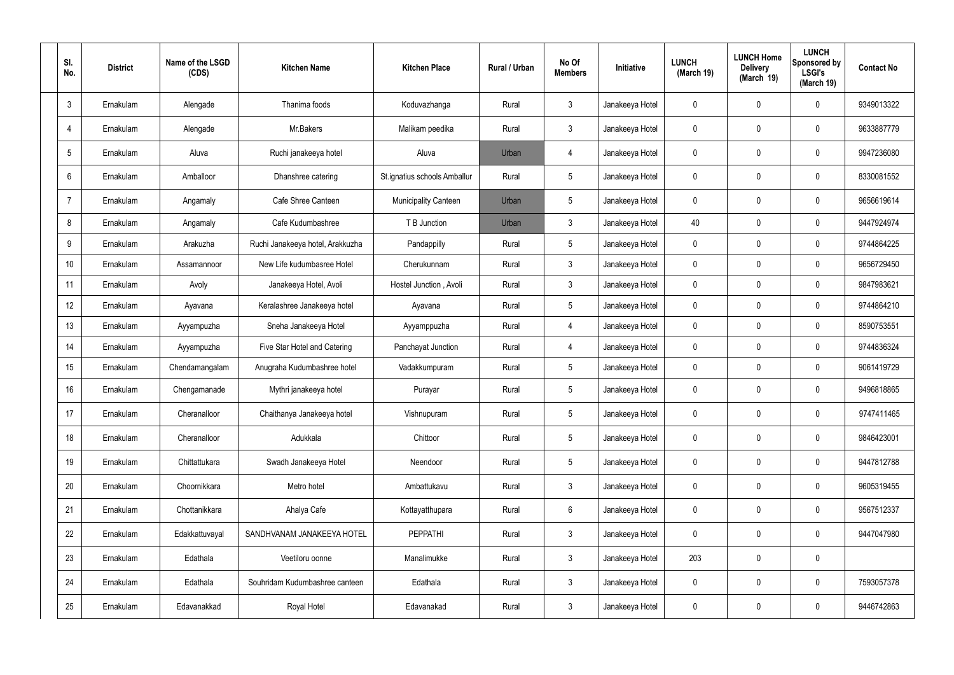| SI.<br>No.      | <b>District</b> | Name of the LSGD<br>(CDS) | <b>Kitchen Name</b>              | <b>Kitchen Place</b>         | Rural / Urban | No Of<br><b>Members</b> | Initiative      | <b>LUNCH</b><br>(March 19) | <b>LUNCH Home</b><br><b>Delivery</b><br>(March 19) | <b>LUNCH</b><br>Sponsored by<br><b>LSGI's</b><br>(March 19) | <b>Contact No</b> |
|-----------------|-----------------|---------------------------|----------------------------------|------------------------------|---------------|-------------------------|-----------------|----------------------------|----------------------------------------------------|-------------------------------------------------------------|-------------------|
| $\mathbf{3}$    | Ernakulam       | Alengade                  | Thanima foods                    | Koduvazhanga                 | Rural         | $\mathbf{3}$            | Janakeeya Hotel | $\mathbf 0$                | 0                                                  | $\mathbf 0$                                                 | 9349013322        |
| $\overline{4}$  | Ernakulam       | Alengade                  | Mr.Bakers                        | Malikam peedika              | Rural         | $\mathbf{3}$            | Janakeeya Hotel | $\mathbf 0$                | 0                                                  | $\mathbf 0$                                                 | 9633887779        |
| $5\overline{)}$ | Ernakulam       | Aluva                     | Ruchi janakeeya hotel            | Aluva                        | Urban         | $\overline{4}$          | Janakeeya Hotel | $\mathbf 0$                | 0                                                  | $\mathbf 0$                                                 | 9947236080        |
| 6               | Ernakulam       | Amballoor                 | Dhanshree catering               | St.ignatius schools Amballur | Rural         | $5\phantom{.0}$         | Janakeeya Hotel | $\mathbf 0$                | 0                                                  | $\mathbf 0$                                                 | 8330081552        |
| $\overline{7}$  | Ernakulam       | Angamaly                  | Cafe Shree Canteen               | <b>Municipality Canteen</b>  | Urban         | $5\phantom{.0}$         | Janakeeya Hotel | $\mathbf 0$                | $\mathbf 0$                                        | $\mathbf 0$                                                 | 9656619614        |
| 8               | Ernakulam       | Angamaly                  | Cafe Kudumbashree                | T B Junction                 | Urban         | $\mathbf{3}$            | Janakeeya Hotel | 40                         | $\mathbf 0$                                        | $\mathbf 0$                                                 | 9447924974        |
| 9               | Ernakulam       | Arakuzha                  | Ruchi Janakeeya hotel, Arakkuzha | Pandappilly                  | Rural         | $5\phantom{.0}$         | Janakeeya Hotel | $\mathbf 0$                | $\mathbf 0$                                        | $\mathbf 0$                                                 | 9744864225        |
| 10              | Ernakulam       | Assamannoor               | New Life kudumbasree Hotel       | Cherukunnam                  | Rural         | $\mathbf{3}$            | Janakeeya Hotel | $\mathbf 0$                | $\mathbf 0$                                        | $\mathbf 0$                                                 | 9656729450        |
| 11              | Ernakulam       | Avoly                     | Janakeeya Hotel, Avoli           | Hostel Junction, Avoli       | Rural         | $\mathbf{3}$            | Janakeeya Hotel | $\mathbf 0$                | 0                                                  | $\mathbf 0$                                                 | 9847983621        |
| 12              | Ernakulam       | Ayavana                   | Keralashree Janakeeya hotel      | Ayavana                      | Rural         | $5\phantom{.0}$         | Janakeeya Hotel | $\mathbf 0$                | 0                                                  | $\mathbf 0$                                                 | 9744864210        |
| 13              | Ernakulam       | Ayyampuzha                | Sneha Janakeeya Hotel            | Ayyamppuzha                  | Rural         | $\overline{4}$          | Janakeeya Hotel | $\mathbf 0$                | $\mathbf 0$                                        | $\mathbf 0$                                                 | 8590753551        |
| 14              | Ernakulam       | Ayyampuzha                | Five Star Hotel and Catering     | Panchayat Junction           | Rural         | $\overline{4}$          | Janakeeya Hotel | $\mathbf 0$                | 0                                                  | $\mathbf 0$                                                 | 9744836324        |
| 15              | Ernakulam       | Chendamangalam            | Anugraha Kudumbashree hotel      | Vadakkumpuram                | Rural         | $5\phantom{.0}$         | Janakeeya Hotel | 0                          | 0                                                  | $\mathbf 0$                                                 | 9061419729        |
| 16              | Ernakulam       | Chengamanade              | Mythri janakeeya hotel           | Purayar                      | Rural         | $5\phantom{.0}$         | Janakeeya Hotel | 0                          | $\mathbf 0$                                        | $\mathbf 0$                                                 | 9496818865        |
| 17              | Ernakulam       | Cheranalloor              | Chaithanya Janakeeya hotel       | Vishnupuram                  | Rural         | $5\phantom{.0}$         | Janakeeya Hotel | $\mathbf 0$                | $\mathbf 0$                                        | $\mathbf 0$                                                 | 9747411465        |
| 18              | Ernakulam       | Cheranalloor              | Adukkala                         | Chittoor                     | Rural         | $5\phantom{.0}$         | Janakeeya Hotel | 0                          | 0                                                  | $\mathbf 0$                                                 | 9846423001        |
| 19              | Ernakulam       | Chittattukara             | Swadh Janakeeya Hotel            | Neendoor                     | Rural         | $5\phantom{.0}$         | Janakeeya Hotel | $\pmb{0}$                  | 0                                                  | $\mathbf 0$                                                 | 9447812788        |
| 20              | Ernakulam       | Choornikkara              | Metro hotel                      | Ambattukavu                  | Rural         | $\mathbf{3}$            | Janakeeya Hotel | 0                          | 0                                                  | $\mathbf 0$                                                 | 9605319455        |
| 21              | Ernakulam       | Chottanikkara             | Ahalya Cafe                      | Kottayatthupara              | Rural         | $6\,$                   | Janakeeya Hotel | 0                          | 0                                                  | $\mathbf 0$                                                 | 9567512337        |
| 22              | Ernakulam       | Edakkattuvayal            | SANDHVANAM JANAKEEYA HOTEL       | <b>PEPPATHI</b>              | Rural         | $3\phantom{.0}$         | Janakeeya Hotel | 0                          | 0                                                  | $\mathbf 0$                                                 | 9447047980        |
| 23              | Ernakulam       | Edathala                  | Veetiloru oonne                  | Manalimukke                  | Rural         | $3\phantom{.0}$         | Janakeeya Hotel | 203                        | 0                                                  | $\mathbf 0$                                                 |                   |
| 24              | Ernakulam       | Edathala                  | Souhridam Kudumbashree canteen   | Edathala                     | Rural         | $3\phantom{.0}$         | Janakeeya Hotel | 0                          | 0                                                  | $\mathbf 0$                                                 | 7593057378        |
| 25              | Ernakulam       | Edavanakkad               | Royal Hotel                      | Edavanakad                   | Rural         | $\mathbf{3}$            | Janakeeya Hotel | 0                          | 0                                                  | $\mathbf 0$                                                 | 9446742863        |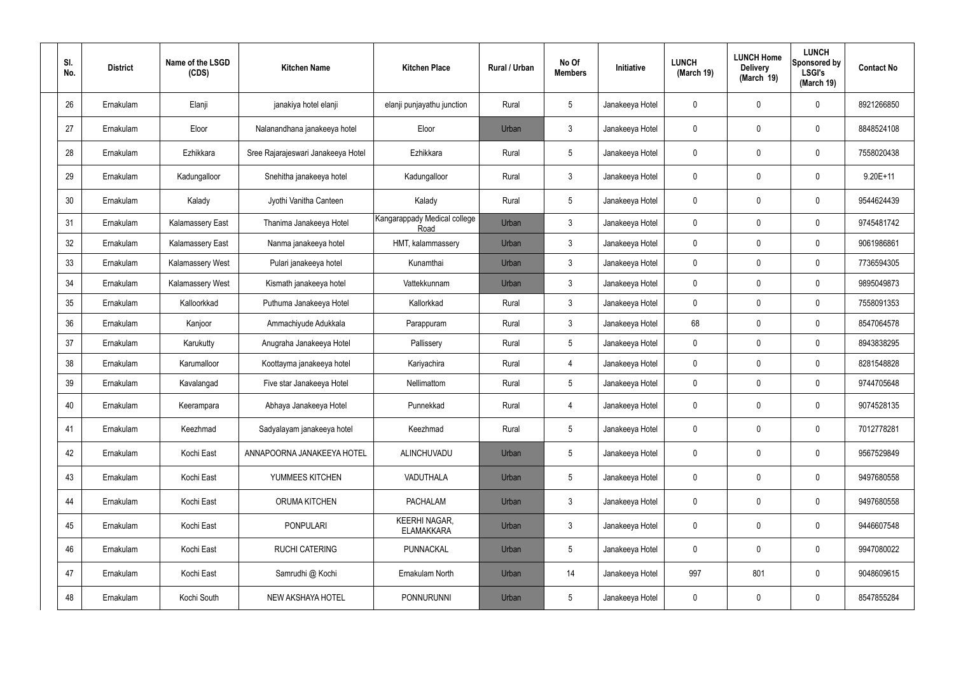| SI.<br>No. | <b>District</b> | Name of the LSGD<br>(CDS) | <b>Kitchen Name</b>                | <b>Kitchen Place</b>                      | Rural / Urban | No Of<br><b>Members</b> | Initiative      | <b>LUNCH</b><br>(March 19) | <b>LUNCH Home</b><br><b>Delivery</b><br>(March 19) | <b>LUNCH</b><br>Sponsored by<br><b>LSGI's</b><br>(March 19) | <b>Contact No</b> |
|------------|-----------------|---------------------------|------------------------------------|-------------------------------------------|---------------|-------------------------|-----------------|----------------------------|----------------------------------------------------|-------------------------------------------------------------|-------------------|
| 26         | Ernakulam       | Elanji                    | janakiya hotel elanji              | elanji punjayathu junction                | Rural         | $5\phantom{.0}$         | Janakeeya Hotel | 0                          | 0                                                  | 0                                                           | 8921266850        |
| 27         | Ernakulam       | Eloor                     | Nalanandhana janakeeya hotel       | Eloor                                     | Urban         | $\mathbf{3}$            | Janakeeya Hotel | 0                          | 0                                                  | $\boldsymbol{0}$                                            | 8848524108        |
| 28         | Ernakulam       | Ezhikkara                 | Sree Rajarajeswari Janakeeya Hotel | Ezhikkara                                 | Rural         | $5\phantom{.0}$         | Janakeeya Hotel | 0                          | 0                                                  | $\mathbf 0$                                                 | 7558020438        |
| 29         | Ernakulam       | Kadungalloor              | Snehitha janakeeya hotel           | Kadungalloor                              | Rural         | $\mathbf{3}$            | Janakeeya Hotel | 0                          | 0                                                  | 0                                                           | $9.20E + 11$      |
| 30         | Ernakulam       | Kalady                    | Jyothi Vanitha Canteen             | Kalady                                    | Rural         | $5\phantom{.0}$         | Janakeeya Hotel | 0                          | 0                                                  | 0                                                           | 9544624439        |
| 31         | Ernakulam       | Kalamassery East          | Thanima Janakeeya Hotel            | Kangarappady Medical college<br>Road      | Urban         | 3                       | Janakeeya Hotel | $\mathbf 0$                | 0                                                  | $\mathbf 0$                                                 | 9745481742        |
| 32         | Ernakulam       | <b>Kalamassery East</b>   | Nanma janakeeya hotel              | HMT, kalammassery                         | Urban         | $\mathbf{3}$            | Janakeeya Hotel | $\mathbf 0$                | 0                                                  | $\mathbf 0$                                                 | 9061986861        |
| 33         | Ernakulam       | Kalamassery West          | Pulari janakeeya hotel             | Kunamthai                                 | Urban         | $\mathbf{3}$            | Janakeeya Hotel | $\mathbf 0$                | 0                                                  | $\mathbf 0$                                                 | 7736594305        |
| 34         | Ernakulam       | <b>Kalamassery West</b>   | Kismath janakeeya hotel            | Vattekkunnam                              | Urban         | 3                       | Janakeeya Hotel | $\mathbf 0$                | 0                                                  | $\mathbf 0$                                                 | 9895049873        |
| 35         | Ernakulam       | Kalloorkkad               | Puthuma Janakeeya Hotel            | Kallorkkad                                | Rural         | 3                       | Janakeeya Hotel | $\mathbf 0$                | $\mathbf{0}$                                       | $\mathbf 0$                                                 | 7558091353        |
| 36         | Ernakulam       | Kanjoor                   | Ammachiyude Adukkala               | Parappuram                                | Rural         | 3                       | Janakeeya Hotel | 68                         | 0                                                  | $\mathbf 0$                                                 | 8547064578        |
| 37         | Ernakulam       | Karukutty                 | Anugraha Janakeeya Hotel           | Pallissery                                | Rural         | $5\overline{)}$         | Janakeeya Hotel | $\mathbf 0$                | 0                                                  | $\mathbf 0$                                                 | 8943838295        |
| 38         | Ernakulam       | Karumalloor               | Koottayma janakeeya hotel          | Kariyachira                               | Rural         | $\overline{4}$          | Janakeeya Hotel | $\mathbf 0$                | 0                                                  | 0                                                           | 8281548828        |
| 39         | Ernakulam       | Kavalangad                | Five star Janakeeya Hotel          | Nellimattom                               | Rural         | 5                       | Janakeeya Hotel | $\mathbf 0$                | 0                                                  | 0                                                           | 9744705648        |
| 40         | Ernakulam       | Keerampara                | Abhaya Janakeeya Hotel             | Punnekkad                                 | Rural         | 4                       | Janakeeya Hotel | $\mathbf 0$                | 0                                                  | $\mathbf 0$                                                 | 9074528135        |
| 41         | Ernakulam       | Keezhmad                  | Sadyalayam janakeeya hotel         | Keezhmad                                  | Rural         | $5\phantom{.0}$         | Janakeeya Hotel | 0                          | 0                                                  | $\mathbf 0$                                                 | 7012778281        |
| 42         | Ernakulam       | Kochi East                | ANNAPOORNA JANAKEEYA HOTEL         | ALINCHUVADU                               | Urban         | $5\phantom{.0}$         | Janakeeya Hotel | $\pmb{0}$                  | 0                                                  | $\mathbf 0$                                                 | 9567529849        |
| 43         | Ernakulam       | Kochi East                | YUMMEES KITCHEN                    | VADUTHALA                                 | Urban         | 5 <sub>5</sub>          | Janakeeya Hotel | 0                          | 0                                                  | $\mathbf 0$                                                 | 9497680558        |
| 44         | Ernakulam       | Kochi East                | ORUMA KITCHEN                      | <b>PACHALAM</b>                           | Urban         | $3\phantom{.0}$         | Janakeeya Hotel | $\pmb{0}$                  | 0                                                  | $\mathbf 0$                                                 | 9497680558        |
| 45         | Ernakulam       | Kochi East                | <b>PONPULARI</b>                   | <b>KEERHI NAGAR,</b><br><b>ELAMAKKARA</b> | Urban         | $3\phantom{.0}$         | Janakeeya Hotel | $\pmb{0}$                  | $\pmb{0}$                                          | $\pmb{0}$                                                   | 9446607548        |
| 46         | Ernakulam       | Kochi East                | RUCHI CATERING                     | PUNNACKAL                                 | Urban         | $5\phantom{.0}$         | Janakeeya Hotel | $\pmb{0}$                  | 0                                                  | $\mathbf 0$                                                 | 9947080022        |
| 47         | Ernakulam       | Kochi East                | Samrudhi @ Kochi                   | Ernakulam North                           | Urban         | 14                      | Janakeeya Hotel | 997                        | 801                                                | $\pmb{0}$                                                   | 9048609615        |
| 48         | Ernakulam       | Kochi South               | NEW AKSHAYA HOTEL                  | <b>PONNURUNNI</b>                         | Urban         | $5\phantom{.0}$         | Janakeeya Hotel | 0                          | $\pmb{0}$                                          | $\pmb{0}$                                                   | 8547855284        |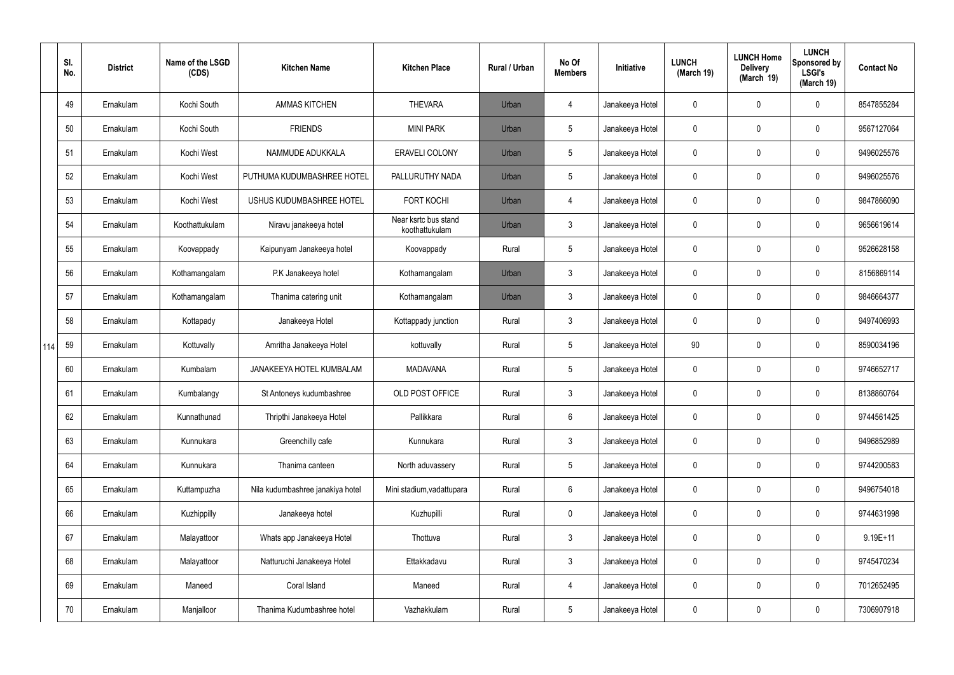|     | SI.<br>No. | <b>District</b> | Name of the LSGD<br>(CDS) | <b>Kitchen Name</b>              | <b>Kitchen Place</b>                   | <b>Rural / Urban</b> | No Of<br><b>Members</b> | Initiative      | <b>LUNCH</b><br>(March 19) | <b>LUNCH Home</b><br><b>Delivery</b><br>(March 19) | <b>LUNCH</b><br>Sponsored by<br><b>LSGI's</b><br>(March 19) | <b>Contact No</b> |
|-----|------------|-----------------|---------------------------|----------------------------------|----------------------------------------|----------------------|-------------------------|-----------------|----------------------------|----------------------------------------------------|-------------------------------------------------------------|-------------------|
|     | 49         | Ernakulam       | Kochi South               | <b>AMMAS KITCHEN</b>             | <b>THEVARA</b>                         | Urban                | 4                       | Janakeeya Hotel | 0                          | 0                                                  | $\mathbf 0$                                                 | 8547855284        |
|     | 50         | Ernakulam       | Kochi South               | <b>FRIENDS</b>                   | <b>MINI PARK</b>                       | Urban                | 5                       | Janakeeya Hotel | 0                          | 0                                                  | 0                                                           | 9567127064        |
|     | 51         | Ernakulam       | Kochi West                | NAMMUDE ADUKKALA                 | <b>ERAVELI COLONY</b>                  | Urban                | $5\overline{)}$         | Janakeeya Hotel | 0                          | 0                                                  | $\mathbf 0$                                                 | 9496025576        |
|     | 52         | Ernakulam       | Kochi West                | PUTHUMA KUDUMBASHREE HOTEL       | PALLURUTHY NADA                        | Urban                | 5                       | Janakeeya Hotel | 0                          | 0                                                  | 0                                                           | 9496025576        |
|     | 53         | Ernakulam       | Kochi West                | USHUS KUDUMBASHREE HOTEL         | <b>FORT KOCHI</b>                      | Urban                | 4                       | Janakeeya Hotel | 0                          | 0                                                  | $\mathbf 0$                                                 | 9847866090        |
|     | 54         | Ernakulam       | Koothattukulam            | Niravu janakeeya hotel           | Near ksrtc bus stand<br>koothattukulam | Urban                | $\mathfrak{Z}$          | Janakeeya Hotel | $\mathbf 0$                | 0                                                  | $\mathbf 0$                                                 | 9656619614        |
|     | 55         | Ernakulam       | Koovappady                | Kaipunyam Janakeeya hotel        | Koovappady                             | Rural                | $5\overline{)}$         | Janakeeya Hotel | 0                          | 0                                                  | $\mathbf 0$                                                 | 9526628158        |
|     | 56         | Ernakulam       | Kothamangalam             | P.K Janakeeya hotel              | Kothamangalam                          | Urban                | 3                       | Janakeeya Hotel | 0                          | 0                                                  | $\mathbf 0$                                                 | 8156869114        |
|     | 57         | Ernakulam       | Kothamangalam             | Thanima catering unit            | Kothamangalam                          | Urban                | $\mathbf{3}$            | Janakeeya Hotel | 0                          | 0                                                  | $\mathbf 0$                                                 | 9846664377        |
|     | 58         | Ernakulam       | Kottapady                 | Janakeeya Hotel                  | Kottappady junction                    | Rural                | $\mathfrak{Z}$          | Janakeeya Hotel | 0                          | 0                                                  | $\pmb{0}$                                                   | 9497406993        |
| 114 | 59         | Ernakulam       | Kottuvally                | Amritha Janakeeya Hotel          | kottuvally                             | Rural                | $5\overline{)}$         | Janakeeya Hotel | 90                         | 0                                                  | 0                                                           | 8590034196        |
|     | 60         | Ernakulam       | Kumbalam                  | JANAKEEYA HOTEL KUMBALAM         | <b>MADAVANA</b>                        | Rural                | 5                       | Janakeeya Hotel | 0                          | 0                                                  | 0                                                           | 9746652717        |
|     | 61         | Ernakulam       | Kumbalangy                | St Antoneys kudumbashree         | OLD POST OFFICE                        | Rural                | 3                       | Janakeeya Hotel | 0                          | 0                                                  | $\mathbf 0$                                                 | 8138860764        |
|     | 62         | Ernakulam       | Kunnathunad               | Thripthi Janakeeya Hotel         | Pallikkara                             | Rural                | 6                       | Janakeeya Hotel | $\mathbf 0$                | $\mathbf 0$                                        | $\mathbf 0$                                                 | 9744561425        |
|     | 63         | Ernakulam       | Kunnukara                 | Greenchilly cafe                 | Kunnukara                              | Rural                | $\mathbf{3}$            | Janakeeya Hotel | $\mathbf 0$                | $\mathbf 0$                                        | $\mathbf 0$                                                 | 9496852989        |
|     | 64         | Ernakulam       | Kunnukara                 | Thanima canteen                  | North aduvassery                       | Rural                | $5\overline{)}$         | Janakeeya Hotel | 0                          | 0                                                  | $\mathbf 0$                                                 | 9744200583        |
|     | 65         | Ernakulam       | Kuttampuzha               | Nila kudumbashree janakiya hotel | Mini stadium, vadattupara              | Rural                | 6                       | Janakeeya Hotel | 0                          | 0                                                  | $\mathsf{0}$                                                | 9496754018        |
|     | 66         | Ernakulam       | Kuzhippilly               | Janakeeya hotel                  | Kuzhupilli                             | Rural                | $\mathbf 0$             | Janakeeya Hotel | 0                          | 0                                                  | $\mathsf{0}$                                                | 9744631998        |
|     | 67         | Ernakulam       | Malayattoor               | Whats app Janakeeya Hotel        | Thottuva                               | Rural                | $\mathbf{3}$            | Janakeeya Hotel | $\pmb{0}$                  | 0                                                  | $\mathsf{0}$                                                | $9.19E+11$        |
|     | 68         | Ernakulam       | Malayattoor               | Natturuchi Janakeeya Hotel       | Ettakkadavu                            | Rural                | $\mathfrak{Z}$          | Janakeeya Hotel | 0                          | 0                                                  | $\mathsf{0}$                                                | 9745470234        |
|     | 69         | Ernakulam       | Maneed                    | Coral Island                     | Maneed                                 | Rural                | $\overline{4}$          | Janakeeya Hotel | $\pmb{0}$                  | 0                                                  | $\mathsf{0}$                                                | 7012652495        |
|     | 70         | Ernakulam       | Manjalloor                | Thanima Kudumbashree hotel       | Vazhakkulam                            | Rural                | $5\phantom{.0}$         | Janakeeya Hotel | 0                          | 0                                                  | $\mathsf{0}$                                                | 7306907918        |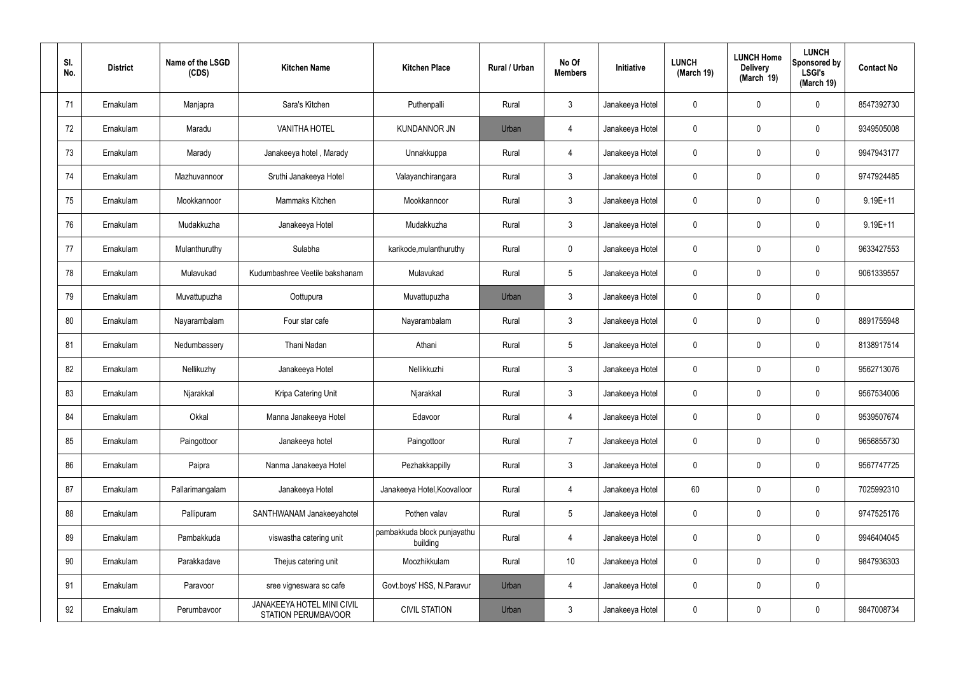| SI.<br>No. | <b>District</b> | Name of the LSGD<br>(CDS) | <b>Kitchen Name</b>                                      | <b>Kitchen Place</b>                    | Rural / Urban | No Of<br><b>Members</b> | Initiative      | <b>LUNCH</b><br>(March 19) | <b>LUNCH Home</b><br><b>Delivery</b><br>(March 19) | <b>LUNCH</b><br>Sponsored by<br><b>LSGI's</b><br>(March 19) | <b>Contact No</b> |
|------------|-----------------|---------------------------|----------------------------------------------------------|-----------------------------------------|---------------|-------------------------|-----------------|----------------------------|----------------------------------------------------|-------------------------------------------------------------|-------------------|
| 71         | Ernakulam       | Manjapra                  | Sara's Kitchen                                           | Puthenpalli                             | Rural         | $\mathbf{3}$            | Janakeeya Hotel | 0                          | 0                                                  | $\mathbf 0$                                                 | 8547392730        |
| 72         | Ernakulam       | Maradu                    | <b>VANITHA HOTEL</b>                                     | <b>KUNDANNOR JN</b>                     | Urban         | $\overline{4}$          | Janakeeya Hotel | $\mathbf 0$                | 0                                                  | $\pmb{0}$                                                   | 9349505008        |
| 73         | Ernakulam       | Marady                    | Janakeeya hotel, Marady                                  | Unnakkuppa                              | Rural         | $\overline{4}$          | Janakeeya Hotel | 0                          | 0                                                  | $\mathbf 0$                                                 | 9947943177        |
| 74         | Ernakulam       | Mazhuvannoor              | Sruthi Janakeeya Hotel                                   | Valayanchirangara                       | Rural         | $\mathbf{3}$            | Janakeeya Hotel | $\mathbf 0$                | 0                                                  | $\pmb{0}$                                                   | 9747924485        |
| 75         | Ernakulam       | Mookkannoor               | Mammaks Kitchen                                          | Mookkannoor                             | Rural         | $\mathbf{3}$            | Janakeeya Hotel | 0                          | 0                                                  | $\mathbf 0$                                                 | 9.19E+11          |
| 76         | Ernakulam       | Mudakkuzha                | Janakeeya Hotel                                          | Mudakkuzha                              | Rural         | $\mathbf{3}$            | Janakeeya Hotel | $\mathbf 0$                | 0                                                  | $\mathbf 0$                                                 | 9.19E+11          |
| 77         | Ernakulam       | Mulanthuruthy             | Sulabha                                                  | karikode, mulanthuruthy                 | Rural         | $\mathbf 0$             | Janakeeya Hotel | 0                          | 0                                                  | $\mathbf 0$                                                 | 9633427553        |
| 78         | Ernakulam       | Mulavukad                 | Kudumbashree Veetile bakshanam                           | Mulavukad                               | Rural         | $5\phantom{.0}$         | Janakeeya Hotel | $\mathbf 0$                | 0                                                  | $\mathbf 0$                                                 | 9061339557        |
| 79         | Ernakulam       | Muvattupuzha              | Oottupura                                                | Muvattupuzha                            | Urban         | $\mathbf{3}$            | Janakeeya Hotel | $\mathbf 0$                | $\boldsymbol{0}$                                   | $\mathbf 0$                                                 |                   |
| 80         | Ernakulam       | Nayarambalam              | Four star cafe                                           | Nayarambalam                            | Rural         | $\mathbf{3}$            | Janakeeya Hotel | 0                          | 0                                                  | $\boldsymbol{0}$                                            | 8891755948        |
| 81         | Ernakulam       | Nedumbassery              | Thani Nadan                                              | Athani                                  | Rural         | $5\phantom{.0}$         | Janakeeya Hotel | 0                          | 0                                                  | $\boldsymbol{0}$                                            | 8138917514        |
| 82         | Ernakulam       | Nellikuzhy                | Janakeeya Hotel                                          | Nellikkuzhi                             | Rural         | $\mathfrak{Z}$          | Janakeeya Hotel | 0                          | 0                                                  | $\boldsymbol{0}$                                            | 9562713076        |
| 83         | Ernakulam       | Njarakkal                 | Kripa Catering Unit                                      | Njarakkal                               | Rural         | $\mathbf{3}$            | Janakeeya Hotel | 0                          | 0                                                  | $\mathbf 0$                                                 | 9567534006        |
| 84         | Ernakulam       | Okkal                     | Manna Janakeeya Hotel                                    | Edavoor                                 | Rural         | $\overline{4}$          | Janakeeya Hotel | $\mathbf 0$                | 0                                                  | $\mathbf 0$                                                 | 9539507674        |
| 85         | Ernakulam       | Paingottoor               | Janakeeya hotel                                          | Paingottoor                             | Rural         | $\overline{7}$          | Janakeeya Hotel | $\mathbf 0$                | $\mathbf 0$                                        | $\mathbf 0$                                                 | 9656855730        |
| 86         | Ernakulam       | Paipra                    | Nanma Janakeeya Hotel                                    | Pezhakkappilly                          | Rural         | $\mathbf{3}$            | Janakeeya Hotel | $\mathbf 0$                | 0                                                  | $\mathbf 0$                                                 | 9567747725        |
| 87         | Ernakulam       | Pallarimangalam           | Janakeeya Hotel                                          | Janakeeya Hotel, Koovalloor             | Rural         | 4                       | Janakeeya Hotel | 60                         | $\mathbf 0$                                        | $\mathbf 0$                                                 | 7025992310        |
| 88         | Ernakulam       | Pallipuram                | SANTHWANAM Janakeeyahotel                                | Pothen valav                            | Rural         | $5\phantom{.0}$         | Janakeeya Hotel | $\mathbf 0$                | 0                                                  | $\mathbf 0$                                                 | 9747525176        |
| 89         | Ernakulam       | Pambakkuda                | viswastha catering unit                                  | pambakkuda block punjayathu<br>building | Rural         | $\overline{4}$          | Janakeeya Hotel | $\mathbf 0$                | $\mathbf 0$                                        | $\mathbf 0$                                                 | 9946404045        |
| 90         | Ernakulam       | Parakkadave               | Thejus catering unit                                     | Moozhikkulam                            | Rural         | 10                      | Janakeeya Hotel | $\mathbf 0$                | 0                                                  | $\mathbf 0$                                                 | 9847936303        |
| 91         | Ernakulam       | Paravoor                  | sree vigneswara sc cafe                                  | Govt.boys' HSS, N.Paravur               | Urban         | $\overline{4}$          | Janakeeya Hotel | $\mathbf 0$                | 0                                                  | $\mathbf 0$                                                 |                   |
| 92         | Ernakulam       | Perumbavoor               | JANAKEEYA HOTEL MINI CIVIL<br><b>STATION PERUMBAVOOR</b> | <b>CIVIL STATION</b>                    | Urban         | $\mathbf{3}$            | Janakeeya Hotel | 0                          | 0                                                  | $\boldsymbol{0}$                                            | 9847008734        |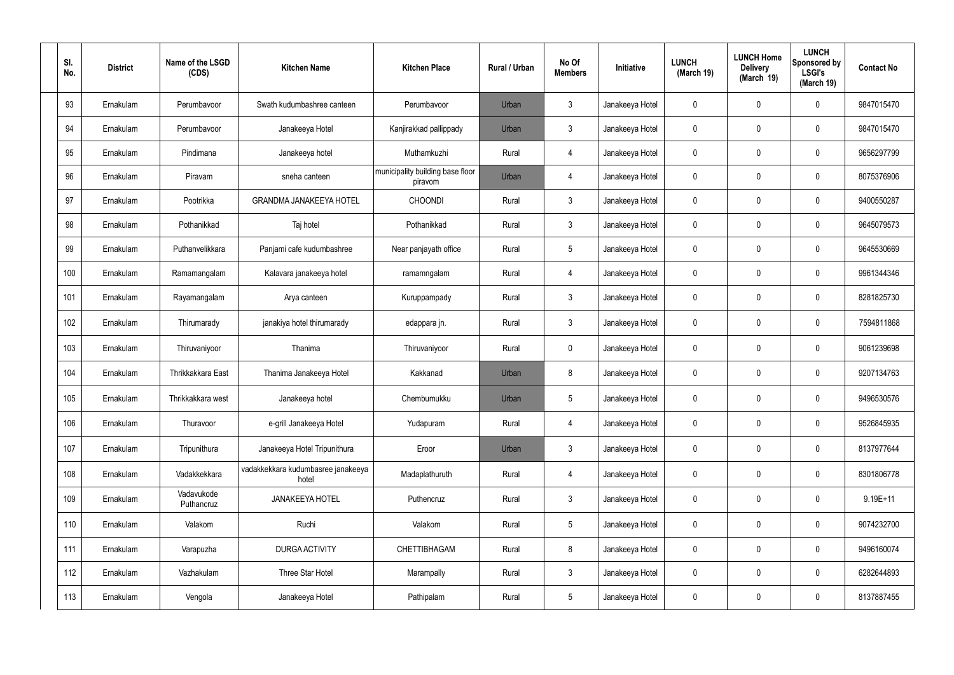| SI.<br>No. | <b>District</b> | Name of the LSGD<br>(CDS) | <b>Kitchen Name</b>                         | <b>Kitchen Place</b>                        | Rural / Urban | No Of<br><b>Members</b> | Initiative      | <b>LUNCH</b><br>(March 19) | <b>LUNCH Home</b><br><b>Delivery</b><br>(March 19) | <b>LUNCH</b><br><b>Sponsored by</b><br><b>LSGI's</b><br>(March 19) | <b>Contact No</b> |
|------------|-----------------|---------------------------|---------------------------------------------|---------------------------------------------|---------------|-------------------------|-----------------|----------------------------|----------------------------------------------------|--------------------------------------------------------------------|-------------------|
| 93         | Ernakulam       | Perumbavoor               | Swath kudumbashree canteen                  | Perumbavoor                                 | Urban         | $\mathbf{3}$            | Janakeeya Hotel | 0                          | 0                                                  | 0                                                                  | 9847015470        |
| 94         | Ernakulam       | Perumbavoor               | Janakeeya Hotel                             | Kanjirakkad pallippady                      | Urban         | $\mathbf{3}$            | Janakeeya Hotel | $\mathbf 0$                | $\mathbf 0$                                        | 0                                                                  | 9847015470        |
| 95         | Ernakulam       | Pindimana                 | Janakeeya hotel                             | Muthamkuzhi                                 | Rural         | $\overline{4}$          | Janakeeya Hotel | $\mathbf 0$                | 0                                                  | 0                                                                  | 9656297799        |
| 96         | Ernakulam       | Piravam                   | sneha canteen                               | municipality building base floor<br>piravom | Urban         | $\overline{4}$          | Janakeeya Hotel | $\mathbf 0$                | $\mathbf 0$                                        | 0                                                                  | 8075376906        |
| 97         | Ernakulam       | Pootrikka                 | <b>GRANDMA JANAKEEYA HOTEL</b>              | <b>CHOONDI</b>                              | Rural         | $\mathbf{3}$            | Janakeeya Hotel | $\mathbf 0$                | 0                                                  | 0                                                                  | 9400550287        |
| 98         | Ernakulam       | Pothanikkad               | Taj hotel                                   | Pothanikkad                                 | Rural         | $\mathbf{3}$            | Janakeeya Hotel | $\mathbf 0$                | $\mathbf 0$                                        | 0                                                                  | 9645079573        |
| 99         | Ernakulam       | Puthanvelikkara           | Panjami cafe kudumbashree                   | Near panjayath office                       | Rural         | $5\phantom{.0}$         | Janakeeya Hotel | 0                          | 0                                                  | 0                                                                  | 9645530669        |
| 100        | Ernakulam       | Ramamangalam              | Kalavara janakeeya hotel                    | ramamngalam                                 | Rural         | $\overline{4}$          | Janakeeya Hotel | $\mathbf 0$                | $\mathbf 0$                                        | 0                                                                  | 9961344346        |
| 101        | Ernakulam       | Rayamangalam              | Arya canteen                                | Kuruppampady                                | Rural         | $\mathbf{3}$            | Janakeeya Hotel | $\boldsymbol{0}$           | $\boldsymbol{0}$                                   | 0                                                                  | 8281825730        |
| 102        | Ernakulam       | Thirumarady               | janakiya hotel thirumarady                  | edappara jn.                                | Rural         | $\mathbf{3}$            | Janakeeya Hotel | $\mathbf 0$                | 0                                                  | 0                                                                  | 7594811868        |
| 103        | Ernakulam       | Thiruvaniyoor             | Thanima                                     | Thiruvaniyoor                               | Rural         | $\overline{0}$          | Janakeeya Hotel | $\mathbf 0$                | $\boldsymbol{0}$                                   | 0                                                                  | 9061239698        |
| 104        | Ernakulam       | Thrikkakkara East         | Thanima Janakeeya Hotel                     | Kakkanad                                    | Urban         | 8                       | Janakeeya Hotel | $\mathbf 0$                | $\boldsymbol{0}$                                   | 0                                                                  | 9207134763        |
| 105        | Ernakulam       | Thrikkakkara west         | Janakeeya hotel                             | Chembumukku                                 | Urban         | 5                       | Janakeeya Hotel | $\Omega$                   | 0                                                  | 0                                                                  | 9496530576        |
| 106        | Ernakulam       | Thuravoor                 | e-grill Janakeeya Hotel                     | Yudapuram                                   | Rural         | $\overline{4}$          | Janakeeya Hotel | $\mathbf 0$                | $\pmb{0}$                                          | 0                                                                  | 9526845935        |
| 107        | Ernakulam       | Tripunithura              | Janakeeya Hotel Tripunithura                | Eroor                                       | Urban         | $\mathbf{3}$            | Janakeeya Hotel | $\mathbf 0$                | $\pmb{0}$                                          | 0                                                                  | 8137977644        |
| 108        | Ernakulam       | Vadakkekkara              | vadakkekkara kudumbasree janakeeya<br>hotel | Madaplathuruth                              | Rural         | 4                       | Janakeeya Hotel | $\overline{0}$             | $\boldsymbol{0}$                                   | $\mathbf 0$                                                        | 8301806778        |
| 109        | Ernakulam       | Vadavukode<br>Puthancruz  | <b>JANAKEEYA HOTEL</b>                      | Puthencruz                                  | Rural         | $\mathbf{3}$            | Janakeeya Hotel | $\mathbf 0$                | $\pmb{0}$                                          | 0                                                                  | $9.19E + 11$      |
| 110        | Ernakulam       | Valakom                   | Ruchi                                       | Valakom                                     | Rural         | $5\phantom{.0}$         | Janakeeya Hotel | $\mathbf 0$                | $\boldsymbol{0}$                                   | 0                                                                  | 9074232700        |
| 111        | Ernakulam       | Varapuzha                 | <b>DURGA ACTIVITY</b>                       | CHETTIBHAGAM                                | Rural         | 8                       | Janakeeya Hotel | $\mathbf 0$                | $\pmb{0}$                                          | 0                                                                  | 9496160074        |
| 112        | Ernakulam       | Vazhakulam                | Three Star Hotel                            | Marampally                                  | Rural         | $\mathbf{3}$            | Janakeeya Hotel | $\mathbf 0$                | $\pmb{0}$                                          | 0                                                                  | 6282644893        |
| 113        | Ernakulam       | Vengola                   | Janakeeya Hotel                             | Pathipalam                                  | Rural         | $5\phantom{.0}$         | Janakeeya Hotel | $\overline{0}$             | $\pmb{0}$                                          | 0                                                                  | 8137887455        |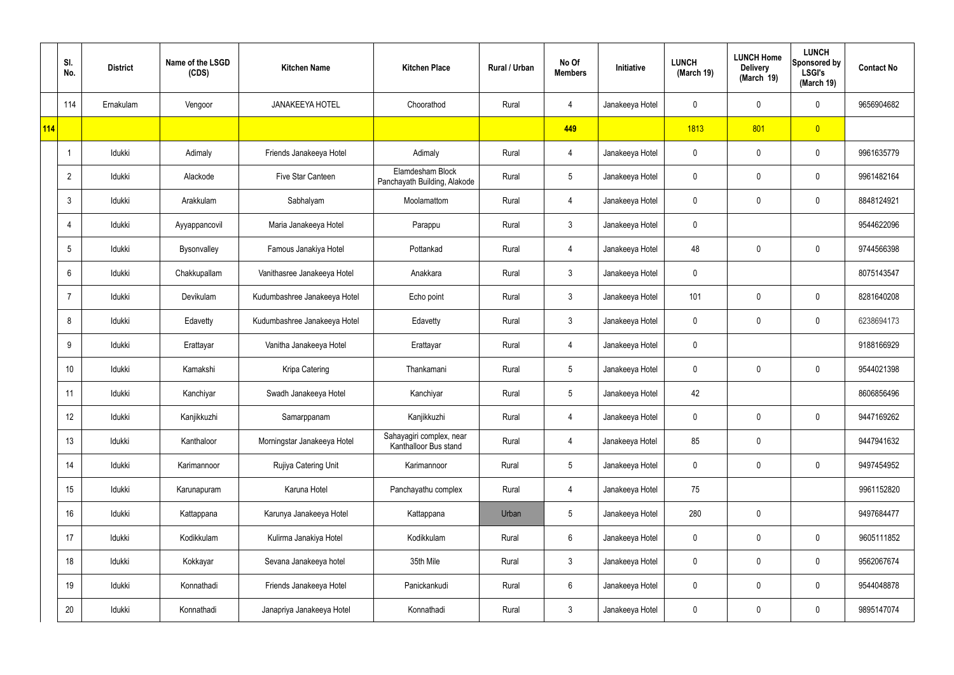|     | SI.<br>No.     | <b>District</b> | Name of the LSGD<br>(CDS) | <b>Kitchen Name</b>          | <b>Kitchen Place</b>                              | Rural / Urban | No Of<br><b>Members</b> | Initiative      | <b>LUNCH</b><br>(March 19) | <b>LUNCH Home</b><br><b>Delivery</b><br>(March 19) | <b>LUNCH</b><br>Sponsored by<br><b>LSGI's</b><br>(March 19) | <b>Contact No</b> |
|-----|----------------|-----------------|---------------------------|------------------------------|---------------------------------------------------|---------------|-------------------------|-----------------|----------------------------|----------------------------------------------------|-------------------------------------------------------------|-------------------|
|     | 114            | Ernakulam       | Vengoor                   | <b>JANAKEEYA HOTEL</b>       | Choorathod                                        | Rural         | 4                       | Janakeeya Hotel | 0                          | 0                                                  | $\mathbf 0$                                                 | 9656904682        |
| 114 |                |                 |                           |                              |                                                   |               | 449                     |                 | 1813                       | 801                                                | $\overline{0}$                                              |                   |
|     |                | Idukki          | Adimaly                   | Friends Janakeeya Hotel      | Adimaly                                           | Rural         | 4                       | Janakeeya Hotel | 0                          | 0                                                  | $\mathbf 0$                                                 | 9961635779        |
|     | $\overline{2}$ | Idukki          | Alackode                  | Five Star Canteen            | Elamdesham Block<br>Panchayath Building, Alakode  | Rural         | $5\phantom{.0}$         | Janakeeya Hotel | 0                          | $\mathbf 0$                                        | $\mathbf 0$                                                 | 9961482164        |
|     | 3              | Idukki          | Arakkulam                 | Sabhalyam                    | Moolamattom                                       | Rural         | $\overline{4}$          | Janakeeya Hotel | 0                          | 0                                                  | $\mathbf 0$                                                 | 8848124921        |
|     | 4              | Idukki          | Ayyappancovil             | Maria Janakeeya Hotel        | Parappu                                           | Rural         | $\mathbf{3}$            | Janakeeya Hotel | 0                          |                                                    |                                                             | 9544622096        |
|     | 5              | Idukki          | Bysonvalley               | Famous Janakiya Hotel        | Pottankad                                         | Rural         | $\overline{4}$          | Janakeeya Hotel | 48                         | $\mathbf 0$                                        | $\mathbf 0$                                                 | 9744566398        |
|     | 6              | Idukki          | Chakkupallam              | Vanithasree Janakeeya Hotel  | Anakkara                                          | Rural         | $\mathbf{3}$            | Janakeeya Hotel | 0                          |                                                    |                                                             | 8075143547        |
|     |                | Idukki          | Devikulam                 | Kudumbashree Janakeeya Hotel | Echo point                                        | Rural         | $\mathbf{3}$            | Janakeeya Hotel | 101                        | $\mathbf 0$                                        | $\mathbf 0$                                                 | 8281640208        |
|     | 8              | Idukki          | Edavetty                  | Kudumbashree Janakeeya Hotel | Edavetty                                          | Rural         | $\mathbf{3}$            | Janakeeya Hotel | 0                          | $\mathbf 0$                                        | $\mathbf 0$                                                 | 6238694173        |
|     | 9              | Idukki          | Erattayar                 | Vanitha Janakeeya Hotel      | Erattayar                                         | Rural         | 4                       | Janakeeya Hotel | 0                          |                                                    |                                                             | 9188166929        |
|     | 10             | Idukki          | Kamakshi                  | Kripa Catering               | Thankamani                                        | Rural         | $5\phantom{.0}$         | Janakeeya Hotel | 0                          | $\mathbf 0$                                        | $\mathbf 0$                                                 | 9544021398        |
|     | 11             | Idukki          | Kanchiyar                 | Swadh Janakeeya Hotel        | Kanchiyar                                         | Rural         | $5\phantom{.0}$         | Janakeeya Hotel | 42                         |                                                    |                                                             | 8606856496        |
|     | 12             | Idukki          | Kanjikkuzhi               | Samarppanam                  | Kanjikkuzhi                                       | Rural         | $\overline{4}$          | Janakeeya Hotel | $\mathbf 0$                | $\mathbf 0$                                        | $\mathbf 0$                                                 | 9447169262        |
|     | 13             | Idukki          | Kanthaloor                | Morningstar Janakeeya Hotel  | Sahayagiri complex, near<br>Kanthalloor Bus stand | Rural         | $\overline{4}$          | Janakeeya Hotel | 85                         | $\pmb{0}$                                          |                                                             | 9447941632        |
|     | 14             | Idukki          | Karimannoor               | Rujiya Catering Unit         | Karimannoor                                       | Rural         | $5\phantom{.0}$         | Janakeeya Hotel | $\pmb{0}$                  | 0                                                  | $\mathbf 0$                                                 | 9497454952        |
|     | 15             | Idukki          | Karunapuram               | Karuna Hotel                 | Panchayathu complex                               | Rural         | $\overline{4}$          | Janakeeya Hotel | 75                         |                                                    |                                                             | 9961152820        |
|     | 16             | Idukki          | Kattappana                | Karunya Janakeeya Hotel      | Kattappana                                        | Urban         | $5\phantom{.0}$         | Janakeeya Hotel | 280                        | 0                                                  |                                                             | 9497684477        |
|     | 17             | Idukki          | Kodikkulam                | Kulirma Janakiya Hotel       | Kodikkulam                                        | Rural         | $6\overline{6}$         | Janakeeya Hotel | $\mathbf 0$                | $\mathbf 0$                                        | $\mathbf 0$                                                 | 9605111852        |
|     | 18             | Idukki          | Kokkayar                  | Sevana Janakeeya hotel       | 35th Mile                                         | Rural         | $\mathbf{3}$            | Janakeeya Hotel | 0                          | 0                                                  | $\mathbf 0$                                                 | 9562067674        |
|     | 19             | Idukki          | Konnathadi                | Friends Janakeeya Hotel      | Panickankudi                                      | Rural         | $6\,$                   | Janakeeya Hotel | 0                          | $\pmb{0}$                                          | $\mathbf 0$                                                 | 9544048878        |
|     | 20             | Idukki          | Konnathadi                | Janapriya Janakeeya Hotel    | Konnathadi                                        | Rural         | $\mathfrak{Z}$          | Janakeeya Hotel | 0                          | $\pmb{0}$                                          | $\pmb{0}$                                                   | 9895147074        |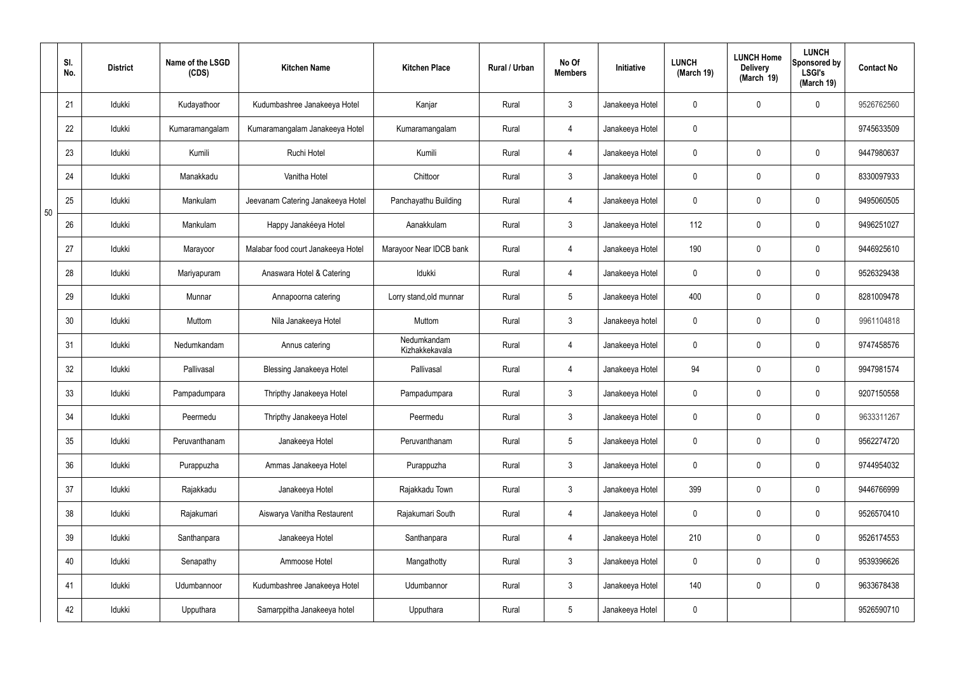|    | SI.<br>No. | <b>District</b> | Name of the LSGD<br>(CDS) | <b>Kitchen Name</b>                | <b>Kitchen Place</b>          | Rural / Urban | No Of<br><b>Members</b> | Initiative      | <b>LUNCH</b><br>(March 19) | <b>LUNCH Home</b><br><b>Delivery</b><br>(March 19) | <b>LUNCH</b><br>Sponsored by<br><b>LSGI's</b><br>(March 19) | <b>Contact No</b> |
|----|------------|-----------------|---------------------------|------------------------------------|-------------------------------|---------------|-------------------------|-----------------|----------------------------|----------------------------------------------------|-------------------------------------------------------------|-------------------|
|    | 21         | Idukki          | Kudayathoor               | Kudumbashree Janakeeya Hotel       | Kanjar                        | Rural         | $\mathbf{3}$            | Janakeeya Hotel | 0                          | 0                                                  | $\mathbf 0$                                                 | 9526762560        |
|    | 22         | Idukki          | Kumaramangalam            | Kumaramangalam Janakeeya Hotel     | Kumaramangalam                | Rural         | 4                       | Janakeeya Hotel | 0                          |                                                    |                                                             | 9745633509        |
|    | 23         | Idukki          | Kumili                    | Ruchi Hotel                        | Kumili                        | Rural         | 4                       | Janakeeya Hotel | 0                          | 0                                                  | $\mathbf 0$                                                 | 9447980637        |
|    | 24         | Idukki          | Manakkadu                 | Vanitha Hotel                      | Chittoor                      | Rural         | $\mathbf{3}$            | Janakeeya Hotel | 0                          | 0                                                  | $\mathbf 0$                                                 | 8330097933        |
| 50 | 25         | Idukki          | Mankulam                  | Jeevanam Catering Janakeeya Hotel  | Panchayathu Building          | Rural         | 4                       | Janakeeya Hotel | 0                          | 0                                                  | $\mathbf 0$                                                 | 9495060505        |
|    | 26         | Idukki          | Mankulam                  | Happy Janakéeya Hotel              | Aanakkulam                    | Rural         | $\mathbf{3}$            | Janakeeya Hotel | 112                        | 0                                                  | $\pmb{0}$                                                   | 9496251027        |
|    | 27         | Idukki          | Marayoor                  | Malabar food court Janakeeya Hotel | Marayoor Near IDCB bank       | Rural         | 4                       | Janakeeya Hotel | 190                        | 0                                                  | $\mathbf 0$                                                 | 9446925610        |
|    | 28         | Idukki          | Mariyapuram               | Anaswara Hotel & Catering          | Idukki                        | Rural         | 4                       | Janakeeya Hotel | 0                          | 0                                                  | $\pmb{0}$                                                   | 9526329438        |
|    | 29         | Idukki          | Munnar                    | Annapoorna catering                | Lorry stand, old munnar       | Rural         | $5\phantom{.0}$         | Janakeeya Hotel | 400                        | 0                                                  | $\mathbf 0$                                                 | 8281009478        |
|    | 30         | Idukki          | Muttom                    | Nila Janakeeya Hotel               | Muttom                        | Rural         | $\mathbf{3}$            | Janakeeya hotel | 0                          | 0                                                  | $\mathbf 0$                                                 | 9961104818        |
|    | 31         | Idukki          | Nedumkandam               | Annus catering                     | Nedumkandam<br>Kizhakkekavala | Rural         | 4                       | Janakeeya Hotel | 0                          | 0                                                  | $\mathbf 0$                                                 | 9747458576        |
|    | 32         | Idukki          | Pallivasal                | Blessing Janakeeya Hotel           | Pallivasal                    | Rural         | 4                       | Janakeeya Hotel | 94                         | 0                                                  | $\mathbf 0$                                                 | 9947981574        |
|    | 33         | Idukki          | Pampadumpara              | Thripthy Janakeeya Hotel           | Pampadumpara                  | Rural         | $\mathbf{3}$            | Janakeeya Hotel | 0                          | 0                                                  | $\mathbf 0$                                                 | 9207150558        |
|    | 34         | Idukki          | Peermedu                  | Thripthy Janakeeya Hotel           | Peermedu                      | Rural         | $\mathbf{3}$            | Janakeeya Hotel | 0                          | 0                                                  | $\mathbf 0$                                                 | 9633311267        |
|    | 35         | Idukki          | Peruvanthanam             | Janakeeya Hotel                    | Peruvanthanam                 | Rural         | $5\phantom{.0}$         | Janakeeya Hotel | 0                          | 0                                                  | $\mathbf 0$                                                 | 9562274720        |
|    | 36         | Idukki          | Purappuzha                | Ammas Janakeeya Hotel              | Purappuzha                    | Rural         | $\mathbf{3}$            | Janakeeya Hotel | 0                          | 0                                                  | $\mathbf 0$                                                 | 9744954032        |
|    | 37         | Idukki          | Rajakkadu                 | Janakeeya Hotel                    | Rajakkadu Town                | Rural         | $\mathfrak{Z}$          | Janakeeya Hotel | 399                        | 0                                                  | $\pmb{0}$                                                   | 9446766999        |
|    | 38         | Idukki          | Rajakumari                | Aiswarya Vanitha Restaurent        | Rajakumari South              | Rural         | $\overline{4}$          | Janakeeya Hotel | 0                          | 0                                                  | $\mathbf 0$                                                 | 9526570410        |
|    | 39         | Idukki          | Santhanpara               | Janakeeya Hotel                    | Santhanpara                   | Rural         | $\overline{4}$          | Janakeeya Hotel | 210                        | 0                                                  | $\pmb{0}$                                                   | 9526174553        |
|    | 40         | Idukki          | Senapathy                 | Ammoose Hotel                      | Mangathotty                   | Rural         | $\mathfrak{Z}$          | Janakeeya Hotel | 0                          | 0                                                  | $\mathbf 0$                                                 | 9539396626        |
|    | 41         | Idukki          | Udumbannoor               | Kudumbashree Janakeeya Hotel       | Udumbannor                    | Rural         | $\mathbf{3}$            | Janakeeya Hotel | 140                        | 0                                                  | $\mathbf 0$                                                 | 9633678438        |
|    | 42         | Idukki          | Upputhara                 | Samarppitha Janakeeya hotel        | Upputhara                     | Rural         | $5\phantom{.0}$         | Janakeeya Hotel | 0                          |                                                    |                                                             | 9526590710        |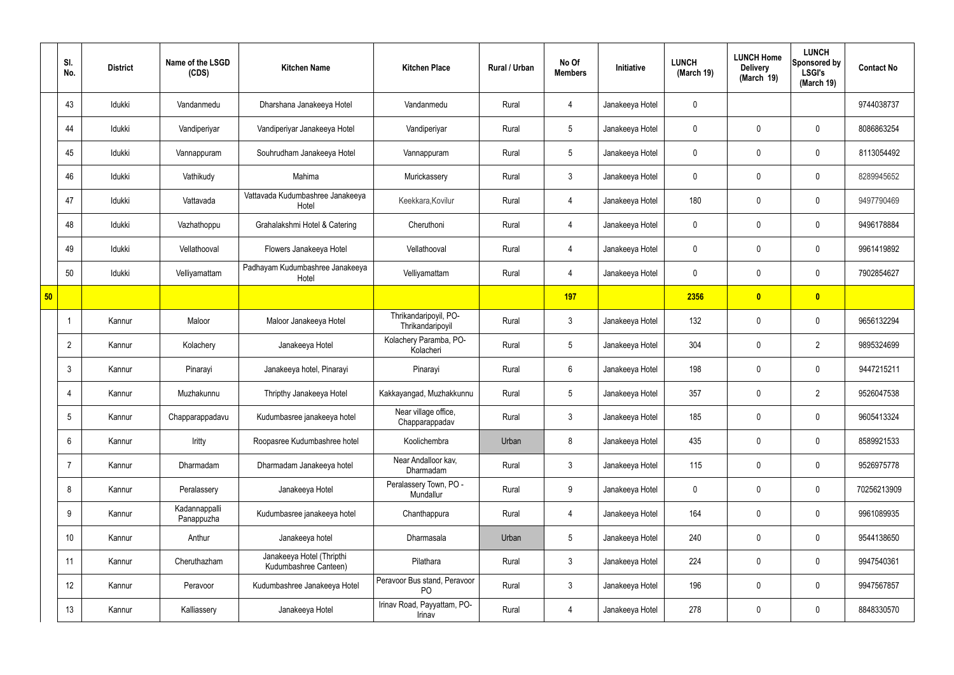|    | SI.<br>No.      | <b>District</b> | Name of the LSGD<br>(CDS)   | <b>Kitchen Name</b>                                | <b>Kitchen Place</b>                      | <b>Rural / Urban</b> | No Of<br><b>Members</b> | Initiative      | <b>LUNCH</b><br>(March 19) | <b>LUNCH Home</b><br><b>Delivery</b><br>(March 19) | <b>LUNCH</b><br>Sponsored by<br><b>LSGI's</b><br>(March 19) | <b>Contact No</b> |
|----|-----------------|-----------------|-----------------------------|----------------------------------------------------|-------------------------------------------|----------------------|-------------------------|-----------------|----------------------------|----------------------------------------------------|-------------------------------------------------------------|-------------------|
|    | 43              | Idukki          | Vandanmedu                  | Dharshana Janakeeya Hotel                          | Vandanmedu                                | Rural                | 4                       | Janakeeya Hotel | $\mathbf 0$                |                                                    |                                                             | 9744038737        |
|    | 44              | Idukki          | Vandiperiyar                | Vandiperiyar Janakeeya Hotel                       | Vandiperiyar                              | Rural                | $5\overline{)}$         | Janakeeya Hotel | $\mathbf 0$                | $\mathbf 0$                                        | $\mathbf 0$                                                 | 8086863254        |
|    | 45              | Idukki          | Vannappuram                 | Souhrudham Janakeeya Hotel                         | Vannappuram                               | Rural                | $5\overline{)}$         | Janakeeya Hotel | $\mathbf 0$                | $\mathbf 0$                                        | $\mathbf 0$                                                 | 8113054492        |
|    | 46              | Idukki          | Vathikudy                   | Mahima                                             | Murickassery                              | Rural                | $\mathbf{3}$            | Janakeeya Hotel | $\mathbf 0$                | $\mathbf 0$                                        | $\mathbf 0$                                                 | 8289945652        |
|    | 47              | Idukki          | Vattavada                   | Vattavada Kudumbashree Janakeeya<br>Hotel          | Keekkara, Kovilur                         | Rural                | $\overline{4}$          | Janakeeya Hotel | 180                        | $\mathbf 0$                                        | $\mathbf 0$                                                 | 9497790469        |
|    | 48              | Idukki          | Vazhathoppu                 | Grahalakshmi Hotel & Catering                      | Cheruthoni                                | Rural                | $\overline{4}$          | Janakeeya Hotel | $\mathbf 0$                | $\mathbf 0$                                        | $\mathbf 0$                                                 | 9496178884        |
|    | 49              | Idukki          | Vellathooval                | Flowers Janakeeya Hotel                            | Vellathooval                              | Rural                | $\overline{4}$          | Janakeeya Hotel | $\mathbf 0$                | $\mathbf 0$                                        | $\mathbf 0$                                                 | 9961419892        |
|    | 50              | Idukki          | Velliyamattam               | Padhayam Kudumbashree Janakeeya<br>Hotel           | Velliyamattam                             | Rural                | $\overline{4}$          | Janakeeya Hotel | $\mathbf 0$                | $\mathbf 0$                                        | $\mathbf 0$                                                 | 7902854627        |
| 50 |                 |                 |                             |                                                    |                                           |                      | 197                     |                 | 2356                       | $\overline{\mathbf{0}}$                            | $\overline{\mathbf{0}}$                                     |                   |
|    | -1              | Kannur          | Maloor                      | Maloor Janakeeya Hotel                             | Thrikandaripoyil, PO-<br>Thrikandaripoyil | Rural                | $\mathbf{3}$            | Janakeeya Hotel | 132                        | $\mathbf 0$                                        | $\mathbf 0$                                                 | 9656132294        |
|    | $\overline{2}$  | Kannur          | Kolachery                   | Janakeeya Hotel                                    | Kolachery Paramba, PO-<br>Kolacheri       | Rural                | $5\phantom{.0}$         | Janakeeya Hotel | 304                        | $\mathbf 0$                                        | $\overline{2}$                                              | 9895324699        |
|    | 3               | Kannur          | Pinarayi                    | Janakeeya hotel, Pinarayi                          | Pinarayi                                  | Rural                | $6\overline{6}$         | Janakeeya Hotel | 198                        | $\mathbf 0$                                        | $\mathbf 0$                                                 | 9447215211        |
|    | 4               | Kannur          | Muzhakunnu                  | Thripthy Janakeeya Hotel                           | Kakkayangad, Muzhakkunnu                  | Rural                | $5\overline{)}$         | Janakeeya Hotel | 357                        | $\mathbf 0$                                        | $\overline{2}$                                              | 9526047538        |
|    | $5\overline{)}$ | Kannur          | Chapparappadavu             | Kudumbasree janakeeya hotel                        | Near village office,<br>Chapparappadav    | Rural                | $\mathbf{3}$            | Janakeeya Hotel | 185                        | $\pmb{0}$                                          | $\mathbf 0$                                                 | 9605413324        |
|    | 6               | Kannur          | Iritty                      | Roopasree Kudumbashree hotel                       | Koolichembra                              | Urban                | 8                       | Janakeeya Hotel | 435                        | $\pmb{0}$                                          | $\mathbf 0$                                                 | 8589921533        |
|    | $\overline{7}$  | Kannur          | Dharmadam                   | Dharmadam Janakeeya hotel                          | Near Andalloor kav,<br>Dharmadam          | Rural                | $3\phantom{a}$          | Janakeeya Hotel | 115                        | $\mathbf 0$                                        | $\mathbf 0$                                                 | 9526975778        |
|    | 8               | Kannur          | Peralassery                 | Janakeeya Hotel                                    | Peralassery Town, PO -<br>Mundallur       | Rural                | 9                       | Janakeeya Hotel | $\mathbf 0$                | $\mathbf 0$                                        | $\mathbf 0$                                                 | 70256213909       |
|    | 9               | Kannur          | Kadannappalli<br>Panappuzha | Kudumbasree janakeeya hotel                        | Chanthappura                              | Rural                | $\overline{4}$          | Janakeeya Hotel | 164                        | $\mathbf 0$                                        | $\mathbf 0$                                                 | 9961089935        |
|    | 10              | Kannur          | Anthur                      | Janakeeya hotel                                    | Dharmasala                                | Urban                | $5\phantom{.0}$         | Janakeeya Hotel | 240                        | 0                                                  | $\mathbf 0$                                                 | 9544138650        |
|    | 11              | Kannur          | Cheruthazham                | Janakeeya Hotel (Thripthi<br>Kudumbashree Canteen) | Pilathara                                 | Rural                | $3\phantom{a}$          | Janakeeya Hotel | 224                        | 0                                                  | $\mathbf 0$                                                 | 9947540361        |
|    | 12              | Kannur          | Peravoor                    | Kudumbashree Janakeeya Hotel                       | Peravoor Bus stand, Peravoor<br><b>PO</b> | Rural                | $\mathbf{3}$            | Janakeeya Hotel | 196                        | $\mathbf 0$                                        | $\mathbf 0$                                                 | 9947567857        |
|    | 13              | Kannur          | Kalliassery                 | Janakeeya Hotel                                    | Irinav Road, Payyattam, PO-<br>Irinav     | Rural                | 4                       | Janakeeya Hotel | 278                        | 0                                                  | $\boldsymbol{0}$                                            | 8848330570        |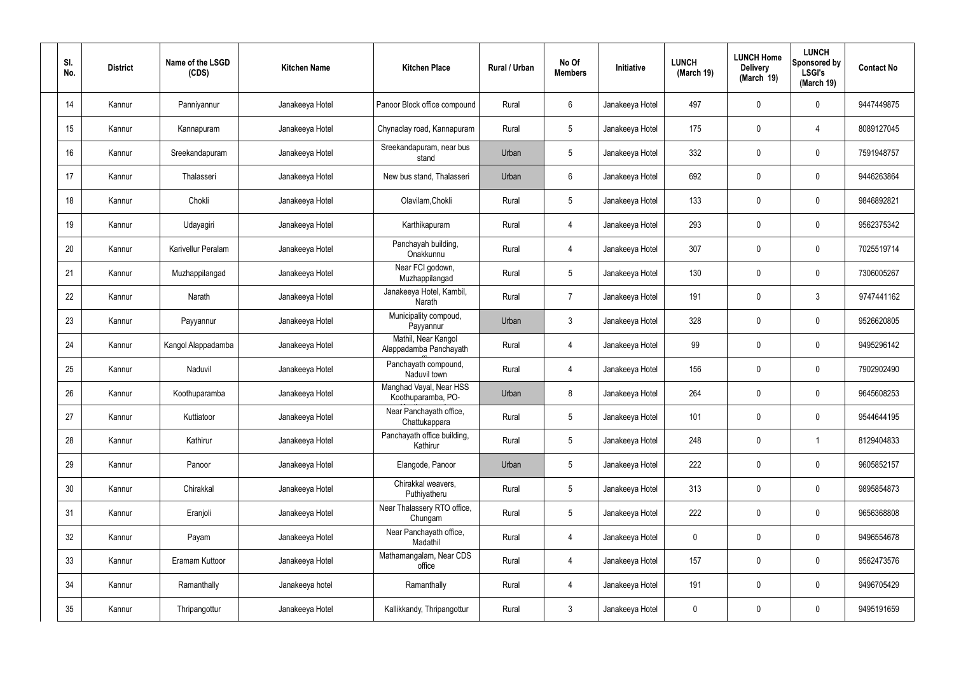| SI.<br>No. |    | <b>District</b> | Name of the LSGD<br>(CDS) | <b>Kitchen Name</b> | <b>Kitchen Place</b>                          | Rural / Urban | No Of<br><b>Members</b> | Initiative      | <b>LUNCH</b><br>(March 19) | <b>LUNCH Home</b><br><b>Delivery</b><br>(March 19) | <b>LUNCH</b><br>Sponsored by<br><b>LSGI's</b><br>(March 19) | <b>Contact No</b> |
|------------|----|-----------------|---------------------------|---------------------|-----------------------------------------------|---------------|-------------------------|-----------------|----------------------------|----------------------------------------------------|-------------------------------------------------------------|-------------------|
| 14         |    | Kannur          | Panniyannur               | Janakeeya Hotel     | Panoor Block office compound                  | Rural         | $6\overline{6}$         | Janakeeya Hotel | 497                        | $\mathbf 0$                                        | $\mathbf 0$                                                 | 9447449875        |
|            | 15 | Kannur          | Kannapuram                | Janakeeya Hotel     | Chynaclay road, Kannapuram                    | Rural         | $5\phantom{.0}$         | Janakeeya Hotel | 175                        | $\mathbf 0$                                        | $\overline{4}$                                              | 8089127045        |
|            | 16 | Kannur          | Sreekandapuram            | Janakeeya Hotel     | Sreekandapuram, near bus<br>stand             | Urban         | $5\phantom{.0}$         | Janakeeya Hotel | 332                        | $\mathbf 0$                                        | $\mathbf 0$                                                 | 7591948757        |
| 17         |    | Kannur          | Thalasseri                | Janakeeya Hotel     | New bus stand, Thalasseri                     | Urban         | $6\overline{6}$         | Janakeeya Hotel | 692                        | $\mathbf 0$                                        | $\mathbf 0$                                                 | 9446263864        |
|            | 18 | Kannur          | Chokli                    | Janakeeya Hotel     | Olavilam, Chokli                              | Rural         | $5\phantom{.0}$         | Janakeeya Hotel | 133                        | $\mathbf 0$                                        | $\mathbf 0$                                                 | 9846892821        |
|            | 19 | Kannur          | Udayagiri                 | Janakeeya Hotel     | Karthikapuram                                 | Rural         | $\overline{4}$          | Janakeeya Hotel | 293                        | $\mathbf 0$                                        | $\pmb{0}$                                                   | 9562375342        |
| 20         |    | Kannur          | Karivellur Peralam        | Janakeeya Hotel     | Panchayah building,<br>Onakkunnu              | Rural         | 4                       | Janakeeya Hotel | 307                        | $\mathbf 0$                                        | $\mathbf 0$                                                 | 7025519714        |
| 21         |    | Kannur          | Muzhappilangad            | Janakeeya Hotel     | Near FCI godown,<br>Muzhappilangad            | Rural         | $5\phantom{.0}$         | Janakeeya Hotel | 130                        | $\mathbf 0$                                        | $\mathbf 0$                                                 | 7306005267        |
|            | 22 | Kannur          | Narath                    | Janakeeya Hotel     | Janakeeya Hotel, Kambil,<br>Narath            | Rural         | $\overline{7}$          | Janakeeya Hotel | 191                        | $\mathbf 0$                                        | $\mathbf{3}$                                                | 9747441162        |
| 23         |    | Kannur          | Payyannur                 | Janakeeya Hotel     | Municipality compoud,<br>Payyannur            | Urban         | $\mathbf{3}$            | Janakeeya Hotel | 328                        | 0                                                  | $\mathbf 0$                                                 | 9526620805        |
| 24         |    | Kannur          | Kangol Alappadamba        | Janakeeya Hotel     | Mathil, Near Kangol<br>Alappadamba Panchayath | Rural         | 4                       | Janakeeya Hotel | 99                         | 0                                                  | $\mathbf 0$                                                 | 9495296142        |
| 25         |    | Kannur          | Naduvil                   | Janakeeya Hotel     | Panchayath compound,<br>Naduvil town          | Rural         | 4                       | Janakeeya Hotel | 156                        | 0                                                  | $\mathbf 0$                                                 | 7902902490        |
|            | 26 | Kannur          | Koothuparamba             | Janakeeya Hotel     | Manghad Vayal, Near HSS<br>Koothuparamba, PO- | Urban         | 8                       | Janakeeya Hotel | 264                        | $\mathbf 0$                                        | $\mathbf 0$                                                 | 9645608253        |
| 27         |    | Kannur          | Kuttiatoor                | Janakeeya Hotel     | Near Panchayath office,<br>Chattukappara      | Rural         | $5\phantom{.0}$         | Janakeeya Hotel | 101                        | $\mathbf 0$                                        | $\mathbf 0$                                                 | 9544644195        |
| 28         |    | Kannur          | Kathirur                  | Janakeeya Hotel     | Panchayath office building,<br>Kathirur       | Rural         | $5\phantom{.0}$         | Janakeeya Hotel | 248                        | $\pmb{0}$                                          | $\overline{\mathbf{1}}$                                     | 8129404833        |
| 29         |    | Kannur          | Panoor                    | Janakeeya Hotel     | Elangode, Panoor                              | Urban         | $5\overline{)}$         | Janakeeya Hotel | 222                        | $\pmb{0}$                                          | $\pmb{0}$                                                   | 9605852157        |
| 30         |    | Kannur          | Chirakkal                 | Janakeeya Hotel     | Chirakkal weavers,<br>Puthiyatheru            | Rural         | $5\overline{)}$         | Janakeeya Hotel | 313                        | $\mathbf 0$                                        | $\mathbf 0$                                                 | 9895854873        |
| 31         |    | Kannur          | Eranjoli                  | Janakeeya Hotel     | Near Thalassery RTO office,<br>Chungam        | Rural         | $5\phantom{.0}$         | Janakeeya Hotel | 222                        | $\pmb{0}$                                          | $\mathbf 0$                                                 | 9656368808        |
| 32         |    | Kannur          | Payam                     | Janakeeya Hotel     | Near Panchayath office,<br>Madathil           | Rural         | $\overline{4}$          | Janakeeya Hotel | $\mathbf 0$                | $\mathbf 0$                                        | $\mathbf 0$                                                 | 9496554678        |
| 33         |    | Kannur          | Eramam Kuttoor            | Janakeeya Hotel     | Mathamangalam, Near CDS<br>office             | Rural         | $\overline{4}$          | Janakeeya Hotel | 157                        | $\pmb{0}$                                          | $\pmb{0}$                                                   | 9562473576        |
| 34         |    | Kannur          | Ramanthally               | Janakeeya hotel     | Ramanthally                                   | Rural         | $\overline{4}$          | Janakeeya Hotel | 191                        | $\overline{0}$                                     | $\mathbf 0$                                                 | 9496705429        |
| 35         |    | Kannur          | Thripangottur             | Janakeeya Hotel     | Kallikkandy, Thripangottur                    | Rural         | $\mathbf{3}$            | Janakeeya Hotel | $\mathbf 0$                | $\pmb{0}$                                          | $\mathbf 0$                                                 | 9495191659        |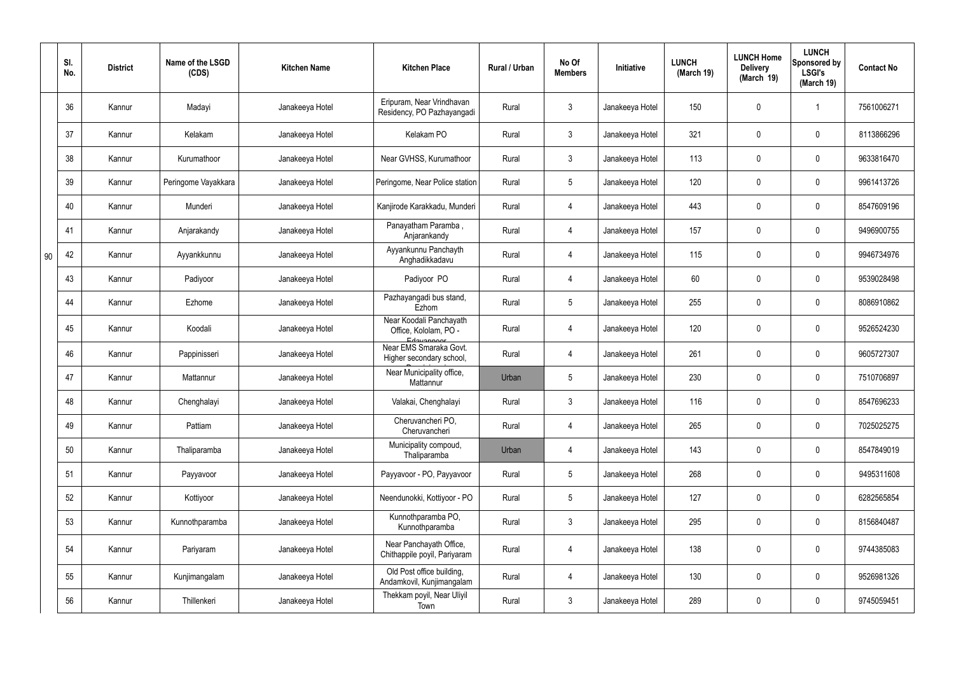|    | SI.<br>No. | <b>District</b> | Name of the LSGD<br>(CDS) | <b>Kitchen Name</b> | <b>Kitchen Place</b>                                           | Rural / Urban | No Of<br><b>Members</b> | Initiative      | <b>LUNCH</b><br>(March 19) | <b>LUNCH Home</b><br><b>Delivery</b><br>(March 19) | <b>LUNCH</b><br>Sponsored by<br><b>LSGI's</b><br>(March 19) | <b>Contact No</b> |
|----|------------|-----------------|---------------------------|---------------------|----------------------------------------------------------------|---------------|-------------------------|-----------------|----------------------------|----------------------------------------------------|-------------------------------------------------------------|-------------------|
|    | 36         | Kannur          | Madayi                    | Janakeeya Hotel     | Eripuram, Near Vrindhavan<br>Residency, PO Pazhayangadi        | Rural         | $\mathbf{3}$            | Janakeeya Hotel | 150                        | 0                                                  |                                                             | 7561006271        |
|    | 37         | Kannur          | Kelakam                   | Janakeeya Hotel     | Kelakam PO                                                     | Rural         | $\mathbf{3}$            | Janakeeya Hotel | 321                        | 0                                                  | $\mathbf 0$                                                 | 8113866296        |
|    | 38         | Kannur          | Kurumathoor               | Janakeeya Hotel     | Near GVHSS, Kurumathoor                                        | Rural         | $\mathbf{3}$            | Janakeeya Hotel | 113                        | $\mathbf 0$                                        | $\overline{0}$                                              | 9633816470        |
|    | 39         | Kannur          | Peringome Vayakkara       | Janakeeya Hotel     | Peringome, Near Police station                                 | Rural         | $5\overline{)}$         | Janakeeya Hotel | 120                        | 0                                                  | $\mathbf 0$                                                 | 9961413726        |
|    | 40         | Kannur          | Munderi                   | Janakeeya Hotel     | Kanjirode Karakkadu, Munderi                                   | Rural         | 4                       | Janakeeya Hotel | 443                        | $\mathbf 0$                                        | $\mathbf 0$                                                 | 8547609196        |
|    | 41         | Kannur          | Anjarakandy               | Janakeeya Hotel     | Panayatham Paramba,<br>Anjarankandy                            | Rural         | 4                       | Janakeeya Hotel | 157                        | $\mathbf 0$                                        | $\mathbf 0$                                                 | 9496900755        |
| 90 | 42         | Kannur          | Ayyankkunnu               | Janakeeya Hotel     | Ayyankunnu Panchayth<br>Anghadikkadavu                         | Rural         | 4                       | Janakeeya Hotel | 115                        | $\mathbf 0$                                        | $\mathbf 0$                                                 | 9946734976        |
|    | 43         | Kannur          | Padiyoor                  | Janakeeya Hotel     | Padiyoor PO                                                    | Rural         | 4                       | Janakeeya Hotel | 60                         | 0                                                  | $\mathbf 0$                                                 | 9539028498        |
|    | 44         | Kannur          | Ezhome                    | Janakeeya Hotel     | Pazhayangadi bus stand,<br>Ezhom                               | Rural         | $5\phantom{.0}$         | Janakeeya Hotel | 255                        | 0                                                  | $\mathbf 0$                                                 | 8086910862        |
|    | 45         | Kannur          | Koodali                   | Janakeeya Hotel     | Near Koodali Panchayath<br>Office, Kololam, PO -<br>Edavannoor | Rural         | 4                       | Janakeeya Hotel | 120                        | 0                                                  | 0                                                           | 9526524230        |
|    | 46         | Kannur          | Pappinisseri              | Janakeeya Hotel     | Near EMS Smaraka Govt.<br>Higher secondary school,             | Rural         | 4                       | Janakeeya Hotel | 261                        | 0                                                  | $\mathbf 0$                                                 | 9605727307        |
|    | 47         | Kannur          | Mattannur                 | Janakeeya Hotel     | Near Municipality office,<br>Mattannur                         | Urban         | $5\phantom{.0}$         | Janakeeya Hotel | 230                        | 0                                                  | $\mathbf 0$                                                 | 7510706897        |
|    | 48         | Kannur          | Chenghalayi               | Janakeeya Hotel     | Valakai, Chenghalayi                                           | Rural         | $\mathbf{3}$            | Janakeeya Hotel | 116                        | $\mathbf 0$                                        | $\overline{0}$                                              | 8547696233        |
|    | 49         | Kannur          | Pattiam                   | Janakeeya Hotel     | Cheruvancheri PO,<br>Cheruvancheri                             | Rural         | $\overline{4}$          | Janakeeya Hotel | 265                        | 0                                                  | $\mathbf 0$                                                 | 7025025275        |
|    | 50         | Kannur          | Thaliparamba              | Janakeeya Hotel     | Municipality compoud,<br>Thaliparamba                          | Urban         | $\overline{4}$          | Janakeeya Hotel | 143                        | 0                                                  | $\mathbf 0$                                                 | 8547849019        |
|    | 51         | Kannur          | Payyavoor                 | Janakeeya Hotel     | Payyavoor - PO, Payyavoor                                      | Rural         | $5\phantom{.0}$         | Janakeeya Hotel | 268                        | 0                                                  | $\mathbf 0$                                                 | 9495311608        |
|    | 52         | Kannur          | Kottiyoor                 | Janakeeya Hotel     | Neendunokki, Kottiyoor - PO                                    | Rural         | $5\phantom{.0}$         | Janakeeya Hotel | 127                        | 0                                                  | $\mathbf 0$                                                 | 6282565854        |
|    | 53         | Kannur          | Kunnothparamba            | Janakeeya Hotel     | Kunnothparamba PO,<br>Kunnothparamba                           | Rural         | $\mathbf{3}$            | Janakeeya Hotel | 295                        | $\pmb{0}$                                          | $\mathbf 0$                                                 | 8156840487        |
|    | 54         | Kannur          | Pariyaram                 | Janakeeya Hotel     | Near Panchayath Office,<br>Chithappile poyil, Pariyaram        | Rural         | $\overline{4}$          | Janakeeya Hotel | 138                        | 0                                                  | $\mathbf 0$                                                 | 9744385083        |
|    | 55         | Kannur          | Kunjimangalam             | Janakeeya Hotel     | Old Post office building,<br>Andamkovil, Kunjimangalam         | Rural         | $\overline{4}$          | Janakeeya Hotel | 130                        | 0                                                  | $\boldsymbol{0}$                                            | 9526981326        |
|    | 56         | Kannur          | Thillenkeri               | Janakeeya Hotel     | Thekkam poyil, Near Uliyil<br>Town                             | Rural         | $\mathbf{3}$            | Janakeeya Hotel | 289                        | 0                                                  | $\boldsymbol{0}$                                            | 9745059451        |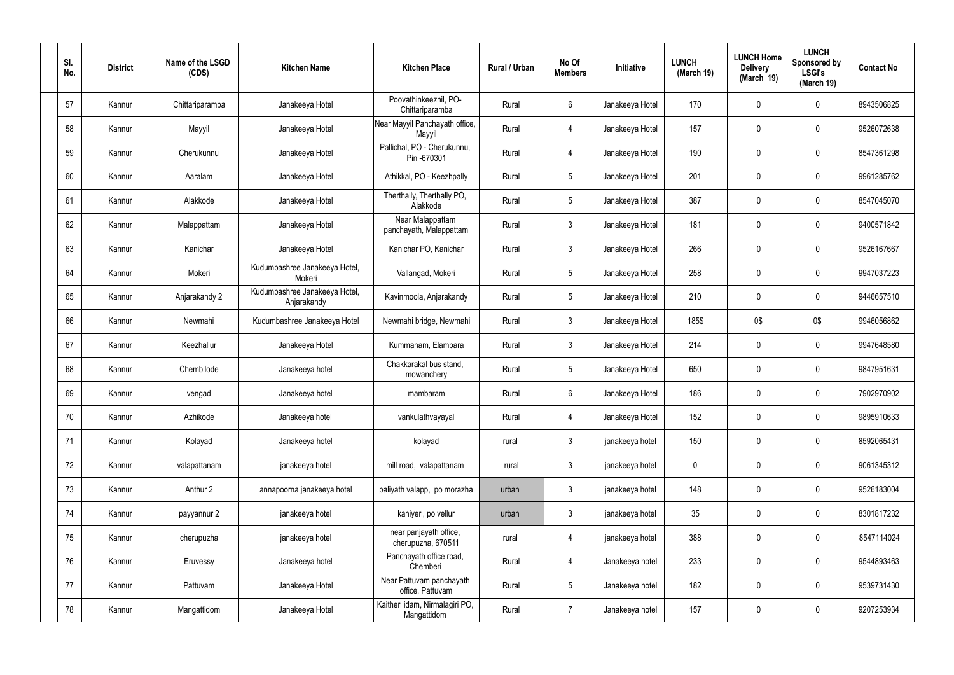| SI.<br>No. | <b>District</b> | Name of the LSGD<br>(CDS) | <b>Kitchen Name</b>                          | <b>Kitchen Place</b>                          | Rural / Urban | No Of<br><b>Members</b> | Initiative      | <b>LUNCH</b><br>(March 19) | <b>LUNCH Home</b><br><b>Delivery</b><br>(March 19) | <b>LUNCH</b><br>Sponsored by<br><b>LSGI's</b><br>(March 19) | <b>Contact No</b> |
|------------|-----------------|---------------------------|----------------------------------------------|-----------------------------------------------|---------------|-------------------------|-----------------|----------------------------|----------------------------------------------------|-------------------------------------------------------------|-------------------|
| 57         | Kannur          | Chittariparamba           | Janakeeya Hotel                              | Poovathinkeezhil, PO-<br>Chittariparamba      | Rural         | $6\overline{6}$         | Janakeeya Hotel | 170                        | $\mathbf 0$                                        | $\mathbf 0$                                                 | 8943506825        |
| 58         | Kannur          | Mayyil                    | Janakeeya Hotel                              | Near Mayyil Panchayath office,<br>Mayyil      | Rural         | $\overline{4}$          | Janakeeya Hotel | 157                        | $\mathbf 0$                                        | $\mathbf 0$                                                 | 9526072638        |
| 59         | Kannur          | Cherukunnu                | Janakeeya Hotel                              | Pallichal, PO - Cherukunnu,<br>Pin -670301    | Rural         | $\overline{4}$          | Janakeeya Hotel | 190                        | 0                                                  | $\mathbf 0$                                                 | 8547361298        |
| 60         | Kannur          | Aaralam                   | Janakeeya Hotel                              | Athikkal, PO - Keezhpally                     | Rural         | $5\overline{)}$         | Janakeeya Hotel | 201                        | $\mathbf 0$                                        | $\mathbf 0$                                                 | 9961285762        |
| 61         | Kannur          | Alakkode                  | Janakeeya Hotel                              | Therthally, Therthally PO,<br>Alakkode        | Rural         | $5\overline{)}$         | Janakeeya Hotel | 387                        | 0                                                  | $\mathbf 0$                                                 | 8547045070        |
| 62         | Kannur          | Malappattam               | Janakeeya Hotel                              | Near Malappattam<br>panchayath, Malappattam   | Rural         | $\mathbf{3}$            | Janakeeya Hotel | 181                        | $\mathbf 0$                                        | $\mathbf 0$                                                 | 9400571842        |
| 63         | Kannur          | Kanichar                  | Janakeeya Hotel                              | Kanichar PO, Kanichar                         | Rural         | $\mathbf{3}$            | Janakeeya Hotel | 266                        | 0                                                  | $\mathbf 0$                                                 | 9526167667        |
| 64         | Kannur          | Mokeri                    | Kudumbashree Janakeeya Hotel,<br>Mokeri      | Vallangad, Mokeri                             | Rural         | $5\phantom{.0}$         | Janakeeya Hotel | 258                        | $\mathbf 0$                                        | $\mathbf 0$                                                 | 9947037223        |
| 65         | Kannur          | Anjarakandy 2             | Kudumbashree Janakeeya Hotel,<br>Anjarakandy | Kavinmoola, Anjarakandy                       | Rural         | $5\overline{)}$         | Janakeeya Hotel | 210                        | $\mathbf 0$                                        | $\mathbf 0$                                                 | 9446657510        |
| 66         | Kannur          | Newmahi                   | Kudumbashree Janakeeya Hotel                 | Newmahi bridge, Newmahi                       | Rural         | $\mathbf{3}$            | Janakeeya Hotel | 185\$                      | 0\$                                                | 0\$                                                         | 9946056862        |
| 67         | Kannur          | Keezhallur                | Janakeeya Hotel                              | Kummanam, Elambara                            | Rural         | $\mathbf{3}$            | Janakeeya Hotel | 214                        | $\mathbf 0$                                        | $\mathbf 0$                                                 | 9947648580        |
| 68         | Kannur          | Chembilode                | Janakeeya hotel                              | Chakkarakal bus stand,<br>mowanchery          | Rural         | $5\overline{)}$         | Janakeeya Hotel | 650                        | 0                                                  | $\mathbf 0$                                                 | 9847951631        |
| 69         | Kannur          | vengad                    | Janakeeya hotel                              | mambaram                                      | Rural         | $6\overline{6}$         | Janakeeya Hotel | 186                        | $\mathbf 0$                                        | $\mathbf 0$                                                 | 7902970902        |
| 70         | Kannur          | Azhikode                  | Janakeeya hotel                              | vankulathvayayal                              | Rural         | $\overline{4}$          | Janakeeya Hotel | 152                        | $\mathbf 0$                                        | $\pmb{0}$                                                   | 9895910633        |
| 71         | Kannur          | Kolayad                   | Janakeeya hotel                              | kolayad                                       | rural         | $\mathbf{3}$            | janakeeya hotel | 150                        | $\mathbf 0$                                        | $\mathbf 0$                                                 | 8592065431        |
| 72         | Kannur          | valapattanam              | janakeeya hotel                              | mill road, valapattanam                       | rural         | $\mathbf{3}$            | janakeeya hotel | $\mathbf 0$                | $\mathbf 0$                                        | $\mathbf 0$                                                 | 9061345312        |
| 73         | Kannur          | Anthur 2                  | annapoorna janakeeya hotel                   | paliyath valapp, po morazha                   | urban         | $\mathbf{3}$            | janakeeya hotel | 148                        | $\mathbf 0$                                        | $\mathbf 0$                                                 | 9526183004        |
| 74         | Kannur          | payyannur 2               | janakeeya hotel                              | kaniyeri, po vellur                           | urban         | $\mathbf{3}$            | janakeeya hotel | 35                         | $\mathbf 0$                                        | $\mathbf 0$                                                 | 8301817232        |
| 75         | Kannur          | cherupuzha                | janakeeya hotel                              | near panjayath office,<br>cherupuzha, 670511  | rural         | $\overline{4}$          | janakeeya hotel | 388                        | $\mathbf 0$                                        | $\pmb{0}$                                                   | 8547114024        |
| 76         | Kannur          | Eruvessy                  | Janakeeya hotel                              | Panchayath office road,<br>Chemberi           | Rural         | $\overline{4}$          | Janakeeya hotel | 233                        | $\pmb{0}$                                          | $\pmb{0}$                                                   | 9544893463        |
| 77         | Kannur          | Pattuvam                  | Janakeeya Hotel                              | Near Pattuvam panchayath<br>office, Pattuvam  | Rural         | $5\phantom{.0}$         | Janakeeya hotel | 182                        | $\overline{0}$                                     | $\pmb{0}$                                                   | 9539731430        |
| 78         | Kannur          | Mangattidom               | Janakeeya Hotel                              | Kaitheri idam, Nirmalagiri PO,<br>Mangattidom | Rural         | $\overline{7}$          | Janakeeya hotel | 157                        | $\pmb{0}$                                          | $\pmb{0}$                                                   | 9207253934        |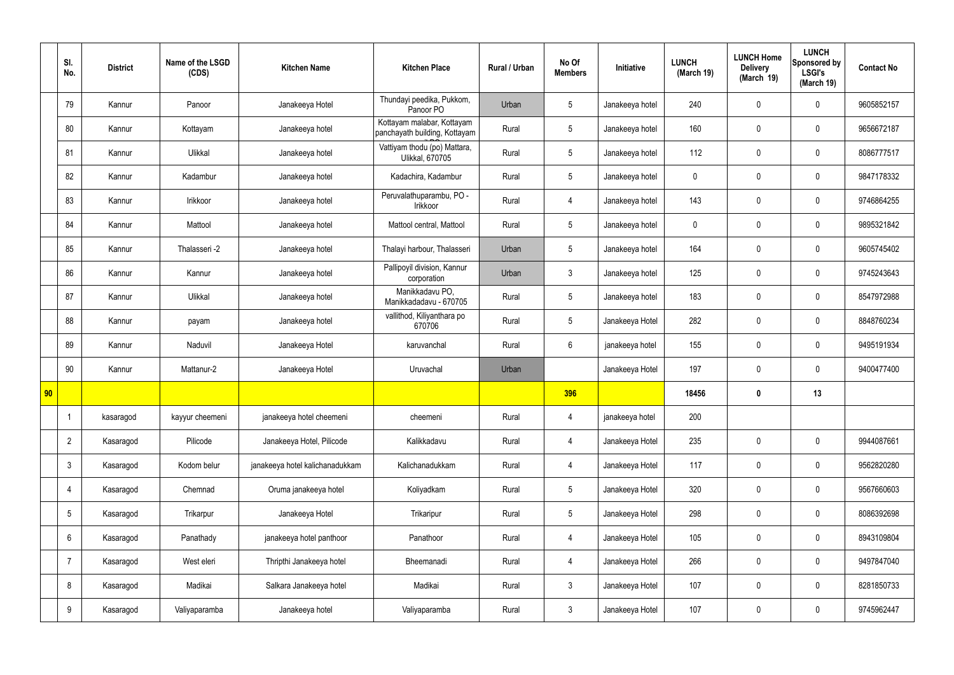|    | SI.<br>No.      | <b>District</b> | Name of the LSGD<br>(CDS) | <b>Kitchen Name</b>             | <b>Kitchen Place</b>                                        | Rural / Urban | No Of<br><b>Members</b> | Initiative      | <b>LUNCH</b><br>(March 19) | <b>LUNCH Home</b><br><b>Delivery</b><br>(March 19) | <b>LUNCH</b><br>Sponsored by<br><b>LSGI's</b><br>(March 19) | <b>Contact No</b> |
|----|-----------------|-----------------|---------------------------|---------------------------------|-------------------------------------------------------------|---------------|-------------------------|-----------------|----------------------------|----------------------------------------------------|-------------------------------------------------------------|-------------------|
|    | 79              | Kannur          | Panoor                    | Janakeeya Hotel                 | Thundayi peedika, Pukkom,<br>Panoor PO                      | Urban         | $5\phantom{.0}$         | Janakeeya hotel | 240                        | $\mathbf 0$                                        | $\mathbf 0$                                                 | 9605852157        |
|    | 80              | Kannur          | Kottayam                  | Janakeeya hotel                 | Kottayam malabar, Kottayam<br>panchayath building, Kottayam | Rural         | $5\phantom{.0}$         | Janakeeya hotel | 160                        | $\mathbf 0$                                        | $\mathbf 0$                                                 | 9656672187        |
|    | 81              | Kannur          | Ulikkal                   | Janakeeya hotel                 | Vattiyam thodu (po) Mattara,<br><b>Ulikkal, 670705</b>      | Rural         | $5\phantom{.0}$         | Janakeeya hotel | 112                        | $\mathbf 0$                                        | $\mathbf 0$                                                 | 8086777517        |
|    | 82              | Kannur          | Kadambur                  | Janakeeya hotel                 | Kadachira, Kadambur                                         | Rural         | $5\overline{)}$         | Janakeeya hotel | $\mathbf 0$                | $\mathbf 0$                                        | $\mathbf 0$                                                 | 9847178332        |
|    | 83              | Kannur          | Irikkoor                  | Janakeeya hotel                 | Peruvalathuparambu, PO -<br>Irikkoor                        | Rural         | $\overline{4}$          | Janakeeya hotel | 143                        | $\mathbf 0$                                        | $\mathbf 0$                                                 | 9746864255        |
|    | 84              | Kannur          | Mattool                   | Janakeeya hotel                 | Mattool central, Mattool                                    | Rural         | $5\phantom{.0}$         | Janakeeya hotel | $\mathbf 0$                | $\mathbf 0$                                        | $\mathbf 0$                                                 | 9895321842        |
|    | 85              | Kannur          | Thalasseri -2             | Janakeeya hotel                 | Thalayi harbour, Thalasseri                                 | Urban         | $5\phantom{.0}$         | Janakeeya hotel | 164                        | $\pmb{0}$                                          | $\mathbf 0$                                                 | 9605745402        |
|    | 86              | Kannur          | Kannur                    | Janakeeya hotel                 | Pallipoyil division, Kannur<br>corporation                  | Urban         | $\mathbf{3}$            | Janakeeya hotel | 125                        | $\mathbf 0$                                        | $\mathbf 0$                                                 | 9745243643        |
|    | 87              | Kannur          | Ulikkal                   | Janakeeya hotel                 | Manikkadavu PO,<br>Manikkadadavu - 670705                   | Rural         | $5\phantom{.0}$         | Janakeeya hotel | 183                        | $\mathbf 0$                                        | $\mathbf 0$                                                 | 8547972988        |
|    | 88              | Kannur          | payam                     | Janakeeya hotel                 | vallithod, Kiliyanthara po<br>670706                        | Rural         | $5\phantom{.0}$         | Janakeeya Hotel | 282                        | $\pmb{0}$                                          | $\mathbf 0$                                                 | 8848760234        |
|    | 89              | Kannur          | Naduvil                   | Janakeeya Hotel                 | karuvanchal                                                 | Rural         | $6\overline{6}$         | janakeeya hotel | 155                        | $\pmb{0}$                                          | $\mathbf 0$                                                 | 9495191934        |
|    | 90              | Kannur          | Mattanur-2                | Janakeeya Hotel                 | Uruvachal                                                   | Urban         |                         | Janakeeya Hotel | 197                        | $\mathbf 0$                                        | $\mathbf 0$                                                 | 9400477400        |
| 90 |                 |                 |                           |                                 |                                                             |               | 396                     |                 | 18456                      | $\mathbf 0$                                        | 13                                                          |                   |
|    |                 | kasaragod       | kayyur cheemeni           | janakeeya hotel cheemeni        | cheemeni                                                    | Rural         | 4                       | janakeeya hotel | 200                        |                                                    |                                                             |                   |
|    | $\overline{2}$  | Kasaragod       | Pilicode                  | Janakeeya Hotel, Pilicode       | Kalikkadavu                                                 | Rural         | 4                       | Janakeeya Hotel | 235                        | $\pmb{0}$                                          | $\mathbf 0$                                                 | 9944087661        |
|    | $\mathfrak{Z}$  | Kasaragod       | Kodom belur               | janakeeya hotel kalichanadukkam | Kalichanadukkam                                             | Rural         | 4                       | Janakeeya Hotel | 117                        | $\pmb{0}$                                          | $\mathbf 0$                                                 | 9562820280        |
|    | $\overline{4}$  | Kasaragod       | Chemnad                   | Oruma janakeeya hotel           | Koliyadkam                                                  | Rural         | $5\phantom{.0}$         | Janakeeya Hotel | 320                        | $\pmb{0}$                                          | $\mathbf 0$                                                 | 9567660603        |
|    | $5\phantom{.0}$ | Kasaragod       | Trikarpur                 | Janakeeya Hotel                 | Trikaripur                                                  | Rural         | $5\phantom{.0}$         | Janakeeya Hotel | 298                        | $\pmb{0}$                                          | $\mathbf 0$                                                 | 8086392698        |
|    | 6               | Kasaragod       | Panathady                 | janakeeya hotel panthoor        | Panathoor                                                   | Rural         | 4                       | Janakeeya Hotel | 105                        | $\pmb{0}$                                          | $\mathbf 0$                                                 | 8943109804        |
|    | $\overline{7}$  | Kasaragod       | West eleri                | Thripthi Janakeeya hotel        | Bheemanadi                                                  | Rural         | 4                       | Janakeeya Hotel | 266                        | $\pmb{0}$                                          | $\mathbf 0$                                                 | 9497847040        |
|    | 8               | Kasaragod       | Madikai                   | Salkara Janakeeya hotel         | Madikai                                                     | Rural         | $\mathfrak{Z}$          | Janakeeya Hotel | 107                        | $\pmb{0}$                                          | $\mathbf 0$                                                 | 8281850733        |
|    | 9               | Kasaragod       | Valiyaparamba             | Janakeeya hotel                 | Valiyaparamba                                               | Rural         | $3\phantom{.0}$         | Janakeeya Hotel | 107                        | $\pmb{0}$                                          | $\boldsymbol{0}$                                            | 9745962447        |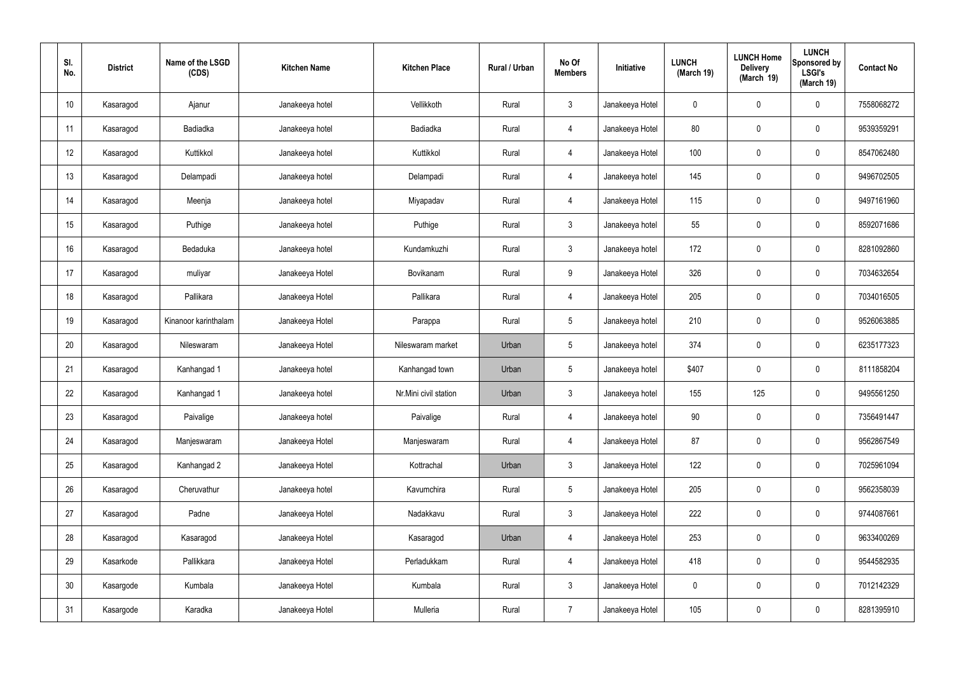| SI.<br>No.      | <b>District</b> | Name of the LSGD<br>(CDS) | <b>Kitchen Name</b> | <b>Kitchen Place</b>  | <b>Rural / Urban</b> | No Of<br><b>Members</b> | Initiative      | <b>LUNCH</b><br>(March 19) | <b>LUNCH Home</b><br><b>Delivery</b><br>(March 19) | <b>LUNCH</b><br>Sponsored by<br><b>LSGI's</b><br>(March 19) | <b>Contact No</b> |
|-----------------|-----------------|---------------------------|---------------------|-----------------------|----------------------|-------------------------|-----------------|----------------------------|----------------------------------------------------|-------------------------------------------------------------|-------------------|
| 10 <sup>°</sup> | Kasaragod       | Ajanur                    | Janakeeya hotel     | Vellikkoth            | Rural                | $\mathbf{3}$            | Janakeeya Hotel | $\mathbf 0$                | $\mathbf 0$                                        | $\mathbf 0$                                                 | 7558068272        |
| 11              | Kasaragod       | Badiadka                  | Janakeeya hotel     | Badiadka              | Rural                | $\overline{4}$          | Janakeeya Hotel | 80                         | $\mathbf 0$                                        | $\overline{0}$                                              | 9539359291        |
| 12              | Kasaragod       | Kuttikkol                 | Janakeeya hotel     | Kuttikkol             | Rural                | $\overline{4}$          | Janakeeya Hotel | 100                        | $\mathbf 0$                                        | $\mathbf 0$                                                 | 8547062480        |
| 13              | Kasaragod       | Delampadi                 | Janakeeya hotel     | Delampadi             | Rural                | $\overline{4}$          | Janakeeya hotel | 145                        | $\mathbf 0$                                        | $\mathbf 0$                                                 | 9496702505        |
| 14              | Kasaragod       | Meenja                    | Janakeeya hotel     | Miyapadav             | Rural                | $\overline{4}$          | Janakeeya Hotel | 115                        | $\mathbf 0$                                        | $\mathbf 0$                                                 | 9497161960        |
| 15              | Kasaragod       | Puthige                   | Janakeeya hotel     | Puthige               | Rural                | $\mathbf{3}$            | Janakeeya hotel | 55                         | $\pmb{0}$                                          | $\mathbf 0$                                                 | 8592071686        |
| 16              | Kasaragod       | Bedaduka                  | Janakeeya hotel     | Kundamkuzhi           | Rural                | $\mathfrak{Z}$          | Janakeeya hotel | 172                        | $\mathbf 0$                                        | $\mathbf 0$                                                 | 8281092860        |
| 17              | Kasaragod       | muliyar                   | Janakeeya Hotel     | Bovikanam             | Rural                | 9                       | Janakeeya Hotel | 326                        | $\pmb{0}$                                          | $\mathbf 0$                                                 | 7034632654        |
| 18              | Kasaragod       | Pallikara                 | Janakeeya Hotel     | Pallikara             | Rural                | $\overline{4}$          | Janakeeya Hotel | 205                        | $\mathbf 0$                                        | $\mathbf 0$                                                 | 7034016505        |
| 19              | Kasaragod       | Kinanoor karinthalam      | Janakeeya Hotel     | Parappa               | Rural                | $5\phantom{.0}$         | Janakeeya hotel | 210                        | $\pmb{0}$                                          | $\mathbf 0$                                                 | 9526063885        |
| 20              | Kasaragod       | Nileswaram                | Janakeeya Hotel     | Nileswaram market     | Urban                | $5\phantom{.0}$         | Janakeeya hotel | 374                        | $\pmb{0}$                                          | $\mathbf 0$                                                 | 6235177323        |
| 21              | Kasaragod       | Kanhangad 1               | Janakeeya hotel     | Kanhangad town        | Urban                | $5\phantom{.0}$         | Janakeeya hotel | \$407                      | $\mathbf 0$                                        | $\overline{0}$                                              | 8111858204        |
| 22              | Kasaragod       | Kanhangad 1               | Janakeeya hotel     | Nr.Mini civil station | Urban                | 3                       | Janakeeya hotel | 155                        | 125                                                | $\mathbf 0$                                                 | 9495561250        |
| 23              | Kasaragod       | Paivalige                 | Janakeeya hotel     | Paivalige             | Rural                | 4                       | Janakeeya hotel | $90\,$                     | $\pmb{0}$                                          | $\mathbf 0$                                                 | 7356491447        |
| 24              | Kasaragod       | Manjeswaram               | Janakeeya Hotel     | Manjeswaram           | Rural                | $\overline{4}$          | Janakeeya Hotel | 87                         | $\pmb{0}$                                          | $\mathbf 0$                                                 | 9562867549        |
| 25              | Kasaragod       | Kanhangad 2               | Janakeeya Hotel     | Kottrachal            | Urban                | $\mathbf{3}$            | Janakeeya Hotel | 122                        | $\pmb{0}$                                          | $\mathbf 0$                                                 | 7025961094        |
| 26              | Kasaragod       | Cheruvathur               | Janakeeya hotel     | Kavumchira            | Rural                | $5\phantom{.0}$         | Janakeeya Hotel | 205                        | $\pmb{0}$                                          | $\mathbf 0$                                                 | 9562358039        |
| 27              | Kasaragod       | Padne                     | Janakeeya Hotel     | Nadakkavu             | Rural                | $\mathbf{3}$            | Janakeeya Hotel | 222                        | $\pmb{0}$                                          | $\mathbf 0$                                                 | 9744087661        |
| 28              | Kasaragod       | Kasaragod                 | Janakeeya Hotel     | Kasaragod             | Urban                | $\overline{4}$          | Janakeeya Hotel | 253                        | $\pmb{0}$                                          | $\mathbf 0$                                                 | 9633400269        |
| 29              | Kasarkode       | Pallikkara                | Janakeeya Hotel     | Perladukkam           | Rural                | $\overline{4}$          | Janakeeya Hotel | 418                        | $\pmb{0}$                                          | $\mathbf 0$                                                 | 9544582935        |
| $30\,$          | Kasargode       | Kumbala                   | Janakeeya Hotel     | Kumbala               | Rural                | $\mathfrak{Z}$          | Janakeeya Hotel | $\pmb{0}$                  | $\pmb{0}$                                          | $\mathbf 0$                                                 | 7012142329        |
| 31              | Kasargode       | Karadka                   | Janakeeya Hotel     | Mulleria              | Rural                | $\overline{7}$          | Janakeeya Hotel | 105                        | $\pmb{0}$                                          | $\boldsymbol{0}$                                            | 8281395910        |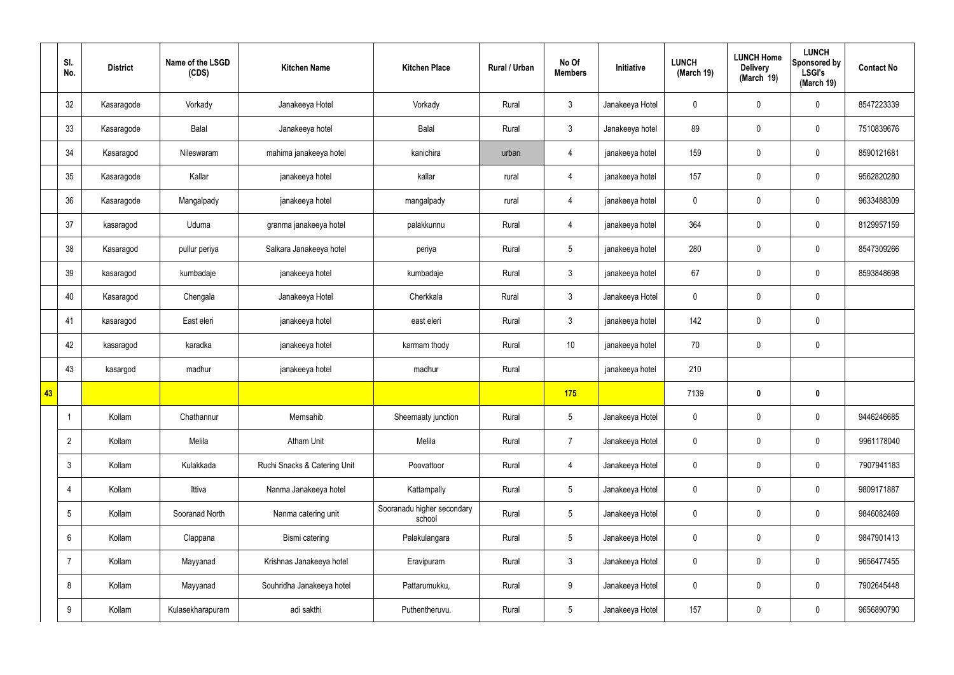|    | SI.<br>No.      | <b>District</b> | Name of the LSGD<br>(CDS) | <b>Kitchen Name</b>          | <b>Kitchen Place</b>                 | Rural / Urban | No Of<br><b>Members</b> | Initiative      | <b>LUNCH</b><br>(March 19) | <b>LUNCH Home</b><br><b>Delivery</b><br>(March 19) | <b>LUNCH</b><br>Sponsored by<br><b>LSGI's</b><br>(March 19) | <b>Contact No</b> |
|----|-----------------|-----------------|---------------------------|------------------------------|--------------------------------------|---------------|-------------------------|-----------------|----------------------------|----------------------------------------------------|-------------------------------------------------------------|-------------------|
|    | 32              | Kasaragode      | Vorkady                   | Janakeeya Hotel              | Vorkady                              | Rural         | $\mathbf{3}$            | Janakeeya Hotel | $\mathbf 0$                | $\pmb{0}$                                          | $\mathbf 0$                                                 | 8547223339        |
|    | 33              | Kasaragode      | Balal                     | Janakeeya hotel              | Balal                                | Rural         | $\mathbf{3}$            | Janakeeya hotel | 89                         | $\mathbf 0$                                        | $\mathbf 0$                                                 | 7510839676        |
|    | 34              | Kasaragod       | Nileswaram                | mahima janakeeya hotel       | kanichira                            | urban         | $\overline{4}$          | janakeeya hotel | 159                        | $\pmb{0}$                                          | $\mathbf 0$                                                 | 8590121681        |
|    | 35              | Kasaragode      | Kallar                    | janakeeya hotel              | kallar                               | rural         | $\overline{4}$          | janakeeya hotel | 157                        | $\pmb{0}$                                          | $\mathbf 0$                                                 | 9562820280        |
|    | 36              | Kasaragode      | Mangalpady                | janakeeya hotel              | mangalpady                           | rural         | $\overline{4}$          | janakeeya hotel | $\pmb{0}$                  | $\pmb{0}$                                          | $\mathbf 0$                                                 | 9633488309        |
|    | 37              | kasaragod       | Uduma                     | granma janakeeya hotel       | palakkunnu                           | Rural         | $\overline{4}$          | janakeeya hotel | 364                        | $\pmb{0}$                                          | $\mathbf 0$                                                 | 8129957159        |
|    | 38              | Kasaragod       | pullur periya             | Salkara Janakeeya hotel      | periya                               | Rural         | $5\phantom{.0}$         | janakeeya hotel | 280                        | $\pmb{0}$                                          | $\mathbf 0$                                                 | 8547309266        |
|    | 39              | kasaragod       | kumbadaje                 | janakeeya hotel              | kumbadaje                            | Rural         | $\mathbf{3}$            | janakeeya hotel | 67                         | $\pmb{0}$                                          | $\mathbf 0$                                                 | 8593848698        |
|    | 40              | Kasaragod       | Chengala                  | Janakeeya Hotel              | Cherkkala                            | Rural         | $\mathbf{3}$            | Janakeeya Hotel | $\pmb{0}$                  | $\pmb{0}$                                          | $\mathbf 0$                                                 |                   |
|    | 41              | kasaragod       | East eleri                | janakeeya hotel              | east eleri                           | Rural         | $\mathbf{3}$            | janakeeya hotel | 142                        | $\pmb{0}$                                          | $\mathbf 0$                                                 |                   |
|    | 42              | kasaragod       | karadka                   | janakeeya hotel              | karmam thody                         | Rural         | 10                      | janakeeya hotel | 70                         | $\pmb{0}$                                          | $\mathbf 0$                                                 |                   |
|    | 43              | kasargod        | madhur                    | janakeeya hotel              | madhur                               | Rural         |                         | janakeeya hotel | 210                        |                                                    |                                                             |                   |
| 43 |                 |                 |                           |                              |                                      |               | 175                     |                 | 7139                       | $\bf{0}$                                           | $\mathbf 0$                                                 |                   |
|    | -1              | Kollam          | Chathannur                | Memsahib                     | Sheemaaty junction                   | Rural         | $5\phantom{.0}$         | Janakeeya Hotel | $\pmb{0}$                  | $\mathbf 0$                                        | $\mathbf 0$                                                 | 9446246685        |
|    | $\overline{2}$  | Kollam          | Melila                    | <b>Atham Unit</b>            | Melila                               | Rural         | $\overline{7}$          | Janakeeya Hotel | $\mathbf 0$                | $\pmb{0}$                                          | $\mathbf 0$                                                 | 9961178040        |
|    | $\mathbf{3}$    | Kollam          | Kulakkada                 | Ruchi Snacks & Catering Unit | Poovattoor                           | Rural         | $\overline{4}$          | Janakeeya Hotel | $\pmb{0}$                  | $\pmb{0}$                                          | $\mathbf 0$                                                 | 7907941183        |
|    | 4               | Kollam          | Ittiva                    | Nanma Janakeeya hotel        | Kattampally                          | Rural         | $5\overline{)}$         | Janakeeya Hotel | $\pmb{0}$                  | $\pmb{0}$                                          | $\mathbf 0$                                                 | 9809171887        |
|    | $5\phantom{.0}$ | Kollam          | Sooranad North            | Nanma catering unit          | Sooranadu higher secondary<br>school | Rural         | $5\phantom{.0}$         | Janakeeya Hotel | $\pmb{0}$                  | $\pmb{0}$                                          | $\mathbf 0$                                                 | 9846082469        |
|    | $6\overline{6}$ | Kollam          | Clappana                  | Bismi catering               | Palakulangara                        | Rural         | $5\phantom{.0}$         | Janakeeya Hotel | $\pmb{0}$                  | $\pmb{0}$                                          | $\mathbf 0$                                                 | 9847901413        |
|    | $\overline{7}$  | Kollam          | Mayyanad                  | Krishnas Janakeeya hotel     | Eravipuram                           | Rural         | $\mathbf{3}$            | Janakeeya Hotel | $\pmb{0}$                  | $\pmb{0}$                                          | $\mathbf 0$                                                 | 9656477455        |
|    | 8               | Kollam          | Mayyanad                  | Souhridha Janakeeya hotel    | Pattarumukku,                        | Rural         | $\boldsymbol{9}$        | Janakeeya Hotel | $\pmb{0}$                  | $\pmb{0}$                                          | $\mathbf 0$                                                 | 7902645448        |
|    | 9               | Kollam          | Kulasekharapuram          | adi sakthi                   | Puthentheruvu.                       | Rural         | $5\phantom{.0}$         | Janakeeya Hotel | 157                        | $\pmb{0}$                                          | $\boldsymbol{0}$                                            | 9656890790        |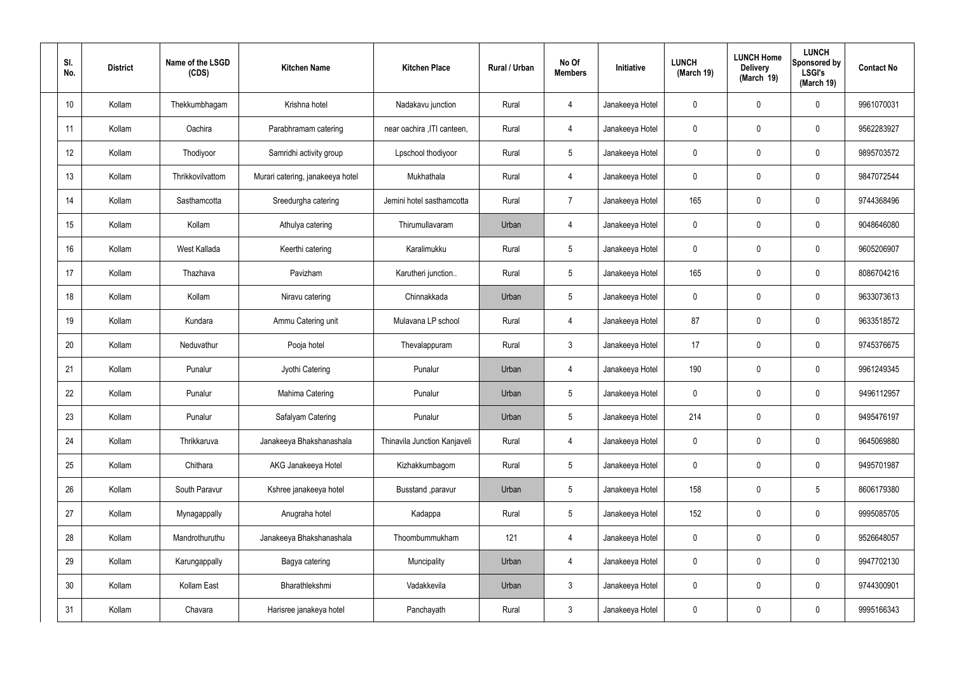| SI.<br>No. | <b>District</b> | Name of the LSGD<br>(CDS) | <b>Kitchen Name</b>              | <b>Kitchen Place</b>         | Rural / Urban | No Of<br><b>Members</b> | Initiative      | <b>LUNCH</b><br>(March 19) | <b>LUNCH Home</b><br><b>Delivery</b><br>(March 19) | <b>LUNCH</b><br>Sponsored by<br><b>LSGI's</b><br>(March 19) | <b>Contact No</b> |
|------------|-----------------|---------------------------|----------------------------------|------------------------------|---------------|-------------------------|-----------------|----------------------------|----------------------------------------------------|-------------------------------------------------------------|-------------------|
| 10         | Kollam          | Thekkumbhagam             | Krishna hotel                    | Nadakavu junction            | Rural         | $\overline{4}$          | Janakeeya Hotel | $\mathbf 0$                | 0                                                  | $\mathbf 0$                                                 | 9961070031        |
| 11         | Kollam          | Oachira                   | Parabhramam catering             | near oachira , ITI canteen,  | Rural         | $\overline{4}$          | Janakeeya Hotel | $\mathbf 0$                | $\mathbf 0$                                        | $\mathbf 0$                                                 | 9562283927        |
| 12         | Kollam          | Thodiyoor                 | Samridhi activity group          | Lpschool thodiyoor           | Rural         | $5\phantom{.0}$         | Janakeeya Hotel | $\mathbf 0$                | 0                                                  | $\mathbf 0$                                                 | 9895703572        |
| 13         | Kollam          | Thrikkovilvattom          | Murari catering, janakeeya hotel | Mukhathala                   | Rural         | $\overline{4}$          | Janakeeya Hotel | $\mathbf 0$                | $\mathbf 0$                                        | $\mathbf 0$                                                 | 9847072544        |
| 14         | Kollam          | Sasthamcotta              | Sreedurgha catering              | Jemini hotel sasthamcotta    | Rural         | $\overline{7}$          | Janakeeya Hotel | 165                        | $\mathbf 0$                                        | $\mathbf 0$                                                 | 9744368496        |
| 15         | Kollam          | Kollam                    | Athulya catering                 | Thirumullavaram              | Urban         | $\overline{4}$          | Janakeeya Hotel | $\mathbf 0$                | 0                                                  | $\mathbf 0$                                                 | 9048646080        |
| 16         | Kollam          | West Kallada              | Keerthi catering                 | Karalimukku                  | Rural         | $5\overline{)}$         | Janakeeya Hotel | $\mathbf 0$                | $\mathbf 0$                                        | $\mathbf 0$                                                 | 9605206907        |
| 17         | Kollam          | Thazhava                  | Pavizham                         | Karutheri junction           | Rural         | $5\phantom{.0}$         | Janakeeya Hotel | 165                        | $\mathbf 0$                                        | $\mathbf 0$                                                 | 8086704216        |
| 18         | Kollam          | Kollam                    | Niravu catering                  | Chinnakkada                  | Urban         | $5\phantom{.0}$         | Janakeeya Hotel | $\mathbf 0$                | $\mathbf 0$                                        | $\mathbf 0$                                                 | 9633073613        |
| 19         | Kollam          | Kundara                   | Ammu Catering unit               | Mulavana LP school           | Rural         | 4                       | Janakeeya Hotel | 87                         | 0                                                  | $\mathbf 0$                                                 | 9633518572        |
| 20         | Kollam          | Neduvathur                | Pooja hotel                      | Thevalappuram                | Rural         | $\mathbf{3}$            | Janakeeya Hotel | 17                         | 0                                                  | $\mathbf 0$                                                 | 9745376675        |
| 21         | Kollam          | Punalur                   | Jyothi Catering                  | Punalur                      | Urban         | 4                       | Janakeeya Hotel | 190                        | 0                                                  | $\mathbf 0$                                                 | 9961249345        |
| 22         | Kollam          | Punalur                   | Mahima Catering                  | Punalur                      | Urban         | $5\phantom{.0}$         | Janakeeya Hotel | $\mathbf 0$                | 0                                                  | $\mathbf 0$                                                 | 9496112957        |
| 23         | Kollam          | Punalur                   | Safalyam Catering                | Punalur                      | Urban         | $5\phantom{.0}$         | Janakeeya Hotel | 214                        | $\mathbf 0$                                        | $\mathbf 0$                                                 | 9495476197        |
| 24         | Kollam          | Thrikkaruva               | Janakeeya Bhakshanashala         | Thinavila Junction Kanjaveli | Rural         | $\overline{4}$          | Janakeeya Hotel | $\mathbf 0$                | $\mathbf 0$                                        | $\mathbf 0$                                                 | 9645069880        |
| 25         | Kollam          | Chithara                  | AKG Janakeeya Hotel              | Kizhakkumbagom               | Rural         | $5\phantom{.0}$         | Janakeeya Hotel | $\mathbf 0$                | $\mathbf 0$                                        | $\mathbf 0$                                                 | 9495701987        |
| 26         | Kollam          | South Paravur             | Kshree janakeeya hotel           | Busstand , paravur           | Urban         | $5\phantom{.0}$         | Janakeeya Hotel | 158                        | 0                                                  | $5\phantom{.0}$                                             | 8606179380        |
| 27         | Kollam          | Mynagappally              | Anugraha hotel                   | Kadappa                      | Rural         | $5\phantom{.0}$         | Janakeeya Hotel | 152                        | 0                                                  | $\mathbf 0$                                                 | 9995085705        |
| 28         | Kollam          | Mandrothuruthu            | Janakeeya Bhakshanashala         | Thoombummukham               | 121           | $\overline{4}$          | Janakeeya Hotel | $\mathbf 0$                | 0                                                  | $\mathbf 0$                                                 | 9526648057        |
| 29         | Kollam          | Karungappally             | Bagya catering                   | Muncipality                  | Urban         | 4                       | Janakeeya Hotel | $\mathbf 0$                | 0                                                  | $\mathbf 0$                                                 | 9947702130        |
| 30         | Kollam          | Kollam East               | Bharathlekshmi                   | Vadakkevila                  | Urban         | $\mathbf{3}$            | Janakeeya Hotel | $\mathbf 0$                | 0                                                  | $\mathbf 0$                                                 | 9744300901        |
| 31         | Kollam          | Chavara                   | Harisree janakeya hotel          | Panchayath                   | Rural         | $\mathbf{3}$            | Janakeeya Hotel | 0                          | 0                                                  | $\mathbf 0$                                                 | 9995166343        |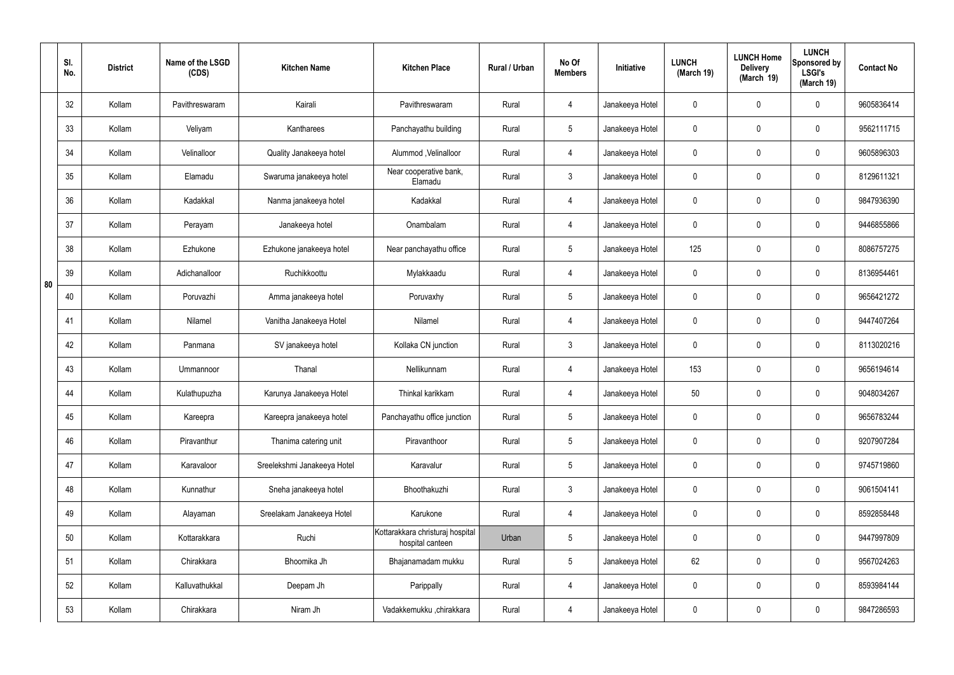|    | SI.<br>No. | <b>District</b> | Name of the LSGD<br>(CDS) | <b>Kitchen Name</b>         | <b>Kitchen Place</b>                                 | Rural / Urban | No Of<br><b>Members</b> | Initiative      | <b>LUNCH</b><br>(March 19) | <b>LUNCH Home</b><br><b>Delivery</b><br>(March 19) | <b>LUNCH</b><br>Sponsored by<br><b>LSGI's</b><br>(March 19) | <b>Contact No</b> |
|----|------------|-----------------|---------------------------|-----------------------------|------------------------------------------------------|---------------|-------------------------|-----------------|----------------------------|----------------------------------------------------|-------------------------------------------------------------|-------------------|
|    | 32         | Kollam          | Pavithreswaram            | Kairali                     | Pavithreswaram                                       | Rural         | 4                       | Janakeeya Hotel | $\mathbf 0$                | $\mathbf 0$                                        | $\mathbf 0$                                                 | 9605836414        |
|    | 33         | Kollam          | Veliyam                   | Kantharees                  | Panchayathu building                                 | Rural         | $5\overline{)}$         | Janakeeya Hotel | $\mathbf 0$                | $\mathbf 0$                                        | $\mathbf 0$                                                 | 9562111715        |
|    | 34         | Kollam          | Velinalloor               | Quality Janakeeya hotel     | Alummod , Velinalloor                                | Rural         | $\overline{4}$          | Janakeeya Hotel | $\mathbf 0$                | $\mathbf 0$                                        | $\mathbf 0$                                                 | 9605896303        |
|    | 35         | Kollam          | Elamadu                   | Swaruma janakeeya hotel     | Near cooperative bank,<br>Elamadu                    | Rural         | $\mathbf{3}$            | Janakeeya Hotel | $\mathbf 0$                | $\mathbf 0$                                        | $\mathbf 0$                                                 | 8129611321        |
|    | 36         | Kollam          | Kadakkal                  | Nanma janakeeya hotel       | Kadakkal                                             | Rural         | 4                       | Janakeeya Hotel | $\mathbf 0$                | $\mathbf 0$                                        | $\mathbf 0$                                                 | 9847936390        |
|    | 37         | Kollam          | Perayam                   | Janakeeya hotel             | Onambalam                                            | Rural         | $\overline{4}$          | Janakeeya Hotel | $\mathbf 0$                | $\mathbf 0$                                        | $\mathbf 0$                                                 | 9446855866        |
|    | 38         | Kollam          | Ezhukone                  | Ezhukone janakeeya hotel    | Near panchayathu office                              | Rural         | $5\overline{)}$         | Janakeeya Hotel | 125                        | $\mathbf 0$                                        | $\mathbf 0$                                                 | 8086757275        |
| 80 | 39         | Kollam          | Adichanalloor             | Ruchikkoottu                | Mylakkaadu                                           | Rural         | 4                       | Janakeeya Hotel | $\mathbf 0$                | $\mathbf 0$                                        | $\mathbf 0$                                                 | 8136954461        |
|    | 40         | Kollam          | Poruvazhi                 | Amma janakeeya hotel        | Poruvaxhy                                            | Rural         | $5\overline{)}$         | Janakeeya Hotel | $\mathbf 0$                | $\mathbf 0$                                        | $\mathbf 0$                                                 | 9656421272        |
|    | 41         | Kollam          | Nilamel                   | Vanitha Janakeeya Hotel     | Nilamel                                              | Rural         | 4                       | Janakeeya Hotel | $\mathbf 0$                | $\mathbf 0$                                        | $\mathbf 0$                                                 | 9447407264        |
|    | 42         | Kollam          | Panmana                   | SV janakeeya hotel          | Kollaka CN junction                                  | Rural         | $\mathbf{3}$            | Janakeeya Hotel | $\mathbf 0$                | $\mathbf 0$                                        | $\mathbf 0$                                                 | 8113020216        |
|    | 43         | Kollam          | Ummannoor                 | Thanal                      | Nellikunnam                                          | Rural         | 4                       | Janakeeya Hotel | 153                        | $\mathbf 0$                                        | $\mathbf 0$                                                 | 9656194614        |
|    | 44         | Kollam          | Kulathupuzha              | Karunya Janakeeya Hotel     | Thinkal karikkam                                     | Rural         | 4                       | Janakeeya Hotel | 50                         | $\mathbf 0$                                        | $\mathbf 0$                                                 | 9048034267        |
|    | 45         | Kollam          | Kareepra                  | Kareepra janakeeya hotel    | Panchayathu office junction                          | Rural         | $5\phantom{.0}$         | Janakeeya Hotel | $\mathbf 0$                | $\pmb{0}$                                          | $\mathbf 0$                                                 | 9656783244        |
|    | 46         | Kollam          | Piravanthur               | Thanima catering unit       | Piravanthoor                                         | Rural         | $5\phantom{.0}$         | Janakeeya Hotel | $\mathbf 0$                | $\mathbf 0$                                        | $\mathbf 0$                                                 | 9207907284        |
|    | 47         | Kollam          | Karavaloor                | Sreelekshmi Janakeeya Hotel | Karavalur                                            | Rural         | $5\overline{)}$         | Janakeeya Hotel | $\mathbf 0$                | $\mathbf 0$                                        | $\mathbf 0$                                                 | 9745719860        |
|    | 48         | Kollam          | Kunnathur                 | Sneha janakeeya hotel       | Bhoothakuzhi                                         | Rural         | $\mathbf{3}$            | Janakeeya Hotel | $\mathbf 0$                | $\mathbf 0$                                        | $\mathbf 0$                                                 | 9061504141        |
|    | 49         | Kollam          | Alayaman                  | Sreelakam Janakeeya Hotel   | Karukone                                             | Rural         | $\overline{4}$          | Janakeeya Hotel | $\mathbf 0$                | 0                                                  | $\mathbf 0$                                                 | 8592858448        |
|    | 50         | Kollam          | Kottarakkara              | Ruchi                       | Kottarakkara christuraj hospital<br>hospital canteen | Urban         | $5\phantom{.0}$         | Janakeeya Hotel | $\mathbf 0$                | 0                                                  | $\mathbf 0$                                                 | 9447997809        |
|    | 51         | Kollam          | Chirakkara                | Bhoomika Jh                 | Bhajanamadam mukku                                   | Rural         | $5\overline{)}$         | Janakeeya Hotel | 62                         | 0                                                  | $\mathbf 0$                                                 | 9567024263        |
|    | 52         | Kollam          | Kalluvathukkal            | Deepam Jh                   | Parippally                                           | Rural         | 4                       | Janakeeya Hotel | $\mathbf 0$                | $\mathbf 0$                                        | $\mathbf 0$                                                 | 8593984144        |
|    | 53         | Kollam          | Chirakkara                | Niram Jh                    | Vadakkemukku ,chirakkara                             | Rural         | 4                       | Janakeeya Hotel | $\pmb{0}$                  | 0                                                  | $\overline{0}$                                              | 9847286593        |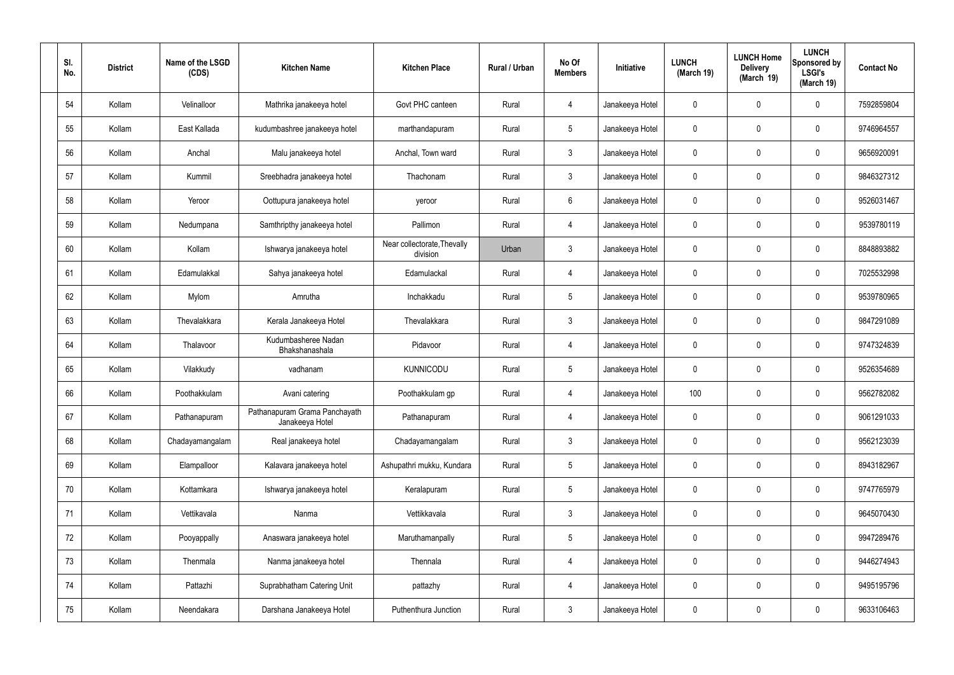| SI.<br>No. | <b>District</b> | Name of the LSGD<br>(CDS) | <b>Kitchen Name</b>                              | <b>Kitchen Place</b>                    | <b>Rural / Urban</b> | No Of<br><b>Members</b> | Initiative      | <b>LUNCH</b><br>(March 19) | <b>LUNCH Home</b><br><b>Delivery</b><br>(March 19) | <b>LUNCH</b><br>Sponsored by<br><b>LSGI's</b><br>(March 19) | <b>Contact No</b> |
|------------|-----------------|---------------------------|--------------------------------------------------|-----------------------------------------|----------------------|-------------------------|-----------------|----------------------------|----------------------------------------------------|-------------------------------------------------------------|-------------------|
| 54         | Kollam          | Velinalloor               | Mathrika janakeeya hotel                         | Govt PHC canteen                        | Rural                | $\overline{4}$          | Janakeeya Hotel | 0                          | 0                                                  | $\mathbf 0$                                                 | 7592859804        |
| 55         | Kollam          | East Kallada              | kudumbashree janakeeya hotel                     | marthandapuram                          | Rural                | $5\phantom{.0}$         | Janakeeya Hotel | 0                          | $\mathbf 0$                                        | $\mathbf 0$                                                 | 9746964557        |
| 56         | Kollam          | Anchal                    | Malu janakeeya hotel                             | Anchal, Town ward                       | Rural                | $\mathbf{3}$            | Janakeeya Hotel | 0                          | $\mathbf 0$                                        | $\mathbf 0$                                                 | 9656920091        |
| 57         | Kollam          | Kummil                    | Sreebhadra janakeeya hotel                       | Thachonam                               | Rural                | $\mathbf{3}$            | Janakeeya Hotel | 0                          | $\mathbf 0$                                        | $\mathbf 0$                                                 | 9846327312        |
| 58         | Kollam          | Yeroor                    | Oottupura janakeeya hotel                        | yeroor                                  | Rural                | $6\overline{6}$         | Janakeeya Hotel | 0                          | $\mathbf 0$                                        | $\mathbf 0$                                                 | 9526031467        |
| 59         | Kollam          | Nedumpana                 | Samthripthy janakeeya hotel                      | Pallimon                                | Rural                | $\overline{4}$          | Janakeeya Hotel | 0                          | $\mathbf 0$                                        | $\mathbf 0$                                                 | 9539780119        |
| 60         | Kollam          | Kollam                    | Ishwarya janakeeya hotel                         | Near collectorate, Thevally<br>division | Urban                | $\mathbf{3}$            | Janakeeya Hotel | 0                          | $\mathbf 0$                                        | $\mathbf 0$                                                 | 8848893882        |
| 61         | Kollam          | Edamulakkal               | Sahya janakeeya hotel                            | Edamulackal                             | Rural                | 4                       | Janakeeya Hotel | 0                          | 0                                                  | $\mathbf 0$                                                 | 7025532998        |
| 62         | Kollam          | Mylom                     | Amrutha                                          | Inchakkadu                              | Rural                | $5\overline{)}$         | Janakeeya Hotel | 0                          | $\mathbf 0$                                        | $\mathbf 0$                                                 | 9539780965        |
| 63         | Kollam          | Thevalakkara              | Kerala Janakeeya Hotel                           | Thevalakkara                            | Rural                | $\mathbf{3}$            | Janakeeya Hotel | 0                          | 0                                                  | $\mathbf 0$                                                 | 9847291089        |
| 64         | Kollam          | Thalavoor                 | Kudumbasheree Nadan<br>Bhakshanashala            | Pidavoor                                | Rural                | 4                       | Janakeeya Hotel | 0                          | 0                                                  | $\mathbf 0$                                                 | 9747324839        |
| 65         | Kollam          | Vilakkudy                 | vadhanam                                         | <b>KUNNICODU</b>                        | Rural                | $5\phantom{.0}$         | Janakeeya Hotel | 0                          | 0                                                  | $\mathbf 0$                                                 | 9526354689        |
| 66         | Kollam          | Poothakkulam              | Avani catering                                   | Poothakkulam gp                         | Rural                | 4                       | Janakeeya Hotel | 100                        | 0                                                  | $\mathbf 0$                                                 | 9562782082        |
| 67         | Kollam          | Pathanapuram              | Pathanapuram Grama Panchayath<br>Janakeeya Hotel | Pathanapuram                            | Rural                | $\overline{4}$          | Janakeeya Hotel | 0                          | $\mathbf 0$                                        | $\mathbf 0$                                                 | 9061291033        |
| 68         | Kollam          | Chadayamangalam           | Real janakeeya hotel                             | Chadayamangalam                         | Rural                | $\mathbf{3}$            | Janakeeya Hotel | 0                          | $\mathbf 0$                                        | $\mathbf 0$                                                 | 9562123039        |
| 69         | Kollam          | Elampalloor               | Kalavara janakeeya hotel                         | Ashupathri mukku, Kundara               | Rural                | $5\overline{)}$         | Janakeeya Hotel | 0                          | $\mathbf 0$                                        | $\mathbf 0$                                                 | 8943182967        |
| 70         | Kollam          | Kottamkara                | Ishwarya janakeeya hotel                         | Keralapuram                             | Rural                | $5\overline{)}$         | Janakeeya Hotel | 0                          | $\mathbf 0$                                        | $\mathbf 0$                                                 | 9747765979        |
| 71         | Kollam          | Vettikavala               | Nanma                                            | Vettikkavala                            | Rural                | $\mathbf{3}$            | Janakeeya Hotel | 0                          | $\mathbf 0$                                        | $\mathbf 0$                                                 | 9645070430        |
| 72         | Kollam          | Pooyappally               | Anaswara janakeeya hotel                         | Maruthamanpally                         | Rural                | $5\phantom{.0}$         | Janakeeya Hotel | 0                          | 0                                                  | $\mathbf 0$                                                 | 9947289476        |
| 73         | Kollam          | Thenmala                  | Nanma janakeeya hotel                            | Thennala                                | Rural                | $\overline{4}$          | Janakeeya Hotel | 0                          | 0                                                  | $\mathbf 0$                                                 | 9446274943        |
| 74         | Kollam          | Pattazhi                  | Suprabhatham Catering Unit                       | pattazhy                                | Rural                | $\overline{4}$          | Janakeeya Hotel | $\mathbf 0$                | 0                                                  | $\mathbf 0$                                                 | 9495195796        |
| 75         | Kollam          | Neendakara                | Darshana Janakeeya Hotel                         | Puthenthura Junction                    | Rural                | $\mathbf{3}$            | Janakeeya Hotel | 0                          | 0                                                  | $\overline{0}$                                              | 9633106463        |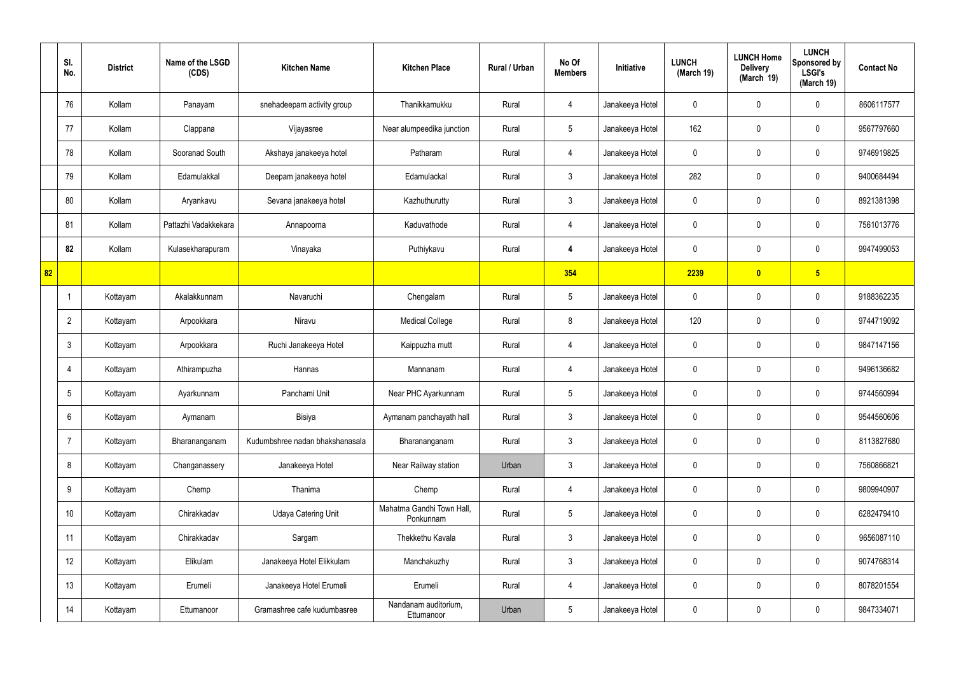|                 | SI.<br>No.     | <b>District</b> | Name of the LSGD<br>(CDS) | <b>Kitchen Name</b>             | <b>Kitchen Place</b>                   | Rural / Urban | No Of<br><b>Members</b> | Initiative      | <b>LUNCH</b><br>(March 19) | <b>LUNCH Home</b><br><b>Delivery</b><br>(March 19) | <b>LUNCH</b><br>Sponsored by<br><b>LSGI's</b><br>(March 19) | <b>Contact No</b> |
|-----------------|----------------|-----------------|---------------------------|---------------------------------|----------------------------------------|---------------|-------------------------|-----------------|----------------------------|----------------------------------------------------|-------------------------------------------------------------|-------------------|
|                 | 76             | Kollam          | Panayam                   | snehadeepam activity group      | Thanikkamukku                          | Rural         | 4                       | Janakeeya Hotel | 0                          | 0                                                  | $\mathbf 0$                                                 | 8606117577        |
|                 | 77             | Kollam          | Clappana                  | Vijayasree                      | Near alumpeedika junction              | Rural         | $5\phantom{.0}$         | Janakeeya Hotel | 162                        | $\mathbf 0$                                        | $\mathbf 0$                                                 | 9567797660        |
|                 | 78             | Kollam          | Sooranad South            | Akshaya janakeeya hotel         | Patharam                               | Rural         | $\overline{4}$          | Janakeeya Hotel | 0                          | $\mathbf 0$                                        | $\mathbf 0$                                                 | 9746919825        |
|                 | 79             | Kollam          | Edamulakkal               | Deepam janakeeya hotel          | Edamulackal                            | Rural         | $\mathbf{3}$            | Janakeeya Hotel | 282                        | $\mathbf 0$                                        | $\mathbf 0$                                                 | 9400684494        |
|                 | 80             | Kollam          | Aryankavu                 | Sevana janakeeya hotel          | Kazhuthurutty                          | Rural         | $\mathbf{3}$            | Janakeeya Hotel | 0                          | $\mathbf 0$                                        | $\mathbf 0$                                                 | 8921381398        |
|                 | 81             | Kollam          | Pattazhi Vadakkekara      | Annapoorna                      | Kaduvathode                            | Rural         | $\overline{4}$          | Janakeeya Hotel | 0                          | $\mathbf 0$                                        | $\mathbf 0$                                                 | 7561013776        |
|                 | 82             | Kollam          | Kulasekharapuram          | Vinayaka                        | Puthiykavu                             | Rural         | 4                       | Janakeeya Hotel | 0                          | $\mathbf 0$                                        | $\mathbf 0$                                                 | 9947499053        |
| $\overline{82}$ |                |                 |                           |                                 |                                        |               | 354                     |                 | 2239                       | $\bullet$                                          | $5\overline{)}$                                             |                   |
|                 |                | Kottayam        | Akalakkunnam              | Navaruchi                       | Chengalam                              | Rural         | $5\overline{)}$         | Janakeeya Hotel | 0                          | $\mathbf 0$                                        | $\mathbf 0$                                                 | 9188362235        |
|                 | $\overline{2}$ | Kottayam        | Arpookkara                | Niravu                          | <b>Medical College</b>                 | Rural         | 8                       | Janakeeya Hotel | 120                        | 0                                                  | $\mathbf 0$                                                 | 9744719092        |
|                 | $\mathbf{3}$   | Kottayam        | Arpookkara                | Ruchi Janakeeya Hotel           | Kaippuzha mutt                         | Rural         | 4                       | Janakeeya Hotel | 0                          | 0                                                  | $\mathbf 0$                                                 | 9847147156        |
|                 | 4              | Kottayam        | Athirampuzha              | Hannas                          | Mannanam                               | Rural         | 4                       | Janakeeya Hotel | 0                          | 0                                                  | $\mathbf 0$                                                 | 9496136682        |
|                 | 5              | Kottayam        | Ayarkunnam                | Panchami Unit                   | Near PHC Ayarkunnam                    | Rural         | $5\phantom{.0}$         | Janakeeya Hotel | 0                          | 0                                                  | $\mathbf 0$                                                 | 9744560994        |
|                 | 6              | Kottayam        | Aymanam                   | Bisiya                          | Aymanam panchayath hall                | Rural         | $\mathbf{3}$            | Janakeeya Hotel | 0                          | $\mathbf 0$                                        | $\mathbf 0$                                                 | 9544560606        |
|                 | $\overline{7}$ | Kottayam        | Bharananganam             | Kudumbshree nadan bhakshanasala | Bharananganam                          | Rural         | $\mathbf{3}$            | Janakeeya Hotel | $\mathbf 0$                | $\mathbf 0$                                        | $\mathbf 0$                                                 | 8113827680        |
|                 | 8              | Kottayam        | Changanassery             | Janakeeya Hotel                 | Near Railway station                   | Urban         | $\mathbf{3}$            | Janakeeya Hotel | 0                          | $\mathbf 0$                                        | $\mathbf 0$                                                 | 7560866821        |
|                 | 9              | Kottayam        | Chemp                     | Thanima                         | Chemp                                  | Rural         | $\overline{4}$          | Janakeeya Hotel | $\mathbf 0$                | $\mathbf 0$                                        | $\mathbf 0$                                                 | 9809940907        |
|                 | 10             | Kottayam        | Chirakkadav               | <b>Udaya Catering Unit</b>      | Mahatma Gandhi Town Hall.<br>Ponkunnam | Rural         | $5\overline{)}$         | Janakeeya Hotel | 0                          | $\mathbf 0$                                        | $\mathbf 0$                                                 | 6282479410        |
|                 | 11             | Kottayam        | Chirakkadav               | Sargam                          | Thekkethu Kavala                       | Rural         | $\mathbf{3}$            | Janakeeya Hotel | $\mathbf 0$                | 0                                                  | $\mathbf 0$                                                 | 9656087110        |
|                 | 12             | Kottayam        | Elikulam                  | Janakeeya Hotel Elikkulam       | Manchakuzhy                            | Rural         | $\mathbf{3}$            | Janakeeya Hotel | 0                          | 0                                                  | $\mathbf 0$                                                 | 9074768314        |
|                 | 13             | Kottayam        | Erumeli                   | Janakeeya Hotel Erumeli         | Erumeli                                | Rural         | $\overline{4}$          | Janakeeya Hotel | $\mathbf 0$                | $\mathbf 0$                                        | $\mathbf 0$                                                 | 8078201554        |
|                 | 14             | Kottayam        | Ettumanoor                | Gramashree cafe kudumbasree     | Nandanam auditorium,<br>Ettumanoor     | Urban         | $5\phantom{.0}$         | Janakeeya Hotel | 0                          | 0                                                  | $\overline{0}$                                              | 9847334071        |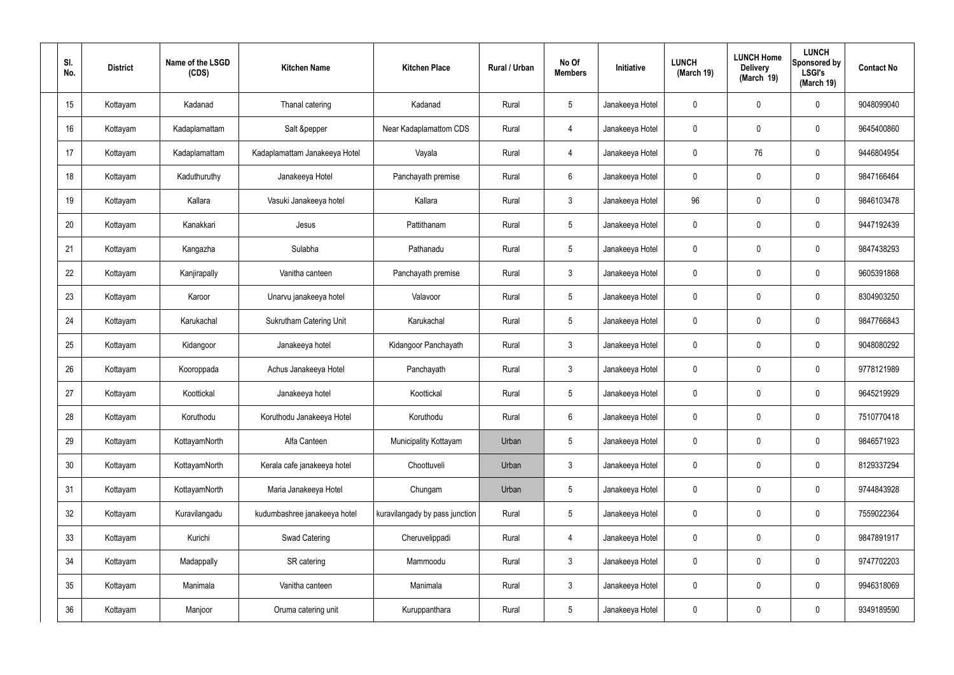| SI.<br>No.      | <b>District</b> | Name of the LSGD<br>(CDS) | <b>Kitchen Name</b>            | <b>Kitchen Place</b>           | Rural / Urban | No Of<br><b>Members</b> | Initiative      | <b>LUNCH</b><br>(March 19) | <b>LUNCH Home</b><br><b>Delivery</b><br>(March 19) | <b>LUNCH</b><br><b>Sponsored by</b><br>LSGI's<br>(March 19) | <b>Contact No</b> |
|-----------------|-----------------|---------------------------|--------------------------------|--------------------------------|---------------|-------------------------|-----------------|----------------------------|----------------------------------------------------|-------------------------------------------------------------|-------------------|
| 15              | Kottayam        | Kadanad                   | Thanal catering                | Kadanad                        | Rural         | $5\phantom{.0}$         | Janakeeya Hotel | $\mathbf 0$                | $\mathbf 0$                                        | 0                                                           | 9048099040        |
| 16              | Kottayam        | Kadaplamattam             | Salt &pepper                   | Near Kadaplamattom CDS         | Rural         | $\overline{4}$          | Janakeeya Hotel | $\mathbf 0$                | $\mathbf 0$                                        | 0                                                           | 9645400860        |
| 17              | Kottayam        | Kadaplamattam             | Kadaplamattam Janakeeya Hotel  | Vayala                         | Rural         | $\overline{4}$          | Janakeeya Hotel | 0                          | 76                                                 | 0                                                           | 9446804954        |
| 18              | Kottayam        | Kaduthuruthy              | Janakeeya Hotel                | Panchayath premise             | Rural         | $6\phantom{.}6$         | Janakeeya Hotel | $\mathbf 0$                | $\mathbf 0$                                        | 0                                                           | 9847166464        |
| 19              | Kottayam        | Kallara                   | Vasuki Janakeeya hotel         | Kallara                        | Rural         | $\mathbf{3}$            | Janakeeya Hotel | 96                         | $\mathbf 0$                                        | 0                                                           | 9846103478        |
| 20              | Kottayam        | Kanakkari                 | Jesus                          | Pattithanam                    | Rural         | $5\phantom{.0}$         | Janakeeya Hotel | $\mathbf 0$                | $\mathbf 0$                                        | 0                                                           | 9447192439        |
| 21              | Kottayam        | Kangazha                  | Sulabha                        | Pathanadu                      | Rural         | $5\phantom{.0}$         | Janakeeya Hotel | 0                          | $\mathbf 0$                                        | 0                                                           | 9847438293        |
| 22              | Kottayam        | Kanjirapally              | Vanitha canteen                | Panchayath premise             | Rural         | $\mathbf{3}$            | Janakeeya Hotel | $\mathbf 0$                | $\mathbf 0$                                        | 0                                                           | 9605391868        |
| 23              | Kottayam        | Karoor                    | Unarvu janakeeya hotel         | Valavoor                       | Rural         | $5\phantom{.0}$         | Janakeeya Hotel | 0                          | $\mathbf 0$                                        | 0                                                           | 8304903250        |
| 24              | Kottayam        | Karukachal                | <b>Sukrutham Catering Unit</b> | Karukachal                     | Rural         | $5\phantom{.0}$         | Janakeeya Hotel | $\mathbf 0$                | $\mathbf 0$                                        | 0                                                           | 9847766843        |
| 25              | Kottayam        | Kidangoor                 | Janakeeya hotel                | Kidangoor Panchayath           | Rural         | $\mathbf{3}$            | Janakeeya Hotel | 0                          | 0                                                  | 0                                                           | 9048080292        |
| 26              | Kottayam        | Kooroppada                | Achus Janakeeya Hotel          | Panchayath                     | Rural         | $\mathbf{3}$            | Janakeeya Hotel | $\mathbf 0$                | 0                                                  | 0                                                           | 9778121989        |
| 27              | Kottayam        | Koottickal                | Janakeeya hotel                | Koottickal                     | Rural         | 5                       | Janakeeya Hotel | 0                          | $\mathbf 0$                                        | 0                                                           | 9645219929        |
| 28              | Kottayam        | Koruthodu                 | Koruthodu Janakeeya Hotel      | Koruthodu                      | Rural         | $6\phantom{.}6$         | Janakeeya Hotel | $\mathbf 0$                | $\mathbf 0$                                        | 0                                                           | 7510770418        |
| 29              | Kottayam        | KottayamNorth             | Alfa Canteen                   | Municipality Kottayam          | Urban         | $5\phantom{.0}$         | Janakeeya Hotel | $\mathbf 0$                | $\pmb{0}$                                          | 0                                                           | 9846571923        |
| 30 <sub>2</sub> | Kottayam        | KottayamNorth             | Kerala cafe janakeeya hotel    | Choottuveli                    | Urban         | $\mathbf{3}$            | Janakeeya Hotel | $\mathbf 0$                | $\mathbf 0$                                        | 0                                                           | 8129337294        |
| 31              | Kottayam        | KottayamNorth             | Maria Janakeeya Hotel          | Chungam                        | Urban         | $5\phantom{.0}$         | Janakeeya Hotel | $\mathbf 0$                | $\pmb{0}$                                          | 0                                                           | 9744843928        |
| 32              | Kottayam        | Kuravilangadu             | kudumbashree janakeeya hotel   | kuravilangady by pass junction | Rural         | $5\phantom{.0}$         | Janakeeya Hotel | $\mathbf 0$                | $\mathbf 0$                                        | 0                                                           | 7559022364        |
| 33              | Kottayam        | Kurichi                   | Swad Catering                  | Cheruvelippadi                 | Rural         | $\overline{4}$          | Janakeeya Hotel | $\mathbf 0$                | $\pmb{0}$                                          | 0                                                           | 9847891917        |
| 34              | Kottayam        | Madappally                | SR catering                    | Mammoodu                       | Rural         | $\mathbf{3}$            | Janakeeya Hotel | $\mathbf 0$                | $\mathbf 0$                                        | 0                                                           | 9747702203        |
| 35              | Kottayam        | Manimala                  | Vanitha canteen                | Manimala                       | Rural         | $\mathbf{3}$            | Janakeeya Hotel | $\mathbf 0$                | $\mathbf 0$                                        | 0                                                           | 9946318069        |
| 36              | Kottayam        | Manjoor                   | Oruma catering unit            | Kuruppanthara                  | Rural         | $5\phantom{.0}$         | Janakeeya Hotel | 0                          | $\boldsymbol{0}$                                   | 0                                                           | 9349189590        |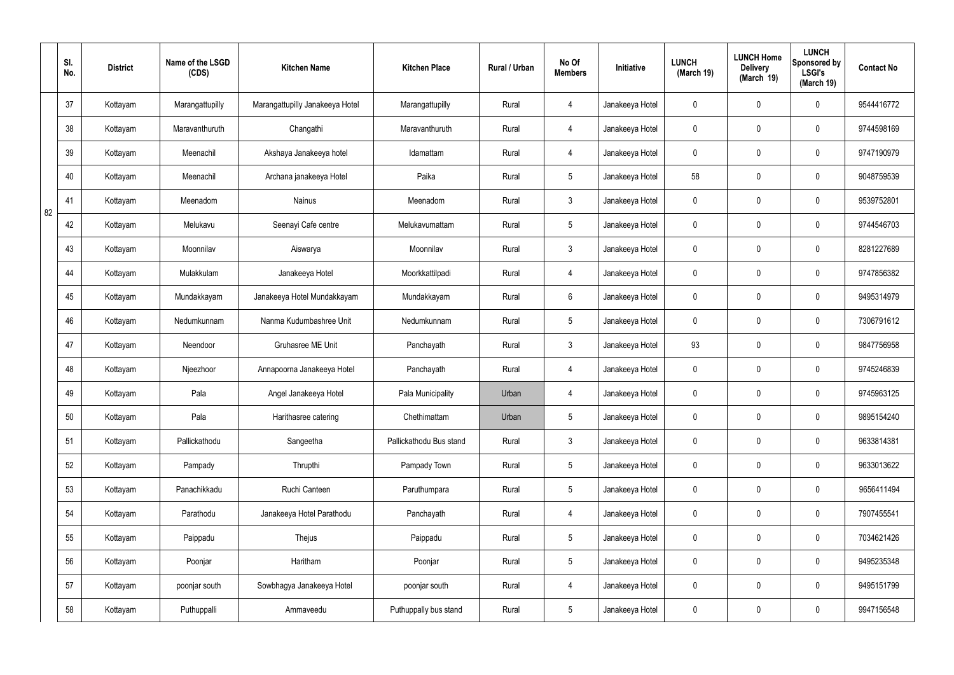|    | SI.<br>No. | <b>District</b> | Name of the LSGD<br>(CDS) | <b>Kitchen Name</b>             | <b>Kitchen Place</b>    | Rural / Urban | No Of<br><b>Members</b> | Initiative      | <b>LUNCH</b><br>(March 19) | <b>LUNCH Home</b><br><b>Delivery</b><br>(March 19) | <b>LUNCH</b><br>Sponsored by<br><b>LSGI's</b><br>(March 19) | <b>Contact No</b> |
|----|------------|-----------------|---------------------------|---------------------------------|-------------------------|---------------|-------------------------|-----------------|----------------------------|----------------------------------------------------|-------------------------------------------------------------|-------------------|
|    | 37         | Kottayam        | Marangattupilly           | Marangattupilly Janakeeya Hotel | Marangattupilly         | Rural         | $\overline{4}$          | Janakeeya Hotel | 0                          | 0                                                  | $\mathbf 0$                                                 | 9544416772        |
|    | 38         | Kottayam        | Maravanthuruth            | Changathi                       | Maravanthuruth          | Rural         | $\overline{4}$          | Janakeeya Hotel | $\mathbf 0$                | 0                                                  | $\mathbf 0$                                                 | 9744598169        |
|    | 39         | Kottayam        | Meenachil                 | Akshaya Janakeeya hotel         | Idamattam               | Rural         | 4                       | Janakeeya Hotel | $\mathbf 0$                | 0                                                  | $\mathbf 0$                                                 | 9747190979        |
|    | 40         | Kottayam        | Meenachil                 | Archana janakeeya Hotel         | Paika                   | Rural         | $5\phantom{.0}$         | Janakeeya Hotel | 58                         | 0                                                  | $\mathbf 0$                                                 | 9048759539        |
| 82 | 41         | Kottayam        | Meenadom                  | <b>Nainus</b>                   | Meenadom                | Rural         | $\mathbf{3}$            | Janakeeya Hotel | $\mathbf 0$                | 0                                                  | $\mathbf 0$                                                 | 9539752801        |
|    | 42         | Kottayam        | Melukavu                  | Seenayi Cafe centre             | Melukavumattam          | Rural         | $5\phantom{.0}$         | Janakeeya Hotel | $\mathbf 0$                | 0                                                  | $\mathbf 0$                                                 | 9744546703        |
|    | 43         | Kottayam        | Moonnilav                 | Aiswarya                        | Moonnilav               | Rural         | $\mathbf{3}$            | Janakeeya Hotel | $\mathbf 0$                | 0                                                  | $\mathbf 0$                                                 | 8281227689        |
|    | 44         | Kottayam        | Mulakkulam                | Janakeeya Hotel                 | Moorkkattilpadi         | Rural         | $\overline{4}$          | Janakeeya Hotel | $\mathbf 0$                | 0                                                  | $\mathbf 0$                                                 | 9747856382        |
|    | 45         | Kottayam        | Mundakkayam               | Janakeeya Hotel Mundakkayam     | Mundakkayam             | Rural         | $6\phantom{.}6$         | Janakeeya Hotel | $\mathbf 0$                | $\boldsymbol{0}$                                   | $\mathbf 0$                                                 | 9495314979        |
|    | 46         | Kottayam        | Nedumkunnam               | Nanma Kudumbashree Unit         | Nedumkunnam             | Rural         | $5\phantom{.0}$         | Janakeeya Hotel | $\mathbf 0$                | 0                                                  | $\mathbf 0$                                                 | 7306791612        |
|    | 47         | Kottayam        | Neendoor                  | Gruhasree ME Unit               | Panchayath              | Rural         | $\mathbf{3}$            | Janakeeya Hotel | 93                         | 0                                                  | $\mathbf 0$                                                 | 9847756958        |
|    | 48         | Kottayam        | Njeezhoor                 | Annapoorna Janakeeya Hotel      | Panchayath              | Rural         | 4                       | Janakeeya Hotel | $\mathbf 0$                | 0                                                  | $\boldsymbol{0}$                                            | 9745246839        |
|    | 49         | Kottayam        | Pala                      | Angel Janakeeya Hotel           | Pala Municipality       | Urban         | 4                       | Janakeeya Hotel | 0                          | 0                                                  | $\boldsymbol{0}$                                            | 9745963125        |
|    | 50         | Kottayam        | Pala                      | Harithasree catering            | Chethimattam            | Urban         | $5\phantom{.0}$         | Janakeeya Hotel | $\mathbf 0$                | 0                                                  | $\mathbf 0$                                                 | 9895154240        |
|    | 51         | Kottayam        | Pallickathodu             | Sangeetha                       | Pallickathodu Bus stand | Rural         | 3 <sup>1</sup>          | Janakeeya Hotel | $\mathbf 0$                | $\mathsf{0}$                                       | $\mathbf 0$                                                 | 9633814381        |
|    | 52         | Kottayam        | Pampady                   | Thrupthi                        | Pampady Town            | Rural         | $5\phantom{.0}$         | Janakeeya Hotel | $\mathbf 0$                | $\mathbf 0$                                        | $\mathbf 0$                                                 | 9633013622        |
|    | 53         | Kottayam        | Panachikkadu              | Ruchi Canteen                   | Paruthumpara            | Rural         | $5\phantom{.0}$         | Janakeeya Hotel | $\mathbf 0$                | $\mathsf{0}$                                       | $\mathbf 0$                                                 | 9656411494        |
|    | 54         | Kottayam        | Parathodu                 | Janakeeya Hotel Parathodu       | Panchayath              | Rural         | $\overline{4}$          | Janakeeya Hotel | $\mathbf 0$                | $\mathbf 0$                                        | $\mathbf 0$                                                 | 7907455541        |
|    | 55         | Kottayam        | Paippadu                  | Thejus                          | Paippadu                | Rural         | $5\phantom{.0}$         | Janakeeya Hotel | $\mathbf 0$                | $\mathsf{0}$                                       | $\mathbf 0$                                                 | 7034621426        |
|    | 56         | Kottayam        | Poonjar                   | Haritham                        | Poonjar                 | Rural         | $5\phantom{.0}$         | Janakeeya Hotel | $\mathbf 0$                | $\mathbf 0$                                        | $\mathbf 0$                                                 | 9495235348        |
|    | 57         | Kottayam        | poonjar south             | Sowbhagya Janakeeya Hotel       | poonjar south           | Rural         | $\overline{4}$          | Janakeeya Hotel | $\pmb{0}$                  | 0                                                  | $\mathbf 0$                                                 | 9495151799        |
|    | 58         | Kottayam        | Puthuppalli               | Ammaveedu                       | Puthuppally bus stand   | Rural         | $5\phantom{.0}$         | Janakeeya Hotel | 0                          | $\pmb{0}$                                          | $\pmb{0}$                                                   | 9947156548        |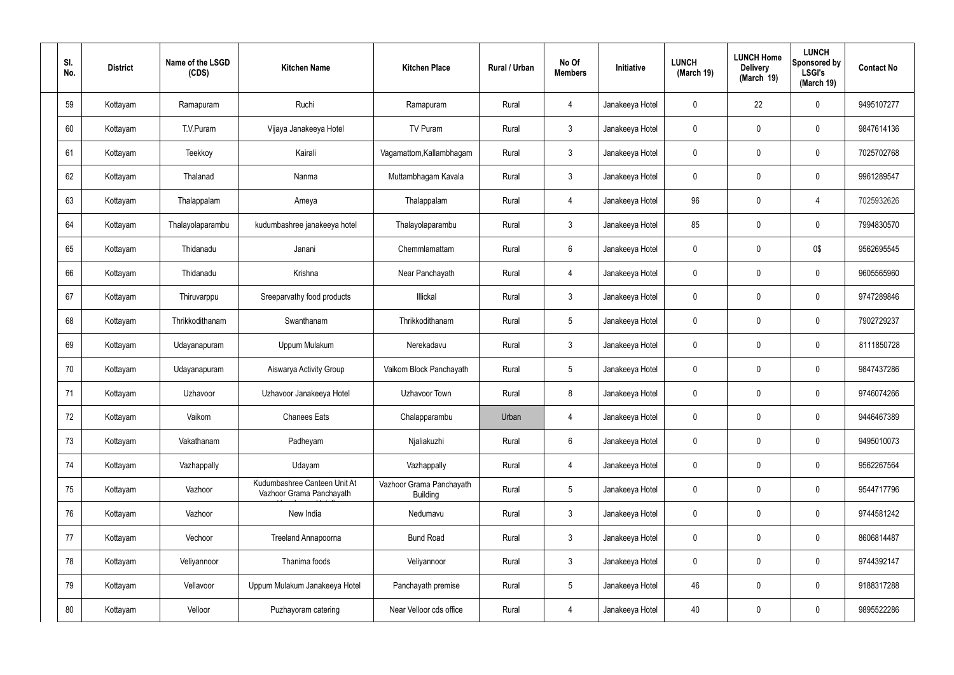| SI.<br>No. | <b>District</b> | Name of the LSGD<br>(CDS) | <b>Kitchen Name</b>                                      | <b>Kitchen Place</b>                        | Rural / Urban | No Of<br><b>Members</b> | Initiative      | <b>LUNCH</b><br>(March 19) | <b>LUNCH Home</b><br><b>Delivery</b><br>(March 19) | <b>LUNCH</b><br>Sponsored by<br><b>LSGI's</b><br>(March 19) | <b>Contact No</b> |
|------------|-----------------|---------------------------|----------------------------------------------------------|---------------------------------------------|---------------|-------------------------|-----------------|----------------------------|----------------------------------------------------|-------------------------------------------------------------|-------------------|
| 59         | Kottayam        | Ramapuram                 | Ruchi                                                    | Ramapuram                                   | Rural         | $\overline{4}$          | Janakeeya Hotel | $\mathbf 0$                | 22                                                 | $\mathbf 0$                                                 | 9495107277        |
| 60         | Kottayam        | T.V.Puram                 | Vijaya Janakeeya Hotel                                   | TV Puram                                    | Rural         | $\mathbf{3}$            | Janakeeya Hotel | $\mathbf 0$                | 0                                                  | $\mathbf 0$                                                 | 9847614136        |
| 61         | Kottayam        | Teekkoy                   | Kairali                                                  | Vagamattom, Kallambhagam                    | Rural         | $\mathbf{3}$            | Janakeeya Hotel | $\mathbf 0$                | 0                                                  | $\mathbf 0$                                                 | 7025702768        |
| 62         | Kottayam        | Thalanad                  | Nanma                                                    | Muttambhagam Kavala                         | Rural         | $\mathbf{3}$            | Janakeeya Hotel | $\mathbf 0$                | 0                                                  | $\mathbf 0$                                                 | 9961289547        |
| 63         | Kottayam        | Thalappalam               | Ameya                                                    | Thalappalam                                 | Rural         | 4                       | Janakeeya Hotel | 96                         | $\boldsymbol{0}$                                   | 4                                                           | 7025932626        |
| 64         | Kottayam        | Thalayolaparambu          | kudumbashree janakeeya hotel                             | Thalayolaparambu                            | Rural         | $\mathbf{3}$            | Janakeeya Hotel | 85                         | 0                                                  | $\pmb{0}$                                                   | 7994830570        |
| 65         | Kottayam        | Thidanadu                 | Janani                                                   | Chemmlamattam                               | Rural         | $6\phantom{.}$          | Janakeeya Hotel | $\mathbf 0$                | $\boldsymbol{0}$                                   | 0\$                                                         | 9562695545        |
| 66         | Kottayam        | Thidanadu                 | Krishna                                                  | Near Panchayath                             | Rural         | $\overline{4}$          | Janakeeya Hotel | $\mathbf 0$                | 0                                                  | $\mathbf 0$                                                 | 9605565960        |
| 67         | Kottayam        | Thiruvarppu               | Sreeparvathy food products                               | Illickal                                    | Rural         | $\mathbf{3}$            | Janakeeya Hotel | $\mathbf 0$                | $\boldsymbol{0}$                                   | $\mathbf 0$                                                 | 9747289846        |
| 68         | Kottayam        | Thrikkodithanam           | Swanthanam                                               | Thrikkodithanam                             | Rural         | $5\phantom{.0}$         | Janakeeya Hotel | $\mathbf 0$                | 0                                                  | $\boldsymbol{0}$                                            | 7902729237        |
| 69         | Kottayam        | Udayanapuram              | Uppum Mulakum                                            | Nerekadavu                                  | Rural         | $\mathbf{3}$            | Janakeeya Hotel | $\mathbf 0$                | 0                                                  | $\boldsymbol{0}$                                            | 8111850728        |
| 70         | Kottayam        | Udayanapuram              | Aiswarya Activity Group                                  | Vaikom Block Panchayath                     | Rural         | $5\phantom{.0}$         | Janakeeya Hotel | $\mathbf 0$                | 0                                                  | $\boldsymbol{0}$                                            | 9847437286        |
| 71         | Kottayam        | Uzhavoor                  | Uzhavoor Janakeeya Hotel                                 | Uzhavoor Town                               | Rural         | 8                       | Janakeeya Hotel | 0                          | 0                                                  | $\mathbf 0$                                                 | 9746074266        |
| 72         | Kottayam        | Vaikom                    | <b>Chanees Eats</b>                                      | Chalapparambu                               | Urban         | 4                       | Janakeeya Hotel | $\mathbf 0$                | 0                                                  | $\mathbf 0$                                                 | 9446467389        |
| 73         | Kottayam        | Vakathanam                | Padheyam                                                 | Njaliakuzhi                                 | Rural         | $6\,$                   | Janakeeya Hotel | $\mathbf 0$                | $\mathsf{0}$                                       | $\mathbf 0$                                                 | 9495010073        |
| 74         | Kottayam        | Vazhappally               | Udayam                                                   | Vazhappally                                 | Rural         | $\overline{4}$          | Janakeeya Hotel | $\mathbf 0$                | $\mathbf 0$                                        | $\mathbf 0$                                                 | 9562267564        |
| 75         | Kottayam        | Vazhoor                   | Kudumbashree Canteen Unit At<br>Vazhoor Grama Panchayath | Vazhoor Grama Panchayath<br><b>Building</b> | Rural         | $5\phantom{.0}$         | Janakeeya Hotel | $\mathbf 0$                | $\mathsf{0}$                                       | $\mathbf 0$                                                 | 9544717796        |
| 76         | Kottayam        | Vazhoor                   | New India                                                | Nedumavu                                    | Rural         | $\mathbf{3}$            | Janakeeya Hotel | $\mathbf 0$                | $\mathbf 0$                                        | $\mathbf 0$                                                 | 9744581242        |
| 77         | Kottayam        | Vechoor                   | Treeland Annapoorna                                      | <b>Bund Road</b>                            | Rural         | $\mathbf{3}$            | Janakeeya Hotel | $\mathbf 0$                | $\mathsf{0}$                                       | $\mathbf 0$                                                 | 8606814487        |
| 78         | Kottayam        | Veliyannoor               | Thanima foods                                            | Veliyannoor                                 | Rural         | $\mathbf{3}$            | Janakeeya Hotel | $\mathbf 0$                | 0                                                  | $\mathbf 0$                                                 | 9744392147        |
| 79         | Kottayam        | Vellavoor                 | Uppum Mulakum Janakeeya Hotel                            | Panchayath premise                          | Rural         | $5\,$                   | Janakeeya Hotel | 46                         | 0                                                  | $\mathbf 0$                                                 | 9188317288        |
| 80         | Kottayam        | Velloor                   | Puzhayoram catering                                      | Near Velloor cds office                     | Rural         | 4                       | Janakeeya Hotel | 40                         | $\pmb{0}$                                          | $\boldsymbol{0}$                                            | 9895522286        |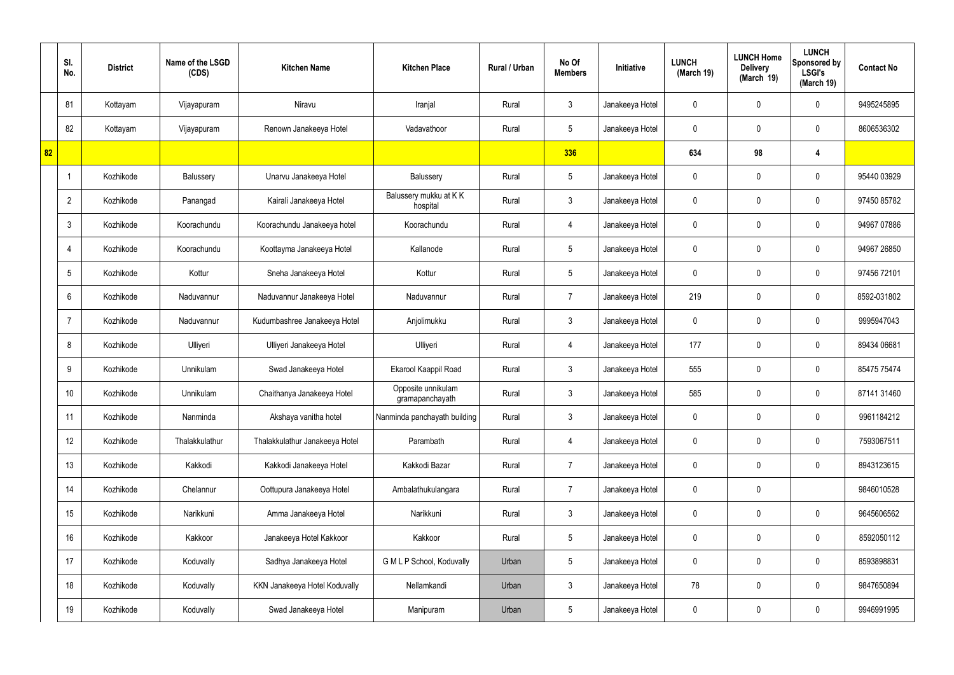|    | SI.<br>No.      | <b>District</b> | Name of the LSGD<br>(CDS) | <b>Kitchen Name</b>            | <b>Kitchen Place</b>                  | Rural / Urban | No Of<br><b>Members</b> | Initiative      | <b>LUNCH</b><br>(March 19) | <b>LUNCH Home</b><br><b>Delivery</b><br>(March 19) | <b>LUNCH</b><br>Sponsored by<br><b>LSGI's</b><br>(March 19) | <b>Contact No</b> |
|----|-----------------|-----------------|---------------------------|--------------------------------|---------------------------------------|---------------|-------------------------|-----------------|----------------------------|----------------------------------------------------|-------------------------------------------------------------|-------------------|
|    | 81              | Kottayam        | Vijayapuram               | Niravu                         | Iranjal                               | Rural         | $\mathbf{3}$            | Janakeeya Hotel | $\mathbf 0$                | 0                                                  | $\mathbf 0$                                                 | 9495245895        |
|    | 82              | Kottayam        | Vijayapuram               | Renown Janakeeya Hotel         | Vadavathoor                           | Rural         | $5\phantom{.0}$         | Janakeeya Hotel | $\mathbf 0$                | $\mathbf 0$                                        | $\mathbf 0$                                                 | 8606536302        |
| 82 |                 |                 |                           |                                |                                       |               | 336                     |                 | 634                        | 98                                                 | 4                                                           |                   |
|    | -1              | Kozhikode       | Balussery                 | Unarvu Janakeeya Hotel         | Balussery                             | Rural         | $5\phantom{.0}$         | Janakeeya Hotel | $\mathbf 0$                | $\mathbf 0$                                        | $\mathbf 0$                                                 | 95440 03929       |
|    | $\overline{2}$  | Kozhikode       | Panangad                  | Kairali Janakeeya Hotel        | Balussery mukku at KK<br>hospital     | Rural         | $\mathbf{3}$            | Janakeeya Hotel | $\mathbf 0$                | $\mathbf 0$                                        | $\mathbf 0$                                                 | 97450 85782       |
|    | $\mathbf{3}$    | Kozhikode       | Koorachundu               | Koorachundu Janakeeya hotel    | Koorachundu                           | Rural         | $\overline{4}$          | Janakeeya Hotel | $\mathbf 0$                | 0                                                  | $\mathbf 0$                                                 | 94967 07886       |
|    | $\overline{4}$  | Kozhikode       | Koorachundu               | Koottayma Janakeeya Hotel      | Kallanode                             | Rural         | $5\phantom{.0}$         | Janakeeya Hotel | $\mathbf 0$                | $\mathbf 0$                                        | $\mathbf 0$                                                 | 94967 26850       |
|    | $5\phantom{.0}$ | Kozhikode       | Kottur                    | Sneha Janakeeya Hotel          | Kottur                                | Rural         | $5\phantom{.0}$         | Janakeeya Hotel | $\mathbf 0$                | 0                                                  | $\mathbf 0$                                                 | 97456 72101       |
|    | 6               | Kozhikode       | Naduvannur                | Naduvannur Janakeeya Hotel     | Naduvannur                            | Rural         | $\overline{7}$          | Janakeeya Hotel | 219                        | $\mathbf 0$                                        | $\mathbf 0$                                                 | 8592-031802       |
|    | $\overline{7}$  | Kozhikode       | Naduvannur                | Kudumbashree Janakeeya Hotel   | Anjolimukku                           | Rural         | $\mathbf{3}$            | Janakeeya Hotel | $\mathbf 0$                | 0                                                  | $\mathbf 0$                                                 | 9995947043        |
|    | 8               | Kozhikode       | Ulliyeri                  | Ulliyeri Janakeeya Hotel       | Ulliyeri                              | Rural         | 4                       | Janakeeya Hotel | 177                        | 0                                                  | $\mathbf 0$                                                 | 89434 06681       |
|    | 9               | Kozhikode       | Unnikulam                 | Swad Janakeeya Hotel           | Ekarool Kaappil Road                  | Rural         | $\mathbf{3}$            | Janakeeya Hotel | 555                        | $\mathbf 0$                                        | $\mathbf 0$                                                 | 85475 75474       |
|    | 10              | Kozhikode       | Unnikulam                 | Chaithanya Janakeeya Hotel     | Opposite unnikulam<br>gramapanchayath | Rural         | $\mathbf{3}$            | Janakeeya Hotel | 585                        | 0                                                  | $\mathbf 0$                                                 | 87141 31460       |
|    | 11              | Kozhikode       | Nanminda                  | Akshaya vanitha hotel          | Nanminda panchayath building          | Rural         | $\mathbf{3}$            | Janakeeya Hotel | $\mathbf 0$                | $\mathbf 0$                                        | $\mathbf 0$                                                 | 9961184212        |
|    | 12              | Kozhikode       | Thalakkulathur            | Thalakkulathur Janakeeya Hotel | Parambath                             | Rural         | $\overline{4}$          | Janakeeya Hotel | $\mathbf 0$                | $\mathbf 0$                                        | $\mathbf 0$                                                 | 7593067511        |
|    | 13              | Kozhikode       | Kakkodi                   | Kakkodi Janakeeya Hotel        | Kakkodi Bazar                         | Rural         | $\overline{7}$          | Janakeeya Hotel | $\mathbf 0$                | 0                                                  | $\mathbf 0$                                                 | 8943123615        |
|    | 14              | Kozhikode       | Chelannur                 | Oottupura Janakeeya Hotel      | Ambalathukulangara                    | Rural         | $\overline{7}$          | Janakeeya Hotel | $\mathbf 0$                | 0                                                  |                                                             | 9846010528        |
|    | 15              | Kozhikode       | Narikkuni                 | Amma Janakeeya Hotel           | Narikkuni                             | Rural         | $\mathfrak{Z}$          | Janakeeya Hotel | $\mathbf 0$                | 0                                                  | $\mathbf 0$                                                 | 9645606562        |
|    | 16              | Kozhikode       | Kakkoor                   | Janakeeya Hotel Kakkoor        | Kakkoor                               | Rural         | $5\phantom{.0}$         | Janakeeya Hotel | $\mathbf 0$                | 0                                                  | $\mathbf 0$                                                 | 8592050112        |
|    | 17              | Kozhikode       | Koduvally                 | Sadhya Janakeeya Hotel         | G M L P School, Koduvally             | Urban         | $5\phantom{.0}$         | Janakeeya Hotel | 0                          | 0                                                  | $\mathbf 0$                                                 | 8593898831        |
|    | 18              | Kozhikode       | Koduvally                 | KKN Janakeeya Hotel Koduvally  | Nellamkandi                           | Urban         | $\mathfrak{Z}$          | Janakeeya Hotel | 78                         | 0                                                  | $\mathbf 0$                                                 | 9847650894        |
|    | 19              | Kozhikode       | Koduvally                 | Swad Janakeeya Hotel           | Manipuram                             | Urban         | $\sqrt{5}$              | Janakeeya Hotel | 0                          | 0                                                  | $\mathbf 0$                                                 | 9946991995        |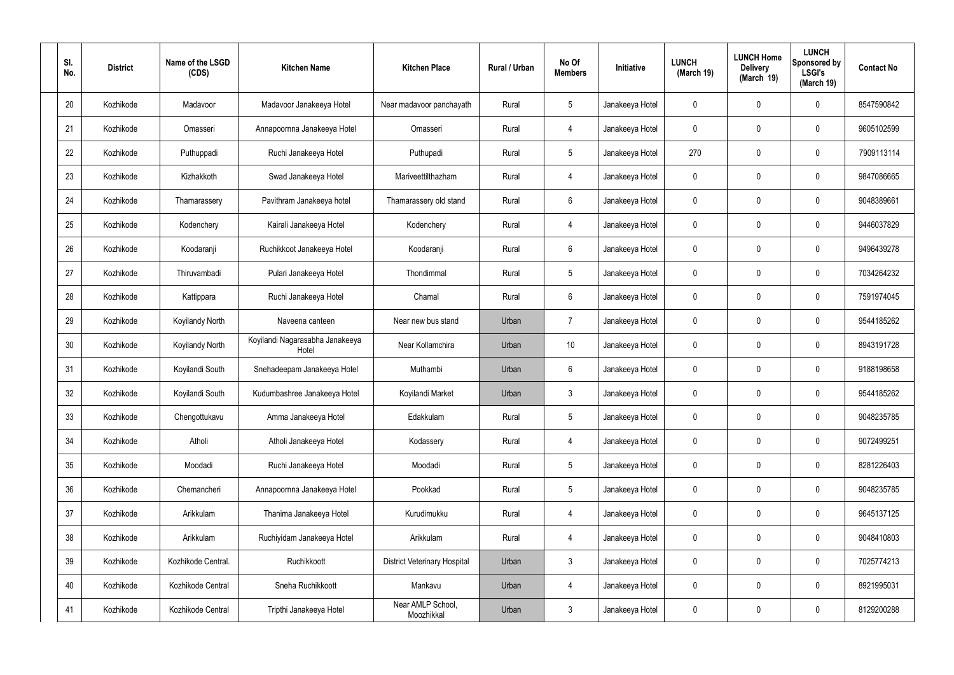| SI.<br>No. | <b>District</b> | Name of the LSGD<br>(CDS) | <b>Kitchen Name</b>                      | <b>Kitchen Place</b>                | Rural / Urban | No Of<br><b>Members</b> | Initiative      | <b>LUNCH</b><br>(March 19) | <b>LUNCH Home</b><br><b>Delivery</b><br>(March 19) | <b>LUNCH</b><br><b>Sponsored by</b><br><b>LSGI's</b><br>(March 19) | <b>Contact No</b> |
|------------|-----------------|---------------------------|------------------------------------------|-------------------------------------|---------------|-------------------------|-----------------|----------------------------|----------------------------------------------------|--------------------------------------------------------------------|-------------------|
| 20         | Kozhikode       | Madavoor                  | Madavoor Janakeeya Hotel                 | Near madavoor panchayath            | Rural         | 5                       | Janakeeya Hotel | 0                          | $\mathbf 0$                                        | 0                                                                  | 8547590842        |
| 21         | Kozhikode       | Omasseri                  | Annapoornna Janakeeya Hotel              | Omasseri                            | Rural         | $\overline{4}$          | Janakeeya Hotel | 0                          | $\mathbf 0$                                        | 0                                                                  | 9605102599        |
| 22         | Kozhikode       | Puthuppadi                | Ruchi Janakeeya Hotel                    | Puthupadi                           | Rural         | 5                       | Janakeeya Hotel | 270                        | 0                                                  | 0                                                                  | 7909113114        |
| 23         | Kozhikode       | Kizhakkoth                | Swad Janakeeya Hotel                     | Mariveettilthazham                  | Rural         | $\overline{4}$          | Janakeeya Hotel | $\mathbf 0$                | $\mathbf 0$                                        | 0                                                                  | 9847086665        |
| 24         | Kozhikode       | Thamarassery              | Pavithram Janakeeya hotel                | Thamarassery old stand              | Rural         | 6                       | Janakeeya Hotel | 0                          | $\mathbf 0$                                        | 0                                                                  | 9048389661        |
| 25         | Kozhikode       | Kodenchery                | Kairali Janakeeya Hotel                  | Kodenchery                          | Rural         | $\overline{4}$          | Janakeeya Hotel | $\mathbf 0$                | $\mathbf 0$                                        | 0                                                                  | 9446037829        |
| 26         | Kozhikode       | Koodaranji                | Ruchikkoot Janakeeya Hotel               | Koodaranji                          | Rural         | 6                       | Janakeeya Hotel | 0                          | 0                                                  | 0                                                                  | 9496439278        |
| 27         | Kozhikode       | Thiruvambadi              | Pulari Janakeeya Hotel                   | Thondimmal                          | Rural         | $5\phantom{.0}$         | Janakeeya Hotel | $\mathbf 0$                | $\mathbf 0$                                        | 0                                                                  | 7034264232        |
| 28         | Kozhikode       | Kattippara                | Ruchi Janakeeya Hotel                    | Chamal                              | Rural         | 6                       | Janakeeya Hotel | 0                          | 0                                                  | 0                                                                  | 7591974045        |
| 29         | Kozhikode       | Koyilandy North           | Naveena canteen                          | Near new bus stand                  | Urban         | $\overline{7}$          | Janakeeya Hotel | 0                          | $\mathbf 0$                                        | 0                                                                  | 9544185262        |
| 30         | Kozhikode       | <b>Koyilandy North</b>    | Koyilandi Nagarasabha Janakeeya<br>Hotel | Near Kollamchira                    | Urban         | 10                      | Janakeeya Hotel | 0                          | 0                                                  | 0                                                                  | 8943191728        |
| 31         | Kozhikode       | Koyilandi South           | Snehadeepam Janakeeya Hotel              | Muthambi                            | Urban         | 6                       | Janakeeya Hotel | $\mathbf 0$                | 0                                                  | 0                                                                  | 9188198658        |
| 32         | Kozhikode       | Koyilandi South           | Kudumbashree Janakeeya Hotel             | Koyilandi Market                    | Urban         | $\mathbf{3}$            | Janakeeya Hotel | 0                          | 0                                                  | 0                                                                  | 9544185262        |
| 33         | Kozhikode       | Chengottukavu             | Amma Janakeeya Hotel                     | Edakkulam                           | Rural         | $5\phantom{.0}$         | Janakeeya Hotel | $\mathbf 0$                | $\mathbf 0$                                        | 0                                                                  | 9048235785        |
| 34         | Kozhikode       | Atholi                    | Atholi Janakeeya Hotel                   | Kodassery                           | Rural         | $\overline{4}$          | Janakeeya Hotel | $\mathbf 0$                | $\mathbf 0$                                        | 0                                                                  | 9072499251        |
| 35         | Kozhikode       | Moodadi                   | Ruchi Janakeeya Hotel                    | Moodadi                             | Rural         | $5\phantom{.0}$         | Janakeeya Hotel | $\mathbf 0$                | $\mathbf 0$                                        | 0                                                                  | 8281226403        |
| 36         | Kozhikode       | Chemancheri               | Annapoornna Janakeeya Hotel              | Pookkad                             | Rural         | $5\phantom{.0}$         | Janakeeya Hotel | $\mathbf 0$                | $\mathbf 0$                                        | 0                                                                  | 9048235785        |
| 37         | Kozhikode       | Arikkulam                 | Thanima Janakeeya Hotel                  | Kurudimukku                         | Rural         | $\overline{4}$          | Janakeeya Hotel | $\mathbf 0$                | $\mathbf 0$                                        | 0                                                                  | 9645137125        |
| 38         | Kozhikode       | Arikkulam                 | Ruchiyidam Janakeeya Hotel               | Arikkulam                           | Rural         | $\overline{4}$          | Janakeeya Hotel | $\mathbf 0$                | $\mathbf 0$                                        | 0                                                                  | 9048410803        |
| 39         | Kozhikode       | Kozhikode Central.        | Ruchikkoott                              | <b>District Veterinary Hospital</b> | Urban         | $\mathbf{3}$            | Janakeeya Hotel | $\mathbf 0$                | $\mathbf 0$                                        | 0                                                                  | 7025774213        |
| 40         | Kozhikode       | Kozhikode Central         | Sneha Ruchikkoott                        | Mankavu                             | Urban         | $\overline{4}$          | Janakeeya Hotel | $\mathbf 0$                | $\mathbf 0$                                        | 0                                                                  | 8921995031        |
| 41         | Kozhikode       | Kozhikode Central         | Tripthi Janakeeya Hotel                  | Near AMLP School,<br>Moozhikkal     | Urban         | $\mathbf{3}$            | Janakeeya Hotel | 0                          | $\boldsymbol{0}$                                   | 0                                                                  | 8129200288        |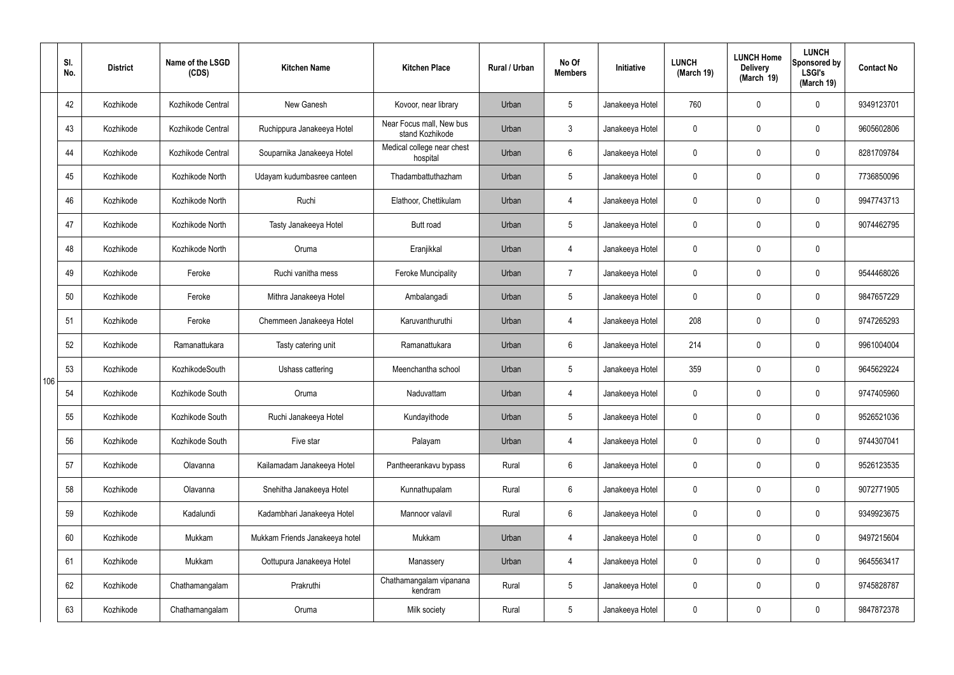|     | SI.<br>No. | <b>District</b> | Name of the LSGD<br>(CDS) | <b>Kitchen Name</b>            | <b>Kitchen Place</b>                        | Rural / Urban | No Of<br><b>Members</b> | <b>Initiative</b> | <b>LUNCH</b><br>(March 19) | <b>LUNCH Home</b><br><b>Delivery</b><br>(March 19) | <b>LUNCH</b><br>Sponsored by<br><b>LSGI's</b><br>(March 19) | <b>Contact No</b> |
|-----|------------|-----------------|---------------------------|--------------------------------|---------------------------------------------|---------------|-------------------------|-------------------|----------------------------|----------------------------------------------------|-------------------------------------------------------------|-------------------|
|     | 42         | Kozhikode       | Kozhikode Central         | New Ganesh                     | Kovoor, near library                        | Urban         | $5\overline{)}$         | Janakeeya Hotel   | 760                        | $\mathbf 0$                                        | $\mathbf 0$                                                 | 9349123701        |
|     | 43         | Kozhikode       | Kozhikode Central         | Ruchippura Janakeeya Hotel     | Near Focus mall, New bus<br>stand Kozhikode | Urban         | $\mathbf{3}$            | Janakeeya Hotel   | $\mathbf 0$                | $\mathbf 0$                                        | $\mathbf 0$                                                 | 9605602806        |
|     | 44         | Kozhikode       | Kozhikode Central         | Souparnika Janakeeya Hotel     | Medical college near chest<br>hospital      | Urban         | $6\overline{6}$         | Janakeeya Hotel   | $\mathbf 0$                | $\mathbf 0$                                        | $\mathbf 0$                                                 | 8281709784        |
|     | 45         | Kozhikode       | Kozhikode North           | Udayam kudumbasree canteen     | Thadambattuthazham                          | Urban         | $5\overline{)}$         | Janakeeya Hotel   | $\mathbf 0$                | $\mathbf 0$                                        | $\mathbf 0$                                                 | 7736850096        |
|     | 46         | Kozhikode       | Kozhikode North           | Ruchi                          | Elathoor, Chettikulam                       | Urban         | $\overline{4}$          | Janakeeya Hotel   | $\mathbf 0$                | $\mathbf 0$                                        | $\mathbf 0$                                                 | 9947743713        |
|     | 47         | Kozhikode       | Kozhikode North           | Tasty Janakeeya Hotel          | <b>Butt road</b>                            | Urban         | $5\overline{)}$         | Janakeeya Hotel   | $\mathbf 0$                | $\mathbf 0$                                        | $\mathbf 0$                                                 | 9074462795        |
|     | 48         | Kozhikode       | Kozhikode North           | Oruma                          | Eranjikkal                                  | Urban         | $\overline{4}$          | Janakeeya Hotel   | $\mathbf 0$                | $\mathbf 0$                                        | $\mathbf 0$                                                 |                   |
|     | 49         | Kozhikode       | Feroke                    | Ruchi vanitha mess             | <b>Feroke Muncipality</b>                   | Urban         | $\overline{7}$          | Janakeeya Hotel   | $\mathbf 0$                | $\mathbf 0$                                        | $\mathbf 0$                                                 | 9544468026        |
|     | 50         | Kozhikode       | Feroke                    | Mithra Janakeeya Hotel         | Ambalangadi                                 | Urban         | $5\overline{)}$         | Janakeeya Hotel   | $\mathbf 0$                | $\mathbf 0$                                        | $\mathbf 0$                                                 | 9847657229        |
|     | 51         | Kozhikode       | Feroke                    | Chemmeen Janakeeya Hotel       | Karuvanthuruthi                             | Urban         | 4                       | Janakeeya Hotel   | 208                        | $\mathbf 0$                                        | $\mathbf 0$                                                 | 9747265293        |
|     | 52         | Kozhikode       | Ramanattukara             | Tasty catering unit            | Ramanattukara                               | Urban         | $6\overline{6}$         | Janakeeya Hotel   | 214                        | 0                                                  | $\mathbf 0$                                                 | 9961004004        |
| 106 | 53         | Kozhikode       | KozhikodeSouth            | Ushass cattering               | Meenchantha school                          | Urban         | $5\overline{)}$         | Janakeeya Hotel   | 359                        | $\mathbf 0$                                        | $\mathbf 0$                                                 | 9645629224        |
|     | 54         | Kozhikode       | Kozhikode South           | Oruma                          | Naduvattam                                  | Urban         | 4                       | Janakeeya Hotel   | $\mathbf 0$                | $\mathbf 0$                                        | $\mathbf 0$                                                 | 9747405960        |
|     | 55         | Kozhikode       | Kozhikode South           | Ruchi Janakeeya Hotel          | Kundayithode                                | Urban         | 5                       | Janakeeya Hotel   | $\mathbf 0$                | $\mathbf 0$                                        | $\mathbf 0$                                                 | 9526521036        |
|     | 56         | Kozhikode       | Kozhikode South           | Five star                      | Palayam                                     | Urban         | $\overline{4}$          | Janakeeya Hotel   | $\mathbf 0$                | 0                                                  | $\mathbf 0$                                                 | 9744307041        |
|     | 57         | Kozhikode       | Olavanna                  | Kailamadam Janakeeya Hotel     | Pantheerankavu bypass                       | Rural         | $6\overline{6}$         | Janakeeya Hotel   | $\mathbf 0$                | 0                                                  | $\mathbf 0$                                                 | 9526123535        |
|     | 58         | Kozhikode       | Olavanna                  | Snehitha Janakeeya Hotel       | Kunnathupalam                               | Rural         | $6\overline{6}$         | Janakeeya Hotel   | $\mathbf 0$                | 0                                                  | $\mathbf 0$                                                 | 9072771905        |
|     | 59         | Kozhikode       | Kadalundi                 | Kadambhari Janakeeya Hotel     | Mannoor valavil                             | Rural         | $6\overline{6}$         | Janakeeya Hotel   | $\mathbf 0$                | $\mathbf 0$                                        | $\mathbf 0$                                                 | 9349923675        |
|     | 60         | Kozhikode       | Mukkam                    | Mukkam Friends Janakeeya hotel | Mukkam                                      | Urban         | $\overline{4}$          | Janakeeya Hotel   | $\mathbf 0$                | $\mathbf 0$                                        | $\mathbf 0$                                                 | 9497215604        |
|     | 61         | Kozhikode       | Mukkam                    | Oottupura Janakeeya Hotel      | Manassery                                   | Urban         | $\overline{4}$          | Janakeeya Hotel   | $\mathbf 0$                | $\mathbf 0$                                        | $\mathbf 0$                                                 | 9645563417        |
|     | 62         | Kozhikode       | Chathamangalam            | Prakruthi                      | Chathamangalam vipanana<br>kendram          | Rural         | $5\phantom{.0}$         | Janakeeya Hotel   | $\mathbf 0$                | $\pmb{0}$                                          | $\mathbf 0$                                                 | 9745828787        |
|     | 63         | Kozhikode       | Chathamangalam            | Oruma                          | Milk society                                | Rural         | 5 <sub>5</sub>          | Janakeeya Hotel   | $\pmb{0}$                  | $\pmb{0}$                                          | $\pmb{0}$                                                   | 9847872378        |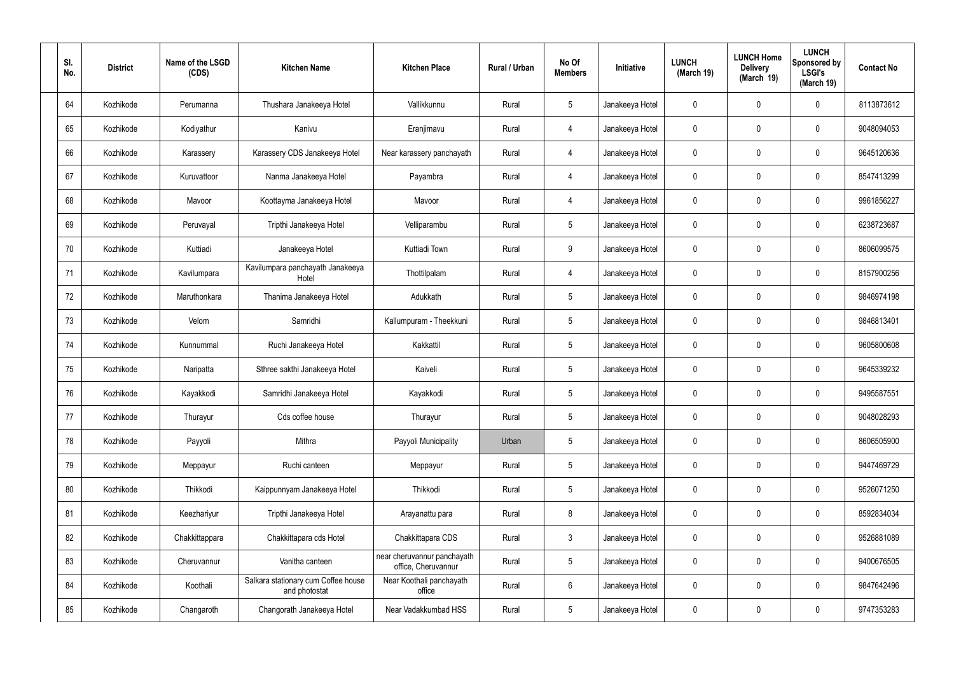| SI.<br>No. | <b>District</b> | Name of the LSGD<br>(CDS) | <b>Kitchen Name</b>                                  | <b>Kitchen Place</b>                               | Rural / Urban | No Of<br><b>Members</b> | Initiative      | <b>LUNCH</b><br>(March 19) | <b>LUNCH Home</b><br><b>Delivery</b><br>(March 19) | <b>LUNCH</b><br>Sponsored by<br><b>LSGI's</b><br>(March 19) | <b>Contact No</b> |
|------------|-----------------|---------------------------|------------------------------------------------------|----------------------------------------------------|---------------|-------------------------|-----------------|----------------------------|----------------------------------------------------|-------------------------------------------------------------|-------------------|
| 64         | Kozhikode       | Perumanna                 | Thushara Janakeeya Hotel                             | Vallikkunnu                                        | Rural         | $5\phantom{.0}$         | Janakeeya Hotel | 0                          | 0                                                  | $\mathbf 0$                                                 | 8113873612        |
| 65         | Kozhikode       | Kodiyathur                | Kanivu                                               | Eranjimavu                                         | Rural         | $\overline{4}$          | Janakeeya Hotel | $\mathbf 0$                | 0                                                  | 0                                                           | 9048094053        |
| 66         | Kozhikode       | Karassery                 | Karassery CDS Janakeeya Hotel                        | Near karassery panchayath                          | Rural         | 4                       | Janakeeya Hotel | 0                          | 0                                                  | $\mathbf 0$                                                 | 9645120636        |
| 67         | Kozhikode       | Kuruvattoor               | Nanma Janakeeya Hotel                                | Payambra                                           | Rural         | 4                       | Janakeeya Hotel | $\mathbf 0$                | 0                                                  | $\mathbf 0$                                                 | 8547413299        |
| 68         | Kozhikode       | Mavoor                    | Koottayma Janakeeya Hotel                            | Mavoor                                             | Rural         | 4                       | Janakeeya Hotel | 0                          | 0                                                  | $\mathbf 0$                                                 | 9961856227        |
| 69         | Kozhikode       | Peruvayal                 | Tripthi Janakeeya Hotel                              | Velliparambu                                       | Rural         | $5\phantom{.0}$         | Janakeeya Hotel | $\mathbf 0$                | 0                                                  | $\mathbf 0$                                                 | 6238723687        |
| 70         | Kozhikode       | Kuttiadi                  | Janakeeya Hotel                                      | Kuttiadi Town                                      | Rural         | 9                       | Janakeeya Hotel | $\mathbf 0$                | 0                                                  | $\mathbf 0$                                                 | 8606099575        |
| 71         | Kozhikode       | Kavilumpara               | Kavilumpara panchayath Janakeeya<br>Hotel            | Thottilpalam                                       | Rural         | $\overline{4}$          | Janakeeya Hotel | $\mathbf 0$                | 0                                                  | $\mathbf 0$                                                 | 8157900256        |
| 72         | Kozhikode       | Maruthonkara              | Thanima Janakeeya Hotel                              | Adukkath                                           | Rural         | $5\phantom{.0}$         | Janakeeya Hotel | $\mathbf 0$                | 0                                                  | $\mathbf 0$                                                 | 9846974198        |
| 73         | Kozhikode       | Velom                     | Samridhi                                             | Kallumpuram - Theekkuni                            | Rural         | $5\overline{)}$         | Janakeeya Hotel | $\mathbf 0$                | 0                                                  | $\mathbf 0$                                                 | 9846813401        |
| 74         | Kozhikode       | Kunnummal                 | Ruchi Janakeeya Hotel                                | Kakkattil                                          | Rural         | $5\phantom{.0}$         | Janakeeya Hotel | $\mathbf 0$                | 0                                                  | $\mathbf 0$                                                 | 9605800608        |
| 75         | Kozhikode       | Naripatta                 | Sthree sakthi Janakeeya Hotel                        | Kaiveli                                            | Rural         | $5\phantom{.0}$         | Janakeeya Hotel | $\mathbf 0$                | 0                                                  | $\mathbf 0$                                                 | 9645339232        |
| 76         | Kozhikode       | Kayakkodi                 | Samridhi Janakeeya Hotel                             | Kayakkodi                                          | Rural         | $5\overline{)}$         | Janakeeya Hotel | 0                          | 0                                                  | $\mathbf 0$                                                 | 9495587551        |
| 77         | Kozhikode       | Thurayur                  | Cds coffee house                                     | Thurayur                                           | Rural         | $5\,$                   | Janakeeya Hotel | $\mathbf 0$                | $\mathsf{0}$                                       | $\mathbf 0$                                                 | 9048028293        |
| 78         | Kozhikode       | Payyoli                   | Mithra                                               | Payyoli Municipality                               | Urban         | $5\phantom{.0}$         | Janakeeya Hotel | $\pmb{0}$                  | 0                                                  | $\mathbf 0$                                                 | 8606505900        |
| 79         | Kozhikode       | Meppayur                  | Ruchi canteen                                        | Meppayur                                           | Rural         | $5\phantom{.0}$         | Janakeeya Hotel | $\mathbf 0$                | 0                                                  | $\mathbf 0$                                                 | 9447469729        |
| 80         | Kozhikode       | Thikkodi                  | Kaippunnyam Janakeeya Hotel                          | Thikkodi                                           | Rural         | $5\phantom{.0}$         | Janakeeya Hotel | $\pmb{0}$                  | 0                                                  | $\mathbf 0$                                                 | 9526071250        |
| 81         | Kozhikode       | Keezhariyur               | Tripthi Janakeeya Hotel                              | Arayanattu para                                    | Rural         | 8                       | Janakeeya Hotel | $\mathbf 0$                | 0                                                  | $\mathbf 0$                                                 | 8592834034        |
| 82         | Kozhikode       | Chakkittappara            | Chakkittapara cds Hotel                              | Chakkittapara CDS                                  | Rural         | $\mathbf{3}$            | Janakeeya Hotel | $\mathbf 0$                | 0                                                  | $\mathbf 0$                                                 | 9526881089        |
| 83         | Kozhikode       | Cheruvannur               | Vanitha canteen                                      | near cheruvannur panchayath<br>office, Cheruvannur | Rural         | $5\phantom{.0}$         | Janakeeya Hotel | $\mathbf 0$                | 0                                                  | $\mathbf 0$                                                 | 9400676505        |
| 84         | Kozhikode       | Koothali                  | Salkara stationary cum Coffee house<br>and photostat | Near Koothali panchayath<br>office                 | Rural         | $6\,$                   | Janakeeya Hotel | $\mathbf 0$                | 0                                                  | $\mathbf 0$                                                 | 9847642496        |
| 85         | Kozhikode       | Changaroth                | Changorath Janakeeya Hotel                           | Near Vadakkumbad HSS                               | Rural         | $\sqrt{5}$              | Janakeeya Hotel | 0                          | 0                                                  | $\pmb{0}$                                                   | 9747353283        |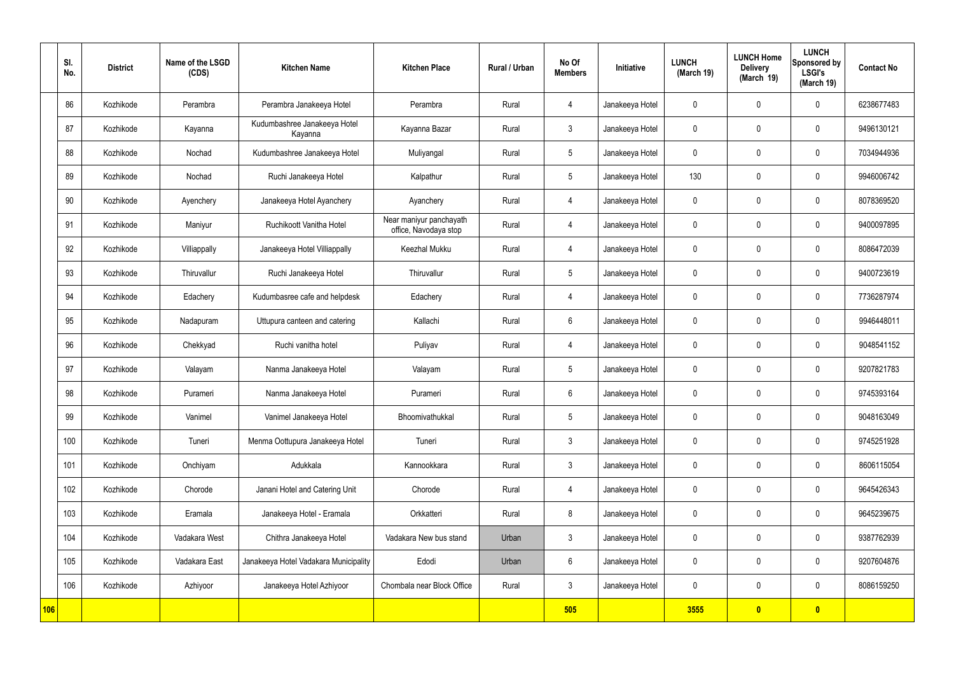|     | SI.<br>No. | <b>District</b> | Name of the LSGD<br>(CDS) | <b>Kitchen Name</b>                     | <b>Kitchen Place</b>                             | <b>Rural / Urban</b> | No Of<br><b>Members</b> | Initiative      | <b>LUNCH</b><br>(March 19) | <b>LUNCH Home</b><br><b>Delivery</b><br>(March 19) | <b>LUNCH</b><br>Sponsored by<br><b>LSGI's</b><br>(March 19) | <b>Contact No</b> |
|-----|------------|-----------------|---------------------------|-----------------------------------------|--------------------------------------------------|----------------------|-------------------------|-----------------|----------------------------|----------------------------------------------------|-------------------------------------------------------------|-------------------|
|     | 86         | Kozhikode       | Perambra                  | Perambra Janakeeya Hotel                | Perambra                                         | Rural                | $\overline{4}$          | Janakeeya Hotel | $\mathbf 0$                | $\mathbf 0$                                        | $\mathbf 0$                                                 | 6238677483        |
|     | 87         | Kozhikode       | Kayanna                   | Kudumbashree Janakeeya Hotel<br>Kayanna | Kayanna Bazar                                    | Rural                | $\mathbf{3}$            | Janakeeya Hotel | $\mathbf 0$                | $\mathbf 0$                                        | $\mathbf 0$                                                 | 9496130121        |
|     | 88         | Kozhikode       | Nochad                    | Kudumbashree Janakeeya Hotel            | Muliyangal                                       | Rural                | $5\overline{)}$         | Janakeeya Hotel | $\mathbf 0$                | $\mathbf 0$                                        | $\mathbf 0$                                                 | 7034944936        |
|     | 89         | Kozhikode       | Nochad                    | Ruchi Janakeeya Hotel                   | Kalpathur                                        | Rural                | $5\overline{)}$         | Janakeeya Hotel | 130                        | $\mathbf 0$                                        | $\mathbf 0$                                                 | 9946006742        |
|     | 90         | Kozhikode       | Ayenchery                 | Janakeeya Hotel Ayanchery               | Ayanchery                                        | Rural                | $\overline{4}$          | Janakeeya Hotel | $\mathbf 0$                | $\mathbf 0$                                        | $\mathbf 0$                                                 | 8078369520        |
|     | 91         | Kozhikode       | Maniyur                   | Ruchikoott Vanitha Hotel                | Near maniyur panchayath<br>office, Navodaya stop | Rural                | $\overline{4}$          | Janakeeya Hotel | $\mathbf 0$                | $\mathbf 0$                                        | $\mathbf 0$                                                 | 9400097895        |
|     | 92         | Kozhikode       | Villiappally              | Janakeeya Hotel Villiappally            | Keezhal Mukku                                    | Rural                | 4                       | Janakeeya Hotel | $\mathbf 0$                | $\mathbf 0$                                        | $\mathbf 0$                                                 | 8086472039        |
|     | 93         | Kozhikode       | Thiruvallur               | Ruchi Janakeeya Hotel                   | Thiruvallur                                      | Rural                | $5\overline{)}$         | Janakeeya Hotel | $\mathbf 0$                | $\mathbf 0$                                        | $\mathbf 0$                                                 | 9400723619        |
|     | 94         | Kozhikode       | Edachery                  | Kudumbasree cafe and helpdesk           | Edachery                                         | Rural                | $\overline{4}$          | Janakeeya Hotel | $\mathbf 0$                | $\mathbf 0$                                        | $\mathbf 0$                                                 | 7736287974        |
|     | 95         | Kozhikode       | Nadapuram                 | Uttupura canteen and catering           | Kallachi                                         | Rural                | $6\phantom{.}6$         | Janakeeya Hotel | $\mathbf 0$                | $\mathbf 0$                                        | $\mathbf 0$                                                 | 9946448011        |
|     | 96         | Kozhikode       | Chekkyad                  | Ruchi vanitha hotel                     | Puliyav                                          | Rural                | 4                       | Janakeeya Hotel | $\mathbf 0$                | $\mathbf 0$                                        | $\mathbf 0$                                                 | 9048541152        |
|     | 97         | Kozhikode       | Valayam                   | Nanma Janakeeya Hotel                   | Valayam                                          | Rural                | $5\overline{)}$         | Janakeeya Hotel | $\mathbf 0$                | $\mathbf 0$                                        | $\mathbf 0$                                                 | 9207821783        |
|     | 98         | Kozhikode       | Purameri                  | Nanma Janakeeya Hotel                   | Purameri                                         | Rural                | 6                       | Janakeeya Hotel | $\mathbf 0$                | $\mathbf 0$                                        | $\mathbf 0$                                                 | 9745393164        |
|     | 99         | Kozhikode       | Vanimel                   | Vanimel Janakeeya Hotel                 | Bhoomivathukkal                                  | Rural                | $5\phantom{.0}$         | Janakeeya Hotel | $\mathbf 0$                | $\mathbf 0$                                        | $\mathbf 0$                                                 | 9048163049        |
|     | 100        | Kozhikode       | Tuneri                    | Menma Oottupura Janakeeya Hotel         | Tuneri                                           | Rural                | $\mathbf{3}$            | Janakeeya Hotel | $\mathbf 0$                | $\pmb{0}$                                          | $\mathbf 0$                                                 | 9745251928        |
|     | 101        | Kozhikode       | Onchiyam                  | Adukkala                                | Kannookkara                                      | Rural                | $\mathbf{3}$            | Janakeeya Hotel | $\mathbf 0$                | $\pmb{0}$                                          | $\mathbf 0$                                                 | 8606115054        |
|     | 102        | Kozhikode       | Chorode                   | Janani Hotel and Catering Unit          | Chorode                                          | Rural                | $\overline{4}$          | Janakeeya Hotel | $\mathbf 0$                | $\pmb{0}$                                          | $\mathbf 0$                                                 | 9645426343        |
|     | 103        | Kozhikode       | Eramala                   | Janakeeya Hotel - Eramala               | Orkkatteri                                       | Rural                | 8                       | Janakeeya Hotel | $\mathbf 0$                | $\pmb{0}$                                          | $\mathbf 0$                                                 | 9645239675        |
|     | 104        | Kozhikode       | Vadakara West             | Chithra Janakeeya Hotel                 | Vadakara New bus stand                           | Urban                | $\mathbf{3}$            | Janakeeya Hotel | $\mathbf 0$                | $\pmb{0}$                                          | $\mathbf 0$                                                 | 9387762939        |
|     | 105        | Kozhikode       | Vadakara East             | Janakeeya Hotel Vadakara Municipality   | Edodi                                            | Urban                | $6\overline{6}$         | Janakeeya Hotel | $\mathbf 0$                | $\pmb{0}$                                          | $\mathbf 0$                                                 | 9207604876        |
|     | 106        | Kozhikode       | Azhiyoor                  | Janakeeya Hotel Azhiyoor                | Chombala near Block Office                       | Rural                | $\mathbf{3}$            | Janakeeya Hotel | $\mathbf 0$                | $\pmb{0}$                                          | $\mathbf 0$                                                 | 8086159250        |
| 106 |            |                 |                           |                                         |                                                  |                      | 505                     |                 | 3555                       | $\bullet$                                          | $\bullet$                                                   |                   |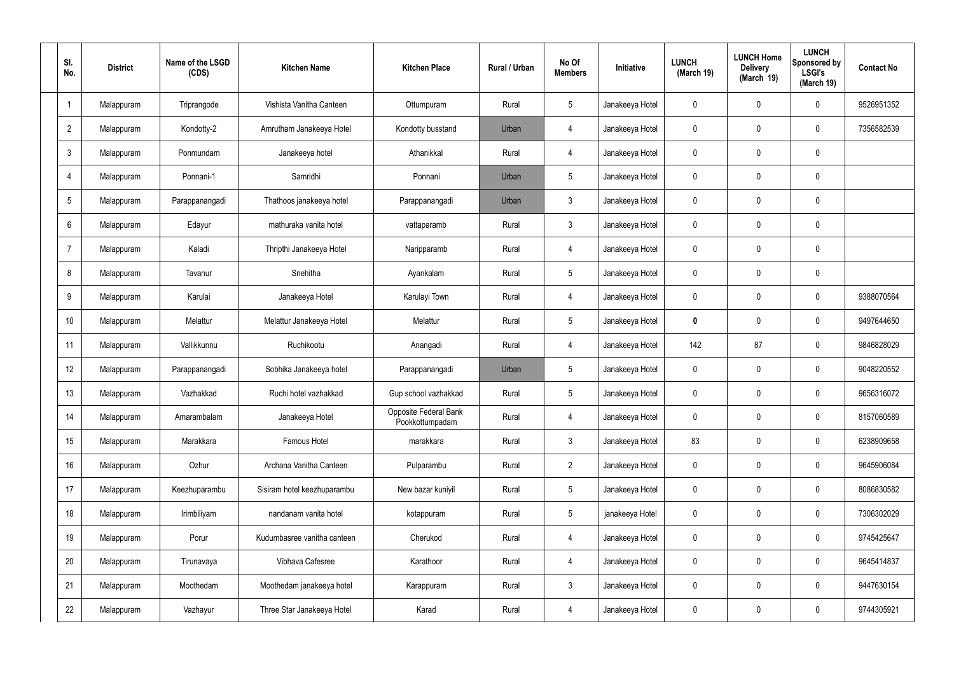| SI.<br>No.      | <b>District</b> | Name of the LSGD<br>(CDS) | <b>Kitchen Name</b>         | <b>Kitchen Place</b>                     | Rural / Urban | No Of<br><b>Members</b> | Initiative      | <b>LUNCH</b><br>(March 19) | <b>LUNCH Home</b><br><b>Delivery</b><br>(March 19) | <b>LUNCH</b><br>Sponsored by<br><b>LSGI's</b><br>(March 19) | <b>Contact No</b> |
|-----------------|-----------------|---------------------------|-----------------------------|------------------------------------------|---------------|-------------------------|-----------------|----------------------------|----------------------------------------------------|-------------------------------------------------------------|-------------------|
|                 | Malappuram      | Triprangode               | Vishista Vanitha Canteen    | Ottumpuram                               | Rural         | $5\phantom{.0}$         | Janakeeya Hotel | 0                          | 0                                                  | $\mathbf 0$                                                 | 9526951352        |
| $\overline{2}$  | Malappuram      | Kondotty-2                | Amrutham Janakeeya Hotel    | Kondotty busstand                        | Urban         | $\overline{4}$          | Janakeeya Hotel | $\mathbf 0$                | 0                                                  | $\mathbf 0$                                                 | 7356582539        |
| $\mathbf{3}$    | Malappuram      | Ponmundam                 | Janakeeya hotel             | Athanikkal                               | Rural         | $\overline{4}$          | Janakeeya Hotel | 0                          | 0                                                  | $\mathbf 0$                                                 |                   |
| 4               | Malappuram      | Ponnani-1                 | Samridhi                    | Ponnani                                  | Urban         | $5\phantom{.0}$         | Janakeeya Hotel | $\mathbf 0$                | 0                                                  | $\mathbf 0$                                                 |                   |
| 5               | Malappuram      | Parappanangadi            | Thathoos janakeeya hotel    | Parappanangadi                           | Urban         | $\mathbf{3}$            | Janakeeya Hotel | $\mathbf 0$                | 0                                                  | $\mathbf 0$                                                 |                   |
| 6               | Malappuram      | Edayur                    | mathuraka vanita hotel      | vattaparamb                              | Rural         | $\mathbf{3}$            | Janakeeya Hotel | $\mathbf 0$                | 0                                                  | $\mathbf 0$                                                 |                   |
| $\overline{7}$  | Malappuram      | Kaladi                    | Thripthi Janakeeya Hotel    | Naripparamb                              | Rural         | $\overline{4}$          | Janakeeya Hotel | $\mathbf 0$                | 0                                                  | $\mathbf 0$                                                 |                   |
| 8               | Malappuram      | Tavanur                   | Snehitha                    | Ayankalam                                | Rural         | $5\phantom{.0}$         | Janakeeya Hotel | $\mathbf 0$                | 0                                                  | $\mathbf 0$                                                 |                   |
| 9               | Malappuram      | Karulai                   | Janakeeya Hotel             | Karulayi Town                            | Rural         | $\overline{4}$          | Janakeeya Hotel | $\mathbf 0$                | 0                                                  | $\mathbf 0$                                                 | 9388070564        |
| 10 <sup>°</sup> | Malappuram      | Melattur                  | Melattur Janakeeya Hotel    | Melattur                                 | Rural         | $5\phantom{.0}$         | Janakeeya Hotel | 0                          | 0                                                  | $\boldsymbol{0}$                                            | 9497644650        |
| 11              | Malappuram      | Vallikkunnu               | Ruchikootu                  | Anangadi                                 | Rural         | 4                       | Janakeeya Hotel | 142                        | 87                                                 | $\boldsymbol{0}$                                            | 9846828029        |
| 12              | Malappuram      | Parappanangadi            | Sobhika Janakeeya hotel     | Parappanangadi                           | Urban         | $5\phantom{.0}$         | Janakeeya Hotel | $\mathbf 0$                | 0                                                  | $\boldsymbol{0}$                                            | 9048220552        |
| 13              | Malappuram      | Vazhakkad                 | Ruchi hotel vazhakkad       | Gup school vazhakkad                     | Rural         | $5\phantom{.0}$         | Janakeeya Hotel | 0                          | 0                                                  | $\mathbf 0$                                                 | 9656316072        |
| 14              | Malappuram      | Amarambalam               | Janakeeya Hotel             | Opposite Federal Bank<br>Pookkottumpadam | Rural         | $\overline{4}$          | Janakeeya Hotel | $\mathbf 0$                | $\mathbf 0$                                        | $\mathbf 0$                                                 | 8157060589        |
| 15              | Malappuram      | Marakkara                 | Famous Hotel                | marakkara                                | Rural         | $\mathbf{3}$            | Janakeeya Hotel | 83                         | $\mathbf 0$                                        | $\mathbf 0$                                                 | 6238909658        |
| 16              | Malappuram      | Ozhur                     | Archana Vanitha Canteen     | Pulparambu                               | Rural         | $2^{\circ}$             | Janakeeya Hotel | $\mathbf 0$                | $\mathbf 0$                                        | $\mathbf 0$                                                 | 9645906084        |
| 17              | Malappuram      | Keezhuparambu             | Sisiram hotel keezhuparambu | New bazar kuniyil                        | Rural         | $5\phantom{.0}$         | Janakeeya Hotel | $\mathbf 0$                | $\mathbf 0$                                        | $\mathbf 0$                                                 | 8086830582        |
| 18              | Malappuram      | Irimbiliyam               | nandanam vanita hotel       | kotappuram                               | Rural         | $5\phantom{.0}$         | janakeeya Hotel | $\mathbf 0$                | $\mathbf 0$                                        | $\mathbf 0$                                                 | 7306302029        |
| 19              | Malappuram      | Porur                     | Kudumbasree vanitha canteen | Cherukod                                 | Rural         | 4                       | Janakeeya Hotel | $\mathbf 0$                | $\mathbf 0$                                        | $\mathbf 0$                                                 | 9745425647        |
| 20              | Malappuram      | Tirunavaya                | Vibhava Cafesree            | Karathoor                                | Rural         | 4                       | Janakeeya Hotel | $\mathbf 0$                | $\mathbf 0$                                        | $\mathbf 0$                                                 | 9645414837        |
| 21              | Malappuram      | Moothedam                 | Moothedam janakeeya hotel   | Karappuram                               | Rural         | $\mathfrak{Z}$          | Janakeeya Hotel | $\pmb{0}$                  | 0                                                  | $\mathbf 0$                                                 | 9447630154        |
| 22              | Malappuram      | Vazhayur                  | Three Star Janakeeya Hotel  | Karad                                    | Rural         | 4                       | Janakeeya Hotel | 0                          | $\pmb{0}$                                          | $\boldsymbol{0}$                                            | 9744305921        |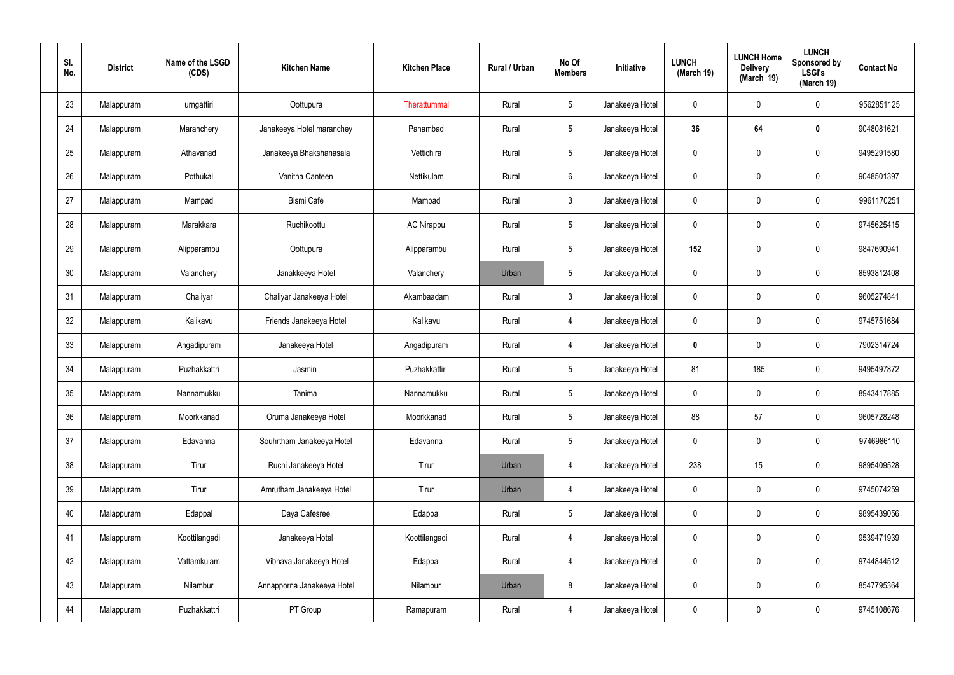| SI.<br>No. | <b>District</b> | Name of the LSGD<br>(CDS) | <b>Kitchen Name</b>        | <b>Kitchen Place</b> | Rural / Urban | No Of<br><b>Members</b> | Initiative      | <b>LUNCH</b><br>(March 19) | <b>LUNCH Home</b><br><b>Delivery</b><br>(March 19) | <b>LUNCH</b><br>Sponsored by<br><b>LSGI's</b><br>(March 19) | <b>Contact No</b> |
|------------|-----------------|---------------------------|----------------------------|----------------------|---------------|-------------------------|-----------------|----------------------------|----------------------------------------------------|-------------------------------------------------------------|-------------------|
| 23         | Malappuram      | urngattiri                | Oottupura                  | Therattummal         | Rural         | $5\phantom{.0}$         | Janakeeya Hotel | 0                          | 0                                                  | $\mathbf 0$                                                 | 9562851125        |
| 24         | Malappuram      | Maranchery                | Janakeeya Hotel maranchey  | Panambad             | Rural         | $5\phantom{.0}$         | Janakeeya Hotel | 36                         | 64                                                 | $\mathbf 0$                                                 | 9048081621        |
| 25         | Malappuram      | Athavanad                 | Janakeeya Bhakshanasala    | Vettichira           | Rural         | $5\phantom{.0}$         | Janakeeya Hotel | 0                          | 0                                                  | $\boldsymbol{0}$                                            | 9495291580        |
| 26         | Malappuram      | Pothukal                  | Vanitha Canteen            | Nettikulam           | Rural         | $6\phantom{.}$          | Janakeeya Hotel | $\mathbf 0$                | 0                                                  | $\mathbf 0$                                                 | 9048501397        |
| 27         | Malappuram      | Mampad                    | Bismi Cafe                 | Mampad               | Rural         | $\mathbf{3}$            | Janakeeya Hotel | 0                          | 0                                                  | $\boldsymbol{0}$                                            | 9961170251        |
| 28         | Malappuram      | Marakkara                 | Ruchikoottu                | <b>AC Nirappu</b>    | Rural         | $5\phantom{.0}$         | Janakeeya Hotel | $\mathbf 0$                | 0                                                  | $\mathbf 0$                                                 | 9745625415        |
| 29         | Malappuram      | Alipparambu               | Oottupura                  | Alipparambu          | Rural         | $5\phantom{.0}$         | Janakeeya Hotel | 152                        | 0                                                  | $\boldsymbol{0}$                                            | 9847690941        |
| 30         | Malappuram      | Valanchery                | Janakkeeya Hotel           | Valanchery           | Urban         | $5\phantom{.0}$         | Janakeeya Hotel | $\mathbf 0$                | 0                                                  | $\mathbf 0$                                                 | 8593812408        |
| 31         | Malappuram      | Chaliyar                  | Chaliyar Janakeeya Hotel   | Akambaadam           | Rural         | $\mathbf{3}$            | Janakeeya Hotel | 0                          | 0                                                  | $\boldsymbol{0}$                                            | 9605274841        |
| 32         | Malappuram      | Kalikavu                  | Friends Janakeeya Hotel    | Kalikavu             | Rural         | $\overline{4}$          | Janakeeya Hotel | 0                          | 0                                                  | $\mathbf 0$                                                 | 9745751684        |
| 33         | Malappuram      | Angadipuram               | Janakeeya Hotel            | Angadipuram          | Rural         | 4                       | Janakeeya Hotel | 0                          | $\boldsymbol{0}$                                   | $\boldsymbol{0}$                                            | 7902314724        |
| 34         | Malappuram      | Puzhakkattri              | Jasmin                     | Puzhakkattiri        | Rural         | $5\phantom{.0}$         | Janakeeya Hotel | 81                         | 185                                                | $\boldsymbol{0}$                                            | 9495497872        |
| 35         | Malappuram      | Nannamukku                | Tanima                     | Nannamukku           | Rural         | $5\phantom{.0}$         | Janakeeya Hotel | 0                          | 0                                                  | $\boldsymbol{0}$                                            | 8943417885        |
| 36         | Malappuram      | Moorkkanad                | Oruma Janakeeya Hotel      | Moorkkanad           | Rural         | $5\,$                   | Janakeeya Hotel | 88                         | 57                                                 | $\mathbf 0$                                                 | 9605728248        |
| 37         | Malappuram      | Edavanna                  | Souhrtham Janakeeya Hotel  | Edavanna             | Rural         | $5\phantom{.0}$         | Janakeeya Hotel | $\pmb{0}$                  | 0                                                  | $\mathbf 0$                                                 | 9746986110        |
| 38         | Malappuram      | Tirur                     | Ruchi Janakeeya Hotel      | Tirur                | Urban         | 4                       | Janakeeya Hotel | 238                        | 15                                                 | $\mathbf 0$                                                 | 9895409528        |
| 39         | Malappuram      | Tirur                     | Amrutham Janakeeya Hotel   | Tirur                | Urban         | 4                       | Janakeeya Hotel | $\pmb{0}$                  | 0                                                  | $\mathbf 0$                                                 | 9745074259        |
| 40         | Malappuram      | Edappal                   | Daya Cafesree              | Edappal              | Rural         | $5\phantom{.0}$         | Janakeeya Hotel | 0                          | 0                                                  | $\mathbf 0$                                                 | 9895439056        |
| 41         | Malappuram      | Koottilangadi             | Janakeeya Hotel            | Koottilangadi        | Rural         | 4                       | Janakeeya Hotel | $\pmb{0}$                  | 0                                                  | $\mathbf 0$                                                 | 9539471939        |
| 42         | Malappuram      | Vattamkulam               | Vibhava Janakeeya Hotel    | Edappal              | Rural         | 4                       | Janakeeya Hotel | 0                          | 0                                                  | $\mathbf 0$                                                 | 9744844512        |
| 43         | Malappuram      | Nilambur                  | Annapporna Janakeeya Hotel | Nilambur             | Urban         | 8                       | Janakeeya Hotel | $\pmb{0}$                  | 0                                                  | $\mathbf 0$                                                 | 8547795364        |
| 44         | Malappuram      | Puzhakkattri              | PT Group                   | Ramapuram            | Rural         | 4                       | Janakeeya Hotel | 0                          | 0                                                  | $\pmb{0}$                                                   | 9745108676        |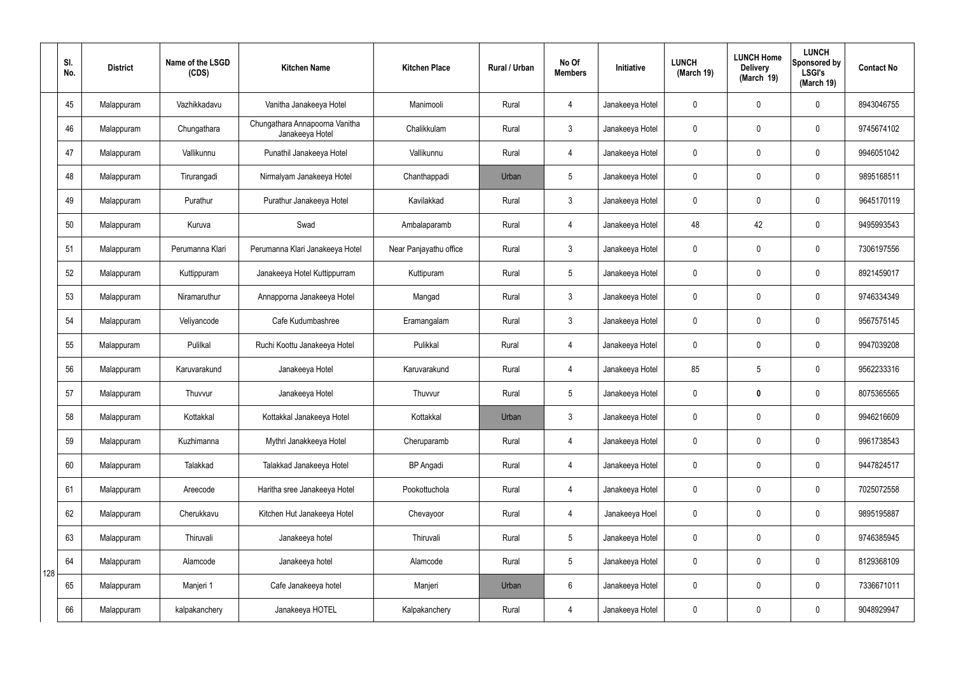|     | SI.<br>No. | <b>District</b> | Name of the LSGD<br>(CDS) | <b>Kitchen Name</b>                               | <b>Kitchen Place</b>   | Rural / Urban | No Of<br><b>Members</b> | Initiative      | <b>LUNCH</b><br>(March 19) | <b>LUNCH Home</b><br><b>Delivery</b><br>(March 19) | <b>LUNCH</b><br>Sponsored by<br><b>LSGI's</b><br>(March 19) | <b>Contact No</b> |
|-----|------------|-----------------|---------------------------|---------------------------------------------------|------------------------|---------------|-------------------------|-----------------|----------------------------|----------------------------------------------------|-------------------------------------------------------------|-------------------|
|     | 45         | Malappuram      | Vazhikkadavu              | Vanitha Janakeeya Hotel                           | Manimooli              | Rural         | $\overline{4}$          | Janakeeya Hotel | $\mathbf 0$                | $\mathbf 0$                                        | $\mathbf 0$                                                 | 8943046755        |
|     | 46         | Malappuram      | Chungathara               | Chungathara Annapoorna Vanitha<br>Janakeeya Hotel | Chalikkulam            | Rural         | $\mathbf{3}$            | Janakeeya Hotel | $\mathbf 0$                | $\mathbf 0$                                        | $\mathbf 0$                                                 | 9745674102        |
|     | 47         | Malappuram      | Vallikunnu                | Punathil Janakeeya Hotel                          | Vallikunnu             | Rural         | $\overline{4}$          | Janakeeya Hotel | $\mathbf 0$                | $\mathbf 0$                                        | $\mathbf 0$                                                 | 9946051042        |
|     | 48         | Malappuram      | Tirurangadi               | Nirmalyam Janakeeya Hotel                         | Chanthappadi           | Urban         | $5\overline{)}$         | Janakeeya Hotel | $\mathbf 0$                | $\mathbf 0$                                        | $\mathbf 0$                                                 | 9895168511        |
|     | 49         | Malappuram      | Purathur                  | Purathur Janakeeya Hotel                          | Kavilakkad             | Rural         | 3                       | Janakeeya Hotel | $\mathbf 0$                | $\mathbf 0$                                        | $\mathbf 0$                                                 | 9645170119        |
|     | 50         | Malappuram      | Kuruva                    | Swad                                              | Ambalaparamb           | Rural         | $\overline{4}$          | Janakeeya Hotel | 48                         | 42                                                 | $\mathbf 0$                                                 | 9495993543        |
|     | 51         | Malappuram      | Perumanna Klari           | Perumanna Klari Janakeeya Hotel                   | Near Panjayathu office | Rural         | $\mathbf{3}$            | Janakeeya Hotel | $\mathbf 0$                | $\mathbf 0$                                        | $\mathbf 0$                                                 | 7306197556        |
|     | 52         | Malappuram      | Kuttippuram               | Janakeeya Hotel Kuttippurram                      | Kuttipuram             | Rural         | $5\overline{)}$         | Janakeeya Hotel | $\mathbf 0$                | $\mathbf 0$                                        | $\mathbf 0$                                                 | 8921459017        |
|     | 53         | Malappuram      | Niramaruthur              | Annapporna Janakeeya Hotel                        | Mangad                 | Rural         | $\mathbf{3}$            | Janakeeya Hotel | $\mathbf 0$                | $\mathbf 0$                                        | $\mathbf 0$                                                 | 9746334349        |
|     | 54         | Malappuram      | Veliyancode               | Cafe Kudumbashree                                 | Eramangalam            | Rural         | $\mathbf{3}$            | Janakeeya Hotel | $\mathbf 0$                | $\mathbf 0$                                        | $\mathbf 0$                                                 | 9567575145        |
|     | 55         | Malappuram      | Pulilkal                  | Ruchi Koottu Janakeeya Hotel                      | Pulikkal               | Rural         | 4                       | Janakeeya Hotel | $\mathbf 0$                | $\mathbf 0$                                        | $\mathbf 0$                                                 | 9947039208        |
|     | 56         | Malappuram      | Karuvarakund              | Janakeeya Hotel                                   | Karuvarakund           | Rural         | $\overline{4}$          | Janakeeya Hotel | 85                         | 5                                                  | $\mathbf 0$                                                 | 9562233316        |
|     | 57         | Malappuram      | Thuvvur                   | Janakeeya Hotel                                   | Thuvvur                | Rural         | 5                       | Janakeeya Hotel | $\mathbf 0$                | 0                                                  | $\mathbf 0$                                                 | 8075365565        |
|     | 58         | Malappuram      | Kottakkal                 | Kottakkal Janakeeya Hotel                         | Kottakkal              | Urban         | $\mathbf{3}$            | Janakeeya Hotel | $\mathbf 0$                | $\mathbf 0$                                        | $\mathbf 0$                                                 | 9946216609        |
|     | 59         | Malappuram      | Kuzhimanna                | Mythri Janakkeeya Hotel                           | Cheruparamb            | Rural         | $\overline{4}$          | Janakeeya Hotel | $\mathbf 0$                | $\mathbf 0$                                        | $\mathbf 0$                                                 | 9961738543        |
|     | 60         | Malappuram      | Talakkad                  | Talakkad Janakeeya Hotel                          | <b>BP</b> Angadi       | Rural         | $\overline{4}$          | Janakeeya Hotel | $\mathbf 0$                | $\pmb{0}$                                          | $\mathbf 0$                                                 | 9447824517        |
|     | 61         | Malappuram      | Areecode                  | Haritha sree Janakeeya Hotel                      | Pookottuchola          | Rural         | $\overline{4}$          | Janakeeya Hotel | $\mathbf 0$                | $\pmb{0}$                                          | $\mathbf 0$                                                 | 7025072558        |
|     | 62         | Malappuram      | Cherukkavu                | Kitchen Hut Janakeeya Hotel                       | Chevayoor              | Rural         | $\overline{4}$          | Janakeeya Hoel  | $\mathbf 0$                | $\pmb{0}$                                          | $\mathbf 0$                                                 | 9895195887        |
|     | 63         | Malappuram      | Thiruvali                 | Janakeeya hotel                                   | Thiruvali              | Rural         | $5\phantom{.0}$         | Janakeeya Hotel | $\mathbf 0$                | $\pmb{0}$                                          | $\mathbf 0$                                                 | 9746385945        |
| 128 | 64         | Malappuram      | Alamcode                  | Janakeeya hotel                                   | Alamcode               | Rural         | 5 <sup>5</sup>          | Janakeeya Hotel | $\mathbf 0$                | $\pmb{0}$                                          | $\mathbf 0$                                                 | 8129368109        |
|     | 65         | Malappuram      | Manjeri 1                 | Cafe Janakeeya hotel                              | Manjeri                | Urban         | $6\phantom{.}6$         | Janakeeya Hotel | $\mathbf 0$                | $\pmb{0}$                                          | $\mathbf 0$                                                 | 7336671011        |
|     | 66         | Malappuram      | kalpakanchery             | Janakeeya HOTEL                                   | Kalpakanchery          | Rural         | 4                       | Janakeeya Hotel | $\boldsymbol{0}$           | $\pmb{0}$                                          | $\boldsymbol{0}$                                            | 9048929947        |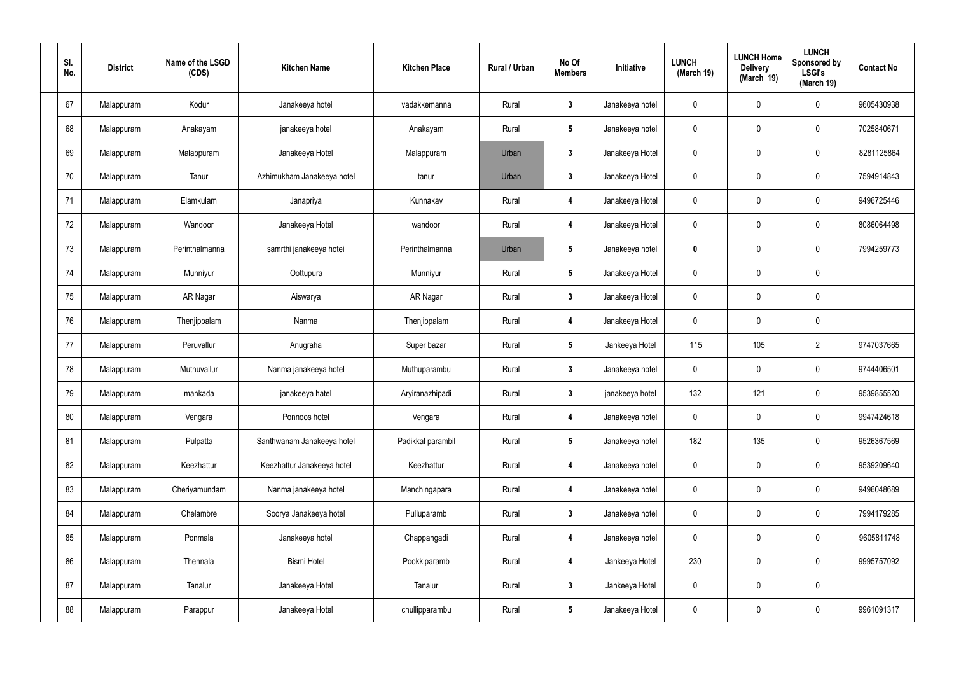| SI.<br>No. | <b>District</b> | Name of the LSGD<br>(CDS) | <b>Kitchen Name</b>        | <b>Kitchen Place</b> | Rural / Urban | No Of<br><b>Members</b> | Initiative      | <b>LUNCH</b><br>(March 19) | <b>LUNCH Home</b><br><b>Delivery</b><br>(March 19) | <b>LUNCH</b><br>Sponsored by<br><b>LSGI's</b><br>(March 19) | <b>Contact No</b> |
|------------|-----------------|---------------------------|----------------------------|----------------------|---------------|-------------------------|-----------------|----------------------------|----------------------------------------------------|-------------------------------------------------------------|-------------------|
| 67         | Malappuram      | Kodur                     | Janakeeya hotel            | vadakkemanna         | Rural         | $\mathbf{3}$            | Janakeeya hotel | $\mathbf 0$                | $\mathbf 0$                                        | $\mathbf 0$                                                 | 9605430938        |
| 68         | Malappuram      | Anakayam                  | janakeeya hotel            | Anakayam             | Rural         | $5\phantom{.0}$         | Janakeeya hotel | $\mathbf 0$                | $\mathbf 0$                                        | $\mathbf 0$                                                 | 7025840671        |
| 69         | Malappuram      | Malappuram                | Janakeeya Hotel            | Malappuram           | Urban         | $\mathbf{3}$            | Janakeeya Hotel | $\mathbf 0$                | $\mathbf 0$                                        | $\mathbf 0$                                                 | 8281125864        |
| 70         | Malappuram      | Tanur                     | Azhimukham Janakeeya hotel | tanur                | Urban         | $\mathbf{3}$            | Janakeeya Hotel | $\mathbf 0$                | $\mathbf 0$                                        | $\mathbf 0$                                                 | 7594914843        |
| 71         | Malappuram      | Elamkulam                 | Janapriya                  | Kunnakav             | Rural         | 4                       | Janakeeya Hotel | $\mathbf 0$                | $\mathbf 0$                                        | $\mathbf 0$                                                 | 9496725446        |
| 72         | Malappuram      | Wandoor                   | Janakeeya Hotel            | wandoor              | Rural         | 4                       | Janakeeya Hotel | $\mathbf 0$                | $\mathbf 0$                                        | $\mathbf 0$                                                 | 8086064498        |
| 73         | Malappuram      | Perinthalmanna            | samrthi janakeeya hotei    | Perinthalmanna       | Urban         | $5\phantom{.0}$         | Janakeeya hotel | $\mathbf 0$                | $\mathbf 0$                                        | $\mathbf 0$                                                 | 7994259773        |
| 74         | Malappuram      | Munniyur                  | Oottupura                  | Munniyur             | Rural         | $5\phantom{.0}$         | Janakeeya Hotel | $\mathbf 0$                | $\mathbf 0$                                        | $\mathbf 0$                                                 |                   |
| 75         | Malappuram      | AR Nagar                  | Aiswarya                   | AR Nagar             | Rural         | $3\phantom{a}$          | Janakeeya Hotel | $\mathbf 0$                | 0                                                  | $\mathbf 0$                                                 |                   |
| 76         | Malappuram      | Thenjippalam              | Nanma                      | Thenjippalam         | Rural         | 4                       | Janakeeya Hotel | $\mathbf 0$                | $\mathbf 0$                                        | $\mathbf 0$                                                 |                   |
| 77         | Malappuram      | Peruvallur                | Anugraha                   | Super bazar          | Rural         | $5\phantom{.0}$         | Jankeeya Hotel  | 115                        | 105                                                | $\overline{2}$                                              | 9747037665        |
| 78         | Malappuram      | Muthuvallur               | Nanma janakeeya hotel      | Muthuparambu         | Rural         | $\mathbf{3}$            | Janakeeya hotel | $\mathbf 0$                | $\mathbf 0$                                        | $\mathbf 0$                                                 | 9744406501        |
| 79         | Malappuram      | mankada                   | janakeeya hatel            | Aryiranazhipadi      | Rural         | $\mathbf{3}$            | janakeeya hotel | 132                        | 121                                                | $\mathbf 0$                                                 | 9539855520        |
| 80         | Malappuram      | Vengara                   | Ponnoos hotel              | Vengara              | Rural         | 4                       | Janakeeya hotel | $\mathbf 0$                | 0                                                  | $\mathbf 0$                                                 | 9947424618        |
| 81         | Malappuram      | Pulpatta                  | Santhwanam Janakeeya hotel | Padikkal parambil    | Rural         | $5\phantom{.0}$         | Janakeeya hotel | 182                        | 135                                                | $\mathbf 0$                                                 | 9526367569        |
| 82         | Malappuram      | Keezhattur                | Keezhattur Janakeeya hotel | Keezhattur           | Rural         | $\overline{\mathbf{4}}$ | Janakeeya hotel | $\pmb{0}$                  | 0                                                  | $\mathbf 0$                                                 | 9539209640        |
| 83         | Malappuram      | Cheriyamundam             | Nanma janakeeya hotel      | Manchingapara        | Rural         | 4                       | Janakeeya hotel | $\pmb{0}$                  | 0                                                  | $\mathbf 0$                                                 | 9496048689        |
| 84         | Malappuram      | Chelambre                 | Soorya Janakeeya hotel     | Pulluparamb          | Rural         | $3\phantom{a}$          | Janakeeya hotel | $\pmb{0}$                  | 0                                                  | $\mathbf 0$                                                 | 7994179285        |
| 85         | Malappuram      | Ponmala                   | Janakeeya hotel            | Chappangadi          | Rural         | 4                       | Janakeeya hotel | $\pmb{0}$                  | 0                                                  | $\mathbf 0$                                                 | 9605811748        |
| 86         | Malappuram      | Thennala                  | <b>Bismi Hotel</b>         | Pookkiparamb         | Rural         | $\overline{\mathbf{4}}$ | Jankeeya Hotel  | 230                        | $\pmb{0}$                                          | $\mathbf 0$                                                 | 9995757092        |
| 87         | Malappuram      | Tanalur                   | Janakeeya Hotel            | Tanalur              | Rural         | $\mathbf{3}$            | Jankeeya Hotel  | $\pmb{0}$                  | 0                                                  | $\mathbf 0$                                                 |                   |
| 88         | Malappuram      | Parappur                  | Janakeeya Hotel            | chullipparambu       | Rural         | $5\phantom{.0}$         | Janakeeya Hotel | $\pmb{0}$                  | $\pmb{0}$                                          | $\mathbf 0$                                                 | 9961091317        |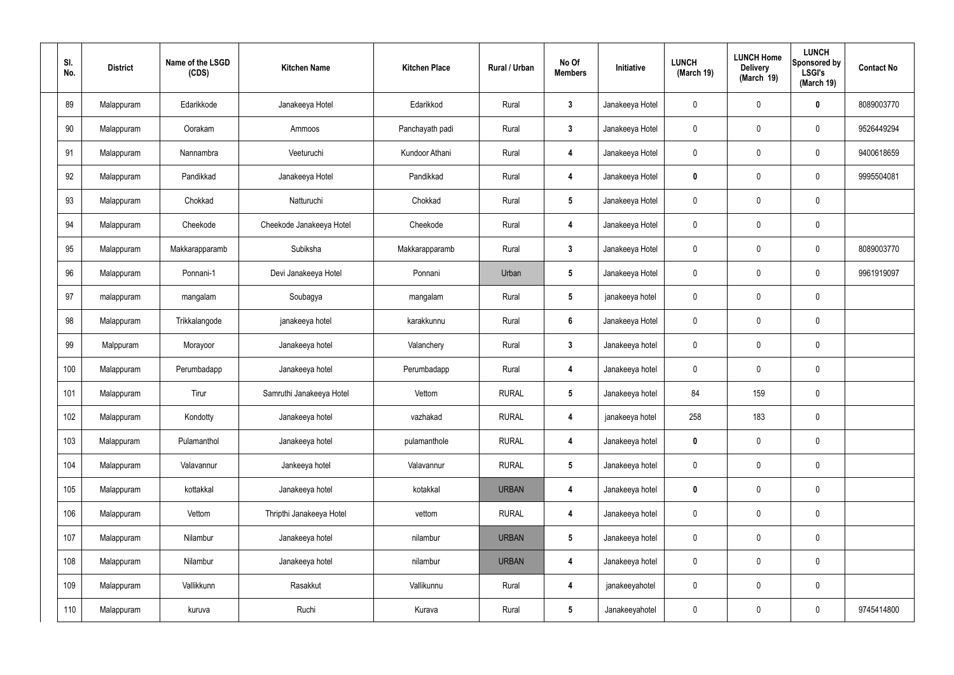| SI.<br>No. | <b>District</b> | Name of the LSGD<br>(CDS) | <b>Kitchen Name</b>      | <b>Kitchen Place</b> | Rural / Urban | No Of<br><b>Members</b> | Initiative      | <b>LUNCH</b><br>(March 19) | <b>LUNCH Home</b><br><b>Delivery</b><br>(March 19) | <b>LUNCH</b><br>Sponsored by<br><b>LSGI's</b><br>(March 19) | <b>Contact No</b> |
|------------|-----------------|---------------------------|--------------------------|----------------------|---------------|-------------------------|-----------------|----------------------------|----------------------------------------------------|-------------------------------------------------------------|-------------------|
| 89         | Malappuram      | Edarikkode                | Janakeeya Hotel          | Edarikkod            | Rural         | $\mathbf{3}$            | Janakeeya Hotel | 0                          | 0                                                  | $\mathbf 0$                                                 | 8089003770        |
| 90         | Malappuram      | Oorakam                   | Ammoos                   | Panchayath padi      | Rural         | $\mathbf{3}$            | Janakeeya Hotel | $\mathbf 0$                | $\mathbf 0$                                        | $\mathbf 0$                                                 | 9526449294        |
| 91         | Malappuram      | Nannambra                 | Veeturuchi               | Kundoor Athani       | Rural         | 4                       | Janakeeya Hotel | 0                          | 0                                                  | $\boldsymbol{0}$                                            | 9400618659        |
| 92         | Malappuram      | Pandikkad                 | Janakeeya Hotel          | Pandikkad            | Rural         | 4                       | Janakeeya Hotel | $\mathbf 0$                | 0                                                  | $\mathbf 0$                                                 | 9995504081        |
| 93         | Malappuram      | Chokkad                   | Natturuchi               | Chokkad              | Rural         | $5\phantom{.0}$         | Janakeeya Hotel | 0                          | 0                                                  | $\mathbf 0$                                                 |                   |
| 94         | Malappuram      | Cheekode                  | Cheekode Janakeeya Hotel | Cheekode             | Rural         | 4                       | Janakeeya Hotel | $\mathbf 0$                | 0                                                  | $\mathbf 0$                                                 |                   |
| 95         | Malappuram      | Makkarapparamb            | Subiksha                 | Makkarapparamb       | Rural         | $\mathbf{3}$            | Janakeeya Hotel | 0                          | 0                                                  | $\boldsymbol{0}$                                            | 8089003770        |
| 96         | Malappuram      | Ponnani-1                 | Devi Janakeeya Hotel     | Ponnani              | Urban         | $5\phantom{.0}$         | Janakeeya Hotel | $\mathbf 0$                | 0                                                  | $\mathbf 0$                                                 | 9961919097        |
| 97         | malappuram      | mangalam                  | Soubagya                 | mangalam             | Rural         | $5\phantom{.0}$         | janakeeya hotel | $\mathbf 0$                | 0                                                  | $\mathbf 0$                                                 |                   |
| 98         | Malappuram      | Trikkalangode             | janakeeya hotel          | karakkunnu           | Rural         | $6\phantom{a}$          | Janakeeya Hotel | $\mathbf 0$                | 0                                                  | $\mathbf 0$                                                 |                   |
| 99         | Malppuram       | Morayoor                  | Janakeeya hotel          | Valanchery           | Rural         | 3 <sup>1</sup>          | Janakeeya hotel | $\mathbf 0$                | $\boldsymbol{0}$                                   | $\pmb{0}$                                                   |                   |
| 100        | Malappuram      | Perumbadapp               | Janakeeya hotel          | Perumbadapp          | Rural         | 4                       | Janakeeya hotel | $\mathbf 0$                | 0                                                  | $\pmb{0}$                                                   |                   |
| 101        | Malappuram      | Tirur                     | Samruthi Janakeeya Hotel | Vettom               | <b>RURAL</b>  | $5\phantom{.0}$         | Janakeeya hotel | 84                         | 159                                                | $\mathbf 0$                                                 |                   |
| 102        | Malappuram      | Kondotty                  | Janakeeya hotel          | vazhakad             | <b>RURAL</b>  | 4                       | janakeeya hotel | 258                        | 183                                                | $\mathbf 0$                                                 |                   |
| 103        | Malappuram      | Pulamanthol               | Janakeeya hotel          | pulamanthole         | <b>RURAL</b>  | 4                       | Janakeeya hotel | $\mathbf 0$                | 0                                                  | $\mathbf 0$                                                 |                   |
| 104        | Malappuram      | Valavannur                | Jankeeya hotel           | Valavannur           | <b>RURAL</b>  | $5\phantom{.0}$         | Janakeeya hotel | 0                          | $\pmb{0}$                                          | $\mathbf 0$                                                 |                   |
| 105        | Malappuram      | kottakkal                 | Janakeeya hotel          | kotakkal             | <b>URBAN</b>  | 4                       | Janakeeya hotel | $\mathbf 0$                | $\pmb{0}$                                          | $\mathbf 0$                                                 |                   |
| 106        | Malappuram      | Vettom                    | Thripthi Janakeeya Hotel | vettom               | <b>RURAL</b>  | $\boldsymbol{4}$        | Janakeeya hotel | 0                          | $\pmb{0}$                                          | $\pmb{0}$                                                   |                   |
| 107        | Malappuram      | Nilambur                  | Janakeeya hotel          | nilambur             | <b>URBAN</b>  | $5\phantom{.0}$         | Janakeeya hotel | $\pmb{0}$                  | $\pmb{0}$                                          | $\mathbf 0$                                                 |                   |
| 108        | Malappuram      | Nilambur                  | Janakeeya hotel          | nilambur             | <b>URBAN</b>  | 4                       | Janakeeya hotel | 0                          | $\pmb{0}$                                          | $\pmb{0}$                                                   |                   |
| 109        | Malappuram      | Vallikkunn                | Rasakkut                 | Vallikunnu           | Rural         | $\overline{\mathbf{4}}$ | janakeeyahotel  | $\pmb{0}$                  | 0                                                  | $\mathbf 0$                                                 |                   |
| 110        | Malappuram      | kuruva                    | Ruchi                    | Kurava               | Rural         | $5\phantom{.0}$         | Janakeeyahotel  | 0                          | 0                                                  | $\pmb{0}$                                                   | 9745414800        |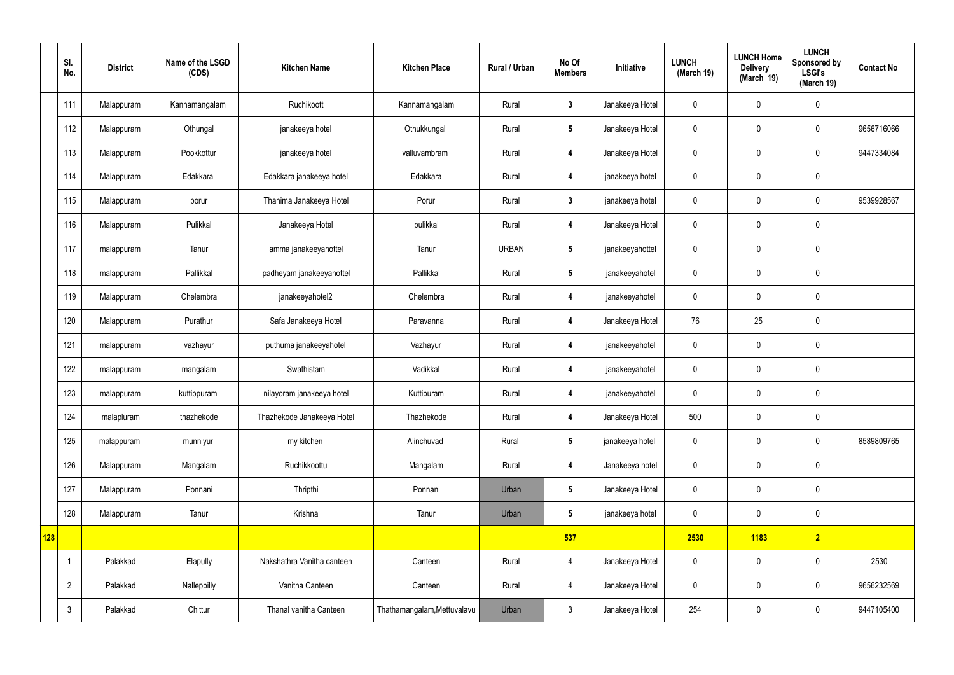|            | SI.<br>No.     | <b>District</b> | Name of the LSGD<br>(CDS) | <b>Kitchen Name</b>        | <b>Kitchen Place</b>        | <b>Rural / Urban</b> | No Of<br><b>Members</b> | Initiative      | <b>LUNCH</b><br>(March 19) | <b>LUNCH Home</b><br><b>Delivery</b><br>(March 19) | <b>LUNCH</b><br>Sponsored by<br><b>LSGI's</b><br>(March 19) | <b>Contact No</b> |
|------------|----------------|-----------------|---------------------------|----------------------------|-----------------------------|----------------------|-------------------------|-----------------|----------------------------|----------------------------------------------------|-------------------------------------------------------------|-------------------|
|            | 111            | Malappuram      | Kannamangalam             | Ruchikoott                 | Kannamangalam               | Rural                | $\mathbf{3}$            | Janakeeya Hotel | $\mathbf 0$                | $\mathbf 0$                                        | $\mathbf 0$                                                 |                   |
|            | 112            | Malappuram      | Othungal                  | janakeeya hotel            | Othukkungal                 | Rural                | $5\phantom{.0}$         | Janakeeya Hotel | $\mathbf 0$                | $\mathbf 0$                                        | $\mathbf 0$                                                 | 9656716066        |
|            | 113            | Malappuram      | Pookkottur                | janakeeya hotel            | valluvambram                | Rural                | $\boldsymbol{4}$        | Janakeeya Hotel | $\mathbf 0$                | $\mathbf 0$                                        | $\mathbf 0$                                                 | 9447334084        |
|            | 114            | Malappuram      | Edakkara                  | Edakkara janakeeya hotel   | Edakkara                    | Rural                | $\boldsymbol{4}$        | janakeeya hotel | $\mathbf 0$                | $\mathbf 0$                                        | $\mathbf 0$                                                 |                   |
|            | 115            | Malappuram      | porur                     | Thanima Janakeeya Hotel    | Porur                       | Rural                | $\mathbf{3}$            | janakeeya hotel | $\mathbf 0$                | $\pmb{0}$                                          | $\mathbf 0$                                                 | 9539928567        |
|            | 116            | Malappuram      | Pulikkal                  | Janakeeya Hotel            | pulikkal                    | Rural                | $\overline{4}$          | Janakeeya Hotel | $\mathbf 0$                | $\pmb{0}$                                          | $\mathbf 0$                                                 |                   |
|            | 117            | malappuram      | Tanur                     | amma janakeeyahottel       | Tanur                       | <b>URBAN</b>         | $5\phantom{.0}$         | janakeeyahottel | $\mathbf 0$                | $\pmb{0}$                                          | $\mathbf 0$                                                 |                   |
|            | 118            | malappuram      | Pallikkal                 | padheyam janakeeyahottel   | Pallikkal                   | Rural                | $5\phantom{.0}$         | janakeeyahotel  | $\mathbf 0$                | $\mathbf 0$                                        | $\mathbf 0$                                                 |                   |
|            | 119            | Malappuram      | Chelembra                 | janakeeyahotel2            | Chelembra                   | Rural                | $\boldsymbol{4}$        | janakeeyahotel  | $\mathbf 0$                | $\mathbf 0$                                        | $\mathbf 0$                                                 |                   |
|            | 120            | Malappuram      | Purathur                  | Safa Janakeeya Hotel       | Paravanna                   | Rural                | $\boldsymbol{4}$        | Janakeeya Hotel | 76                         | 25                                                 | $\mathbf 0$                                                 |                   |
|            | 121            | malappuram      | vazhayur                  | puthuma janakeeyahotel     | Vazhayur                    | Rural                | $\overline{\mathbf{4}}$ | janakeeyahotel  | $\mathbf 0$                | $\pmb{0}$                                          | $\mathbf 0$                                                 |                   |
|            | 122            | malappuram      | mangalam                  | Swathistam                 | Vadikkal                    | Rural                | $\overline{4}$          | janakeeyahotel  | $\mathbf 0$                | $\mathbf 0$                                        | $\mathbf 0$                                                 |                   |
|            | 123            | malappuram      | kuttippuram               | nilayoram janakeeya hotel  | Kuttipuram                  | Rural                | 4                       | janakeeyahotel  | $\mathbf 0$                | $\mathbf 0$                                        | $\mathbf 0$                                                 |                   |
|            | 124            | malapluram      | thazhekode                | Thazhekode Janakeeya Hotel | Thazhekode                  | Rural                | $\overline{4}$          | Janakeeya Hotel | 500                        | $\pmb{0}$                                          | $\mathbf 0$                                                 |                   |
|            | 125            | malappuram      | munniyur                  | my kitchen                 | Alinchuvad                  | Rural                | $5\phantom{.0}$         | janakeeya hotel | $\mathbf 0$                | $\pmb{0}$                                          | $\mathbf 0$                                                 | 8589809765        |
|            | 126            | Malappuram      | Mangalam                  | Ruchikkoottu               | Mangalam                    | Rural                | $\overline{\mathbf{4}}$ | Janakeeya hotel | $\pmb{0}$                  | $\pmb{0}$                                          | $\mathbf 0$                                                 |                   |
|            | 127            | Malappuram      | Ponnani                   | Thripthi                   | Ponnani                     | Urban                | $5\phantom{.0}$         | Janakeeya Hotel | $\mathbf 0$                | $\pmb{0}$                                          | $\mathbf 0$                                                 |                   |
|            | 128            | Malappuram      | Tanur                     | Krishna                    | Tanur                       | Urban                | $5\phantom{.0}$         | janakeeya hotel | $\mathbf 0$                | $\pmb{0}$                                          | $\mathbf 0$                                                 |                   |
| <b>128</b> |                |                 |                           |                            |                             |                      | 537                     |                 | 2530                       | 1183                                               | 2 <sup>2</sup>                                              |                   |
|            | $\overline{1}$ | Palakkad        | Elapully                  | Nakshathra Vanitha canteen | Canteen                     | Rural                | $\overline{4}$          | Janakeeya Hotel | $\pmb{0}$                  | $\pmb{0}$                                          | $\mathbf 0$                                                 | 2530              |
|            | $\overline{2}$ | Palakkad        | Nalleppilly               | Vanitha Canteen            | Canteen                     | Rural                | $\overline{4}$          | Janakeeya Hotel | $\pmb{0}$                  | $\pmb{0}$                                          | $\mathbf 0$                                                 | 9656232569        |
|            | $\mathbf{3}$   | Palakkad        | Chittur                   | Thanal vanitha Canteen     | Thathamangalam, Mettuvalavu | Urban                | $\mathfrak{Z}$          | Janakeeya Hotel | 254                        | $\pmb{0}$                                          | $\mathbf 0$                                                 | 9447105400        |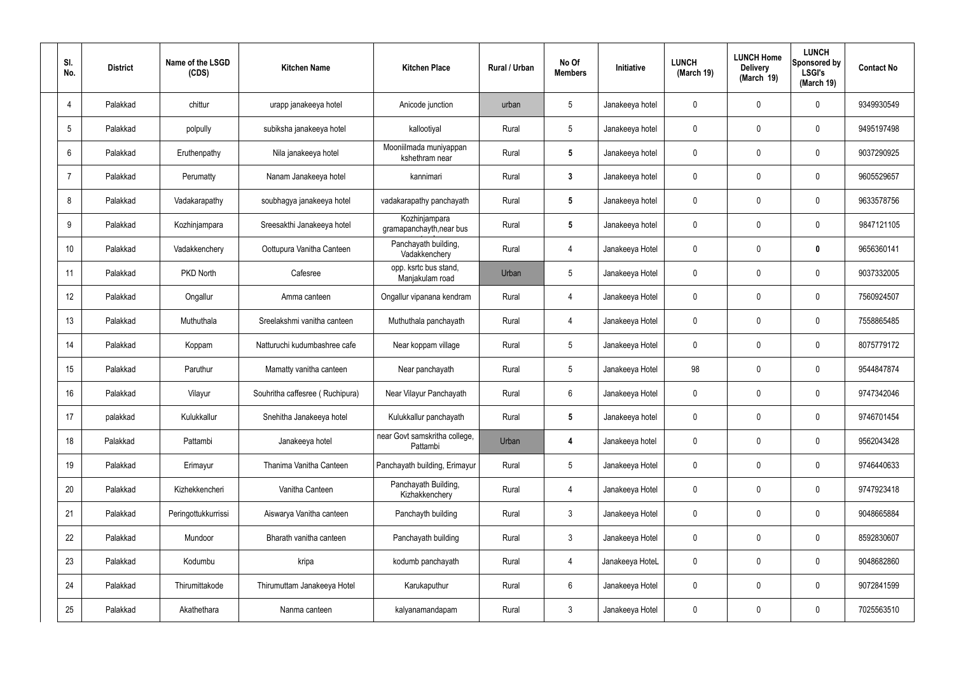| SI.<br>No.      | <b>District</b> | Name of the LSGD<br>(CDS) | <b>Kitchen Name</b>             | <b>Kitchen Place</b>                      | Rural / Urban | No Of<br><b>Members</b> | <b>Initiative</b> | <b>LUNCH</b><br>(March 19) | <b>LUNCH Home</b><br><b>Delivery</b><br>(March 19) | <b>LUNCH</b><br>Sponsored by<br><b>LSGI's</b><br>(March 19) | <b>Contact No</b> |
|-----------------|-----------------|---------------------------|---------------------------------|-------------------------------------------|---------------|-------------------------|-------------------|----------------------------|----------------------------------------------------|-------------------------------------------------------------|-------------------|
| $\overline{4}$  | Palakkad        | chittur                   | urapp janakeeya hotel           | Anicode junction                          | urban         | 5                       | Janakeeya hotel   | 0                          | 0                                                  | $\mathbf 0$                                                 | 9349930549        |
| $5\phantom{.0}$ | Palakkad        | polpully                  | subiksha janakeeya hotel        | kallootiyal                               | Rural         | $5\phantom{.0}$         | Janakeeya hotel   | $\mathbf 0$                | 0                                                  | $\mathbf 0$                                                 | 9495197498        |
| 6               | Palakkad        | Eruthenpathy              | Nila janakeeya hotel            | Mooniilmada muniyappan<br>kshethram near  | Rural         | $5\phantom{.0}$         | Janakeeya hotel   | 0                          | 0                                                  | $\mathbf 0$                                                 | 9037290925        |
| $\overline{7}$  | Palakkad        | Perumatty                 | Nanam Janakeeya hotel           | kannimari                                 | Rural         | $\mathbf{3}$            | Janakeeya hotel   | $\mathbf 0$                | 0                                                  | $\mathbf 0$                                                 | 9605529657        |
| 8               | Palakkad        | Vadakarapathy             | soubhagya janakeeya hotel       | vadakarapathy panchayath                  | Rural         | $5\phantom{.0}$         | Janakeeya hotel   | 0                          | 0                                                  | $\mathbf 0$                                                 | 9633578756        |
| 9               | Palakkad        | Kozhinjampara             | Sreesakthi Janakeeya hotel      | Kozhinjampara<br>gramapanchayth, near bus | Rural         | $5\phantom{.0}$         | Janakeeya hotel   | $\mathbf 0$                | 0                                                  | $\mathbf 0$                                                 | 9847121105        |
| 10              | Palakkad        | Vadakkenchery             | Oottupura Vanitha Canteen       | Panchayath building,<br>Vadakkenchery     | Rural         | $\overline{4}$          | Janakeeya Hotel   | $\mathbf 0$                | 0                                                  | $\mathbf 0$                                                 | 9656360141        |
| 11              | Palakkad        | PKD North                 | Cafesree                        | opp. ksrtc bus stand,<br>Manjakulam road  | Urban         | $5\phantom{.0}$         | Janakeeya Hotel   | $\mathbf 0$                | $\mathbf 0$                                        | $\mathbf 0$                                                 | 9037332005        |
| 12              | Palakkad        | Ongallur                  | Amma canteen                    | Ongallur vipanana kendram                 | Rural         | $\overline{4}$          | Janakeeya Hotel   | $\mathbf 0$                | 0                                                  | $\mathbf 0$                                                 | 7560924507        |
| 13              | Palakkad        | Muthuthala                | Sreelakshmi vanitha canteen     | Muthuthala panchayath                     | Rural         | 4                       | Janakeeya Hotel   | $\mathbf 0$                | 0                                                  | $\mathbf 0$                                                 | 7558865485        |
| 14              | Palakkad        | Koppam                    | Natturuchi kudumbashree cafe    | Near koppam village                       | Rural         | $5\phantom{.0}$         | Janakeeya Hotel   | $\mathbf 0$                | 0                                                  | $\mathbf 0$                                                 | 8075779172        |
| 15              | Palakkad        | Paruthur                  | Mamatty vanitha canteen         | Near panchayath                           | Rural         | $5\phantom{.0}$         | Janakeeya Hotel   | 98                         | 0                                                  | $\mathbf 0$                                                 | 9544847874        |
| 16              | Palakkad        | Vilayur                   | Souhritha caffesree (Ruchipura) | Near Vilayur Panchayath                   | Rural         | $6\phantom{.}6$         | Janakeeya Hotel   | $\mathbf 0$                | 0                                                  | 0                                                           | 9747342046        |
| 17              | palakkad        | Kulukkallur               | Snehitha Janakeeya hotel        | Kulukkallur panchayath                    | Rural         | $5\phantom{.0}$         | Janakeeya hotel   | $\mathbf 0$                | 0                                                  | $\mathbf 0$                                                 | 9746701454        |
| 18              | Palakkad        | Pattambi                  | Janakeeya hotel                 | near Govt samskritha college,<br>Pattambi | Urban         | 4                       | Janakeeya hotel   | $\mathbf 0$                | $\mathbf 0$                                        | $\mathbf 0$                                                 | 9562043428        |
| 19              | Palakkad        | Erimayur                  | Thanima Vanitha Canteen         | Panchayath building, Erimayur             | Rural         | $5\phantom{.0}$         | Janakeeya Hotel   | $\mathbf 0$                | 0                                                  | $\mathbf 0$                                                 | 9746440633        |
| 20              | Palakkad        | Kizhekkencheri            | Vanitha Canteen                 | Panchayath Building,<br>Kizhakkenchery    | Rural         | 4                       | Janakeeya Hotel   | $\mathbf 0$                | $\mathbf 0$                                        | $\mathbf 0$                                                 | 9747923418        |
| 21              | Palakkad        | Peringottukkurrissi       | Aiswarya Vanitha canteen        | Panchayth building                        | Rural         | $\mathbf{3}$            | Janakeeya Hotel   | $\mathbf 0$                | 0                                                  | $\mathbf 0$                                                 | 9048665884        |
| 22              | Palakkad        | Mundoor                   | Bharath vanitha canteen         | Panchayath building                       | Rural         | $\mathbf{3}$            | Janakeeya Hotel   | $\mathbf 0$                | 0                                                  | $\mathbf 0$                                                 | 8592830607        |
| 23              | Palakkad        | Kodumbu                   | kripa                           | kodumb panchayath                         | Rural         | 4                       | Janakeeya HoteL   | $\mathbf 0$                | 0                                                  | $\mathbf 0$                                                 | 9048682860        |
| 24              | Palakkad        | Thirumittakode            | Thirumuttam Janakeeya Hotel     | Karukaputhur                              | Rural         | $6\,$                   | Janakeeya Hotel   | $\mathbf 0$                | $\mathbf 0$                                        | $\mathbf 0$                                                 | 9072841599        |
| 25              | Palakkad        | Akathethara               | Nanma canteen                   | kalyanamandapam                           | Rural         | $\mathfrak{Z}$          | Janakeeya Hotel   | 0                          | 0                                                  | $\mathbf 0$                                                 | 7025563510        |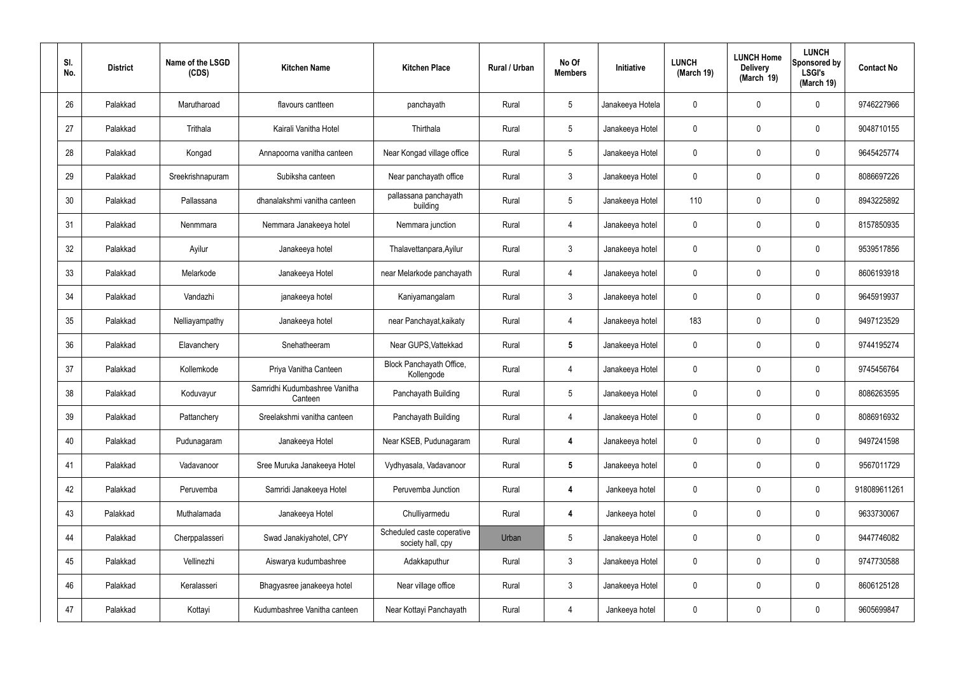| SI.<br>No. | <b>District</b> | Name of the LSGD<br>(CDS) | <b>Kitchen Name</b>                      | <b>Kitchen Place</b>                            | Rural / Urban | No Of<br><b>Members</b> | Initiative       | <b>LUNCH</b><br>(March 19) | <b>LUNCH Home</b><br><b>Delivery</b><br>(March 19) | <b>LUNCH</b><br>Sponsored by<br><b>LSGI's</b><br>(March 19) | <b>Contact No</b> |
|------------|-----------------|---------------------------|------------------------------------------|-------------------------------------------------|---------------|-------------------------|------------------|----------------------------|----------------------------------------------------|-------------------------------------------------------------|-------------------|
| 26         | Palakkad        | Marutharoad               | flavours cantteen                        | panchayath                                      | Rural         | $5\,$                   | Janakeeya Hotela | 0                          | 0                                                  | $\mathbf 0$                                                 | 9746227966        |
| 27         | Palakkad        | Trithala                  | Kairali Vanitha Hotel                    | Thirthala                                       | Rural         | $5\phantom{.0}$         | Janakeeya Hotel  | $\mathbf 0$                | 0                                                  | $\mathbf 0$                                                 | 9048710155        |
| 28         | Palakkad        | Kongad                    | Annapoorna vanitha canteen               | Near Kongad village office                      | Rural         | $5\,$                   | Janakeeya Hotel  | 0                          | 0                                                  | $\mathbf 0$                                                 | 9645425774        |
| 29         | Palakkad        | Sreekrishnapuram          | Subiksha canteen                         | Near panchayath office                          | Rural         | $\mathbf{3}$            | Janakeeya Hotel  | $\mathbf 0$                | 0                                                  | $\mathbf 0$                                                 | 8086697226        |
| 30         | Palakkad        | Pallassana                | dhanalakshmi vanitha canteen             | pallassana panchayath<br>building               | Rural         | $5\phantom{.0}$         | Janakeeya Hotel  | 110                        | 0                                                  | $\mathbf 0$                                                 | 8943225892        |
| 31         | Palakkad        | Nenmmara                  | Nemmara Janakeeya hotel                  | Nemmara junction                                | Rural         | $\overline{4}$          | Janakeeya hotel  | $\mathbf 0$                | 0                                                  | $\mathbf 0$                                                 | 8157850935        |
| 32         | Palakkad        | Ayilur                    | Janakeeya hotel                          | Thalavettanpara, Ayilur                         | Rural         | $\mathbf{3}$            | Janakeeya hotel  | 0                          | 0                                                  | $\mathbf 0$                                                 | 9539517856        |
| 33         | Palakkad        | Melarkode                 | Janakeeya Hotel                          | near Melarkode panchayath                       | Rural         | 4                       | Janakeeya hotel  | $\mathbf 0$                | 0                                                  | $\mathbf 0$                                                 | 8606193918        |
| 34         | Palakkad        | Vandazhi                  | janakeeya hotel                          | Kaniyamangalam                                  | Rural         | $\mathbf{3}$            | Janakeeya hotel  | 0                          | 0                                                  | $\mathbf 0$                                                 | 9645919937        |
| 35         | Palakkad        | Nelliayampathy            | Janakeeya hotel                          | near Panchayat, kaikaty                         | Rural         | 4                       | Janakeeya hotel  | 183                        | 0                                                  | $\mathbf 0$                                                 | 9497123529        |
| 36         | Palakkad        | Elavanchery               | Snehatheeram                             | Near GUPS, Vattekkad                            | Rural         | $5\phantom{.0}$         | Janakeeya Hotel  | $\mathbf 0$                | 0                                                  | $\boldsymbol{0}$                                            | 9744195274        |
| 37         | Palakkad        | Kollemkode                | Priya Vanitha Canteen                    | Block Panchayath Office,<br>Kollengode          | Rural         | 4                       | Janakeeya Hotel  | $\mathbf 0$                | 0                                                  | $\mathbf 0$                                                 | 9745456764        |
| 38         | Palakkad        | Koduvayur                 | Samridhi Kudumbashree Vanitha<br>Canteen | Panchayath Building                             | Rural         | $5\phantom{.0}$         | Janakeeya Hotel  | 0                          | 0                                                  | 0                                                           | 8086263595        |
| 39         | Palakkad        | Pattanchery               | Sreelakshmi vanitha canteen              | Panchayath Building                             | Rural         | $\overline{4}$          | Janakeeya Hotel  | $\mathbf 0$                | $\mathbf 0$                                        | $\mathbf 0$                                                 | 8086916932        |
| 40         | Palakkad        | Pudunagaram               | Janakeeya Hotel                          | Near KSEB, Pudunagaram                          | Rural         | $\overline{\mathbf{4}}$ | Janakeeya hotel  | $\mathbf 0$                | $\mathbf 0$                                        | $\mathbf 0$                                                 | 9497241598        |
| 41         | Palakkad        | Vadavanoor                | Sree Muruka Janakeeya Hotel              | Vydhyasala, Vadavanoor                          | Rural         | $5\phantom{.0}$         | Janakeeya hotel  | $\mathbf 0$                | 0                                                  | $\mathbf 0$                                                 | 9567011729        |
| 42         | Palakkad        | Peruvemba                 | Samridi Janakeeya Hotel                  | Peruvemba Junction                              | Rural         | 4                       | Jankeeya hotel   | $\mathbf 0$                | $\mathbf 0$                                        | $\mathbf 0$                                                 | 918089611261      |
| 43         | Palakkad        | Muthalamada               | Janakeeya Hotel                          | Chulliyarmedu                                   | Rural         | 4                       | Jankeeya hotel   | $\mathbf 0$                | 0                                                  | $\mathbf 0$                                                 | 9633730067        |
| 44         | Palakkad        | Cherppalasseri            | Swad Janakiyahotel, CPY                  | Scheduled caste coperative<br>society hall, cpy | Urban         | $5\phantom{.0}$         | Janakeeya Hotel  | $\mathbf 0$                | $\mathbf 0$                                        | $\mathbf 0$                                                 | 9447746082        |
| 45         | Palakkad        | Vellinezhi                | Aiswarya kudumbashree                    | Adakkaputhur                                    | Rural         | $\mathfrak{Z}$          | Janakeeya Hotel  | $\mathbf 0$                | $\boldsymbol{0}$                                   | $\mathbf 0$                                                 | 9747730588        |
| 46         | Palakkad        | Keralasseri               | Bhagyasree janakeeya hotel               | Near village office                             | Rural         | $3\phantom{a}$          | Janakeeya Hotel  | $\mathbf 0$                | $\mathbf 0$                                        | $\mathbf 0$                                                 | 8606125128        |
| 47         | Palakkad        | Kottayi                   | Kudumbashree Vanitha canteen             | Near Kottayi Panchayath                         | Rural         | 4                       | Jankeeya hotel   | 0                          | 0                                                  | $\boldsymbol{0}$                                            | 9605699847        |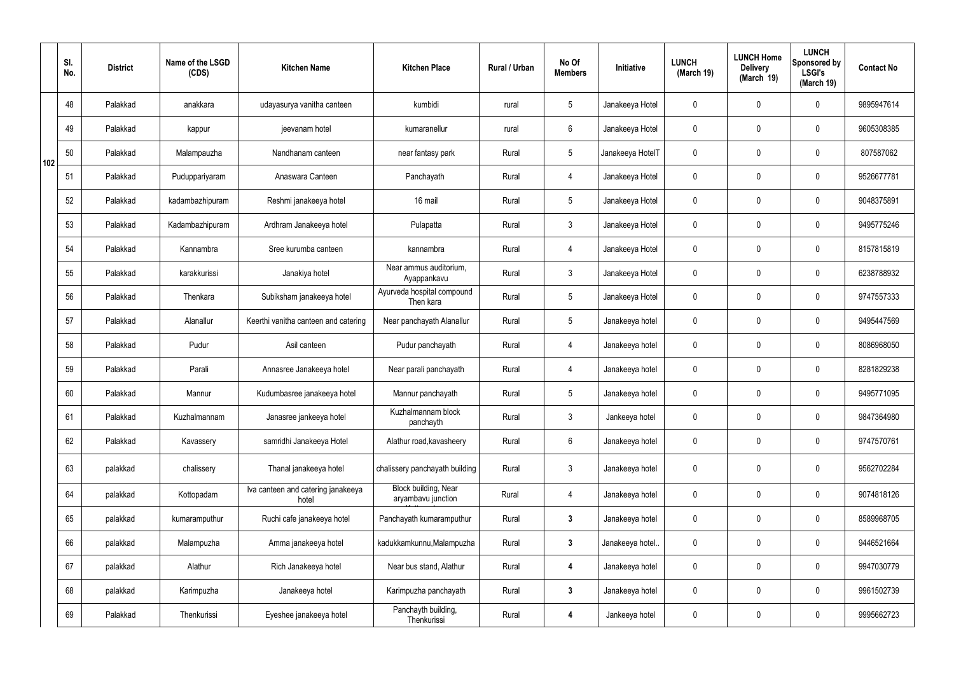|     | SI.<br>No. | <b>District</b> | Name of the LSGD<br>(CDS) | <b>Kitchen Name</b>                         | <b>Kitchen Place</b>                              | Rural / Urban | No Of<br><b>Members</b> | Initiative       | <b>LUNCH</b><br>(March 19) | <b>LUNCH Home</b><br><b>Delivery</b><br>(March 19) | <b>LUNCH</b><br>Sponsored by<br><b>LSGI's</b><br>(March 19) | <b>Contact No</b> |
|-----|------------|-----------------|---------------------------|---------------------------------------------|---------------------------------------------------|---------------|-------------------------|------------------|----------------------------|----------------------------------------------------|-------------------------------------------------------------|-------------------|
|     | 48         | Palakkad        | anakkara                  | udayasurya vanitha canteen                  | kumbidi                                           | rural         | $5\overline{)}$         | Janakeeya Hotel  | $\mathbf 0$                | $\mathbf 0$                                        | $\mathbf 0$                                                 | 9895947614        |
|     | 49         | Palakkad        | kappur                    | jeevanam hotel                              | kumaranellur                                      | rural         | $6\phantom{.}6$         | Janakeeya Hotel  | $\mathbf 0$                | $\mathbf 0$                                        | $\mathbf 0$                                                 | 9605308385        |
| 102 | 50         | Palakkad        | Malampauzha               | Nandhanam canteen                           | near fantasy park                                 | Rural         | $5\overline{)}$         | Janakeeya HotelT | $\mathbf 0$                | $\mathbf 0$                                        | $\mathbf 0$                                                 | 807587062         |
|     | 51         | Palakkad        | Puduppariyaram            | Anaswara Canteen                            | Panchayath                                        | Rural         | $\overline{4}$          | Janakeeya Hotel  | $\mathbf 0$                | $\mathbf 0$                                        | $\mathbf 0$                                                 | 9526677781        |
|     | 52         | Palakkad        | kadambazhipuram           | Reshmi janakeeya hotel                      | 16 mail                                           | Rural         | $5\phantom{.0}$         | Janakeeya Hotel  | $\mathbf 0$                | $\mathbf 0$                                        | $\mathbf 0$                                                 | 9048375891        |
|     | 53         | Palakkad        | Kadambazhipuram           | Ardhram Janakeeya hotel                     | Pulapatta                                         | Rural         | $\mathbf{3}$            | Janakeeya Hotel  | $\mathbf 0$                | $\mathbf 0$                                        | $\mathbf 0$                                                 | 9495775246        |
|     | 54         | Palakkad        | Kannambra                 | Sree kurumba canteen                        | kannambra                                         | Rural         | 4                       | Janakeeya Hotel  | $\mathbf 0$                | $\mathbf 0$                                        | $\mathbf 0$                                                 | 8157815819        |
|     | 55         | Palakkad        | karakkurissi              | Janakiya hotel                              | Near ammus auditorium,<br>Ayappankavu             | Rural         | $\mathbf{3}$            | Janakeeya Hotel  | $\mathbf 0$                | $\mathbf 0$                                        | $\mathbf 0$                                                 | 6238788932        |
|     | 56         | Palakkad        | Thenkara                  | Subiksham janakeeya hotel                   | Ayurveda hospital compound<br>Then kara           | Rural         | $5\overline{)}$         | Janakeeya Hotel  | $\mathbf 0$                | $\mathbf 0$                                        | $\mathbf 0$                                                 | 9747557333        |
|     | 57         | Palakkad        | Alanallur                 | Keerthi vanitha canteen and catering        | Near panchayath Alanallur                         | Rural         | $5\overline{)}$         | Janakeeya hotel  | $\mathbf 0$                | $\mathbf 0$                                        | $\mathbf 0$                                                 | 9495447569        |
|     | 58         | Palakkad        | Pudur                     | Asil canteen                                | Pudur panchayath                                  | Rural         | 4                       | Janakeeya hotel  | $\mathbf 0$                | $\mathbf 0$                                        | $\mathbf 0$                                                 | 8086968050        |
|     | 59         | Palakkad        | Parali                    | Annasree Janakeeya hotel                    | Near parali panchayath                            | Rural         | $\overline{4}$          | Janakeeya hotel  | $\mathbf 0$                | $\mathbf 0$                                        | $\mathbf 0$                                                 | 8281829238        |
|     | 60         | Palakkad        | Mannur                    | Kudumbasree janakeeya hotel                 | Mannur panchayath                                 | Rural         | 5                       | Janakeeya hotel  | $\mathbf 0$                | $\mathbf 0$                                        | $\mathbf 0$                                                 | 9495771095        |
|     | 61         | Palakkad        | Kuzhalmannam              | Janasree jankeeya hotel                     | Kuzhalmannam block<br>panchayth                   | Rural         | $\mathbf{3}$            | Jankeeya hotel   | $\mathbf 0$                | $\mathbf 0$                                        | $\mathbf 0$                                                 | 9847364980        |
|     | 62         | Palakkad        | Kavassery                 | samridhi Janakeeya Hotel                    | Alathur road, kavasheery                          | Rural         | $6\overline{6}$         | Janakeeya hotel  | $\mathbf 0$                | $\mathbf 0$                                        | $\mathbf 0$                                                 | 9747570761        |
|     | 63         | palakkad        | chalissery                | Thanal janakeeya hotel                      | chalissery panchayath building                    | Rural         | $\mathfrak{Z}$          | Janakeeya hotel  | $\pmb{0}$                  | $\pmb{0}$                                          | $\mathbf 0$                                                 | 9562702284        |
|     | 64         | palakkad        | Kottopadam                | Iva canteen and catering janakeeya<br>hotel | <b>Block building, Near</b><br>aryambavu junction | Rural         | $\overline{4}$          | Janakeeya hotel  | $\mathbf 0$                | $\mathbf 0$                                        | $\mathbf 0$                                                 | 9074818126        |
|     | 65         | palakkad        | kumaramputhur             | Ruchi cafe janakeeya hotel                  | Panchayath kumaramputhur                          | Rural         | $\mathbf{3}$            | Janakeeya hotel  | $\mathbf 0$                | $\mathbf 0$                                        | $\mathbf 0$                                                 | 8589968705        |
|     | 66         | palakkad        | Malampuzha                | Amma janakeeya hotel                        | kadukkamkunnu, Malampuzha                         | Rural         | $\mathbf{3}$            | Janakeeya hotel. | $\mathbf 0$                | $\pmb{0}$                                          | $\mathbf 0$                                                 | 9446521664        |
|     | 67         | palakkad        | Alathur                   | Rich Janakeeya hotel                        | Near bus stand, Alathur                           | Rural         | 4                       | Janakeeya hotel  | $\mathbf 0$                | $\pmb{0}$                                          | $\mathbf 0$                                                 | 9947030779        |
|     | 68         | palakkad        | Karimpuzha                | Janakeeya hotel                             | Karimpuzha panchayath                             | Rural         | $\mathbf{3}$            | Janakeeya hotel  | $\pmb{0}$                  | $\pmb{0}$                                          | $\mathbf 0$                                                 | 9961502739        |
|     | 69         | Palakkad        | Thenkurissi               | Eyeshee janakeeya hotel                     | Panchayth building,<br>Thenkurissi                | Rural         | 4                       | Jankeeya hotel   | $\boldsymbol{0}$           | $\pmb{0}$                                          | $\boldsymbol{0}$                                            | 9995662723        |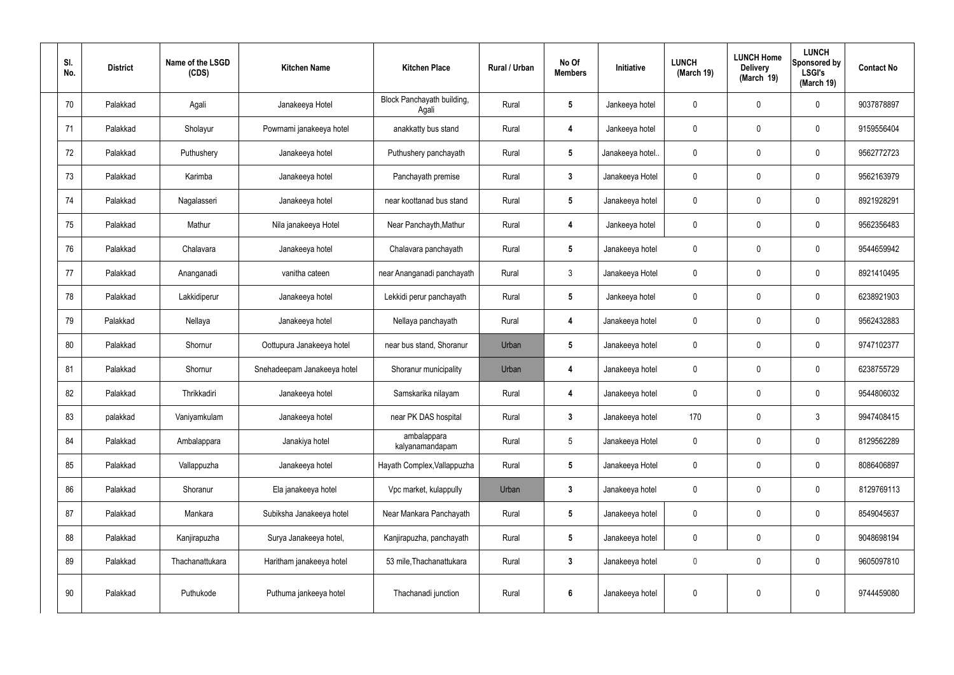| SI.<br>No. | <b>District</b> | Name of the LSGD<br>(CDS) | <b>Kitchen Name</b>         | <b>Kitchen Place</b>                | Rural / Urban | No Of<br><b>Members</b> | Initiative       | <b>LUNCH</b><br>(March 19) | <b>LUNCH Home</b><br><b>Delivery</b><br>(March 19) | <b>LUNCH</b><br>Sponsored by<br><b>LSGI's</b><br>(March 19) | <b>Contact No</b> |
|------------|-----------------|---------------------------|-----------------------------|-------------------------------------|---------------|-------------------------|------------------|----------------------------|----------------------------------------------------|-------------------------------------------------------------|-------------------|
| 70         | Palakkad        | Agali                     | Janakeeya Hotel             | Block Panchayath building,<br>Agali | Rural         | $5\phantom{.0}$         | Jankeeya hotel   | $\mathbf 0$                | 0                                                  | $\mathbf 0$                                                 | 9037878897        |
| 71         | Palakkad        | Sholayur                  | Powrnami janakeeya hotel    | anakkatty bus stand                 | Rural         | 4                       | Jankeeya hotel   | $\mathbf 0$                | 0                                                  | $\mathbf 0$                                                 | 9159556404        |
| 72         | Palakkad        | Puthushery                | Janakeeya hotel             | Puthushery panchayath               | Rural         | $5\overline{)}$         | Janakeeya hotel. | $\mathbf 0$                | $\boldsymbol{0}$                                   | $\mathbf 0$                                                 | 9562772723        |
| 73         | Palakkad        | Karimba                   | Janakeeya hotel             | Panchayath premise                  | Rural         | $\mathbf{3}$            | Janakeeya Hotel  | $\mathbf 0$                | 0                                                  | $\mathbf 0$                                                 | 9562163979        |
| 74         | Palakkad        | Nagalasseri               | Janakeeya hotel             | near koottanad bus stand            | Rural         | $5\overline{)}$         | Janakeeya hotel  | $\mathbf 0$                | 0                                                  | $\mathbf 0$                                                 | 8921928291        |
| 75         | Palakkad        | Mathur                    | Nila janakeeya Hotel        | Near Panchayth, Mathur              | Rural         | 4                       | Jankeeya hotel   | $\mathbf 0$                | 0                                                  | $\mathbf 0$                                                 | 9562356483        |
| 76         | Palakkad        | Chalavara                 | Janakeeya hotel             | Chalavara panchayath                | Rural         | $5\phantom{.0}$         | Janakeeya hotel  | $\mathbf 0$                | 0                                                  | $\mathbf 0$                                                 | 9544659942        |
| 77         | Palakkad        | Ananganadi                | vanitha cateen              | near Ananganadi panchayath          | Rural         | $\mathbf{3}$            | Janakeeya Hotel  | $\mathbf 0$                | 0                                                  | $\mathbf 0$                                                 | 8921410495        |
| 78         | Palakkad        | Lakkidiperur              | Janakeeya hotel             | Lekkidi perur panchayath            | Rural         | $5\phantom{.0}$         | Jankeeya hotel   | $\mathbf 0$                | 0                                                  | $\mathbf 0$                                                 | 6238921903        |
| 79         | Palakkad        | Nellaya                   | Janakeeya hotel             | Nellaya panchayath                  | Rural         | 4                       | Janakeeya hotel  | $\mathbf 0$                | 0                                                  | $\mathbf 0$                                                 | 9562432883        |
| 80         | Palakkad        | Shornur                   | Oottupura Janakeeya hotel   | near bus stand, Shoranur            | Urban         | $5\phantom{.0}$         | Janakeeya hotel  | $\mathbf 0$                | 0                                                  | $\mathbf 0$                                                 | 9747102377        |
| 81         | Palakkad        | Shornur                   | Snehadeepam Janakeeya hotel | Shoranur municipality               | Urban         | 4                       | Janakeeya hotel  | $\mathbf 0$                | 0                                                  | $\mathbf 0$                                                 | 6238755729        |
| 82         | Palakkad        | Thrikkadiri               | Janakeeya hotel             | Samskarika nilayam                  | Rural         | 4                       | Janakeeya hotel  | 0                          | 0                                                  | $\mathbf 0$                                                 | 9544806032        |
| 83         | palakkad        | Vaniyamkulam              | Janakeeya hotel             | near PK DAS hospital                | Rural         | $\mathbf{3}$            | Janakeeya hotel  | 170                        | $\mathbf 0$                                        | $\mathbf{3}$                                                | 9947408415        |
| 84         | Palakkad        | Ambalappara               | Janakiya hotel              | ambalappara<br>kalyanamandapam      | Rural         | $5\phantom{.0}$         | Janakeeya Hotel  | $\mathbf 0$                | $\mathbf 0$                                        | $\mathbf 0$                                                 | 8129562289        |
| 85         | Palakkad        | Vallappuzha               | Janakeeya hotel             | Hayath Complex, Vallappuzha         | Rural         | $5\phantom{.0}$         | Janakeeya Hotel  | $\mathbf 0$                | $\mathbf 0$                                        | $\mathbf 0$                                                 | 8086406897        |
| 86         | Palakkad        | Shoranur                  | Ela janakeeya hotel         | Vpc market, kulappully              | Urban         | $\mathbf{3}$            | Janakeeya hotel  | $\mathbf 0$                | 0                                                  | $\mathbf 0$                                                 | 8129769113        |
| 87         | Palakkad        | Mankara                   | Subiksha Janakeeya hotel    | Near Mankara Panchayath             | Rural         | $5\phantom{.0}$         | Janakeeya hotel  | $\mathbf 0$                | 0                                                  | $\mathbf 0$                                                 | 8549045637        |
| 88         | Palakkad        | Kanjirapuzha              | Surya Janakeeya hotel,      | Kanjirapuzha, panchayath            | Rural         | $5\phantom{.0}$         | Janakeeya hotel  | $\pmb{0}$                  | 0                                                  | $\mathbf 0$                                                 | 9048698194        |
| 89         | Palakkad        | Thachanattukara           | Haritham janakeeya hotel    | 53 mile, Thachanattukara            | Rural         | $\mathbf{3}$            | Janakeeya hotel  | $\mathbf 0$                | 0                                                  | $\mathbf 0$                                                 | 9605097810        |
| 90         | Palakkad        | Puthukode                 | Puthuma jankeeya hotel      | Thachanadi junction                 | Rural         | $6\phantom{.}6$         | Janakeeya hotel  | 0                          | 0                                                  | $\pmb{0}$                                                   | 9744459080        |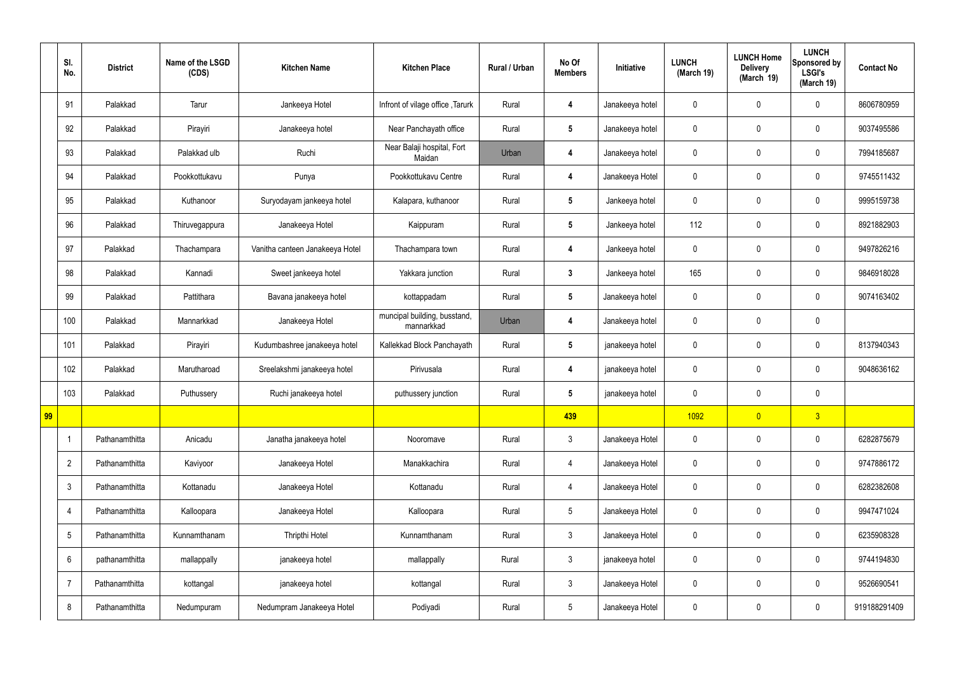|    | SI.<br>No.              | <b>District</b> | Name of the LSGD<br>(CDS) | <b>Kitchen Name</b>             | <b>Kitchen Place</b>                       | Rural / Urban | No Of<br><b>Members</b> | Initiative      | <b>LUNCH</b><br>(March 19) | <b>LUNCH Home</b><br><b>Delivery</b><br>(March 19) | <b>LUNCH</b><br>Sponsored by<br><b>LSGI's</b><br>(March 19) | <b>Contact No</b> |
|----|-------------------------|-----------------|---------------------------|---------------------------------|--------------------------------------------|---------------|-------------------------|-----------------|----------------------------|----------------------------------------------------|-------------------------------------------------------------|-------------------|
|    | 91                      | Palakkad        | Tarur                     | Jankeeya Hotel                  | Infront of vilage office, Tarurk           | Rural         | $\overline{\mathbf{4}}$ | Janakeeya hotel | $\mathbf 0$                | $\mathbf 0$                                        | $\mathbf 0$                                                 | 8606780959        |
|    | 92                      | Palakkad        | Pirayiri                  | Janakeeya hotel                 | Near Panchayath office                     | Rural         | $5\phantom{.0}$         | Janakeeya hotel | $\mathbf 0$                | $\mathbf 0$                                        | $\mathbf 0$                                                 | 9037495586        |
|    | 93                      | Palakkad        | Palakkad ulb              | Ruchi                           | Near Balaji hospital, Fort<br>Maidan       | Urban         | 4                       | Janakeeya hotel | $\mathbf 0$                | $\mathbf 0$                                        | $\mathbf 0$                                                 | 7994185687        |
|    | 94                      | Palakkad        | Pookkottukavu             | Punya                           | Pookkottukavu Centre                       | Rural         | $\overline{\mathbf{4}}$ | Janakeeya Hotel | $\mathbf 0$                | $\mathbf 0$                                        | $\mathbf 0$                                                 | 9745511432        |
|    | 95                      | Palakkad        | Kuthanoor                 | Suryodayam jankeeya hotel       | Kalapara, kuthanoor                        | Rural         | $5\phantom{.0}$         | Jankeeya hotel  | $\mathbf 0$                | $\mathbf 0$                                        | $\mathbf 0$                                                 | 9995159738        |
|    | 96                      | Palakkad        | Thiruvegappura            | Janakeeya Hotel                 | Kaippuram                                  | Rural         | $5\phantom{.0}$         | Jankeeya hotel  | 112                        | $\mathbf 0$                                        | $\mathbf 0$                                                 | 8921882903        |
|    | 97                      | Palakkad        | Thachampara               | Vanitha canteen Janakeeya Hotel | Thachampara town                           | Rural         | 4                       | Jankeeya hotel  | $\mathbf 0$                | $\mathbf 0$                                        | $\mathbf 0$                                                 | 9497826216        |
|    | 98                      | Palakkad        | Kannadi                   | Sweet jankeeya hotel            | Yakkara junction                           | Rural         | $\mathbf{3}$            | Jankeeya hotel  | 165                        | $\mathbf 0$                                        | $\mathbf 0$                                                 | 9846918028        |
|    | 99                      | Palakkad        | Pattithara                | Bavana janakeeya hotel          | kottappadam                                | Rural         | $5\phantom{.0}$         | Janakeeya hotel | $\mathbf 0$                | $\mathbf 0$                                        | $\mathbf 0$                                                 | 9074163402        |
|    | 100                     | Palakkad        | Mannarkkad                | Janakeeya Hotel                 | muncipal building, busstand,<br>mannarkkad | Urban         | 4                       | Janakeeya hotel | $\mathbf 0$                | $\mathbf 0$                                        | $\mathbf 0$                                                 |                   |
|    | 101                     | Palakkad        | Pirayiri                  | Kudumbashree janakeeya hotel    | Kallekkad Block Panchayath                 | Rural         | $5\phantom{.0}$         | janakeeya hotel | $\mathbf 0$                | $\mathbf 0$                                        | $\mathbf 0$                                                 | 8137940343        |
|    | 102                     | Palakkad        | Marutharoad               | Sreelakshmi janakeeya hotel     | Pirivusala                                 | Rural         | 4                       | janakeeya hotel | $\mathbf 0$                | $\mathbf 0$                                        | $\mathbf 0$                                                 | 9048636162        |
|    | 103                     | Palakkad        | Puthussery                | Ruchi janakeeya hotel           | puthussery junction                        | Rural         | $5\phantom{.0}$         | janakeeya hotel | $\mathbf 0$                | $\mathbf 0$                                        | $\mathbf 0$                                                 |                   |
| 99 |                         |                 |                           |                                 |                                            |               | 439                     |                 | 1092                       | $\overline{0}$                                     | 3 <sup>°</sup>                                              |                   |
|    | $\overline{\mathbf{1}}$ | Pathanamthitta  | Anicadu                   | Janatha janakeeya hotel         | Nooromave                                  | Rural         | $\mathbf{3}$            | Janakeeya Hotel | $\pmb{0}$                  | $\pmb{0}$                                          | $\mathbf 0$                                                 | 6282875679        |
|    | $\overline{2}$          | Pathanamthitta  | Kaviyoor                  | Janakeeya Hotel                 | Manakkachira                               | Rural         | $\overline{4}$          | Janakeeya Hotel | $\pmb{0}$                  | $\pmb{0}$                                          | $\mathbf 0$                                                 | 9747886172        |
|    | $\mathfrak{Z}$          | Pathanamthitta  | Kottanadu                 | Janakeeya Hotel                 | Kottanadu                                  | Rural         | $\overline{4}$          | Janakeeya Hotel | $\pmb{0}$                  | $\pmb{0}$                                          | $\mathbf 0$                                                 | 6282382608        |
|    | 4                       | Pathanamthitta  | Kalloopara                | Janakeeya Hotel                 | Kalloopara                                 | Rural         | $5\overline{)}$         | Janakeeya Hotel | $\pmb{0}$                  | $\pmb{0}$                                          | $\mathbf 0$                                                 | 9947471024        |
|    | $\sqrt{5}$              | Pathanamthitta  | Kunnamthanam              | Thripthi Hotel                  | Kunnamthanam                               | Rural         | $\mathbf{3}$            | Janakeeya Hotel | $\pmb{0}$                  | $\pmb{0}$                                          | $\mathbf 0$                                                 | 6235908328        |
|    | $6\phantom{.}6$         | pathanamthitta  | mallappally               | janakeeya hotel                 | mallappally                                | Rural         | $\mathbf{3}$            | janakeeya hotel | $\pmb{0}$                  | $\pmb{0}$                                          | $\mathbf 0$                                                 | 9744194830        |
|    | $\overline{7}$          | Pathanamthitta  | kottangal                 | janakeeya hotel                 | kottangal                                  | Rural         | $\mathbf{3}$            | Janakeeya Hotel | $\pmb{0}$                  | $\pmb{0}$                                          | $\mathbf 0$                                                 | 9526690541        |
|    | 8                       | Pathanamthitta  | Nedumpuram                | Nedumpram Janakeeya Hotel       | Podiyadi                                   | Rural         | $5\phantom{.0}$         | Janakeeya Hotel | 0                          | $\pmb{0}$                                          | $\boldsymbol{0}$                                            | 919188291409      |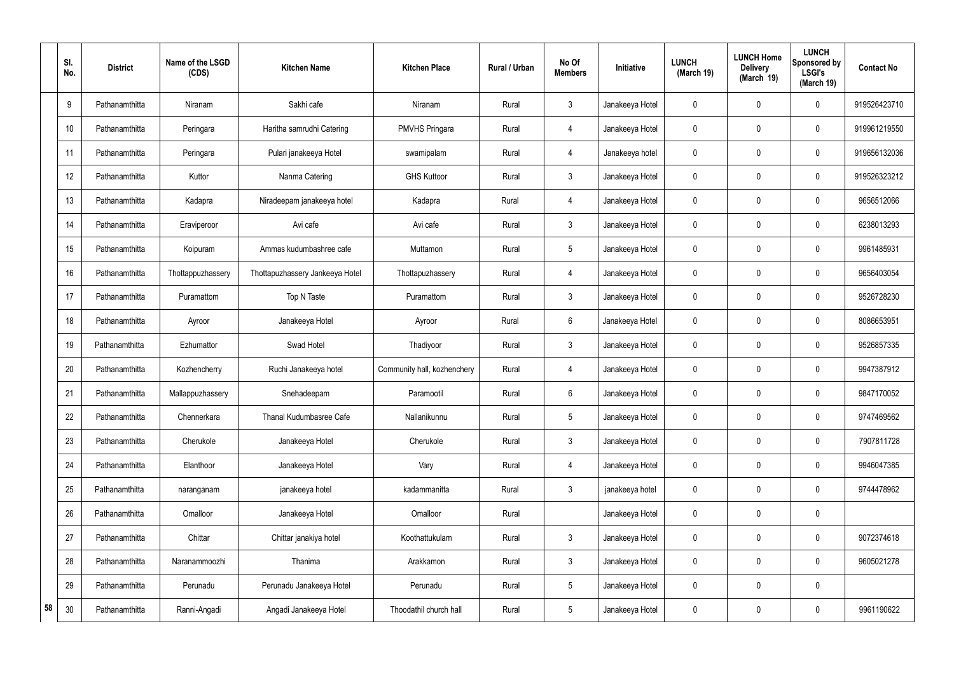|    | SI.<br>No. | <b>District</b> | Name of the LSGD<br>(CDS) | <b>Kitchen Name</b>             | <b>Kitchen Place</b>        | Rural / Urban | No Of<br><b>Members</b> | Initiative      | <b>LUNCH</b><br>(March 19) | <b>LUNCH Home</b><br><b>Delivery</b><br>(March 19) | <b>LUNCH</b><br>Sponsored by<br>LSGI's<br>(March 19) | <b>Contact No</b> |
|----|------------|-----------------|---------------------------|---------------------------------|-----------------------------|---------------|-------------------------|-----------------|----------------------------|----------------------------------------------------|------------------------------------------------------|-------------------|
|    | 9          | Pathanamthitta  | Niranam                   | Sakhi cafe                      | Niranam                     | Rural         | 3                       | Janakeeya Hotel | 0                          | $\mathbf 0$                                        | $\mathbf 0$                                          | 919526423710      |
|    | 10         | Pathanamthitta  | Peringara                 | Haritha samrudhi Catering       | <b>PMVHS Pringara</b>       | Rural         | $\overline{4}$          | Janakeeya Hotel | 0                          | $\mathbf 0$                                        | $\mathbf 0$                                          | 919961219550      |
|    | 11         | Pathanamthitta  | Peringara                 | Pulari janakeeya Hotel          | swamipalam                  | Rural         | $\overline{4}$          | Janakeeya hotel | 0                          | $\mathbf 0$                                        | $\mathbf 0$                                          | 919656132036      |
|    | 12         | Pathanamthitta  | Kuttor                    | Nanma Catering                  | <b>GHS Kuttoor</b>          | Rural         | $\mathbf{3}$            | Janakeeya Hotel | 0                          | $\mathbf 0$                                        | $\mathbf 0$                                          | 919526323212      |
|    | 13         | Pathanamthitta  | Kadapra                   | Niradeepam janakeeya hotel      | Kadapra                     | Rural         | $\overline{4}$          | Janakeeya Hotel | 0                          | 0                                                  | $\mathbf 0$                                          | 9656512066        |
|    | 14         | Pathanamthitta  | Eraviperoor               | Avi cafe                        | Avi cafe                    | Rural         | $\mathbf{3}$            | Janakeeya Hotel | 0                          | $\mathbf 0$                                        | $\pmb{0}$                                            | 6238013293        |
|    | 15         | Pathanamthitta  | Koipuram                  | Ammas kudumbashree cafe         | Muttamon                    | Rural         | 5                       | Janakeeya Hotel | 0                          | $\mathbf 0$                                        | $\mathbf 0$                                          | 9961485931        |
|    | 16         | Pathanamthitta  | Thottappuzhassery         | Thottapuzhassery Jankeeya Hotel | Thottapuzhassery            | Rural         | 4                       | Janakeeya Hotel | 0                          | $\mathbf 0$                                        | $\mathbf 0$                                          | 9656403054        |
|    | 17         | Pathanamthitta  | Puramattom                | Top N Taste                     | Puramattom                  | Rural         | $\mathbf{3}$            | Janakeeya Hotel | 0                          | $\mathbf 0$                                        | $\mathbf 0$                                          | 9526728230        |
|    | 18         | Pathanamthitta  | Ayroor                    | Janakeeya Hotel                 | Ayroor                      | Rural         | $6\overline{6}$         | Janakeeya Hotel | 0                          | 0                                                  | $\mathbf 0$                                          | 8086653951        |
|    | 19         | Pathanamthitta  | Ezhumattor                | Swad Hotel                      | Thadiyoor                   | Rural         | $\mathbf{3}$            | Janakeeya Hotel | 0                          | 0                                                  | $\mathbf 0$                                          | 9526857335        |
|    | 20         | Pathanamthitta  | Kozhencherry              | Ruchi Janakeeya hotel           | Community hall, kozhenchery | Rural         | $\overline{4}$          | Janakeeya Hotel | 0                          | 0                                                  | $\mathbf 0$                                          | 9947387912        |
|    | 21         | Pathanamthitta  | Mallappuzhassery          | Snehadeepam                     | Paramootil                  | Rural         | 6                       | Janakeeya Hotel | 0                          | $\mathbf 0$                                        | $\mathbf 0$                                          | 9847170052        |
|    | 22         | Pathanamthitta  | Chennerkara               | <b>Thanal Kudumbasree Cafe</b>  | Nallanikunnu                | Rural         | 5                       | Janakeeya Hotel | 0                          | $\mathbf 0$                                        | $\mathbf 0$                                          | 9747469562        |
|    | 23         | Pathanamthitta  | Cherukole                 | Janakeeya Hotel                 | Cherukole                   | Rural         | $\mathbf{3}$            | Janakeeya Hotel | 0                          | $\mathbf 0$                                        | $\pmb{0}$                                            | 7907811728        |
|    | 24         | Pathanamthitta  | Elanthoor                 | Janakeeya Hotel                 | Vary                        | Rural         | $\overline{4}$          | Janakeeya Hotel | 0                          | $\mathbf 0$                                        | $\pmb{0}$                                            | 9946047385        |
|    | 25         | Pathanamthitta  | naranganam                | janakeeya hotel                 | kadammanitta                | Rural         | $\mathbf{3}$            | janakeeya hotel | 0                          | $\mathbf 0$                                        | $\pmb{0}$                                            | 9744478962        |
|    | 26         | Pathanamthitta  | Omalloor                  | Janakeeya Hotel                 | Omalloor                    | Rural         |                         | Janakeeya Hotel | 0                          | $\pmb{0}$                                          | $\pmb{0}$                                            |                   |
|    | 27         | Pathanamthitta  | Chittar                   | Chittar janakiya hotel          | Koothattukulam              | Rural         | $\mathbf{3}$            | Janakeeya Hotel | $\mathbf 0$                | $\mathbf 0$                                        | $\pmb{0}$                                            | 9072374618        |
|    | 28         | Pathanamthitta  | Naranammoozhi             | Thanima                         | Arakkamon                   | Rural         | $\mathbf{3}$            | Janakeeya Hotel | 0                          | $\mathbf 0$                                        | $\mathbf 0$                                          | 9605021278        |
|    | 29         | Pathanamthitta  | Perunadu                  | Perunadu Janakeeya Hotel        | Perunadu                    | Rural         | 5                       | Janakeeya Hotel | 0                          | $\mathbf 0$                                        | $\pmb{0}$                                            |                   |
| 58 | $30\,$     | Pathanamthitta  | Ranni-Angadi              | Angadi Janakeeya Hotel          | Thoodathil church hall      | Rural         | 5                       | Janakeeya Hotel | 0                          | $\pmb{0}$                                          | $\pmb{0}$                                            | 9961190622        |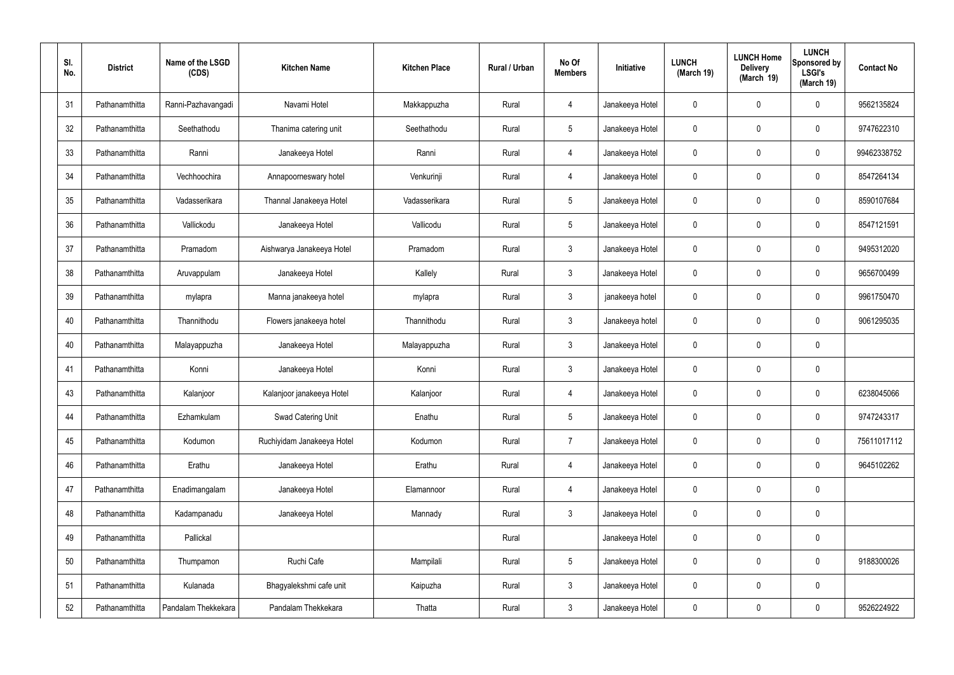| SI.<br>No. | <b>District</b> | Name of the LSGD<br>(CDS) | <b>Kitchen Name</b>        | <b>Kitchen Place</b> | Rural / Urban | No Of<br><b>Members</b> | Initiative      | <b>LUNCH</b><br>(March 19) | <b>LUNCH Home</b><br><b>Delivery</b><br>(March 19) | <b>LUNCH</b><br>Sponsored by<br><b>LSGI's</b><br>(March 19) | <b>Contact No</b> |
|------------|-----------------|---------------------------|----------------------------|----------------------|---------------|-------------------------|-----------------|----------------------------|----------------------------------------------------|-------------------------------------------------------------|-------------------|
| 31         | Pathanamthitta  | Ranni-Pazhavangadi        | Navami Hotel               | Makkappuzha          | Rural         | 4                       | Janakeeya Hotel | 0                          | 0                                                  | $\mathbf 0$                                                 | 9562135824        |
| 32         | Pathanamthitta  | Seethathodu               | Thanima catering unit      | Seethathodu          | Rural         | $5\phantom{.0}$         | Janakeeya Hotel | 0                          | 0                                                  | $\pmb{0}$                                                   | 9747622310        |
| 33         | Pathanamthitta  | Ranni                     | Janakeeya Hotel            | Ranni                | Rural         | 4                       | Janakeeya Hotel | 0                          | 0                                                  | $\mathbf 0$                                                 | 99462338752       |
| 34         | Pathanamthitta  | Vechhoochira              | Annapoorneswary hotel      | Venkurinji           | Rural         | 4                       | Janakeeya Hotel | 0                          | 0                                                  | $\mathbf 0$                                                 | 8547264134        |
| 35         | Pathanamthitta  | Vadasserikara             | Thannal Janakeeya Hotel    | Vadasserikara        | Rural         | $5\phantom{.0}$         | Janakeeya Hotel | 0                          | 0                                                  | $\mathbf 0$                                                 | 8590107684        |
| 36         | Pathanamthitta  | Vallickodu                | Janakeeya Hotel            | Vallicodu            | Rural         | $5\phantom{.0}$         | Janakeeya Hotel | 0                          | 0                                                  | $\mathbf 0$                                                 | 8547121591        |
| 37         | Pathanamthitta  | Pramadom                  | Aishwarya Janakeeya Hotel  | Pramadom             | Rural         | $\mathbf{3}$            | Janakeeya Hotel | 0                          | 0                                                  | $\mathbf 0$                                                 | 9495312020        |
| 38         | Pathanamthitta  | Aruvappulam               | Janakeeya Hotel            | Kallely              | Rural         | $\mathbf{3}$            | Janakeeya Hotel | 0                          | 0                                                  | $\mathbf 0$                                                 | 9656700499        |
| 39         | Pathanamthitta  | mylapra                   | Manna janakeeya hotel      | mylapra              | Rural         | $\mathbf{3}$            | janakeeya hotel | 0                          | 0                                                  | $\mathbf 0$                                                 | 9961750470        |
| 40         | Pathanamthitta  | Thannithodu               | Flowers janakeeya hotel    | Thannithodu          | Rural         | $\mathbf{3}$            | Janakeeya hotel | 0                          | 0                                                  | $\boldsymbol{0}$                                            | 9061295035        |
| 40         | Pathanamthitta  | Malayappuzha              | Janakeeya Hotel            | Malayappuzha         | Rural         | $\mathbf{3}$            | Janakeeya Hotel | 0                          | 0                                                  | $\mathbf 0$                                                 |                   |
| 41         | Pathanamthitta  | Konni                     | Janakeeya Hotel            | Konni                | Rural         | $\mathbf{3}$            | Janakeeya Hotel | 0                          | 0                                                  | $\mathbf 0$                                                 |                   |
| 43         | Pathanamthitta  | Kalanjoor                 | Kalanjoor janakeeya Hotel  | Kalanjoor            | Rural         | 4                       | Janakeeya Hotel | 0                          | 0                                                  | $\mathbf 0$                                                 | 6238045066        |
| 44         | Pathanamthitta  | Ezhamkulam                | Swad Catering Unit         | Enathu               | Rural         | $5\phantom{.0}$         | Janakeeya Hotel | 0                          | 0                                                  | $\mathbf 0$                                                 | 9747243317        |
| 45         | Pathanamthitta  | Kodumon                   | Ruchiyidam Janakeeya Hotel | Kodumon              | Rural         | $\overline{7}$          | Janakeeya Hotel | 0                          | 0                                                  | $\mathbf 0$                                                 | 75611017112       |
| 46         | Pathanamthitta  | Erathu                    | Janakeeya Hotel            | Erathu               | Rural         | 4                       | Janakeeya Hotel | 0                          | 0                                                  | $\mathbf 0$                                                 | 9645102262        |
| 47         | Pathanamthitta  | Enadimangalam             | Janakeeya Hotel            | Elamannoor           | Rural         | 4                       | Janakeeya Hotel | 0                          | 0                                                  | $\mathbf 0$                                                 |                   |
| 48         | Pathanamthitta  | Kadampanadu               | Janakeeya Hotel            | Mannady              | Rural         | $\mathbf{3}$            | Janakeeya Hotel | 0                          | 0                                                  | $\mathbf 0$                                                 |                   |
| 49         | Pathanamthitta  | Pallickal                 |                            |                      | Rural         |                         | Janakeeya Hotel | 0                          | 0                                                  | $\mathbf 0$                                                 |                   |
| 50         | Pathanamthitta  | Thumpamon                 | Ruchi Cafe                 | Mampilali            | Rural         | $5\phantom{.0}$         | Janakeeya Hotel | 0                          | 0                                                  | $\mathbf 0$                                                 | 9188300026        |
| 51         | Pathanamthitta  | Kulanada                  | Bhagyalekshmi cafe unit    | Kaipuzha             | Rural         | $\mathfrak{Z}$          | Janakeeya Hotel | 0                          | 0                                                  | $\pmb{0}$                                                   |                   |
| 52         | Pathanamthitta  | Pandalam Thekkekara       | Pandalam Thekkekara        | Thatta               | Rural         | 3 <sup>1</sup>          | Janakeeya Hotel | 0                          | 0                                                  | $\mathbf 0$                                                 | 9526224922        |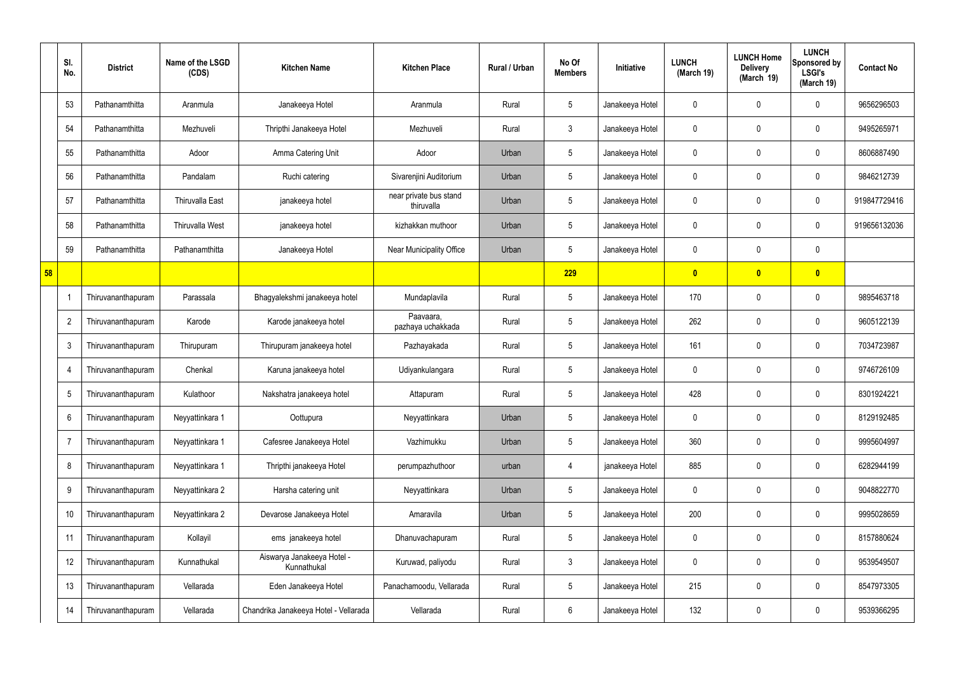|    | SI.<br>No.      | <b>District</b>    | Name of the LSGD<br>(CDS) | <b>Kitchen Name</b>                       | <b>Kitchen Place</b>                 | Rural / Urban | No Of<br><b>Members</b> | Initiative      | <b>LUNCH</b><br>(March 19) | <b>LUNCH Home</b><br><b>Delivery</b><br>(March 19) | <b>LUNCH</b><br>Sponsored by<br><b>LSGI's</b><br>(March 19) | <b>Contact No</b> |
|----|-----------------|--------------------|---------------------------|-------------------------------------------|--------------------------------------|---------------|-------------------------|-----------------|----------------------------|----------------------------------------------------|-------------------------------------------------------------|-------------------|
|    | 53              | Pathanamthitta     | Aranmula                  | Janakeeya Hotel                           | Aranmula                             | Rural         | $5\phantom{.0}$         | Janakeeya Hotel | 0                          | 0                                                  | $\mathbf 0$                                                 | 9656296503        |
|    | 54              | Pathanamthitta     | Mezhuveli                 | Thripthi Janakeeya Hotel                  | Mezhuveli                            | Rural         | 3                       | Janakeeya Hotel | 0                          | 0                                                  | $\pmb{0}$                                                   | 9495265971        |
|    | 55              | Pathanamthitta     | Adoor                     | Amma Catering Unit                        | Adoor                                | Urban         | $5\phantom{.0}$         | Janakeeya Hotel | 0                          | 0                                                  | $\mathbf 0$                                                 | 8606887490        |
|    | 56              | Pathanamthitta     | Pandalam                  | Ruchi catering                            | Sivarenjini Auditorium               | Urban         | 5                       | Janakeeya Hotel | 0                          | 0                                                  | $\pmb{0}$                                                   | 9846212739        |
|    | 57              | Pathanamthitta     | <b>Thiruvalla East</b>    | janakeeya hotel                           | near private bus stand<br>thiruvalla | Urban         | $5\phantom{.0}$         | Janakeeya Hotel | 0                          | 0                                                  | $\mathbf 0$                                                 | 919847729416      |
|    | 58              | Pathanamthitta     | <b>Thiruvalla West</b>    | janakeeya hotel                           | kizhakkan muthoor                    | Urban         | 5                       | Janakeeya Hotel | 0                          | 0                                                  | $\pmb{0}$                                                   | 919656132036      |
|    | 59              | Pathanamthitta     | Pathanamthitta            | Janakeeya Hotel                           | <b>Near Municipality Office</b>      | Urban         | $5\phantom{.0}$         | Janakeeya Hotel | 0                          | 0                                                  | $\mathbf 0$                                                 |                   |
| 58 |                 |                    |                           |                                           |                                      |               | 229                     |                 | $\mathbf{0}$               | $\overline{\mathbf{0}}$                            | $\bullet$                                                   |                   |
|    | 1               | Thiruvananthapuram | Parassala                 | Bhagyalekshmi janakeeya hotel             | Mundaplavila                         | Rural         | 5                       | Janakeeya Hotel | 170                        | 0                                                  | $\mathbf 0$                                                 | 9895463718        |
|    | $\overline{2}$  | Thiruvananthapuram | Karode                    | Karode janakeeya hotel                    | Paavaara,<br>pazhaya uchakkada       | Rural         | 5                       | Janakeeya Hotel | 262                        | 0                                                  | $\mathbf 0$                                                 | 9605122139        |
|    | $\mathfrak{Z}$  | Thiruvananthapuram | Thirupuram                | Thirupuram janakeeya hotel                | Pazhayakada                          | Rural         | $5\phantom{.0}$         | Janakeeya Hotel | 161                        | 0                                                  | $\mathbf 0$                                                 | 7034723987        |
|    | $\overline{4}$  | Thiruvananthapuram | Chenkal                   | Karuna janakeeya hotel                    | Udiyankulangara                      | Rural         | $5\phantom{.0}$         | Janakeeya Hotel | 0                          | 0                                                  | $\mathbf 0$                                                 | 9746726109        |
|    | 5               | Thiruvananthapuram | Kulathoor                 | Nakshatra janakeeya hotel                 | Attapuram                            | Rural         | $5\phantom{.0}$         | Janakeeya Hotel | 428                        | 0                                                  | $\mathbf 0$                                                 | 8301924221        |
|    | $6\,$           | Thiruvananthapuram | Neyyattinkara 1           | Oottupura                                 | Neyyattinkara                        | Urban         | $5\phantom{.0}$         | Janakeeya Hotel | 0                          | 0                                                  | $\mathbf 0$                                                 | 8129192485        |
|    | $\overline{7}$  | Thiruvananthapuram | Neyyattinkara 1           | Cafesree Janakeeya Hotel                  | Vazhimukku                           | Urban         | $5\phantom{.0}$         | Janakeeya Hotel | 360                        | 0                                                  | $\mathbf 0$                                                 | 9995604997        |
|    | 8               | Thiruvananthapuram | Neyyattinkara 1           | Thripthi janakeeya Hotel                  | perumpazhuthoor                      | urban         | 4                       | janakeeya Hotel | 885                        | 0                                                  | $\pmb{0}$                                                   | 6282944199        |
|    | 9               | Thiruvananthapuram | Neyyattinkara 2           | Harsha catering unit                      | Neyyattinkara                        | Urban         | $5\phantom{.0}$         | Janakeeya Hotel | $\mathbf 0$                | 0                                                  | $\mathbf 0$                                                 | 9048822770        |
|    | 10 <sup>°</sup> | Thiruvananthapuram | Neyyattinkara 2           | Devarose Janakeeya Hotel                  | Amaravila                            | Urban         | $5\phantom{.0}$         | Janakeeya Hotel | 200                        | 0                                                  | $\pmb{0}$                                                   | 9995028659        |
|    | 11              | Thiruvananthapuram | Kollayil                  | ems janakeeya hotel                       | Dhanuvachapuram                      | Rural         | $5\phantom{.0}$         | Janakeeya Hotel | $\mathbf 0$                | 0                                                  | $\pmb{0}$                                                   | 8157880624        |
|    | 12              | Thiruvananthapuram | Kunnathukal               | Aiswarya Janakeeya Hotel -<br>Kunnathukal | Kuruwad, paliyodu                    | Rural         | $\mathfrak{Z}$          | Janakeeya Hotel | 0                          | 0                                                  | $\pmb{0}$                                                   | 9539549507        |
|    | 13              | Thiruvananthapuram | Vellarada                 | Eden Janakeeya Hotel                      | Panachamoodu, Vellarada              | Rural         | $5\phantom{.0}$         | Janakeeya Hotel | 215                        | 0                                                  | $\pmb{0}$                                                   | 8547973305        |
|    | 14              | Thiruvananthapuram | Vellarada                 | Chandrika Janakeeya Hotel - Vellarada     | Vellarada                            | Rural         | 6                       | Janakeeya Hotel | 132                        | 0                                                  | $\pmb{0}$                                                   | 9539366295        |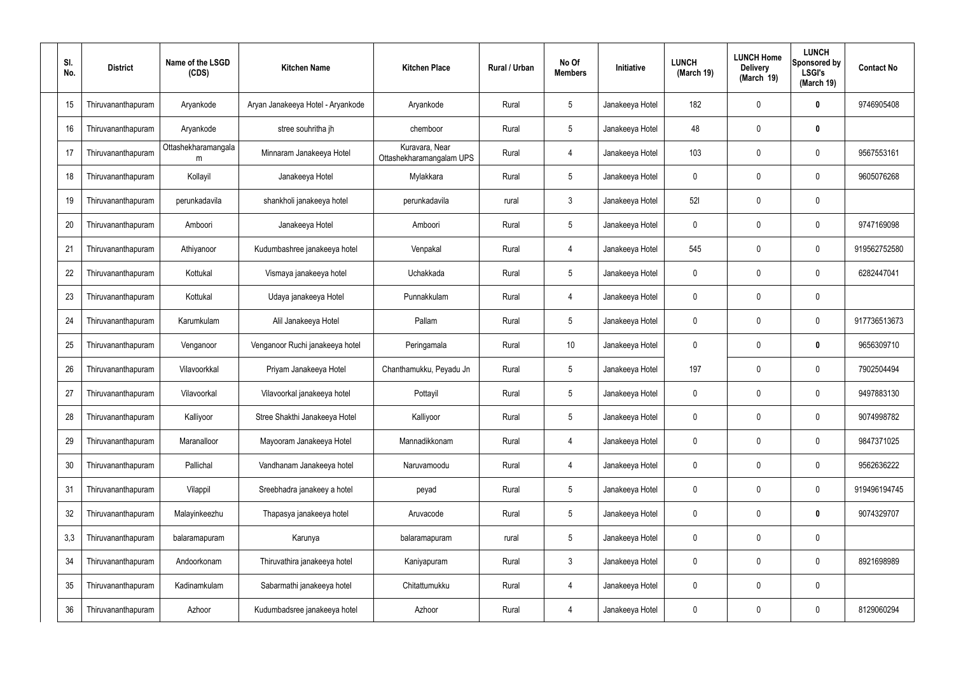| SI.<br>No. | <b>District</b>    | Name of the LSGD<br>(CDS) | <b>Kitchen Name</b>               | <b>Kitchen Place</b>                       | Rural / Urban | No Of<br><b>Members</b> | Initiative      | <b>LUNCH</b><br>(March 19) | <b>LUNCH Home</b><br><b>Delivery</b><br>(March 19) | <b>LUNCH</b><br>Sponsored by<br><b>LSGI's</b><br>(March 19) | <b>Contact No</b> |
|------------|--------------------|---------------------------|-----------------------------------|--------------------------------------------|---------------|-------------------------|-----------------|----------------------------|----------------------------------------------------|-------------------------------------------------------------|-------------------|
| 15         | Thiruvananthapuram | Aryankode                 | Aryan Janakeeya Hotel - Aryankode | Aryankode                                  | Rural         | $5\phantom{.0}$         | Janakeeya Hotel | 182                        | $\mathbf 0$                                        | $\mathbf 0$                                                 | 9746905408        |
| 16         | Thiruvananthapuram | Aryankode                 | stree souhritha jh                | chemboor                                   | Rural         | $5\phantom{.0}$         | Janakeeya Hotel | 48                         | $\mathbf 0$                                        | $\mathbf 0$                                                 |                   |
| 17         | Thiruvananthapuram | Ottashekharamangala<br>m  | Minnaram Janakeeya Hotel          | Kuravara, Near<br>Ottashekharamangalam UPS | Rural         | 4                       | Janakeeya Hotel | 103                        | $\mathbf 0$                                        | $\mathbf 0$                                                 | 9567553161        |
| 18         | Thiruvananthapuram | Kollayil                  | Janakeeya Hotel                   | Mylakkara                                  | Rural         | $5\phantom{.0}$         | Janakeeya Hotel | 0                          | $\mathbf 0$                                        | $\mathbf 0$                                                 | 9605076268        |
| 19         | Thiruvananthapuram | perunkadavila             | shankholi janakeeya hotel         | perunkadavila                              | rural         | $\mathbf{3}$            | Janakeeya Hotel | 521                        | $\mathbf 0$                                        | $\mathbf 0$                                                 |                   |
| 20         | Thiruvananthapuram | Amboori                   | Janakeeya Hotel                   | Amboori                                    | Rural         | $5\,$                   | Janakeeya Hotel | 0                          | $\mathbf 0$                                        | $\mathbf 0$                                                 | 9747169098        |
| 21         | Thiruvananthapuram | Athiyanoor                | Kudumbashree janakeeya hotel      | Venpakal                                   | Rural         | 4                       | Janakeeya Hotel | 545                        | $\mathbf 0$                                        | $\mathbf 0$                                                 | 919562752580      |
| 22         | Thiruvananthapuram | Kottukal                  | Vismaya janakeeya hotel           | Uchakkada                                  | Rural         | $5\,$                   | Janakeeya Hotel | 0                          | $\mathbf 0$                                        | $\mathbf 0$                                                 | 6282447041        |
| 23         | Thiruvananthapuram | Kottukal                  | Udaya janakeeya Hotel             | Punnakkulam                                | Rural         | 4                       | Janakeeya Hotel | 0                          | $\mathbf 0$                                        | $\mathbf 0$                                                 |                   |
| 24         | Thiruvananthapuram | Karumkulam                | Alil Janakeeya Hotel              | Pallam                                     | Rural         | $5\phantom{.0}$         | Janakeeya Hotel | 0                          | $\mathbf 0$                                        | $\mathbf 0$                                                 | 917736513673      |
| 25         | Thiruvananthapuram | Venganoor                 | Venganoor Ruchi janakeeya hotel   | Peringamala                                | Rural         | 10 <sup>°</sup>         | Janakeeya Hotel | 0                          | $\mathbf 0$                                        | $\mathbf 0$                                                 | 9656309710        |
| 26         | Thiruvananthapuram | Vilavoorkkal              | Priyam Janakeeya Hotel            | Chanthamukku, Peyadu Jn                    | Rural         | $5\phantom{.0}$         | Janakeeya Hotel | 197                        | $\mathbf 0$                                        | $\mathbf 0$                                                 | 7902504494        |
| 27         | Thiruvananthapuram | Vilavoorkal               | Vilavoorkal janakeeya hotel       | Pottayil                                   | Rural         | $5\phantom{.0}$         | Janakeeya Hotel | 0                          | 0                                                  | $\mathbf 0$                                                 | 9497883130        |
| 28         | Thiruvananthapuram | Kalliyoor                 | Stree Shakthi Janakeeya Hotel     | Kalliyoor                                  | Rural         | $5\phantom{.0}$         | Janakeeya Hotel | 0                          | $\mathbf 0$                                        | $\mathbf 0$                                                 | 9074998782        |
| 29         | Thiruvananthapuram | Maranalloor               | Mayooram Janakeeya Hotel          | Mannadikkonam                              | Rural         | $\overline{4}$          | Janakeeya Hotel | 0                          | $\mathbf 0$                                        | $\mathbf 0$                                                 | 9847371025        |
| 30         | Thiruvananthapuram | Pallichal                 | Vandhanam Janakeeya hotel         | Naruvamoodu                                | Rural         | 4                       | Janakeeya Hotel | 0                          | $\mathbf 0$                                        | $\mathbf 0$                                                 | 9562636222        |
| 31         | Thiruvananthapuram | Vilappil                  | Sreebhadra janakeey a hotel       | peyad                                      | Rural         | $5\phantom{.0}$         | Janakeeya Hotel | 0                          | $\mathbf 0$                                        | $\mathbf 0$                                                 | 919496194745      |
| 32         | Thiruvananthapuram | Malayinkeezhu             | Thapasya janakeeya hotel          | Aruvacode                                  | Rural         | $5\,$                   | Janakeeya Hotel | 0                          | $\mathbf 0$                                        | $\mathbf 0$                                                 | 9074329707        |
| 3,3        | Thiruvananthapuram | balaramapuram             | Karunya                           | balaramapuram                              | rural         | $5\,$                   | Janakeeya Hotel | 0                          | $\mathbf 0$                                        | $\mathbf 0$                                                 |                   |
| 34         | Thiruvananthapuram | Andoorkonam               | Thiruvathira janakeeya hotel      | Kaniyapuram                                | Rural         | $\mathbf{3}$            | Janakeeya Hotel | 0                          | $\mathbf 0$                                        | $\mathbf 0$                                                 | 8921698989        |
| 35         | Thiruvananthapuram | Kadinamkulam              | Sabarmathi janakeeya hotel        | Chitattumukku                              | Rural         | $\overline{4}$          | Janakeeya Hotel | 0                          | 0                                                  | $\mathbf 0$                                                 |                   |
| 36         | Thiruvananthapuram | Azhoor                    | Kudumbadsree janakeeya hotel      | Azhoor                                     | Rural         | 4                       | Janakeeya Hotel | 0                          | 0                                                  | $\boldsymbol{0}$                                            | 8129060294        |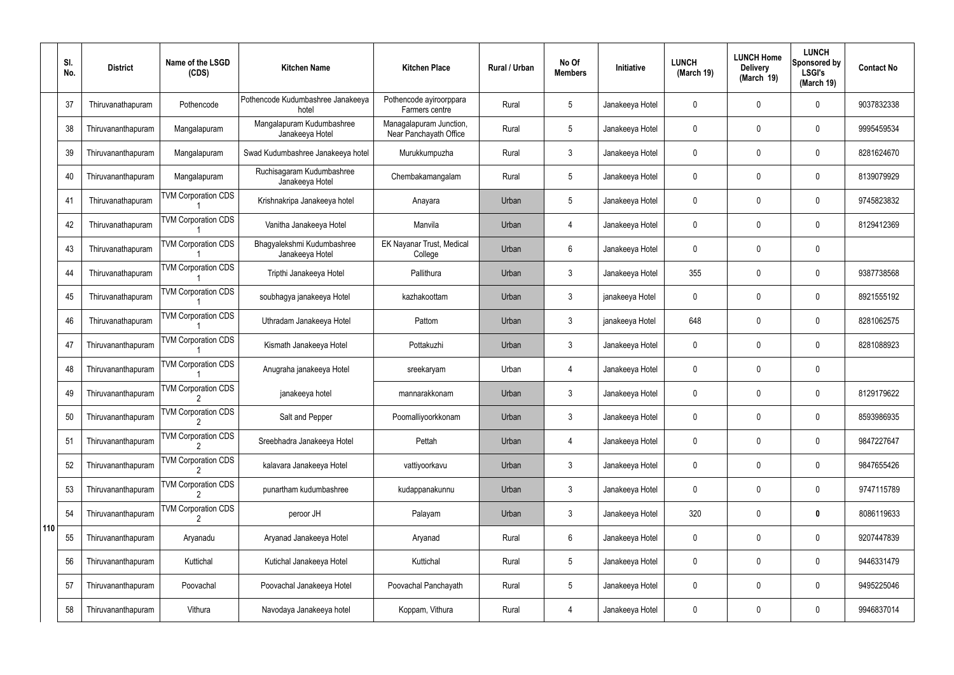|       | SI.<br>No. | <b>District</b>    | Name of the LSGD<br>(CDS)  | <b>Kitchen Name</b>                           | <b>Kitchen Place</b>                              | Rural / Urban | No Of<br><b>Members</b> | <b>Initiative</b> | <b>LUNCH</b><br>(March 19) | <b>LUNCH Home</b><br><b>Delivery</b><br>(March 19) | <b>LUNCH</b><br>Sponsored by<br><b>LSGI's</b><br>(March 19) | <b>Contact No</b> |
|-------|------------|--------------------|----------------------------|-----------------------------------------------|---------------------------------------------------|---------------|-------------------------|-------------------|----------------------------|----------------------------------------------------|-------------------------------------------------------------|-------------------|
|       | 37         | Thiruvanathapuram  | Pothencode                 | Pothencode Kudumbashree Janakeeya<br>hotel    | Pothencode ayiroorppara<br>Farmers centre         | Rural         | 5                       | Janakeeya Hotel   | $\mathbf 0$                | 0                                                  | $\mathbf 0$                                                 | 9037832338        |
|       | 38         | Thiruvananthapuram | Mangalapuram               | Mangalapuram Kudumbashree<br>Janakeeya Hotel  | Managalapuram Junction,<br>Near Panchayath Office | Rural         | 5                       | Janakeeya Hotel   | $\mathbf 0$                | 0                                                  | $\mathbf 0$                                                 | 9995459534        |
|       | 39         | Thiruvananthapuram | Mangalapuram               | Swad Kudumbashree Janakeeya hotel             | Murukkumpuzha                                     | Rural         | $\mathbf{3}$            | Janakeeya Hotel   | $\mathbf 0$                | 0                                                  | $\mathbf 0$                                                 | 8281624670        |
|       | 40         | Thiruvananthapuram | Mangalapuram               | Ruchisagaram Kudumbashree<br>Janakeeya Hotel  | Chembakamangalam                                  | Rural         | $5\phantom{.0}$         | Janakeeya Hotel   | $\mathbf 0$                | 0                                                  | $\mathbf 0$                                                 | 8139079929        |
|       | 41         | Thiruvanathapuram  | <b>TVM Corporation CDS</b> | Krishnakripa Janakeeya hotel                  | Anayara                                           | Urban         | $5\phantom{.0}$         | Janakeeya Hotel   | $\mathbf 0$                | 0                                                  | $\mathbf 0$                                                 | 9745823832        |
|       | 42         | Thiruvanathapuram  | <b>TVM Corporation CDS</b> | Vanitha Janakeeya Hotel                       | Manvila                                           | Urban         | 4                       | Janakeeya Hotel   | $\mathbf 0$                | 0                                                  | $\mathbf 0$                                                 | 8129412369        |
|       | 43         | Thiruvanathapuram  | <b>TVM Corporation CDS</b> | Bhagyalekshmi Kudumbashree<br>Janakeeya Hotel | EK Nayanar Trust, Medical<br>College              | Urban         | $6\phantom{.}6$         | Janakeeya Hotel   | $\mathbf 0$                | 0                                                  | $\mathbf 0$                                                 |                   |
|       | 44         | Thiruvanathapuram  | <b>TVM Corporation CDS</b> | Tripthi Janakeeya Hotel                       | Pallithura                                        | Urban         | 3                       | Janakeeya Hotel   | 355                        | 0                                                  | $\mathbf 0$                                                 | 9387738568        |
|       | 45         | Thiruvanathapuram  | <b>TVM Corporation CDS</b> | soubhagya janakeeya Hotel                     | kazhakoottam                                      | Urban         | $\mathbf{3}$            | janakeeya Hotel   | $\mathbf 0$                | 0                                                  | $\mathbf 0$                                                 | 8921555192        |
|       | 46         | Thiruvanathapuram  | <b>TVM Corporation CDS</b> | Uthradam Janakeeya Hotel                      | Pattom                                            | Urban         | 3                       | janakeeya Hotel   | 648                        | 0                                                  | $\mathbf 0$                                                 | 8281062575        |
|       | 47         | Thiruvananthapuram | <b>TVM Corporation CDS</b> | Kismath Janakeeya Hotel                       | Pottakuzhi                                        | Urban         | 3                       | Janakeeya Hotel   | $\mathbf 0$                | 0                                                  | $\mathbf 0$                                                 | 8281088923        |
|       | 48         | Thiruvananthapuram | <b>TVM Corporation CDS</b> | Anugraha janakeeya Hotel                      | sreekaryam                                        | Urban         | 4                       | Janakeeya Hotel   | $\mathbf 0$                | 0                                                  | $\mathbf 0$                                                 |                   |
|       | 49         | Thiruvananthapuram | <b>TVM Corporation CDS</b> | janakeeya hotel                               | mannarakkonam                                     | Urban         | 3                       | Janakeeya Hotel   | $\mathbf 0$                | 0                                                  | $\mathbf 0$                                                 | 8129179622        |
|       | 50         | Thiruvananthapuram | <b>TVM Corporation CDS</b> | Salt and Pepper                               | Poomalliyoorkkonam                                | Urban         | $\mathfrak{Z}$          | Janakeeya Hotel   | $\boldsymbol{0}$           | 0                                                  | $\mathbf 0$                                                 | 8593986935        |
|       | 51         | Thiruvananthapuram | <b>TVM Corporation CDS</b> | Sreebhadra Janakeeya Hotel                    | Pettah                                            | Urban         | 4                       | Janakeeya Hotel   | $\boldsymbol{0}$           | 0                                                  | $\boldsymbol{0}$                                            | 9847227647        |
|       | 52         | Thiruvananthapuram | <b>TVM Corporation CDS</b> | kalavara Janakeeya Hotel                      | vattiyoorkavu                                     | Urban         | $\mathfrak{Z}$          | Janakeeya Hotel   | $\boldsymbol{0}$           | 0                                                  | $\boldsymbol{0}$                                            | 9847655426        |
|       | 53         | Thiruvananthapuram | <b>TVM Corporation CDS</b> | punartham kudumbashree                        | kudappanakunnu                                    | Urban         | $\mathfrak{Z}$          | Janakeeya Hotel   | $\boldsymbol{0}$           | $\pmb{0}$                                          | $\boldsymbol{0}$                                            | 9747115789        |
|       | 54         | Thiruvananthapuram | <b>TVM Corporation CDS</b> | peroor JH                                     | Palayam                                           | Urban         | $\mathfrak{Z}$          | Janakeeya Hotel   | 320                        | 0                                                  | $\bf{0}$                                                    | 8086119633        |
| 110 † | 55         | Thiruvananthapuram | Aryanadu                   | Aryanad Janakeeya Hotel                       | Aryanad                                           | Rural         | 6                       | Janakeeya Hotel   | $\boldsymbol{0}$           | 0                                                  | $\mathbf 0$                                                 | 9207447839        |
|       | 56         | Thiruvananthapuram | Kuttichal                  | Kutichal Janakeeya Hotel                      | Kuttichal                                         | Rural         | $5\phantom{.0}$         | Janakeeya Hotel   | $\boldsymbol{0}$           | 0                                                  | $\mathbf 0$                                                 | 9446331479        |
|       | 57         | Thiruvananthapuram | Poovachal                  | Poovachal Janakeeya Hotel                     | Poovachal Panchayath                              | Rural         | $\overline{5}$          | Janakeeya Hotel   | $\boldsymbol{0}$           | $\mathbf 0$                                        | $\mathbf 0$                                                 | 9495225046        |
|       | 58         | Thiruvananthapuram | Vithura                    | Navodaya Janakeeya hotel                      | Koppam, Vithura                                   | Rural         | 4                       | Janakeeya Hotel   | $\boldsymbol{0}$           | 0                                                  | $\pmb{0}$                                                   | 9946837014        |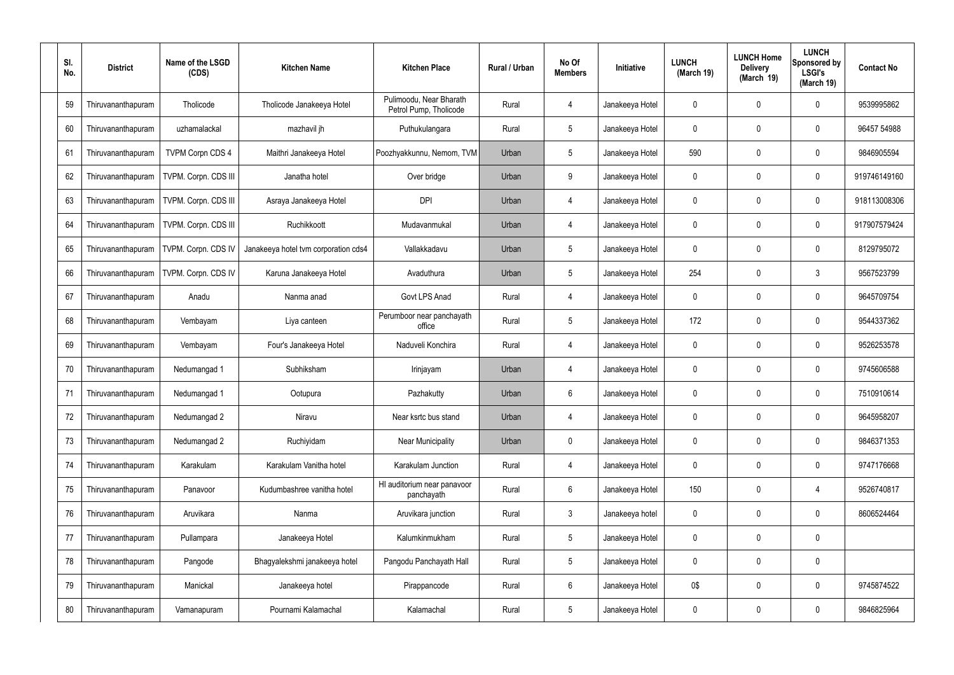| SI.<br>No. | <b>District</b>    | Name of the LSGD<br>(CDS) | <b>Kitchen Name</b>                  | <b>Kitchen Place</b>                              | Rural / Urban | No Of<br><b>Members</b> | Initiative      | <b>LUNCH</b><br>(March 19) | <b>LUNCH Home</b><br><b>Delivery</b><br>(March 19) | <b>LUNCH</b><br>Sponsored by<br><b>LSGI's</b><br>(March 19) | <b>Contact No</b> |
|------------|--------------------|---------------------------|--------------------------------------|---------------------------------------------------|---------------|-------------------------|-----------------|----------------------------|----------------------------------------------------|-------------------------------------------------------------|-------------------|
| 59         | Thiruvananthapuram | Tholicode                 | Tholicode Janakeeya Hotel            | Pulimoodu, Near Bharath<br>Petrol Pump, Tholicode | Rural         | 4                       | Janakeeya Hotel | 0                          | 0                                                  | 0                                                           | 9539995862        |
| 60         | Thiruvananthapuram | uzhamalackal              | mazhavil jh                          | Puthukulangara                                    | Rural         | $5\phantom{.0}$         | Janakeeya Hotel | 0                          | 0                                                  | $\mathbf 0$                                                 | 96457 54988       |
| 61         | Thiruvananthapuram | <b>TVPM Corpn CDS 4</b>   | Maithri Janakeeya Hotel              | Poozhyakkunnu, Nemom, TVM                         | Urban         | $5\phantom{.0}$         | Janakeeya Hotel | 590                        | 0                                                  | $\mathbf 0$                                                 | 9846905594        |
| 62         | Thiruvananthapuram | TVPM. Corpn. CDS III      | Janatha hotel                        | Over bridge                                       | Urban         | 9                       | Janakeeya Hotel | 0                          | 0                                                  | $\mathbf 0$                                                 | 919746149160      |
| 63         | Thiruvananthapuram | TVPM. Corpn. CDS III      | Asraya Janakeeya Hotel               | <b>DPI</b>                                        | Urban         | $\overline{4}$          | Janakeeya Hotel | 0                          | 0                                                  | $\mathbf 0$                                                 | 918113008306      |
| 64         | Thiruvananthapuram | TVPM. Corpn. CDS III      | Ruchikkoott                          | Mudavanmukal                                      | Urban         | $\overline{4}$          | Janakeeya Hotel | 0                          | 0                                                  | $\mathbf 0$                                                 | 917907579424      |
| 65         | Thiruvananthapuram | TVPM. Corpn. CDS IV       | Janakeeya hotel tvm corporation cds4 | Vallakkadavu                                      | Urban         | $5\phantom{.0}$         | Janakeeya Hotel | 0                          | 0                                                  | $\mathbf 0$                                                 | 8129795072        |
| 66         | Thiruvananthapuram | TVPM. Corpn. CDS IV       | Karuna Janakeeya Hotel               | Avaduthura                                        | Urban         | $5\phantom{.0}$         | Janakeeya Hotel | 254                        | 0                                                  | 3                                                           | 9567523799        |
| 67         | Thiruvananthapuram | Anadu                     | Nanma anad                           | Govt LPS Anad                                     | Rural         | $\overline{4}$          | Janakeeya Hotel | 0                          | 0                                                  | $\mathbf 0$                                                 | 9645709754        |
| 68         | Thiruvananthapuram | Vembayam                  | Liya canteen                         | Perumboor near panchayath<br>office               | Rural         | $5\phantom{.0}$         | Janakeeya Hotel | 172                        | 0                                                  | $\boldsymbol{0}$                                            | 9544337362        |
| 69         | Thiruvananthapuram | Vembayam                  | Four's Janakeeya Hotel               | Naduveli Konchira                                 | Rural         | 4                       | Janakeeya Hotel | 0                          | 0                                                  | 0                                                           | 9526253578        |
| 70         | Thiruvananthapuram | Nedumangad 1              | Subhiksham                           | Irinjayam                                         | Urban         | 4                       | Janakeeya Hotel | 0                          | 0                                                  | $\boldsymbol{0}$                                            | 9745606588        |
| 71         | Thiruvananthapuram | Nedumangad 1              | Ootupura                             | Pazhakutty                                        | Urban         | 6                       | Janakeeya Hotel | 0                          | 0                                                  | 0                                                           | 7510910614        |
| 72         | Thiruvananthapuram | Nedumangad 2              | Niravu                               | Near ksrtc bus stand                              | Urban         | 4                       | Janakeeya Hotel | 0                          | 0                                                  | $\mathbf 0$                                                 | 9645958207        |
| 73         | Thiruvananthapuram | Nedumangad 2              | Ruchiyidam                           | <b>Near Municipality</b>                          | Urban         | $\mathbf 0$             | Janakeeya Hotel | 0                          | 0                                                  | $\pmb{0}$                                                   | 9846371353        |
| 74         | Thiruvananthapuram | Karakulam                 | Karakulam Vanitha hotel              | Karakulam Junction                                | Rural         | $\overline{4}$          | Janakeeya Hotel | 0                          | 0                                                  | $\boldsymbol{0}$                                            | 9747176668        |
| 75         | Thiruvananthapuram | Panavoor                  | Kudumbashree vanitha hotel           | HI auditorium near panavoor<br>panchayath         | Rural         | $6\phantom{.}$          | Janakeeya Hotel | 150                        | 0                                                  | 4                                                           | 9526740817        |
| 76         | Thiruvananthapuram | Aruvikara                 | Nanma                                | Aruvikara junction                                | Rural         | $\mathfrak{Z}$          | Janakeeya hotel | $\mathbf 0$                | 0                                                  | $\boldsymbol{0}$                                            | 8606524464        |
| 77         | Thiruvananthapuram | Pullampara                | Janakeeya Hotel                      | Kalumkinmukham                                    | Rural         | $5\phantom{.0}$         | Janakeeya Hotel | $\mathbf 0$                | 0                                                  | $\mathbf 0$                                                 |                   |
| 78         | Thiruvananthapuram | Pangode                   | Bhagyalekshmi janakeeya hotel        | Pangodu Panchayath Hall                           | Rural         | $5\phantom{.0}$         | Janakeeya Hotel | 0                          | 0                                                  | $\mathbf 0$                                                 |                   |
| 79         | Thiruvananthapuram | Manickal                  | Janakeeya hotel                      | Pirappancode                                      | Rural         | $6\phantom{.}$          | Janakeeya Hotel | 0\$                        | $\boldsymbol{0}$                                   | $\pmb{0}$                                                   | 9745874522        |
| 80         | Thiruvananthapuram | Vamanapuram               | Pournami Kalamachal                  | Kalamachal                                        | Rural         | $5\,$                   | Janakeeya Hotel | 0                          | 0                                                  | $\boldsymbol{0}$                                            | 9846825964        |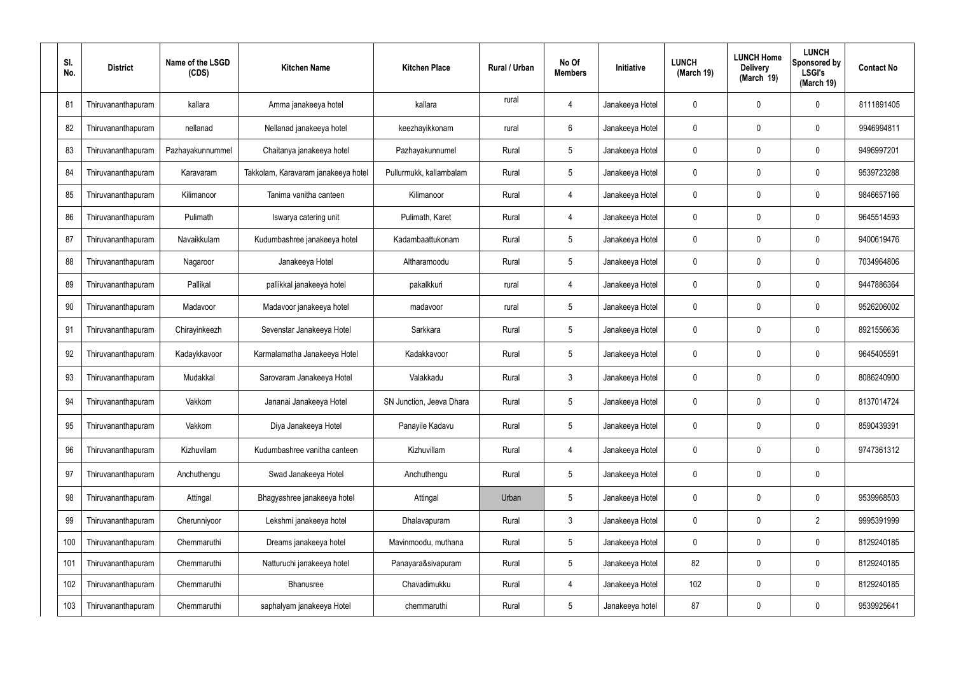| SI.<br>No. | <b>District</b>           | Name of the LSGD<br>(CDS) | <b>Kitchen Name</b>                 | <b>Kitchen Place</b>     | Rural / Urban | No Of<br><b>Members</b> | Initiative      | <b>LUNCH</b><br>(March 19) | <b>LUNCH Home</b><br><b>Delivery</b><br>(March 19) | <b>LUNCH</b><br>Sponsored by<br><b>LSGI's</b><br>(March 19) | <b>Contact No</b> |
|------------|---------------------------|---------------------------|-------------------------------------|--------------------------|---------------|-------------------------|-----------------|----------------------------|----------------------------------------------------|-------------------------------------------------------------|-------------------|
| 81         | Thiruvananthapuram        | kallara                   | Amma janakeeya hotel                | kallara                  | rural         | 4                       | Janakeeya Hotel | 0                          | 0                                                  | 0                                                           | 8111891405        |
| 82         | <b>Thiruvananthapuram</b> | nellanad                  | Nellanad janakeeya hotel            | keezhayikkonam           | rural         | $6\,$                   | Janakeeya Hotel | $\mathbf 0$                | 0                                                  | 0                                                           | 9946994811        |
| 83         | Thiruvananthapuram        | Pazhayakunnummel          | Chaitanya janakeeya hotel           | Pazhayakunnumel          | Rural         | $5\overline{)}$         | Janakeeya Hotel | 0                          | 0                                                  | $\boldsymbol{0}$                                            | 9496997201        |
| 84         | Thiruvananthapuram        | Karavaram                 | Takkolam, Karavaram janakeeya hotel | Pullurmukk, kallambalam  | Rural         | $5\phantom{.0}$         | Janakeeya Hotel | 0                          | $\mathbf 0$                                        | 0                                                           | 9539723288        |
| 85         | Thiruvananthapuram        | Kilimanoor                | Tanima vanitha canteen              | Kilimanoor               | Rural         | $\overline{4}$          | Janakeeya Hotel | 0                          | 0                                                  | 0                                                           | 9846657166        |
| 86         | Thiruvananthapuram        | Pulimath                  | Iswarya catering unit               | Pulimath, Karet          | Rural         | 4                       | Janakeeya Hotel | 0                          | 0                                                  | 0                                                           | 9645514593        |
| 87         | Thiruvananthapuram        | Navaikkulam               | Kudumbashree janakeeya hotel        | Kadambaattukonam         | Rural         | $5\phantom{.0}$         | Janakeeya Hotel | 0                          | 0                                                  | 0                                                           | 9400619476        |
| 88         | Thiruvananthapuram        | Nagaroor                  | Janakeeya Hotel                     | Altharamoodu             | Rural         | $5\,$                   | Janakeeya Hotel | 0                          | $\boldsymbol{0}$                                   | 0                                                           | 7034964806        |
| 89         | Thiruvananthapuram        | Pallikal                  | pallikkal janakeeya hotel           | pakalkkuri               | rural         | 4                       | Janakeeya Hotel | $\mathbf 0$                | 0                                                  | 0                                                           | 9447886364        |
| 90         | <b>Thiruvananthapuram</b> | Madavoor                  | Madavoor janakeeya hotel            | madavoor                 | rural         | $\sqrt{5}$              | Janakeeya Hotel | 0                          | 0                                                  | 0                                                           | 9526206002        |
| 91         | Thiruvananthapuram        | Chirayinkeezh             | Sevenstar Janakeeya Hotel           | Sarkkara                 | Rural         | $\sqrt{5}$              | Janakeeya Hotel | 0                          | 0                                                  | 0                                                           | 8921556636        |
| 92         | Thiruvananthapuram        | Kadaykkavoor              | Karmalamatha Janakeeya Hotel        | Kadakkavoor              | Rural         | $\sqrt{5}$              | Janakeeya Hotel | 0                          | 0                                                  | 0                                                           | 9645405591        |
| 93         | Thiruvananthapuram        | Mudakkal                  | Sarovaram Janakeeya Hotel           | Valakkadu                | Rural         | $\mathfrak{Z}$          | Janakeeya Hotel | 0                          | 0                                                  | $\mathbf 0$                                                 | 8086240900        |
| 94         | Thiruvananthapuram        | Vakkom                    | Jananai Janakeeya Hotel             | SN Junction, Jeeva Dhara | Rural         | 5                       | Janakeeya Hotel | $\mathbf 0$                | $\mathbf 0$                                        | 0                                                           | 8137014724        |
| 95         | Thiruvananthapuram        | Vakkom                    | Diya Janakeeya Hotel                | Panayile Kadavu          | Rural         | $5\phantom{.0}$         | Janakeeya Hotel | $\mathbf 0$                | 0                                                  | $\mathbf 0$                                                 | 8590439391        |
| 96         | Thiruvananthapuram        | Kizhuvilam                | Kudumbashree vanitha canteen        | Kizhuvillam              | Rural         | $\overline{4}$          | Janakeeya Hotel | 0                          | $\mathbf 0$                                        | $\pmb{0}$                                                   | 9747361312        |
| 97         | Thiruvananthapuram        | Anchuthengu               | Swad Janakeeya Hotel                | Anchuthengu              | Rural         | $5\phantom{.0}$         | Janakeeya Hotel | 0                          | $\boldsymbol{0}$                                   | $\mathbf 0$                                                 |                   |
| 98         | Thiruvananthapuram        | Attingal                  | Bhagyashree janakeeya hotel         | Attingal                 | Urban         | $\sqrt{5}$              | Janakeeya Hotel | 0                          | 0                                                  | $\pmb{0}$                                                   | 9539968503        |
| 99         | Thiruvananthapuram        | Cherunniyoor              | Lekshmi janakeeya hotel             | Dhalavapuram             | Rural         | $\mathbf{3}$            | Janakeeya Hotel | 0                          | $\mathbf 0$                                        | $\overline{2}$                                              | 9995391999        |
| 100        | Thiruvananthapuram        | Chemmaruthi               | Dreams janakeeya hotel              | Mavinmoodu, muthana      | Rural         | $5\phantom{.0}$         | Janakeeya Hotel | 0                          | 0                                                  | $\mathbf 0$                                                 | 8129240185        |
| 101        | Thiruvananthapuram        | Chemmaruthi               | Natturuchi janakeeya hotel          | Panayara&sivapuram       | Rural         | $5\phantom{.0}$         | Janakeeya Hotel | 82                         | 0                                                  | $\mathbf 0$                                                 | 8129240185        |
| 102        | Thiruvananthapuram        | Chemmaruthi               | Bhanusree                           | Chavadimukku             | Rural         | $\overline{4}$          | Janakeeya Hotel | 102                        | 0                                                  | $\mathbf 0$                                                 | 8129240185        |
| 103        | Thiruvananthapuram        | Chemmaruthi               | saphalyam janakeeya Hotel           | chemmaruthi              | Rural         | $\sqrt{5}$              | Janakeeya hotel | 87                         | 0                                                  | $\boldsymbol{0}$                                            | 9539925641        |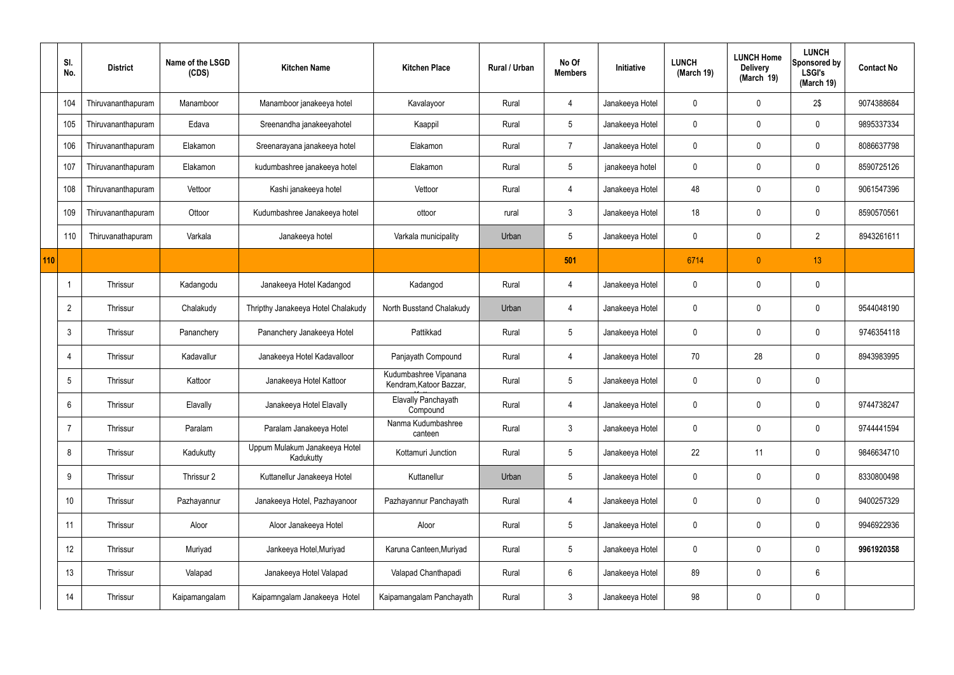|     | SI.<br>No.      | <b>District</b>    | Name of the LSGD<br>(CDS) | <b>Kitchen Name</b>                        | <b>Kitchen Place</b>                             | Rural / Urban | No Of<br><b>Members</b> | Initiative      | <b>LUNCH</b><br>(March 19) | <b>LUNCH Home</b><br><b>Delivery</b><br>(March 19) | <b>LUNCH</b><br>Sponsored by<br><b>LSGI's</b><br>(March 19) | <b>Contact No</b> |
|-----|-----------------|--------------------|---------------------------|--------------------------------------------|--------------------------------------------------|---------------|-------------------------|-----------------|----------------------------|----------------------------------------------------|-------------------------------------------------------------|-------------------|
|     | 104             | Thiruvananthapuram | Manamboor                 | Manamboor janakeeya hotel                  | Kavalayoor                                       | Rural         | 4                       | Janakeeya Hotel | $\mathbf 0$                | 0                                                  | 2\$                                                         | 9074388684        |
|     | 105             | Thiruvananthapuram | Edava                     | Sreenandha janakeeyahotel                  | Kaappil                                          | Rural         | 5 <sup>5</sup>          | Janakeeya Hotel | $\mathbf 0$                | $\mathbf 0$                                        | $\mathbf 0$                                                 | 9895337334        |
|     | 106             | Thiruvananthapuram | Elakamon                  | Sreenarayana janakeeya hotel               | Elakamon                                         | Rural         | $\overline{7}$          | Janakeeya Hotel | $\mathbf 0$                | $\mathbf 0$                                        | $\mathbf 0$                                                 | 8086637798        |
|     | 107             | Thiruvananthapuram | Elakamon                  | kudumbashree janakeeya hotel               | Elakamon                                         | Rural         | $5\overline{)}$         | janakeeya hotel | $\mathbf 0$                | $\mathbf 0$                                        | $\mathbf 0$                                                 | 8590725126        |
|     | 108             | Thiruvananthapuram | Vettoor                   | Kashi janakeeya hotel                      | Vettoor                                          | Rural         | $\overline{4}$          | Janakeeya Hotel | 48                         | 0                                                  | $\mathbf 0$                                                 | 9061547396        |
|     | 109             | Thiruvananthapuram | Ottoor                    | Kudumbashree Janakeeya hotel               | ottoor                                           | rural         | $\mathbf{3}$            | Janakeeya Hotel | 18                         | $\mathbf 0$                                        | $\mathbf 0$                                                 | 8590570561        |
|     | 110             | Thiruvanathapuram  | Varkala                   | Janakeeya hotel                            | Varkala municipality                             | Urban         | $5\overline{)}$         | Janakeeya Hotel | $\mathbf 0$                | $\mathbf 0$                                        | $\overline{2}$                                              | 8943261611        |
| 110 |                 |                    |                           |                                            |                                                  |               | 501                     |                 | 6714                       | $\mathbf{0}$                                       | 13                                                          |                   |
|     | -1              | Thrissur           | Kadangodu                 | Janakeeya Hotel Kadangod                   | Kadangod                                         | Rural         | $\overline{4}$          | Janakeeya Hotel | $\mathbf 0$                | 0                                                  | $\mathbf 0$                                                 |                   |
|     | $\overline{2}$  | Thrissur           | Chalakudy                 | Thripthy Janakeeya Hotel Chalakudy         | North Busstand Chalakudy                         | Urban         | $\overline{4}$          | Janakeeya Hotel | $\mathbf 0$                | $\mathbf 0$                                        | $\mathbf 0$                                                 | 9544048190        |
|     | 3               | Thrissur           | Pananchery                | Pananchery Janakeeya Hotel                 | Pattikkad                                        | Rural         | $5\overline{)}$         | Janakeeya Hotel | $\mathbf 0$                | $\mathbf 0$                                        | $\mathbf 0$                                                 | 9746354118        |
|     | 4               | Thrissur           | Kadavallur                | Janakeeya Hotel Kadavalloor                | Panjayath Compound                               | Rural         | $\overline{4}$          | Janakeeya Hotel | 70                         | 28                                                 | $\mathbf 0$                                                 | 8943983995        |
|     | 5               | Thrissur           | Kattoor                   | Janakeeya Hotel Kattoor                    | Kudumbashree Vipanana<br>Kendram, Katoor Bazzar, | Rural         | $5\overline{)}$         | Janakeeya Hotel | $\mathbf 0$                | $\mathbf 0$                                        | $\mathbf 0$                                                 |                   |
|     | 6               | Thrissur           | Elavally                  | Janakeeya Hotel Elavally                   | Elavally Panchayath<br>Compound                  | Rural         | 4                       | Janakeeya Hotel | $\mathbf 0$                | $\mathbf 0$                                        | $\mathbf 0$                                                 | 9744738247        |
|     | 7               | Thrissur           | Paralam                   | Paralam Janakeeya Hotel                    | Nanma Kudumbashree<br>canteen                    | Rural         | 3 <sup>2</sup>          | Janakeeya Hotel | $\pmb{0}$                  | $\pmb{0}$                                          | $\mathbf 0$                                                 | 9744441594        |
|     | 8               | Thrissur           | Kadukutty                 | Uppum Mulakum Janakeeya Hotel<br>Kadukutty | Kottamuri Junction                               | Rural         | 5 <sub>5</sub>          | Janakeeya Hotel | 22                         | 11                                                 | $\mathbf 0$                                                 | 9846634710        |
|     | 9               | Thrissur           | Thrissur 2                | Kuttanellur Janakeeya Hotel                | Kuttanellur                                      | Urban         | 5 <sup>5</sup>          | Janakeeya Hotel | $\mathbf 0$                | $\pmb{0}$                                          | $\mathbf 0$                                                 | 8330800498        |
|     | 10 <sup>°</sup> | Thrissur           | Pazhayannur               | Janakeeya Hotel, Pazhayanoor               | Pazhayannur Panchayath                           | Rural         | $\overline{4}$          | Janakeeya Hotel | $\mathbf 0$                | $\pmb{0}$                                          | $\mathbf 0$                                                 | 9400257329        |
|     | 11              | Thrissur           | Aloor                     | Aloor Janakeeya Hotel                      | Aloor                                            | Rural         | $5\overline{)}$         | Janakeeya Hotel | $\mathbf 0$                | $\mathbf 0$                                        | $\mathbf 0$                                                 | 9946922936        |
|     | 12              | Thrissur           | Muriyad                   | Jankeeya Hotel, Muriyad                    | Karuna Canteen, Muriyad                          | Rural         | 5 <sub>5</sub>          | Janakeeya Hotel | $\mathbf 0$                | $\mathbf 0$                                        | $\mathbf 0$                                                 | 9961920358        |
|     | 13              | Thrissur           | Valapad                   | Janakeeya Hotel Valapad                    | Valapad Chanthapadi                              | Rural         | $6\overline{6}$         | Janakeeya Hotel | 89                         | $\mathbf 0$                                        | 6                                                           |                   |
|     | 14              | Thrissur           | Kaipamangalam             | Kaipamngalam Janakeeya Hotel               | Kaipamangalam Panchayath                         | Rural         | $\mathbf{3}$            | Janakeeya Hotel | 98                         | $\pmb{0}$                                          | $\boldsymbol{0}$                                            |                   |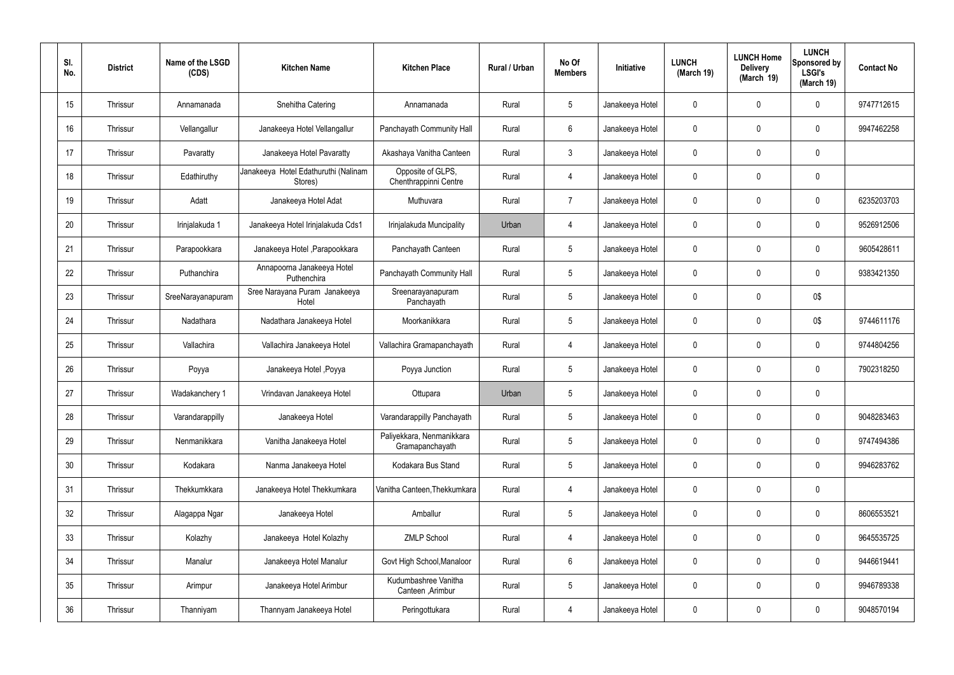| SI.<br>No. | <b>District</b> | Name of the LSGD<br>(CDS) | <b>Kitchen Name</b>                             | <b>Kitchen Place</b>                         | Rural / Urban | No Of<br><b>Members</b> | <b>Initiative</b> | <b>LUNCH</b><br>(March 19) | <b>LUNCH Home</b><br><b>Delivery</b><br>(March 19) | <b>LUNCH</b><br>Sponsored by<br><b>LSGI's</b><br>(March 19) | <b>Contact No</b> |
|------------|-----------------|---------------------------|-------------------------------------------------|----------------------------------------------|---------------|-------------------------|-------------------|----------------------------|----------------------------------------------------|-------------------------------------------------------------|-------------------|
| 15         | Thrissur        | Annamanada                | Snehitha Catering                               | Annamanada                                   | Rural         | $5\phantom{.0}$         | Janakeeya Hotel   | $\mathbf 0$                | 0                                                  | $\mathbf 0$                                                 | 9747712615        |
| 16         | Thrissur        | Vellangallur              | Janakeeya Hotel Vellangallur                    | Panchayath Community Hall                    | Rural         | $6\phantom{.}6$         | Janakeeya Hotel   | $\mathbf 0$                | 0                                                  | $\mathbf 0$                                                 | 9947462258        |
| 17         | Thrissur        | Pavaratty                 | Janakeeya Hotel Pavaratty                       | Akashaya Vanitha Canteen                     | Rural         | $\mathbf{3}$            | Janakeeya Hotel   | $\mathbf 0$                | 0                                                  | $\mathbf 0$                                                 |                   |
| 18         | Thrissur        | Edathiruthy               | Janakeeya Hotel Edathuruthi (Nalinam<br>Stores) | Opposite of GLPS,<br>Chenthrappinni Centre   | Rural         | $\overline{4}$          | Janakeeya Hotel   | $\mathbf 0$                | 0                                                  | $\mathbf 0$                                                 |                   |
| 19         | Thrissur        | Adatt                     | Janakeeya Hotel Adat                            | Muthuvara                                    | Rural         | $\overline{7}$          | Janakeeya Hotel   | $\mathbf 0$                | 0                                                  | $\mathbf 0$                                                 | 6235203703        |
| 20         | Thrissur        | Irinjalakuda 1            | Janakeeya Hotel Irinjalakuda Cds1               | Irinjalakuda Muncipality                     | Urban         | $\overline{4}$          | Janakeeya Hotel   | $\mathbf 0$                | $\mathbf 0$                                        | $\mathbf 0$                                                 | 9526912506        |
| 21         | Thrissur        | Parapookkara              | Janakeeya Hotel, Parapookkara                   | Panchayath Canteen                           | Rural         | $5\phantom{.0}$         | Janakeeya Hotel   | $\mathbf 0$                | 0                                                  | $\mathbf 0$                                                 | 9605428611        |
| 22         | Thrissur        | Puthanchira               | Annapoorna Janakeeya Hotel<br>Puthenchira       | Panchayath Community Hall                    | Rural         | $5\phantom{.0}$         | Janakeeya Hotel   | $\mathbf 0$                | $\mathbf 0$                                        | $\mathbf 0$                                                 | 9383421350        |
| 23         | Thrissur        | SreeNarayanapuram         | Sree Narayana Puram Janakeeya<br>Hotel          | Sreenarayanapuram<br>Panchayath              | Rural         | $5\phantom{.0}$         | Janakeeya Hotel   | $\mathbf 0$                | 0                                                  | 0\$                                                         |                   |
| 24         | Thrissur        | Nadathara                 | Nadathara Janakeeya Hotel                       | Moorkanikkara                                | Rural         | $5\phantom{.0}$         | Janakeeya Hotel   | $\mathbf 0$                | 0                                                  | 0\$                                                         | 9744611176        |
| 25         | Thrissur        | Vallachira                | Vallachira Janakeeya Hotel                      | Vallachira Gramapanchayath                   | Rural         | $\overline{4}$          | Janakeeya Hotel   | $\mathbf 0$                | 0                                                  | $\mathbf 0$                                                 | 9744804256        |
| 26         | Thrissur        | Poyya                     | Janakeeya Hotel, Poyya                          | Poyya Junction                               | Rural         | $5\phantom{.0}$         | Janakeeya Hotel   | $\mathbf 0$                | 0                                                  | $\mathbf 0$                                                 | 7902318250        |
| 27         | Thrissur        | Wadakanchery 1            | Vrindavan Janakeeya Hotel                       | Ottupara                                     | Urban         | 5                       | Janakeeya Hotel   | $\mathbf 0$                | 0                                                  | $\mathbf 0$                                                 |                   |
| 28         | Thrissur        | Varandarappilly           | Janakeeya Hotel                                 | Varandarappilly Panchayath                   | Rural         | $5\phantom{.0}$         | Janakeeya Hotel   | $\mathbf 0$                | 0                                                  | $\mathbf 0$                                                 | 9048283463        |
| 29         | Thrissur        | Nenmanikkara              | Vanitha Janakeeya Hotel                         | Paliyekkara, Nenmanikkara<br>Gramapanchayath | Rural         | $5\phantom{.0}$         | Janakeeya Hotel   | $\mathbf 0$                | $\mathbf 0$                                        | $\mathbf 0$                                                 | 9747494386        |
| 30         | Thrissur        | Kodakara                  | Nanma Janakeeya Hotel                           | Kodakara Bus Stand                           | Rural         | $5\phantom{.0}$         | Janakeeya Hotel   | $\mathbf 0$                | 0                                                  | $\mathbf 0$                                                 | 9946283762        |
| 31         | Thrissur        | Thekkumkkara              | Janakeeya Hotel Thekkumkara                     | Vanitha Canteen, Thekkumkara                 | Rural         | $\overline{4}$          | Janakeeya Hotel   | $\mathbf 0$                | $\mathbf 0$                                        | $\mathbf 0$                                                 |                   |
| 32         | Thrissur        | Alagappa Ngar             | Janakeeya Hotel                                 | Amballur                                     | Rural         | $5\phantom{.0}$         | Janakeeya Hotel   | $\mathbf 0$                | 0                                                  | $\mathbf 0$                                                 | 8606553521        |
| 33         | Thrissur        | Kolazhy                   | Janakeeya Hotel Kolazhy                         | <b>ZMLP School</b>                           | Rural         | $\overline{4}$          | Janakeeya Hotel   | $\mathbf 0$                | 0                                                  | $\mathbf 0$                                                 | 9645535725        |
| 34         | Thrissur        | Manalur                   | Janakeeya Hotel Manalur                         | Govt High School, Manaloor                   | Rural         | $6\,$                   | Janakeeya Hotel   | $\mathbf 0$                | 0                                                  | $\mathbf 0$                                                 | 9446619441        |
| 35         | Thrissur        | Arimpur                   | Janakeeya Hotel Arimbur                         | Kudumbashree Vanitha<br>Canteen , Arimbur    | Rural         | $5\phantom{.0}$         | Janakeeya Hotel   | $\mathbf 0$                | $\mathbf 0$                                        | $\mathbf 0$                                                 | 9946789338        |
| 36         | Thrissur        | Thanniyam                 | Thannyam Janakeeya Hotel                        | Peringottukara                               | Rural         | 4                       | Janakeeya Hotel   | 0                          | 0                                                  | $\mathbf 0$                                                 | 9048570194        |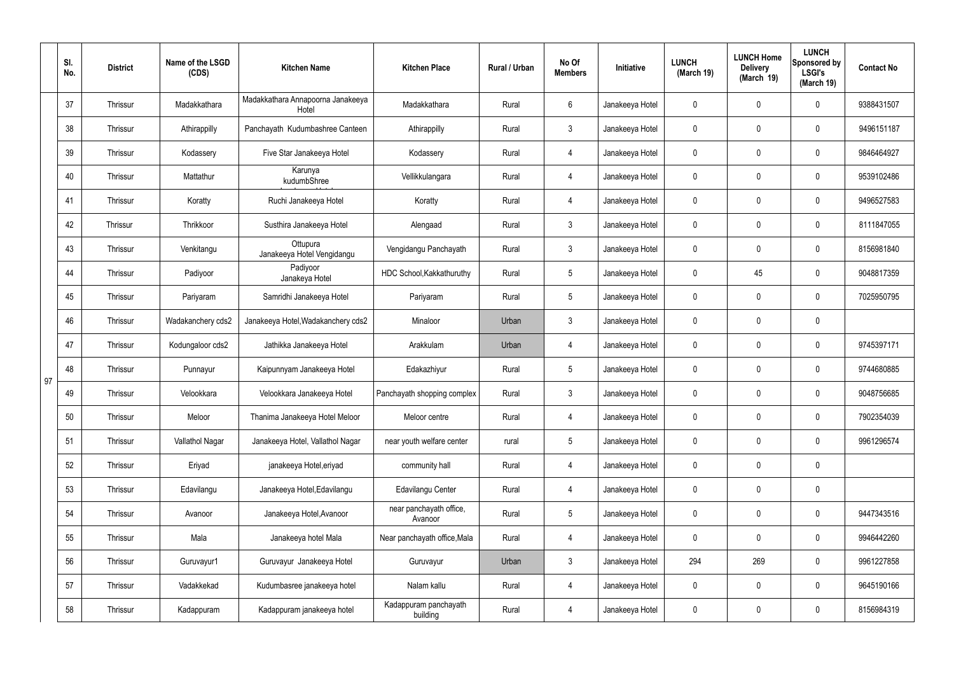|    | SI.<br>No. | <b>District</b> | Name of the LSGD<br>(CDS) | <b>Kitchen Name</b>                        | <b>Kitchen Place</b>               | <b>Rural / Urban</b> | No Of<br><b>Members</b> | Initiative      | <b>LUNCH</b><br>(March 19) | <b>LUNCH Home</b><br><b>Delivery</b><br>(March 19) | <b>LUNCH</b><br>Sponsored by<br><b>LSGI's</b><br>(March 19) | <b>Contact No</b> |
|----|------------|-----------------|---------------------------|--------------------------------------------|------------------------------------|----------------------|-------------------------|-----------------|----------------------------|----------------------------------------------------|-------------------------------------------------------------|-------------------|
|    | 37         | Thrissur        | Madakkathara              | Madakkathara Annapoorna Janakeeya<br>Hotel | Madakkathara                       | Rural                | 6                       | Janakeeya Hotel | 0                          | 0                                                  | $\pmb{0}$                                                   | 9388431507        |
|    | 38         | Thrissur        | Athirappilly              | Panchayath Kudumbashree Canteen            | Athirappilly                       | Rural                | $\mathbf{3}$            | Janakeeya Hotel | $\mathbf 0$                | 0                                                  | $\pmb{0}$                                                   | 9496151187        |
|    | 39         | Thrissur        | Kodassery                 | Five Star Janakeeya Hotel                  | Kodassery                          | Rural                | 4                       | Janakeeya Hotel | 0                          | 0                                                  | $\pmb{0}$                                                   | 9846464927        |
|    | 40         | Thrissur        | Mattathur                 | Karunya<br>kudumbShree                     | Vellikkulangara                    | Rural                | 4                       | Janakeeya Hotel | $\mathbf 0$                | 0                                                  | $\pmb{0}$                                                   | 9539102486        |
|    | 41         | Thrissur        | Koratty                   | Ruchi Janakeeya Hotel                      | Koratty                            | Rural                | 4                       | Janakeeya Hotel | 0                          | 0                                                  | $\pmb{0}$                                                   | 9496527583        |
|    | 42         | Thrissur        | Thrikkoor                 | Susthira Janakeeya Hotel                   | Alengaad                           | Rural                | $\mathbf{3}$            | Janakeeya Hotel | 0                          | 0                                                  | $\pmb{0}$                                                   | 8111847055        |
|    | 43         | Thrissur        | Venkitangu                | Ottupura<br>Janakeeya Hotel Vengidangu     | Vengidangu Panchayath              | Rural                | $\mathbf{3}$            | Janakeeya Hotel | 0                          | 0                                                  | $\pmb{0}$                                                   | 8156981840        |
|    | 44         | Thrissur        | Padiyoor                  | Padiyoor<br>Janakeya Hotel                 | HDC School, Kakkathuruthy          | Rural                | $5\overline{)}$         | Janakeeya Hotel | 0                          | 45                                                 | $\pmb{0}$                                                   | 9048817359        |
|    | 45         | Thrissur        | Pariyaram                 | Samridhi Janakeeya Hotel                   | Pariyaram                          | Rural                | $5\overline{)}$         | Janakeeya Hotel | 0                          | 0                                                  | $\pmb{0}$                                                   | 7025950795        |
|    | 46         | Thrissur        | Wadakanchery cds2         | Janakeeya Hotel, Wadakanchery cds2         | Minaloor                           | Urban                | 3                       | Janakeeya Hotel | 0                          | 0                                                  | $\pmb{0}$                                                   |                   |
|    | 47         | Thrissur        | Kodungaloor cds2          | Jathikka Janakeeya Hotel                   | Arakkulam                          | Urban                | 4                       | Janakeeya Hotel | 0                          | 0                                                  | $\mathbf 0$                                                 | 9745397171        |
| 97 | 48         | Thrissur        | Punnayur                  | Kaipunnyam Janakeeya Hotel                 | Edakazhiyur                        | Rural                | 5                       | Janakeeya Hotel | 0                          | 0                                                  | $\mathbf 0$                                                 | 9744680885        |
|    | 49         | Thrissur        | Velookkara                | Velookkara Janakeeya Hotel                 | Panchayath shopping complex        | Rural                | 3                       | Janakeeya Hotel | 0                          | 0                                                  | $\mathbf 0$                                                 | 9048756685        |
|    | 50         | Thrissur        | Meloor                    | Thanima Janakeeya Hotel Meloor             | Meloor centre                      | Rural                | $\overline{4}$          | Janakeeya Hotel | $\mathbf 0$                | 0                                                  | $\pmb{0}$                                                   | 7902354039        |
|    | 51         | Thrissur        | Vallathol Nagar           | Janakeeya Hotel, Vallathol Nagar           | near youth welfare center          | rural                | $5\phantom{.0}$         | Janakeeya Hotel | $\mathbf 0$                | 0                                                  | $\mathbf 0$                                                 | 9961296574        |
|    | 52         | Thrissur        | Eriyad                    | janakeeya Hotel, eriyad                    | community hall                     | Rural                | $\overline{4}$          | Janakeeya Hotel | 0                          | 0                                                  | $\pmb{0}$                                                   |                   |
|    | 53         | Thrissur        | Edavilangu                | Janakeeya Hotel, Edavilangu                | Edavilangu Center                  | Rural                | $\overline{4}$          | Janakeeya Hotel | 0                          | 0                                                  | $\pmb{0}$                                                   |                   |
|    | 54         | Thrissur        | Avanoor                   | Janakeeya Hotel, Avanoor                   | near panchayath office,<br>Avanoor | Rural                | $5\phantom{.0}$         | Janakeeya Hotel | 0                          | 0                                                  | $\mathbf 0$                                                 | 9447343516        |
|    | 55         | Thrissur        | Mala                      | Janakeeya hotel Mala                       | Near panchayath office, Mala       | Rural                | $\overline{4}$          | Janakeeya Hotel | 0                          | 0                                                  | $\pmb{0}$                                                   | 9946442260        |
|    | 56         | Thrissur        | Guruvayur1                | Guruvayur Janakeeya Hotel                  | Guruvayur                          | Urban                | $\mathbf{3}$            | Janakeeya Hotel | 294                        | 269                                                | $\mathbf 0$                                                 | 9961227858        |
|    | 57         | Thrissur        | Vadakkekad                | Kudumbasree janakeeya hotel                | Nalam kallu                        | Rural                | $\overline{4}$          | Janakeeya Hotel | $\mathbf 0$                | $\mathbf 0$                                        | $\mathbf 0$                                                 | 9645190166        |
|    | 58         | Thrissur        | Kadappuram                | Kadappuram janakeeya hotel                 | Kadappuram panchayath<br>building  | Rural                | 4                       | Janakeeya Hotel | 0                          | 0                                                  | $\mathbf 0$                                                 | 8156984319        |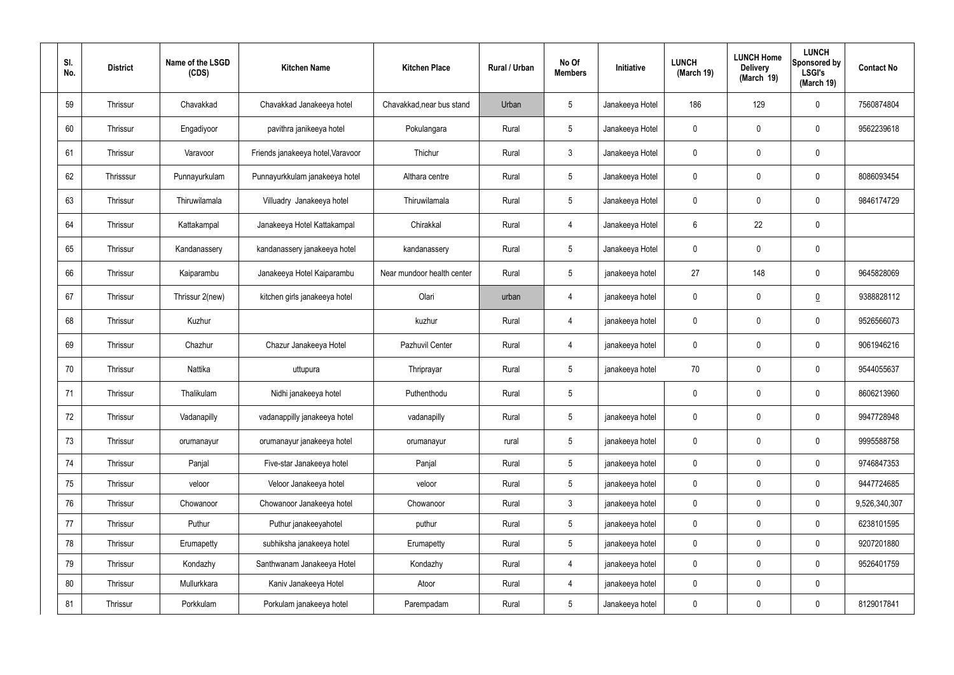| SI.<br>No. | <b>District</b> | Name of the LSGD<br>(CDS)             | <b>Kitchen Name</b>               | <b>Kitchen Place</b>       | Rural / Urban | No Of<br><b>Members</b> | Initiative      | <b>LUNCH</b><br>(March 19) | <b>LUNCH Home</b><br><b>Delivery</b><br>(March 19) | <b>LUNCH</b><br>Sponsored by<br><b>LSGI's</b><br>(March 19) | <b>Contact No</b> |
|------------|-----------------|---------------------------------------|-----------------------------------|----------------------------|---------------|-------------------------|-----------------|----------------------------|----------------------------------------------------|-------------------------------------------------------------|-------------------|
| 59         | Thrissur        | Chavakkad                             | Chavakkad Janakeeya hotel         | Chavakkad, near bus stand  | Urban         | $5\overline{)}$         | Janakeeya Hotel | 186                        | 129                                                | $\mathbf 0$                                                 | 7560874804        |
| 60         | Thrissur        | Engadiyoor                            | pavithra janikeeya hotel          | Pokulangara                | Rural         | $5\overline{)}$         | Janakeeya Hotel | 0                          | $\mathbf 0$                                        | $\mathbf 0$                                                 | 9562239618        |
| 61         | Thrissur        | Varavoor                              | Friends janakeeya hotel, Varavoor | Thichur                    | Rural         | $\mathbf{3}$            | Janakeeya Hotel | 0                          | $\mathbf 0$                                        | $\mathbf 0$                                                 |                   |
| 62         | Thrisssur       | Punnayurkulam                         | Punnayurkkulam janakeeya hotel    | Althara centre             | Rural         | $5\overline{)}$         | Janakeeya Hotel | 0                          | $\mathbf 0$                                        | $\mathbf 0$                                                 | 8086093454        |
| 63         | Thrissur        | Thiruwilamala                         | Villuadry Janakeeya hotel         | Thiruwilamala              | Rural         | $5\overline{)}$         | Janakeeya Hotel | 0                          | $\mathbf 0$                                        | $\mathbf 0$                                                 | 9846174729        |
| 64         | Thrissur        | Kattakampal                           | Janakeeya Hotel Kattakampal       | Chirakkal                  | Rural         | 4                       | Janakeeya Hotel | 6                          | 22                                                 | $\mathbf 0$                                                 |                   |
| 65         | Thrissur        | Kandanassery                          | kandanassery janakeeya hotel      | kandanassery               | Rural         | $5\overline{)}$         | Janakeeya Hotel | 0                          | $\mathbf 0$                                        | $\mathbf 0$                                                 |                   |
| 66         | Thrissur        | Kaiparambu                            | Janakeeya Hotel Kaiparambu        | Near mundoor health center | Rural         | $5\phantom{.0}$         | janakeeya hotel | 27                         | 148                                                | $\mathbf 0$                                                 | 9645828069        |
| 67         | Thrissur        | Thrissur 2(new)                       | kitchen girls janakeeya hotel     | Olari                      | urban         | 4                       | janakeeya hotel | 0                          | 0                                                  | $\underline{0}$                                             | 9388828112        |
| 68         | Thrissur        | Kuzhur                                |                                   | kuzhur                     | Rural         | 4                       | janakeeya hotel | 0                          | $\mathbf 0$                                        | $\mathbf 0$                                                 | 9526566073        |
| 69         | Thrissur        | Chazhur                               | Chazur Janakeeya Hotel            | Pazhuvil Center            | Rural         | 4                       | janakeeya hotel | 0                          | $\mathbf 0$                                        | $\mathbf 0$                                                 | 9061946216        |
| 70         | Thrissur        | Nattika                               | uttupura                          | Thriprayar                 | Rural         | $5\overline{)}$         | janakeeya hotel | 70                         | $\mathbf 0$                                        | $\mathbf 0$                                                 | 9544055637        |
| 71         | Thrissur        | Thalikulam                            | Nidhi janakeeya hotel             | Puthenthodu                | Rural         | $5\overline{)}$         |                 | 0                          | $\mathbf 0$                                        | $\mathbf 0$                                                 | 8606213960        |
| 72         | Thrissur        | Vadanapilly                           | vadanappilly janakeeya hotel      | vadanapilly                | Rural         | $5\phantom{.0}$         | janakeeya hotel | 0                          | $\mathsf{0}$                                       | $\mathbf 0$                                                 | 9947728948        |
| 73         | Thrissur        | orumanayur                            | orumanayur janakeeya hotel        | orumanayur                 | rural         | $5\overline{)}$         | janakeeya hotel | 0                          | 0                                                  | $\mathbf 0$                                                 | 9995588758        |
| 74         | Thrissur        | Panjal                                | Five-star Janakeeya hotel         | Panjal                     | Rural         | $5\phantom{.0}$         | janakeeya hotel | $\mathbf 0$                | $\mathbf 0$                                        | $\mathbf 0$                                                 | 9746847353        |
| 75         | Thrissur        | veloor                                | Veloor Janakeeya hotel            | veloor                     | Rural         | $5\phantom{.0}$         | janakeeya hotel | 0                          | 0                                                  | $\mathbf 0$                                                 | 9447724685        |
| 76         | Thrissur        | Chowanoor                             | Chowanoor Janakeeya hotel         | Chowanoor                  | Rural         | $\mathbf{3}$            | janakeeya hotel | 0                          | $\mathsf{0}$                                       | $\mathbf 0$                                                 | 9,526,340,307     |
| 77         | Thrissur        | Puthur                                | Puthur janakeeyahotel             | puthur                     | Rural         | $5\overline{)}$         | janakeeya hotel | 0                          | $\mathsf{0}$                                       | $\mathbf 0$                                                 | 6238101595        |
| 78         | Thrissur        | Erumapetty                            | subhiksha janakeeya hotel         | Erumapetty                 | Rural         | $5\phantom{.0}$         | janakeeya hotel | $\mathbf 0$                | $\mathsf{0}$                                       | $\mathbf 0$                                                 | 9207201880        |
| 79         | Thrissur        | Kondazhy                              | Santhwanam Janakeeya Hotel        | Kondazhy                   | Rural         | $\overline{4}$          | janakeeya hotel | 0                          | 0                                                  | $\mathbf 0$                                                 | 9526401759        |
| 80         | Thrissur        | Mullurkkara                           | Kaniv Janakeeya Hotel             | Atoor                      | Rural         | 4                       | janakeeya hotel | 0                          | 0                                                  | $\mathbf 0$                                                 |                   |
| 81         | Thrissur        | Porkkulam<br>Porkulam janakeeya hotel |                                   | Parempadam                 | Rural         | $5\phantom{.0}$         | Janakeeya hotel | 0                          | 0                                                  | $\boldsymbol{0}$                                            | 8129017841        |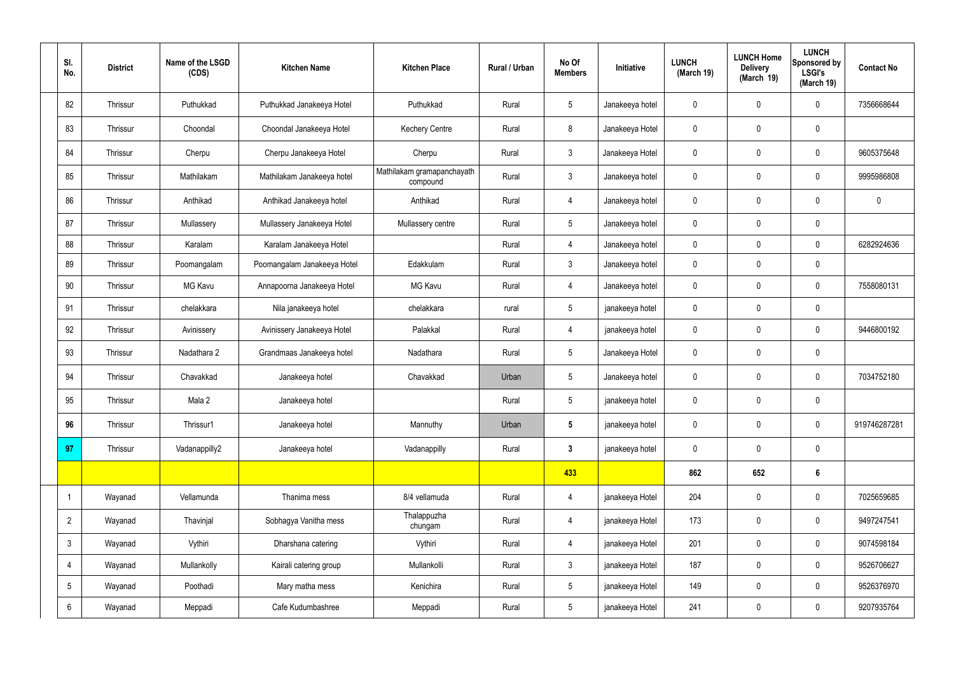| SI.<br>No.     | <b>District</b> | Name of the LSGD<br>(CDS) | <b>Kitchen Name</b>         | <b>Kitchen Place</b>                   | Rural / Urban | No Of<br><b>Members</b> | Initiative      | <b>LUNCH</b><br>(March 19) | <b>LUNCH Home</b><br><b>Delivery</b><br>(March 19) | <b>LUNCH</b><br>Sponsored by<br><b>LSGI's</b><br>(March 19) | <b>Contact No</b> |
|----------------|-----------------|---------------------------|-----------------------------|----------------------------------------|---------------|-------------------------|-----------------|----------------------------|----------------------------------------------------|-------------------------------------------------------------|-------------------|
| 82             | Thrissur        | Puthukkad                 | Puthukkad Janakeeya Hotel   | Puthukkad                              | Rural         | $5\phantom{.0}$         | Janakeeya hotel | $\mathbf 0$                | $\mathbf 0$                                        | $\mathbf 0$                                                 | 7356668644        |
| 83             | Thrissur        | Choondal                  | Choondal Janakeeya Hotel    | <b>Kechery Centre</b>                  | Rural         | 8                       | Janakeeya Hotel | $\mathbf 0$                | $\mathbf 0$                                        | $\mathbf 0$                                                 |                   |
| 84             | Thrissur        | Cherpu                    | Cherpu Janakeeya Hotel      | Cherpu                                 | Rural         | 3                       | Janakeeya Hotel | $\mathbf 0$                | $\mathbf 0$                                        | $\mathbf 0$                                                 | 9605375648        |
| 85             | Thrissur        | Mathilakam                | Mathilakam Janakeeya hotel  | Mathilakam gramapanchayath<br>compound | Rural         | 3                       | Janakeeya hotel | $\mathbf 0$                | $\mathbf 0$                                        | $\mathbf 0$                                                 | 9995986808        |
| 86             | Thrissur        | Anthikad                  | Anthikad Janakeeya hotel    | Anthikad                               | Rural         | 4                       | Janakeeya hotel | $\mathbf 0$                | $\mathbf 0$                                        | $\mathbf 0$                                                 | $\mathbf 0$       |
| 87             | Thrissur        | Mullassery                | Mullassery Janakeeya Hotel  | Mullassery centre                      | Rural         | $5\overline{)}$         | Janakeeya hotel | $\mathbf 0$                | $\mathbf 0$                                        | $\mathbf 0$                                                 |                   |
| 88             | Thrissur        | Karalam                   | Karalam Janakeeya Hotel     |                                        | Rural         | 4                       | Janakeeya hotel | $\mathbf 0$                | $\mathbf 0$                                        | $\mathbf 0$                                                 | 6282924636        |
| 89             | Thrissur        | Poomangalam               | Poomangalam Janakeeya Hotel | Edakkulam                              | Rural         | $\mathbf{3}$            | Janakeeya hotel | $\mathbf 0$                | $\mathbf 0$                                        | $\mathbf 0$                                                 |                   |
| 90             | Thrissur        | <b>MG Kavu</b>            | Annapoorna Janakeeya Hotel  | <b>MG Kavu</b>                         | Rural         | $\overline{4}$          | Janakeeya hotel | $\mathbf 0$                | $\mathbf 0$                                        | $\mathbf 0$                                                 | 7558080131        |
| 91             | Thrissur        | chelakkara                | Nila janakeeya hotel        | chelakkara                             | rural         | 5 <sup>5</sup>          | janakeeya hotel | $\mathbf 0$                | $\pmb{0}$                                          | $\mathbf 0$                                                 |                   |
| 92             | Thrissur        | Avinissery                | Avinissery Janakeeya Hotel  | Palakkal                               | Rural         | 4                       | janakeeya hotel | $\mathbf 0$                | $\mathbf 0$                                        | $\mathbf 0$                                                 | 9446800192        |
| 93             | Thrissur        | Nadathara 2               | Grandmaas Janakeeya hotel   | Nadathara                              | Rural         | 5 <sup>5</sup>          | Janakeeya Hotel | $\mathbf 0$                | $\mathbf 0$                                        | $\mathbf 0$                                                 |                   |
| 94             | Thrissur        | Chavakkad                 | Janakeeya hotel             | Chavakkad                              | Urban         | $5\phantom{.0}$         | Janakeeya hotel | $\pmb{0}$                  | $\mathbf 0$                                        | $\mathbf 0$                                                 | 7034752180        |
| QF.<br>ອບ      | Thrissur        | Mala 2                    | Janakeeya hotel             |                                        | Rural         | 5                       | janakeeya hotel | $\boldsymbol{0}$           | $\mathbf 0$                                        | $\boldsymbol{0}$                                            |                   |
| 96             | Thrissur        | Thrissur1                 | Janakeeya hotel             | Mannuthy                               | Urban         | $5\overline{)}$         | janakeeya hotel | $\mathbf 0$                | $\pmb{0}$                                          | $\mathbf 0$                                                 | 919746287281      |
| 97             | Thrissur        | Vadanappilly2             | Janakeeya hotel             | Vadanappilly                           | Rural         | $3\phantom{a}$          | janakeeya hotel | $\mathbf 0$                | $\mathbf 0$                                        | $\mathbf 0$                                                 |                   |
|                |                 |                           |                             |                                        |               | 433                     |                 | 862                        | 652                                                | $6\phantom{1}$                                              |                   |
| $\mathbf 1$    | Wayanad         | Vellamunda                | Thanima mess                | 8/4 vellamuda                          | Rural         | $\overline{4}$          | janakeeya Hotel | 204                        | $\pmb{0}$                                          | $\mathbf 0$                                                 | 7025659685        |
| $\overline{2}$ | Wayanad         | Thavinjal                 | Sobhagya Vanitha mess       | Thalappuzha<br>chungam                 | Rural         | $\overline{4}$          | janakeeya Hotel | 173                        | $\pmb{0}$                                          | $\mathbf 0$                                                 | 9497247541        |
| 3              | Wayanad         | Vythiri                   | Dharshana catering          | Vythiri                                | Rural         | $\overline{4}$          | janakeeya Hotel | 201                        | $\pmb{0}$                                          | $\mathbf 0$                                                 | 9074598184        |
| $\overline{4}$ | Wayanad         | Mullankolly               | Kairali catering group      | Mullankolli                            | Rural         | 3 <sup>2</sup>          | janakeeya Hotel | 187                        | $\pmb{0}$                                          | $\mathbf 0$                                                 | 9526706627        |
| 5              | Wayanad         | Poothadi                  | Mary matha mess             | Kenichira                              | Rural         | $5\overline{)}$         | janakeeya Hotel | 149                        | $\mathbf 0$                                        | $\mathbf 0$                                                 | 9526376970        |
| 6              | Wayanad         | Meppadi                   | Cafe Kudumbashree           | Meppadi                                | Rural         | $5\overline{)}$         | janakeeya Hotel | 241                        | $\pmb{0}$                                          | $\mathbf 0$                                                 | 9207935764        |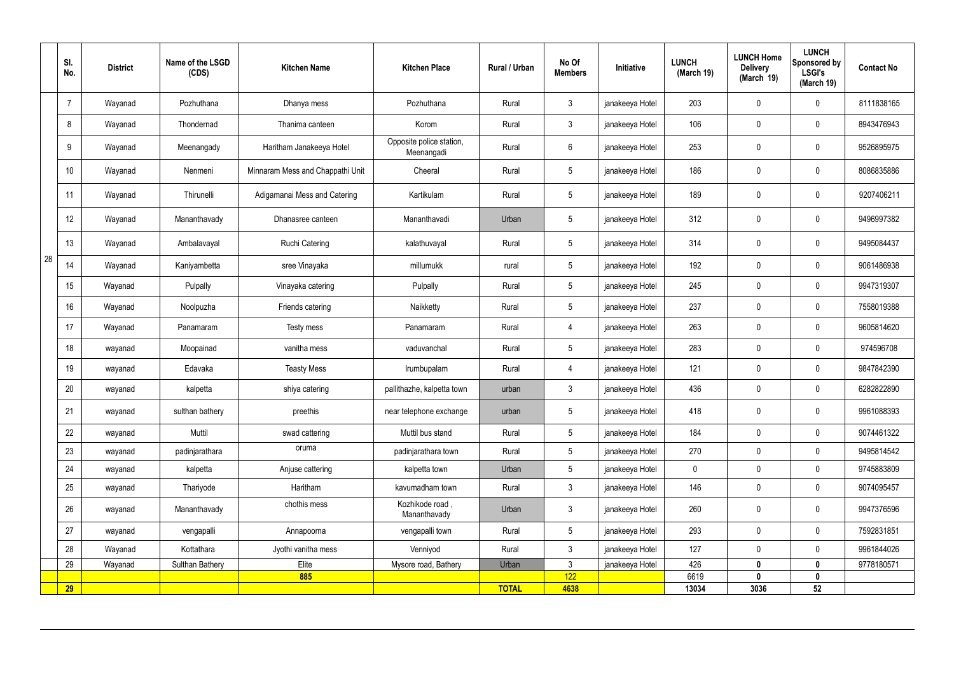|    | SI.<br>No.      | <b>District</b> | Name of the LSGD<br>(CDS) | <b>Kitchen Name</b>              | <b>Kitchen Place</b>                   | Rural / Urban | No Of<br><b>Members</b> | Initiative      | <b>LUNCH</b><br>(March 19) | <b>LUNCH Home</b><br><b>Delivery</b><br>(March 19) | <b>LUNCH</b><br>Sponsored by<br><b>LSGI's</b><br>(March 19) | <b>Contact No</b> |
|----|-----------------|-----------------|---------------------------|----------------------------------|----------------------------------------|---------------|-------------------------|-----------------|----------------------------|----------------------------------------------------|-------------------------------------------------------------|-------------------|
|    | $\overline{7}$  | Wayanad         | Pozhuthana                | Dhanya mess                      | Pozhuthana                             | Rural         | $\mathbf{3}$            | janakeeya Hotel | 203                        | $\mathbf 0$                                        | $\mathbf 0$                                                 | 8111838165        |
|    | 8               | Wayanad         | Thondernad                | Thanima canteen                  | Korom                                  | Rural         | $\mathbf{3}$            | janakeeya Hotel | 106                        | $\mathbf 0$                                        | $\mathbf 0$                                                 | 8943476943        |
|    | 9               | Wayanad         | Meenangady                | Haritham Janakeeya Hotel         | Opposite police station,<br>Meenangadi | Rural         | $6\phantom{.}$          | janakeeya Hotel | 253                        | $\mathbf 0$                                        | $\mathbf 0$                                                 | 9526895975        |
|    | 10 <sup>°</sup> | Wayanad         | Nenmeni                   | Minnaram Mess and Chappathi Unit | Cheeral                                | Rural         | $5\phantom{.0}$         | janakeeya Hotel | 186                        | 0                                                  | $\mathbf 0$                                                 | 8086835886        |
|    | 11              | Wayanad         | Thirunelli                | Adigamanai Mess and Catering     | Kartikulam                             | Rural         | $5\phantom{.0}$         | janakeeya Hotel | 189                        | $\mathbf 0$                                        | $\mathbf 0$                                                 | 9207406211        |
|    | 12              | Wayanad         | Mananthavady              | Dhanasree canteen                | Mananthavadi                           | Urban         | $5\phantom{.0}$         | janakeeya Hotel | 312                        | $\mathbf 0$                                        | $\mathbf 0$                                                 | 9496997382        |
|    | 13              | Wayanad         | Ambalavayal               | <b>Ruchi Catering</b>            | kalathuvayal                           | Rural         | $5\phantom{.0}$         | janakeeya Hotel | 314                        | $\mathbf 0$                                        | $\mathbf 0$                                                 | 9495084437        |
| 28 | 14              | Wayanad         | Kaniyambetta              | sree Vinayaka                    | millumukk                              | rural         | $5\overline{)}$         | janakeeya Hotel | 192                        | $\mathbf 0$                                        | $\mathbf 0$                                                 | 9061486938        |
|    | 15              | Wayanad         | Pulpally                  | Vinayaka catering                | Pulpally                               | Rural         | $5\overline{)}$         | janakeeya Hotel | 245                        | $\mathbf 0$                                        | $\mathbf 0$                                                 | 9947319307        |
|    | 16              | Wayanad         | Noolpuzha                 | Friends catering                 | Naikketty                              | Rural         | 5 <sup>5</sup>          | janakeeya Hotel | 237                        | $\mathbf 0$                                        | $\mathbf 0$                                                 | 7558019388        |
|    | 17              | Wayanad         | Panamaram                 | Testy mess                       | Panamaram                              | Rural         | $\overline{4}$          | janakeeya Hotel | 263                        | $\mathbf 0$                                        | $\mathbf 0$                                                 | 9605814620        |
|    | 18              | wayanad         | Moopainad                 | vanitha mess                     | vaduvanchal                            | Rural         | $5\phantom{.0}$         | janakeeya Hotel | 283                        | $\pmb{0}$                                          | $\mathbf 0$                                                 | 974596708         |
|    | 19              | wayanad         | Edavaka                   | <b>Teasty Mess</b>               | Irumbupalam                            | Rural         | 4                       | janakeeya Hotel | 121                        | $\mathbf 0$                                        | $\mathbf 0$                                                 | 9847842390        |
|    | 20              | wayanad         | kalpetta                  | shiya catering                   | pallithazhe, kalpetta town             | urban         | $\mathbf{3}$            | janakeeya Hotel | 436                        | $\mathbf 0$                                        | $\mathbf 0$                                                 | 6282822890        |
|    | 21              | wayanad         | sulthan bathery           | preethis                         | near telephone exchange                | urban         | $5\phantom{.0}$         | janakeeya Hotel | 418                        | $\pmb{0}$                                          | $\mathbf 0$                                                 | 9961088393        |
|    | 22              | wayanad         | Muttil                    | swad cattering                   | Muttil bus stand                       | Rural         | $5\overline{)}$         | janakeeya Hotel | 184                        | $\mathbf 0$                                        | $\mathbf 0$                                                 | 9074461322        |
|    | 23              | wayanad         | padinjarathara            | oruma                            | padinjarathara town                    | Rural         | 5 <sup>5</sup>          | janakeeya Hotel | 270                        | $\mathbf 0$                                        | $\mathbf 0$                                                 | 9495814542        |
|    | 24              | wayanad         | kalpetta                  | Anjuse cattering                 | kalpetta town                          | Urban         | $5\phantom{.0}$         | janakeeya Hotel | $\mathbf 0$                | $\pmb{0}$                                          | $\mathbf 0$                                                 | 9745883809        |
|    | 25              | wayanad         | Thariyode                 | Haritham                         | kavumadham town                        | Rural         | $\mathbf{3}$            | janakeeya Hotel | 146                        | $\pmb{0}$                                          | $\mathbf 0$                                                 | 9074095457        |
|    | 26              | wayanad         | Mananthavady              | chothis mess                     | Kozhikode road,<br>Mananthavady        | Urban         | $\mathbf{3}$            | janakeeya Hotel | 260                        | $\pmb{0}$                                          | $\mathbf 0$                                                 | 9947376596        |
|    | 27              | wayanad         | vengapalli                | Annapoorna                       | vengapalli town                        | Rural         | 5 <sub>5</sub>          | janakeeya Hotel | 293                        | $\pmb{0}$                                          | $\mathbf 0$                                                 | 7592831851        |
|    | 28              | Wayanad         | Kottathara                | Jyothi vanitha mess              | Venniyod                               | Rural         | $\mathbf{3}$            | janakeeya Hotel | 127                        | $\mathbf 0$                                        | $\mathbf 0$                                                 | 9961844026        |
|    | 29              | Wayanad         | Sulthan Bathery           | Elite                            | Mysore road, Bathery                   | Urban         | $\mathbf{3}$            | janakeeya Hotel | 426                        | 0                                                  | $\mathbf 0$                                                 | 9778180571        |
|    | <b>29</b>       |                 |                           | 885                              |                                        | <b>TOTAL</b>  | 122<br>4638             |                 | 6619<br>13034              | 0<br>3036                                          | $\boldsymbol{0}$<br>52                                      |                   |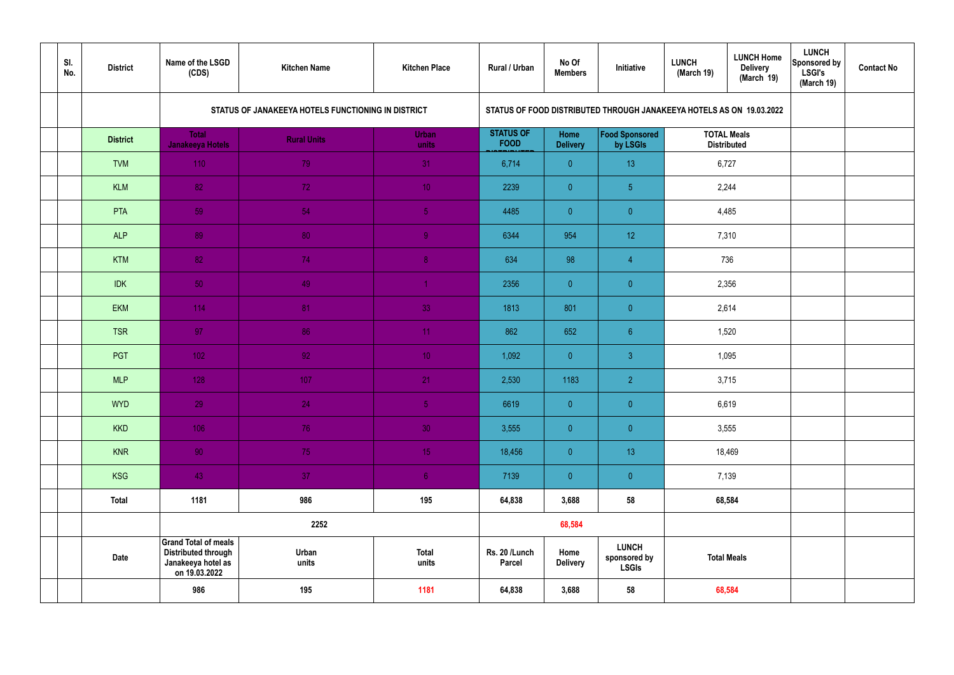| SI.<br>No. | <b>District</b> | Name of the LSGD<br>(CDS)                                                                        | <b>Kitchen Name</b>                                | <b>Kitchen Place</b>  | <b>Rural / Urban</b>            | No Of<br><b>Members</b> | Initiative                                                           | <b>LUNCH</b><br>(March 19) | <b>LUNCH Home</b><br><b>Delivery</b><br>(March 19) | <b>LUNCH</b><br>Sponsored by<br><b>LSGI's</b><br>(March 19) | <b>Contact No</b> |
|------------|-----------------|--------------------------------------------------------------------------------------------------|----------------------------------------------------|-----------------------|---------------------------------|-------------------------|----------------------------------------------------------------------|----------------------------|----------------------------------------------------|-------------------------------------------------------------|-------------------|
|            |                 |                                                                                                  | STATUS OF JANAKEEYA HOTELS FUNCTIONING IN DISTRICT |                       |                                 |                         | STATUS OF FOOD DISTRIBUTED THROUGH JANAKEEYA HOTELS AS ON 19.03.2022 |                            |                                                    |                                                             |                   |
|            | <b>District</b> | <b>Total</b><br><b>Janakeeya Hotels</b>                                                          | <b>Rural Units</b>                                 | <b>Urban</b><br>units | <b>STATUS OF</b><br><b>FOOD</b> | Home<br><b>Delivery</b> | Food Sponsored<br>by LSGIs                                           |                            | <b>TOTAL Meals</b><br><b>Distributed</b>           |                                                             |                   |
|            | <b>TVM</b>      | 110                                                                                              | 79                                                 | 31                    | 6,714                           | $\overline{0}$          | 13 <sup>°</sup>                                                      | 6,727                      |                                                    |                                                             |                   |
|            | <b>KLM</b>      | 82                                                                                               | 72                                                 | 10 <sup>°</sup>       | 2239                            | $\overline{0}$          | $5\phantom{.0}$                                                      |                            | 2,244                                              |                                                             |                   |
|            | PTA             | 59                                                                                               | 54                                                 | 5 <sub>1</sub>        | 4485                            | $\overline{0}$          | $\overline{0}$                                                       | 4,485                      |                                                    |                                                             |                   |
|            | <b>ALP</b>      | 89                                                                                               | 80                                                 | 9                     | 6344                            | 954                     | 12 <sup>°</sup>                                                      | 7,310                      |                                                    |                                                             |                   |
|            | <b>KTM</b>      | 82                                                                                               | 74                                                 | 8 <sup>°</sup>        | 634                             | 98                      | $\overline{4}$                                                       |                            | 736                                                |                                                             |                   |
|            | <b>IDK</b>      | 50                                                                                               | 49                                                 | $\blacktriangleleft$  | 2356                            | $\overline{0}$          | $\overline{0}$                                                       |                            | 2,356                                              |                                                             |                   |
|            | <b>EKM</b>      | 114                                                                                              | 81                                                 | 33                    | 1813                            | 801                     | $\overline{0}$                                                       | 2,614                      |                                                    |                                                             |                   |
|            | <b>TSR</b>      | 97                                                                                               | 86                                                 | 11                    | 862                             | 652                     | $6\phantom{1}$                                                       |                            | 1,520                                              |                                                             |                   |
|            | PGT             | $102$                                                                                            | 92                                                 | 10 <sup>°</sup>       | 1,092                           | $\overline{0}$          | $\mathbf{3}$                                                         |                            | 1,095                                              |                                                             |                   |
|            | <b>MLP</b>      | 128                                                                                              | 107                                                | 21                    | 2,530                           | 1183                    | $\overline{2}$                                                       |                            | 3,715                                              |                                                             |                   |
|            | <b>WYD</b>      | 29                                                                                               | 24                                                 | 5 <sub>5</sub>        | 6619                            | $\overline{0}$          | $\overline{0}$                                                       |                            | 6,619                                              |                                                             |                   |
|            | <b>KKD</b>      | 106                                                                                              | 76                                                 | 30 <sup>°</sup>       | 3,555                           | $\overline{0}$          | $\pmb{0}$                                                            |                            | 3,555                                              |                                                             |                   |
|            | <b>KNR</b>      | 90 <sub>1</sub>                                                                                  | 75                                                 | 15 <sub>1</sub>       | 18,456                          | $\overline{0}$          | 13                                                                   |                            | 18,469                                             |                                                             |                   |
|            | <b>KSG</b>      | 43                                                                                               | 37                                                 | 6 <sup>1</sup>        | 7139                            | $\overline{0}$          | $\pmb{0}$                                                            |                            | 7,139                                              |                                                             |                   |
|            | <b>Total</b>    | 1181                                                                                             | 986                                                | 195                   | 64,838                          | 3,688                   | 58                                                                   |                            | 68,584                                             |                                                             |                   |
|            |                 |                                                                                                  | 2252                                               |                       |                                 | 68,584                  |                                                                      |                            |                                                    |                                                             |                   |
|            | <b>Date</b>     | <b>Grand Total of meals</b><br><b>Distributed through</b><br>Janakeeya hotel as<br>on 19.03.2022 | Urban<br>units                                     | <b>Total</b><br>units | Rs. 20 /Lunch<br><b>Parcel</b>  | Home<br><b>Delivery</b> | <b>LUNCH</b><br>sponsored by<br><b>LSGIs</b>                         |                            | <b>Total Meals</b>                                 |                                                             |                   |
|            |                 | 986                                                                                              | 195                                                | 1181                  | 64,838                          | 3,688                   | 58                                                                   | 68,584                     |                                                    |                                                             |                   |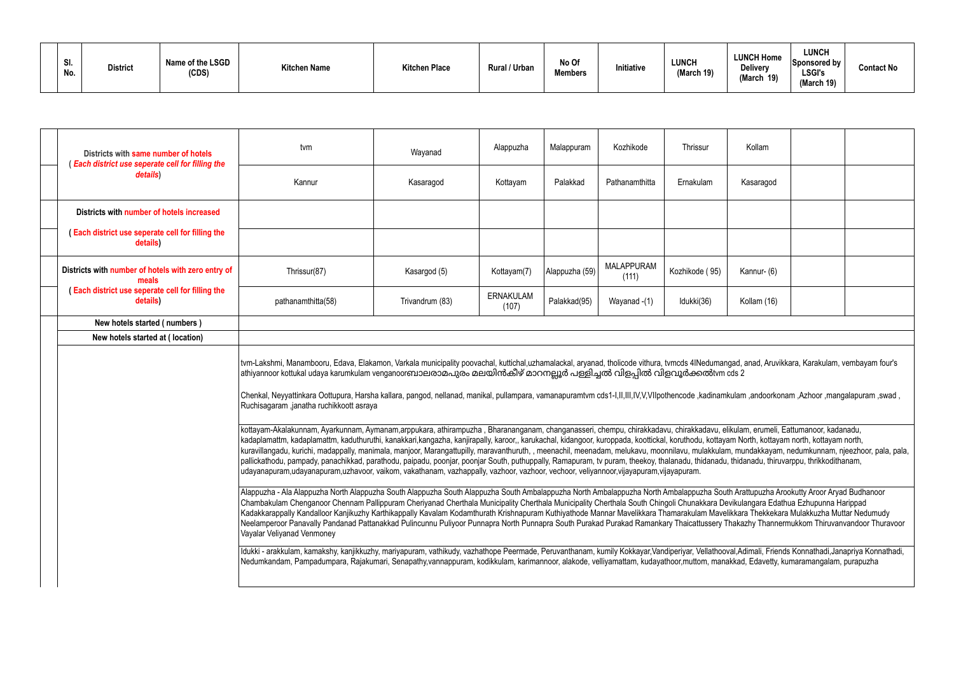| SI.<br>No. | <b>District</b> | Name of the LSGD<br>(CDS) | <b>Kitchen Name</b> | <b>Kitchen Place</b> | <b>Rural / Urban</b> | No Of<br><b>Members</b> | Initiative | <b>LUNCH</b><br>(March 19 | <b>LUNCH Home</b><br><b>Delivery</b><br>(March 19) | <b>LUNCH</b><br>Sponsored by<br><b>LSGI's</b><br>(March 19) | <b>Contact No</b> |
|------------|-----------------|---------------------------|---------------------|----------------------|----------------------|-------------------------|------------|---------------------------|----------------------------------------------------|-------------------------------------------------------------|-------------------|
|------------|-----------------|---------------------------|---------------------|----------------------|----------------------|-------------------------|------------|---------------------------|----------------------------------------------------|-------------------------------------------------------------|-------------------|

|                                                                                                                                                                                                                                                                                                                                                                                         | Districts with same number of hotels                         | tvm                                                                                                                                                                                                                                                                                                                                                                                                                                                                                                                                                                                                                                                                                                                                                                                                                                                                                                                                         | Wayanad         | Alappuzha                 | Malappuram     | Kozhikode                  | Thrissur       | Kollam      |  |  |  |  |
|-----------------------------------------------------------------------------------------------------------------------------------------------------------------------------------------------------------------------------------------------------------------------------------------------------------------------------------------------------------------------------------------|--------------------------------------------------------------|---------------------------------------------------------------------------------------------------------------------------------------------------------------------------------------------------------------------------------------------------------------------------------------------------------------------------------------------------------------------------------------------------------------------------------------------------------------------------------------------------------------------------------------------------------------------------------------------------------------------------------------------------------------------------------------------------------------------------------------------------------------------------------------------------------------------------------------------------------------------------------------------------------------------------------------------|-----------------|---------------------------|----------------|----------------------------|----------------|-------------|--|--|--|--|
|                                                                                                                                                                                                                                                                                                                                                                                         | (Each district use seperate cell for filling the<br>details) | Kannur                                                                                                                                                                                                                                                                                                                                                                                                                                                                                                                                                                                                                                                                                                                                                                                                                                                                                                                                      | Kasaragod       | Kottayam                  | Palakkad       | Pathanamthitta             | Ernakulam      | Kasaragod   |  |  |  |  |
|                                                                                                                                                                                                                                                                                                                                                                                         | Districts with number of hotels increased                    |                                                                                                                                                                                                                                                                                                                                                                                                                                                                                                                                                                                                                                                                                                                                                                                                                                                                                                                                             |                 |                           |                |                            |                |             |  |  |  |  |
|                                                                                                                                                                                                                                                                                                                                                                                         | (Each district use seperate cell for filling the<br>details) |                                                                                                                                                                                                                                                                                                                                                                                                                                                                                                                                                                                                                                                                                                                                                                                                                                                                                                                                             |                 |                           |                |                            |                |             |  |  |  |  |
|                                                                                                                                                                                                                                                                                                                                                                                         | Districts with number of hotels with zero entry of<br>meals  | Thrissur(87)                                                                                                                                                                                                                                                                                                                                                                                                                                                                                                                                                                                                                                                                                                                                                                                                                                                                                                                                | Kasargod (5)    | Kottayam(7)               | Alappuzha (59) | <b>MALAPPURAM</b><br>(111) | Kozhikode (95) | Kannur- (6) |  |  |  |  |
|                                                                                                                                                                                                                                                                                                                                                                                         | (Each district use seperate cell for filling the<br>details) | pathanamthitta(58)                                                                                                                                                                                                                                                                                                                                                                                                                                                                                                                                                                                                                                                                                                                                                                                                                                                                                                                          | Trivandrum (83) | <b>ERNAKULAM</b><br>(107) | Palakkad(95)   | Wayanad -(1)               | Idukki(36)     | Kollam (16) |  |  |  |  |
|                                                                                                                                                                                                                                                                                                                                                                                         | New hotels started (numbers)                                 |                                                                                                                                                                                                                                                                                                                                                                                                                                                                                                                                                                                                                                                                                                                                                                                                                                                                                                                                             |                 |                           |                |                            |                |             |  |  |  |  |
|                                                                                                                                                                                                                                                                                                                                                                                         | New hotels started at (location)                             |                                                                                                                                                                                                                                                                                                                                                                                                                                                                                                                                                                                                                                                                                                                                                                                                                                                                                                                                             |                 |                           |                |                            |                |             |  |  |  |  |
|                                                                                                                                                                                                                                                                                                                                                                                         |                                                              | tvm-Lakshmi, Manambooru, Edava, Elakamon, Varkala municipality poovachal, kuttichal,uzhamalackal, aryanad, tholicode vithura, tvmcds 4INedumangad, anad, Aruvikkara, Karakulam, vembayam four's<br> athiyannoor kottukal udaya karumkulam venganoorബാലരാമപുരം മലയിൻകീഴ് മാറനല്ലൂർ പള്ളിച്ചൽ വിളപ്പിൽ വിളവൂർക്കൽtvm cds 2<br>  Chenkal, Neyyattinkara Oottupura, Harsha kallara, pangod, nellanad, manikal, pullampara, vamanapuramtvm cds1-l,ll,lll,IV,V,VIIpothencode,kadinamkulam,andoorkonam,Azhoor,mangalapuram,swad,<br>Ruchisagaram, janatha ruchikkoott asraya                                                                                                                                                                                                                                                                                                                                                                       |                 |                           |                |                            |                |             |  |  |  |  |
|                                                                                                                                                                                                                                                                                                                                                                                         |                                                              | kottayam-Akalakunnam, Ayarkunnam, Aymanam,arppukara, athirampuzha, Bharananganam, changanasseri, chempu, chirakkadavu, chirakkadavu, elikulam, erumeli, Eattumanoor, kadanadu,<br>kadaplamattm, kadaplamattm, kaduthuruthi, kanakkari,kangazha, kanjirapally, karoor,, karukachal, kidangoor, kuroppada, koottickal, koruthodu, kottayam North, kottayam north, kottayam north, kottayam north,<br>kuravillangadu, kurichi, madappally, manimala, manjoor, Marangattupilly, maravanthuruth, , meenachil, meenadam, melukavu, moonnilavu, mulakkulam, mundakkayam, nedumkunnam, njeezhoor, pala, pala,<br>pallickathodu, pampady, panachikkad, parathodu, paipadu, poonjar, poonjar South, puthuppally, Ramapuram, tv puram, theekoy, thalanadu, thidanadu, thidanadu, thiruvarppu, thrikkodithanam,<br>udayanapuram,udayanapuram,uzhavoor, vaikom, vakathanam, vazhappally, vazhoor, vazhoor, vechoor, veliyannoor,vijayapuram,vijayapuram. |                 |                           |                |                            |                |             |  |  |  |  |
|                                                                                                                                                                                                                                                                                                                                                                                         |                                                              | Alappuzha - Ala Alappuzha North Alappuzha South Alappuzha South Alappuzha South Ambalappuzha North Ambalappuzha South Arattupuzha Arookutty Aroor Aryad Budhanoor<br>Chambakulam Chenganoor Chennam Pallippuram Cheriyanad Cherthala Municipality Cherthala Municipality Cherthala South Chingoli Chunakkara Devikulangara Edathua Ezhupunna Harippad<br>Kadakkarappally Kandalloor Kanjikuzhy Karthikappally Kavalam Kodamthurath Krishnapuram Kuthiyathode Mannar Mavelikkara Thamarakulam Mavelikkara Thekkekara Mulakkuzha Muttar Nedumudy<br>Neelamperoor Panavally Pandanad Pattanakkad Pulincunnu Puliyoor Punnapra North Punnapra South Purakad Purakad Ramankary Thaicattussery Thakazhy Thannermukkom Thiruvanvandoor Thuravoor<br>Vayalar Veliyanad Venmoney                                                                                                                                                                     |                 |                           |                |                            |                |             |  |  |  |  |
| Idukki - arakkulam, kamakshy, kanjikkuzhy, mariyapuram, vathikudy, vazhathope Peermade, Peruvanthanam, kumily Kokkayar,Vandiperiyar, Vellathooval,Adimali, Friends Konnathadi,Janapriya Konnathadi,<br>Nedumkandam, Pampadumpara, Rajakumari, Senapathy,vannappuram, kodikkulam, karimannoor, alakode, velliyamattam, kudayathoor,muttom, manakkad, Edavetty, kumaramangalam, purapuzha |                                                              |                                                                                                                                                                                                                                                                                                                                                                                                                                                                                                                                                                                                                                                                                                                                                                                                                                                                                                                                             |                 |                           |                |                            |                |             |  |  |  |  |
|                                                                                                                                                                                                                                                                                                                                                                                         |                                                              |                                                                                                                                                                                                                                                                                                                                                                                                                                                                                                                                                                                                                                                                                                                                                                                                                                                                                                                                             |                 |                           |                |                            |                |             |  |  |  |  |